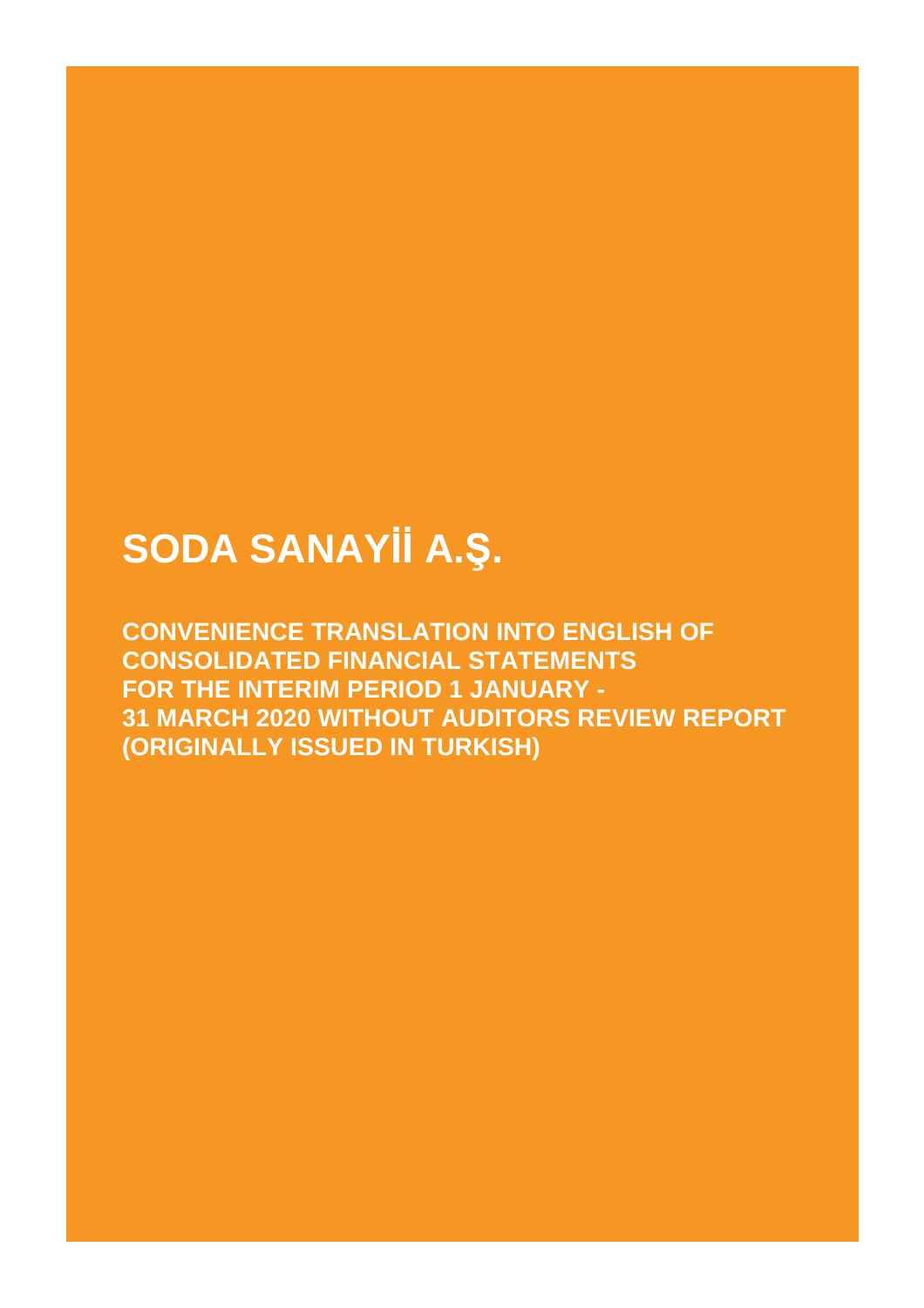Ī

**CONVENIENCE TRANSLATION INTO ENGLISH OF CONSOLIDATED FINANCIAL STATEMENTS FOR THE INTERIM PERIOD 1 JANUARY - 31 MARCH 2020 WITHOUT AUDITORS REVIEW REPORT (ORIGINALLY ISSUED IN TURKISH)**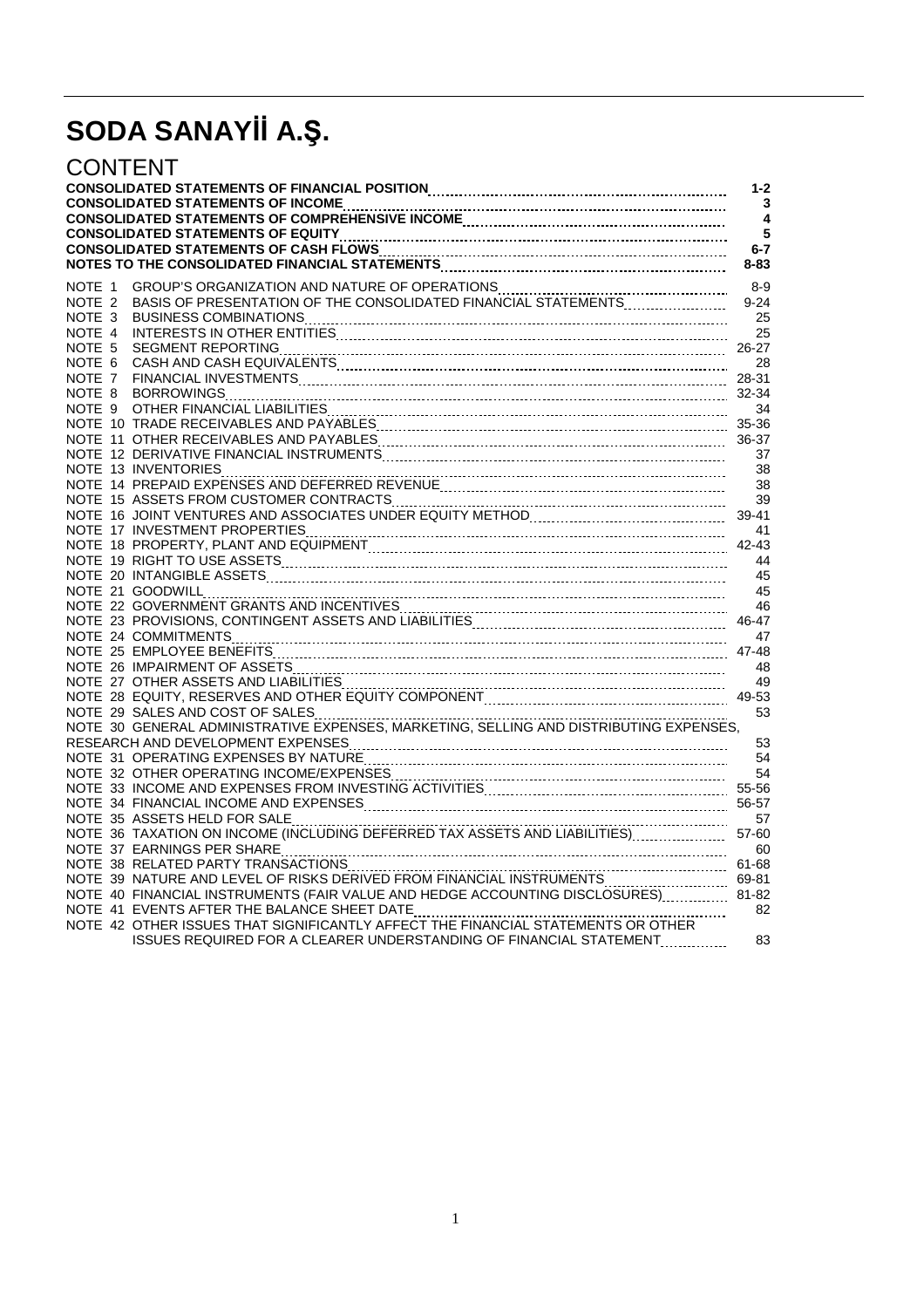| CONTENT           |                                                                                                                                                                                                                                | $1 - 2$<br>3<br>$\overline{\mathbf{A}}$<br>5<br>$6 - 7$<br>$8 - 83$ |
|-------------------|--------------------------------------------------------------------------------------------------------------------------------------------------------------------------------------------------------------------------------|---------------------------------------------------------------------|
| NOTE 1            | GROUP'S ORGANIZATION AND NATURE OF OPERATIONS MANUSITY OF PRESENTATION OF THE CONSOLIDATED FINANCIAL STATEMENTS                                                                                                                | $8-9$                                                               |
| NOTE 2            |                                                                                                                                                                                                                                | $9 - 24$                                                            |
| NOTE 3            |                                                                                                                                                                                                                                | 25                                                                  |
| NOTE 4            |                                                                                                                                                                                                                                | 25                                                                  |
| NOTE <sub>5</sub> |                                                                                                                                                                                                                                | 26-27                                                               |
| NOTE 6            |                                                                                                                                                                                                                                | 28                                                                  |
| NOTE 7            |                                                                                                                                                                                                                                |                                                                     |
| NOTE 8            |                                                                                                                                                                                                                                |                                                                     |
|                   |                                                                                                                                                                                                                                | 34                                                                  |
|                   |                                                                                                                                                                                                                                | 35-36                                                               |
|                   |                                                                                                                                                                                                                                | 36-37                                                               |
|                   | NOTE 12 DERIVATIVE FINANCIAL INSTRUMENTS [[11] THE CONDITIONAL TO THE RESIDENCE TO THE RESIDENCE TO THE RESIDENCE TO THE RESIDENCE TO THE RESIDENCE TO THE RESIDENCE TO THE RESIDENCE TO THE RESIDENCE TO THE RESIDENCE TO THE | 37                                                                  |
|                   |                                                                                                                                                                                                                                | 38                                                                  |
|                   |                                                                                                                                                                                                                                | 38                                                                  |
|                   | NOTE 15 ASSETS FROM CUSTOMER CONTRACTS MANUSIC CONTRIBUTION CONTRACTS NOTE 16 JOINT VENTURES AND ASSOCIATES UNDER EQUITY METHOD                                                                                                | 39                                                                  |
|                   |                                                                                                                                                                                                                                | 39-41                                                               |
|                   |                                                                                                                                                                                                                                | 41                                                                  |
|                   |                                                                                                                                                                                                                                | 42-43                                                               |
|                   |                                                                                                                                                                                                                                | 44<br>45                                                            |
|                   | NOTE 21 GOODWILL                                                                                                                                                                                                               | 45                                                                  |
|                   |                                                                                                                                                                                                                                | 46                                                                  |
|                   |                                                                                                                                                                                                                                | 46-47                                                               |
|                   |                                                                                                                                                                                                                                | 47                                                                  |
|                   |                                                                                                                                                                                                                                | 47-48                                                               |
|                   |                                                                                                                                                                                                                                | 48                                                                  |
|                   |                                                                                                                                                                                                                                | 49                                                                  |
|                   | NOTE 27 OTHER ASSETS AND LIABILITIES MANUSIC COMPONENT COMPONENT CONSERVATION CONTERNATION CONTERNATION NOTE 28 EQUITY, RESERVES AND OTHER EQUITY COMPONENT COMMUNICATIONS CONSERVED BY A DISPONDENT COMPONENT COMMUNICATIONS  | 49-53                                                               |
|                   | NOTE 29 SALES AND COST OF SALES                                                                                                                                                                                                | 53                                                                  |
|                   |                                                                                                                                                                                                                                |                                                                     |
|                   |                                                                                                                                                                                                                                | 53                                                                  |
|                   |                                                                                                                                                                                                                                | 54                                                                  |
|                   |                                                                                                                                                                                                                                |                                                                     |
|                   | NOTE 32 OTHER OPERATING INCOME/EXPENSES MANUSIC CONTINUES AND THE 33 INCOME AND EXPENSES FROM INVESTING ACTIVITIES MANUSIC CONTENTING 55-56                                                                                    |                                                                     |
|                   |                                                                                                                                                                                                                                | 56-57                                                               |
|                   | NOTE 35 ASSETS HELD FOR SALE                                                                                                                                                                                                   | 57                                                                  |
|                   |                                                                                                                                                                                                                                | 57-60                                                               |
|                   |                                                                                                                                                                                                                                | 60                                                                  |
|                   |                                                                                                                                                                                                                                | 61-68                                                               |
|                   | NOTE 39 NATURE AND LEVEL OF RISKS DERIVED FROM FINANCIAL INSTRUMENTS                                                                                                                                                           | 69-81                                                               |
|                   | NOTE 40 FINANCIAL INSTRUMENTS (FAIR VALUE AND HEDGE ACCOUNTING DISCLOSURES)                                                                                                                                                    | 81-82                                                               |
|                   | NOTE 41 EVENTS AFTER THE BALANCE SHEET DATE                                                                                                                                                                                    | 82                                                                  |
|                   | NOTE 42 OTHER ISSUES THAT SIGNIFICANTLY AFFECT THE FINANCIAL STATEMENTS OR OTHER                                                                                                                                               |                                                                     |
|                   | ISSUES REQUIRED FOR A CLEARER UNDERSTANDING OF FINANCIAL STATEMENT                                                                                                                                                             | 83                                                                  |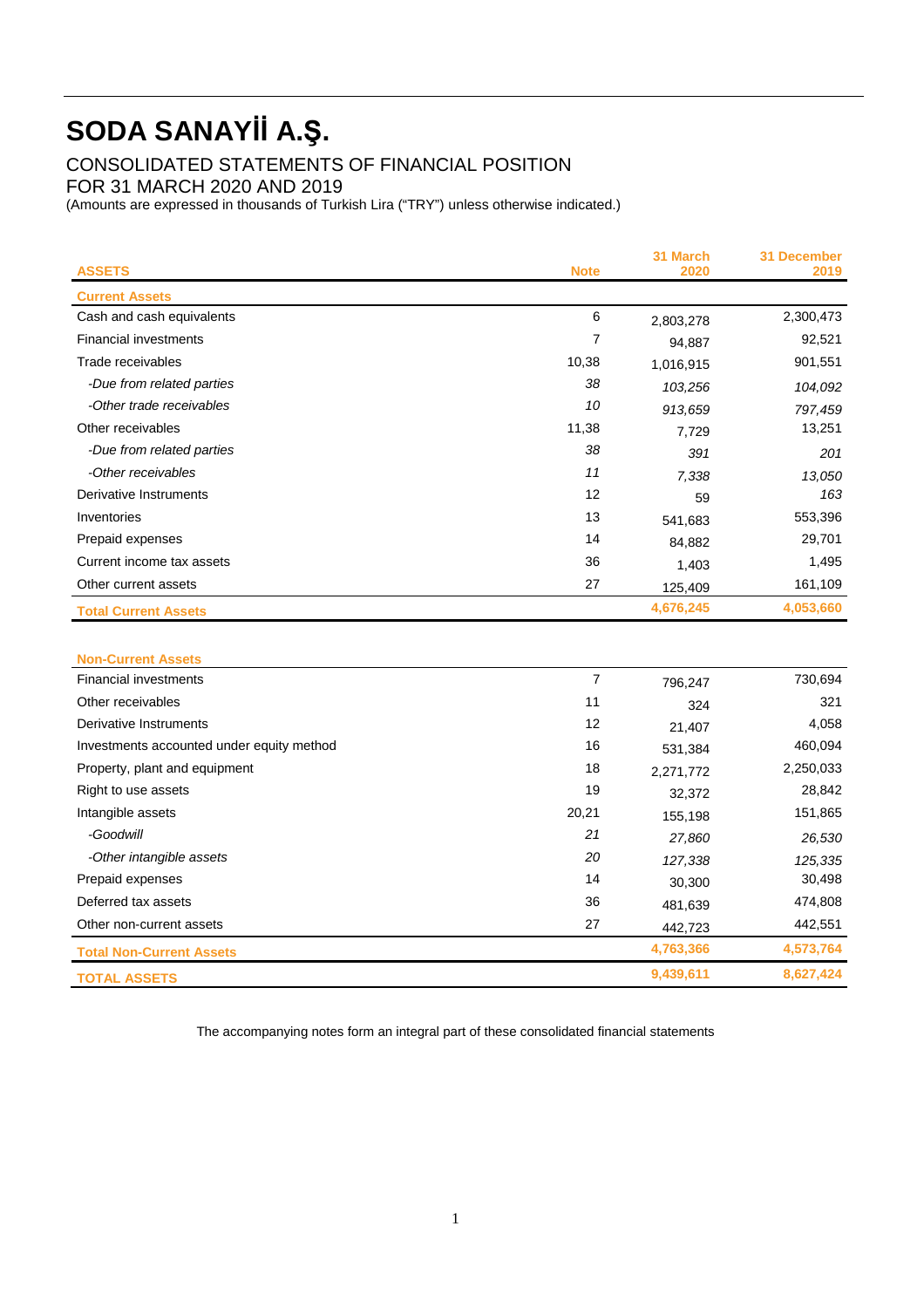CONSOLIDATED STATEMENTS OF FINANCIAL POSITION

FOR 31 MARCH 2020 AND 2019

(Amounts are expressed in thousands of Turkish Lira ("TRY") unless otherwise indicated.)

| <b>ASSETS</b>                | <b>Note</b> | 31 March<br>2020 | <b>31 December</b><br>2019 |
|------------------------------|-------------|------------------|----------------------------|
| <b>Current Assets</b>        |             |                  |                            |
| Cash and cash equivalents    | 6           | 2,803,278        | 2,300,473                  |
| <b>Financial investments</b> | 7           | 94,887           | 92,521                     |
| Trade receivables            | 10,38       | 1,016,915        | 901,551                    |
| -Due from related parties    | 38          | 103,256          | 104,092                    |
| -Other trade receivables     | 10          | 913,659          | 797,459                    |
| Other receivables            | 11,38       | 7,729            | 13,251                     |
| -Due from related parties    | 38          | 391              | 201                        |
| -Other receivables           | 11          | 7,338            | 13,050                     |
| Derivative Instruments       | 12          | 59               | 163                        |
| Inventories                  | 13          | 541,683          | 553,396                    |
| Prepaid expenses             | 14          | 84,882           | 29,701                     |
| Current income tax assets    | 36          | 1,403            | 1,495                      |
| Other current assets         | 27          | 125,409          | 161,109                    |
| <b>Total Current Assets</b>  |             | 4,676,245        | 4,053,660                  |
|                              |             |                  |                            |

| <b>Non-Current Assets</b>                 |       |           |           |
|-------------------------------------------|-------|-----------|-----------|
| <b>Financial investments</b>              | 7     | 796,247   | 730,694   |
| Other receivables                         | 11    | 324       | 321       |
| Derivative Instruments                    | 12    | 21,407    | 4,058     |
| Investments accounted under equity method | 16    | 531,384   | 460,094   |
| Property, plant and equipment             | 18    | 2,271,772 | 2,250,033 |
| Right to use assets                       | 19    | 32,372    | 28,842    |
| Intangible assets                         | 20,21 | 155,198   | 151,865   |
| -Goodwill                                 | 21    | 27,860    | 26,530    |
| -Other intangible assets                  | 20    | 127,338   | 125,335   |
| Prepaid expenses                          | 14    | 30,300    | 30,498    |
| Deferred tax assets                       | 36    | 481,639   | 474,808   |
| Other non-current assets                  | 27    | 442,723   | 442,551   |
| <b>Total Non-Current Assets</b>           |       | 4,763,366 | 4,573,764 |
| <b>TOTAL ASSETS</b>                       |       | 9,439,611 | 8,627,424 |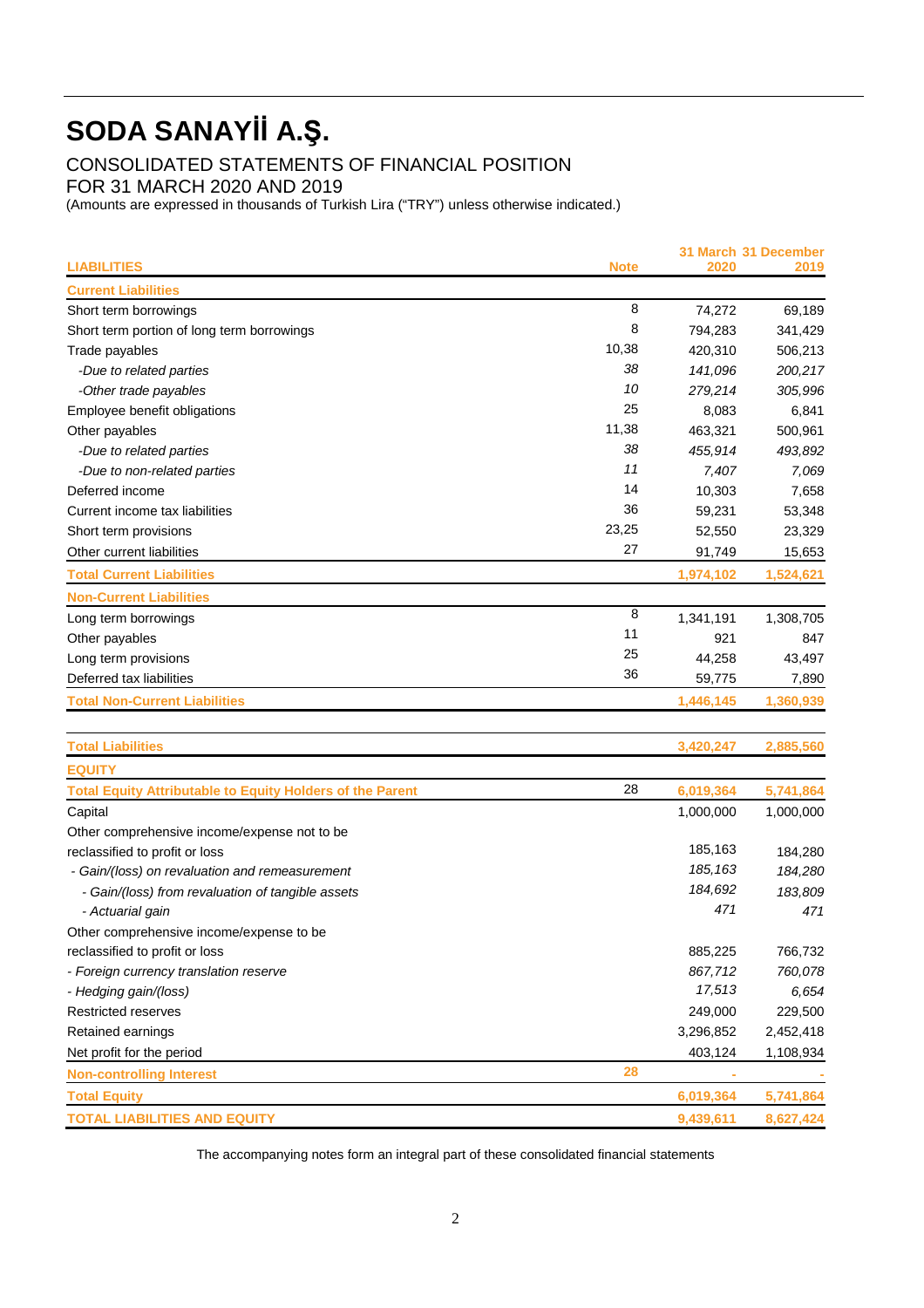CONSOLIDATED STATEMENTS OF FINANCIAL POSITION

FOR 31 MARCH 2020 AND 2019

(Amounts are expressed in thousands of Turkish Lira ("TRY") unless otherwise indicated.)

| <b>LIABILITIES</b>                                               | <b>Note</b> | 2020      | 31 March 31 December<br>2019 |
|------------------------------------------------------------------|-------------|-----------|------------------------------|
| <b>Current Liabilities</b>                                       |             |           |                              |
| Short term borrowings                                            | 8           | 74,272    | 69,189                       |
| Short term portion of long term borrowings                       | 8           | 794,283   | 341,429                      |
| Trade payables                                                   | 10,38       | 420,310   | 506,213                      |
| -Due to related parties                                          | 38          | 141,096   | 200,217                      |
| -Other trade payables                                            | 10          | 279,214   | 305,996                      |
| Employee benefit obligations                                     | 25          | 8,083     | 6,841                        |
| Other payables                                                   | 11,38       | 463,321   | 500,961                      |
| -Due to related parties                                          | 38          | 455,914   | 493,892                      |
| -Due to non-related parties                                      | 11          | 7,407     | 7,069                        |
| Deferred income                                                  | 14          | 10,303    | 7,658                        |
| Current income tax liabilities                                   | 36          | 59,231    | 53,348                       |
| Short term provisions                                            | 23,25       | 52,550    | 23,329                       |
| Other current liabilities                                        | 27          | 91,749    | 15,653                       |
| <b>Total Current Liabilities</b>                                 |             | 1,974,102 | 1,524,621                    |
| <b>Non-Current Liabilities</b>                                   |             |           |                              |
| Long term borrowings                                             | 8           | 1,341,191 | 1,308,705                    |
| Other payables                                                   | 11          | 921       | 847                          |
| Long term provisions                                             | 25          | 44,258    | 43,497                       |
| Deferred tax liabilities                                         | 36          | 59,775    | 7,890                        |
| <b>Total Non-Current Liabilities</b>                             |             | 1,446,145 | 1,360,939                    |
| <b>Total Liabilities</b>                                         |             | 3,420,247 | 2,885,560                    |
| <b>EQUITY</b>                                                    |             |           |                              |
| <b>Total Equity Attributable to Equity Holders of the Parent</b> | 28          | 6,019,364 | 5,741,864                    |
| Capital                                                          |             | 1,000,000 | 1,000,000                    |
| Other comprehensive income/expense not to be                     |             |           |                              |
| reclassified to profit or loss                                   |             | 185,163   | 184,280                      |
| - Gain/(loss) on revaluation and remeasurement                   |             | 185, 163  | 184,280                      |
| - Gain/(loss) from revaluation of tangible assets                |             | 184,692   | 183,809                      |
| - Actuarial gain                                                 |             | 471       | 471                          |
| Other comprehensive income/expense to be                         |             |           |                              |
| reclassified to profit or loss                                   |             | 885,225   | 766,732                      |
| - Foreign currency translation reserve                           |             | 867,712   | 760,078                      |
| - Hedging gain/(loss)                                            |             | 17,513    | 6,654                        |
| Restricted reserves                                              |             | 249,000   | 229,500                      |
| Retained earnings                                                |             | 3,296,852 | 2,452,418                    |
| Net profit for the period                                        |             | 403,124   | 1,108,934                    |
| <b>Non-controlling Interest</b>                                  | 28          |           |                              |
| <b>Total Equity</b>                                              |             | 6,019,364 | 5,741,864                    |
| <b>TOTAL LIABILITIES AND EQUITY</b>                              |             | 9,439,611 | 8,627,424                    |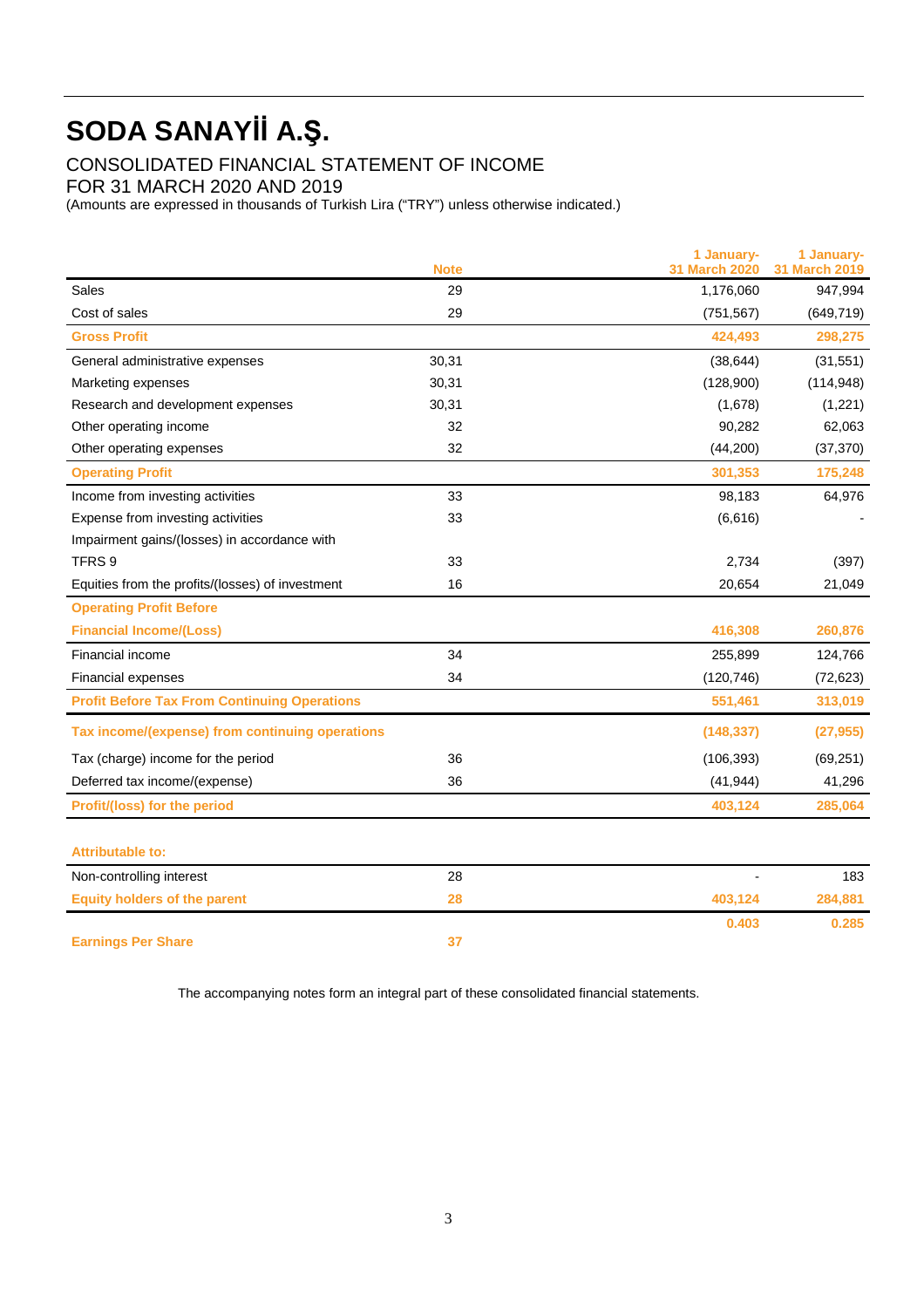CONSOLIDATED FINANCIAL STATEMENT OF INCOME

FOR 31 MARCH 2020 AND 2019

(Amounts are expressed in thousands of Turkish Lira ("TRY") unless otherwise indicated.)

|                                                     | <b>Note</b> | 1 January-<br><b>31 March 2020</b> | 1 January-<br>31 March 2019 |
|-----------------------------------------------------|-------------|------------------------------------|-----------------------------|
| Sales                                               | 29          | 1,176,060                          | 947,994                     |
| Cost of sales                                       | 29          | (751, 567)                         | (649, 719)                  |
| <b>Gross Profit</b>                                 |             | 424,493                            | 298,275                     |
| General administrative expenses                     | 30,31       | (38, 644)                          | (31, 551)                   |
| Marketing expenses                                  | 30,31       | (128,900)                          | (114, 948)                  |
| Research and development expenses                   | 30,31       | (1,678)                            | (1,221)                     |
| Other operating income                              | 32          | 90,282                             | 62,063                      |
| Other operating expenses                            | 32          | (44,200)                           | (37, 370)                   |
| <b>Operating Profit</b>                             |             | 301,353                            | 175,248                     |
| Income from investing activities                    | 33          | 98,183                             | 64,976                      |
| Expense from investing activities                   | 33          | (6,616)                            |                             |
| Impairment gains/(losses) in accordance with        |             |                                    |                             |
| TFRS <sub>9</sub>                                   | 33          | 2,734                              | (397)                       |
| Equities from the profits/(losses) of investment    | 16          | 20,654                             | 21,049                      |
| <b>Operating Profit Before</b>                      |             |                                    |                             |
| <b>Financial Income/(Loss)</b>                      |             | 416,308                            | 260,876                     |
| Financial income                                    | 34          | 255,899                            | 124,766                     |
| <b>Financial expenses</b>                           | 34          | (120, 746)                         | (72, 623)                   |
| <b>Profit Before Tax From Continuing Operations</b> |             | 551,461                            | 313,019                     |
| Tax income/(expense) from continuing operations     |             | (148, 337)                         | (27, 955)                   |
| Tax (charge) income for the period                  | 36          | (106, 393)                         | (69, 251)                   |
| Deferred tax income/(expense)                       | 36          | (41, 944)                          | 41,296                      |
| Profit/(loss) for the period                        |             | 403,124                            | 285,064                     |
|                                                     |             |                                    |                             |
| <b>Attributable to:</b>                             |             |                                    |                             |
| Non-controlling interest                            | 28          |                                    | 183                         |
| <b>Equity holders of the parent</b>                 | 28          | 403,124                            | 284,881                     |
|                                                     |             | 0.403                              | 0.285                       |
| <b>Earnings Per Share</b>                           | 37          |                                    |                             |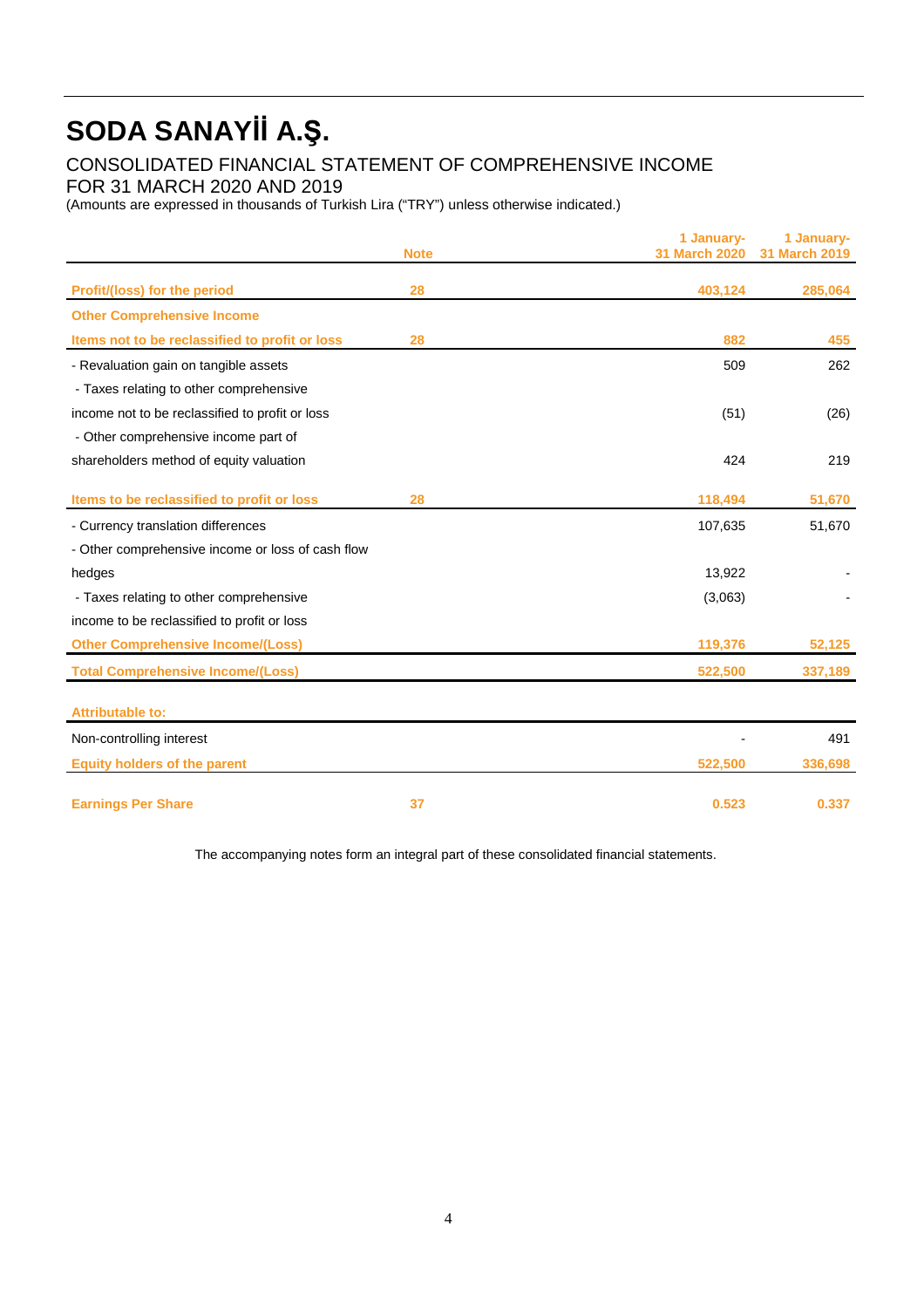CONSOLIDATED FINANCIAL STATEMENT OF COMPREHENSIVE INCOME

FOR 31 MARCH 2020 AND 2019

(Amounts are expressed in thousands of Turkish Lira ("TRY") unless otherwise indicated.)

|                                                   | <b>Note</b> | 1 January-<br>31 March 2020 | 1 January-<br>31 March 2019 |
|---------------------------------------------------|-------------|-----------------------------|-----------------------------|
| Profit/(loss) for the period                      | 28          | 403,124                     | 285,064                     |
| <b>Other Comprehensive Income</b>                 |             |                             |                             |
| Items not to be reclassified to profit or loss    | 28          | 882                         | 455                         |
| - Revaluation gain on tangible assets             |             | 509                         | 262                         |
| - Taxes relating to other comprehensive           |             |                             |                             |
| income not to be reclassified to profit or loss   |             | (51)                        | (26)                        |
| - Other comprehensive income part of              |             |                             |                             |
| shareholders method of equity valuation           |             | 424                         | 219                         |
| Items to be reclassified to profit or loss        | 28          | 118,494                     | 51,670                      |
| - Currency translation differences                |             | 107,635                     | 51,670                      |
| - Other comprehensive income or loss of cash flow |             |                             |                             |
| hedges                                            |             | 13,922                      |                             |
| - Taxes relating to other comprehensive           |             | (3,063)                     |                             |
| income to be reclassified to profit or loss       |             |                             |                             |
| <b>Other Comprehensive Income/(Loss)</b>          |             | 119,376                     | 52,125                      |
| <b>Total Comprehensive Income/(Loss)</b>          |             | 522,500                     | 337,189                     |
| <b>Attributable to:</b>                           |             |                             |                             |
| Non-controlling interest                          |             |                             | 491                         |
| <b>Equity holders of the parent</b>               |             | 522.500                     | 336,698                     |
| <b>Earnings Per Share</b>                         | 37          | 0.523                       | 0.337                       |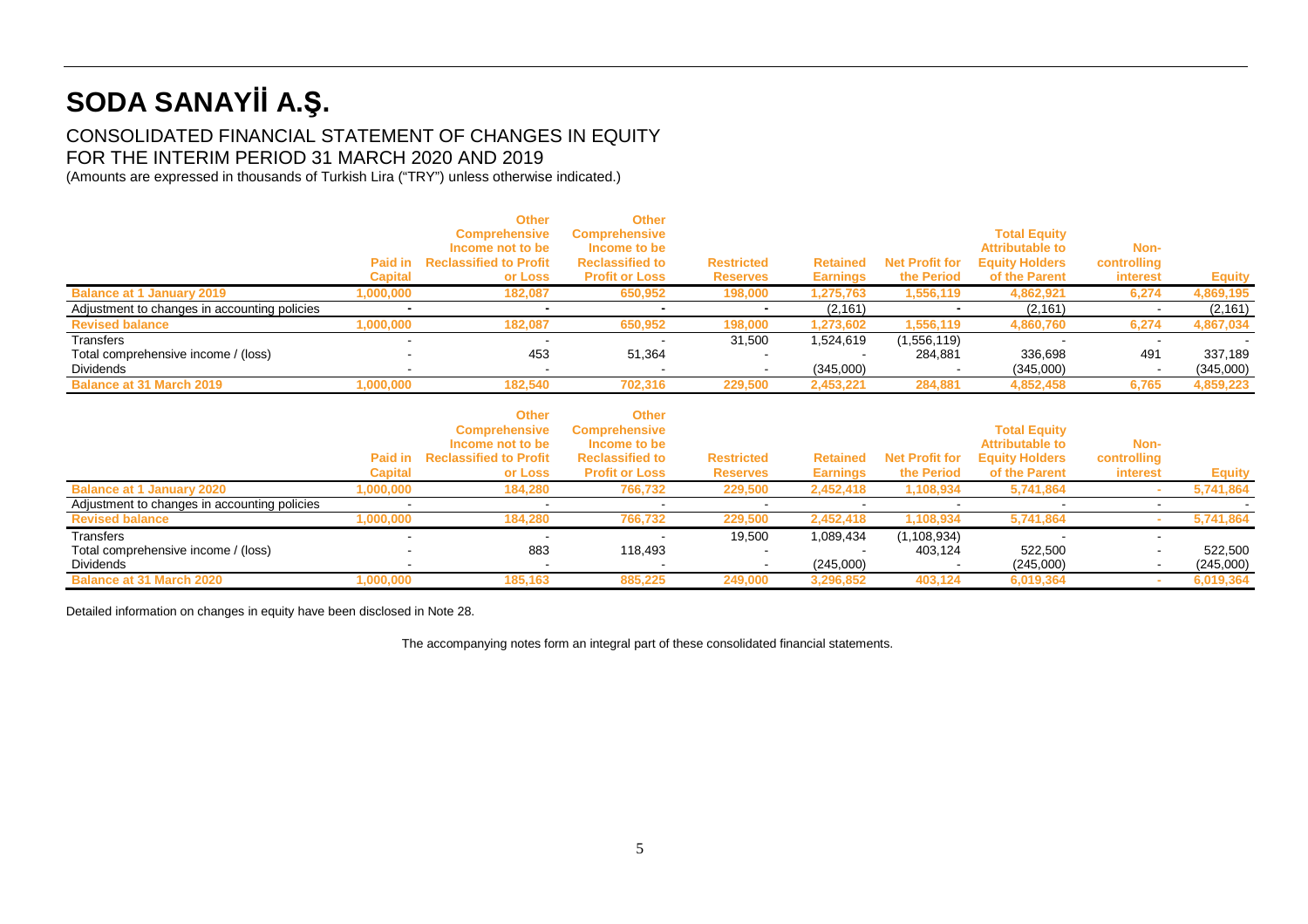## CONSOLIDATED FINANCIAL STATEMENT OF CHANGES IN EQUITY FOR THE INTERIM PERIOD 31 MARCH 2020 AND 2019

(Amounts are expressed in thousands of Turkish Lira ("TRY") unless otherwise indicated.)

|                                              | Paid in<br><b>Capital</b> | <b>Other</b><br><b>Comprehensive</b><br>Income not to be<br><b>Reclassified to Profit</b><br>or Loss | <b>Other</b><br><b>Comprehensive</b><br>Income to be<br><b>Reclassified to</b><br><b>Profit or Loss</b> | <b>Restricted</b><br><b>Reserves</b> | <b>Retained</b><br><b>Earnings</b> | <b>Net Profit for</b><br>the Period | <b>Total Equity</b><br><b>Attributable to</b><br><b>Equity Holders</b><br>of the Parent | Non-<br>controlling<br><b>interest</b> | <b>Equity</b> |
|----------------------------------------------|---------------------------|------------------------------------------------------------------------------------------------------|---------------------------------------------------------------------------------------------------------|--------------------------------------|------------------------------------|-------------------------------------|-----------------------------------------------------------------------------------------|----------------------------------------|---------------|
| <b>Balance at 1 January 2019</b>             | ,000,000                  | 182,087                                                                                              | 650,952                                                                                                 | 198,000                              | 1,275,763                          | 1,556,119                           | 4,862,921                                                                               | 6,274                                  | 4,869,195     |
| Adjustment to changes in accounting policies |                           |                                                                                                      |                                                                                                         |                                      | (2, 161)                           |                                     | (2, 161)                                                                                |                                        | (2, 161)      |
| <b>Revised balance</b>                       | ,000,000                  | 182,087                                                                                              | 650,952                                                                                                 | 198,000                              | 1,273,602                          | 1,556,119                           | 4,860,760                                                                               | 6,274                                  | 4,867,034     |
| Transfers                                    | $\sim$                    |                                                                                                      |                                                                                                         | 31,500                               | 1,524,619                          | (1,556,119)                         |                                                                                         |                                        |               |
| Total comprehensive income / (loss)          | $\sim$                    | 453                                                                                                  | 51,364                                                                                                  | $\sim$                               |                                    | 284.881                             | 336.698                                                                                 | 491                                    | 337,189       |
| Dividends                                    |                           | -                                                                                                    |                                                                                                         |                                      | (345,000)                          |                                     | (345,000)                                                                               |                                        | (345,000)     |
| <b>Balance at 31 March 2019</b>              | .000.000                  | 182.540                                                                                              | 702.316                                                                                                 | 229,500                              | 2,453,221                          | 284,881                             | 4,852,458                                                                               | 6,765                                  | 4,859,223     |

|                                              | Paid in<br><b>Capital</b> | <b>Other</b><br><b>Comprehensive</b><br>Income not to be<br><b>Reclassified to Profit</b><br>or Loss | <b>Other</b><br><b>Comprehensive</b><br>Income to be<br><b>Reclassified to</b><br><b>Profit or Loss</b> | <b>Restricted</b><br><b>Reserves</b> | <b>Retained</b><br><b>Earnings</b> | <b>Net Profit for</b><br>the Period | <b>Total Equity</b><br><b>Attributable to</b><br><b>Equity Holders</b><br>of the Parent | Non-<br>controlling<br>interest | <b>Equity</b> |
|----------------------------------------------|---------------------------|------------------------------------------------------------------------------------------------------|---------------------------------------------------------------------------------------------------------|--------------------------------------|------------------------------------|-------------------------------------|-----------------------------------------------------------------------------------------|---------------------------------|---------------|
| <b>Balance at 1 January 2020</b>             | ,000,000                  | 184,280                                                                                              | 766,732                                                                                                 | 229,500                              | 2,452,418                          | 1,108,934                           | 5,741,864                                                                               |                                 | 5,741,864     |
| Adjustment to changes in accounting policies |                           |                                                                                                      |                                                                                                         |                                      |                                    |                                     |                                                                                         |                                 |               |
| <b>Revised balance</b>                       | ,000,000                  | 184,280                                                                                              | 766,732                                                                                                 | 229,500                              | 2,452,418                          | 108,934                             | 5,741,864                                                                               |                                 | 5,741,864     |
| Transfers                                    |                           |                                                                                                      |                                                                                                         | 19,500                               | 1,089,434                          | (1,108,934)                         |                                                                                         |                                 |               |
| Total comprehensive income / (loss)          |                           | 883                                                                                                  | 118.493                                                                                                 |                                      |                                    | 403.124                             | 522.500                                                                                 |                                 | 522,500       |
| Dividends                                    |                           |                                                                                                      |                                                                                                         |                                      | (245,000)                          |                                     | (245,000)                                                                               |                                 | (245,000)     |
| <b>Balance at 31 March 2020</b>              | .000.000                  | 185.163                                                                                              | 885.225                                                                                                 | 249,000                              | 3,296,852                          | 403,124                             | 6,019,364                                                                               |                                 | 6,019,364     |

Detailed information on changes in equity have been disclosed in Note 28.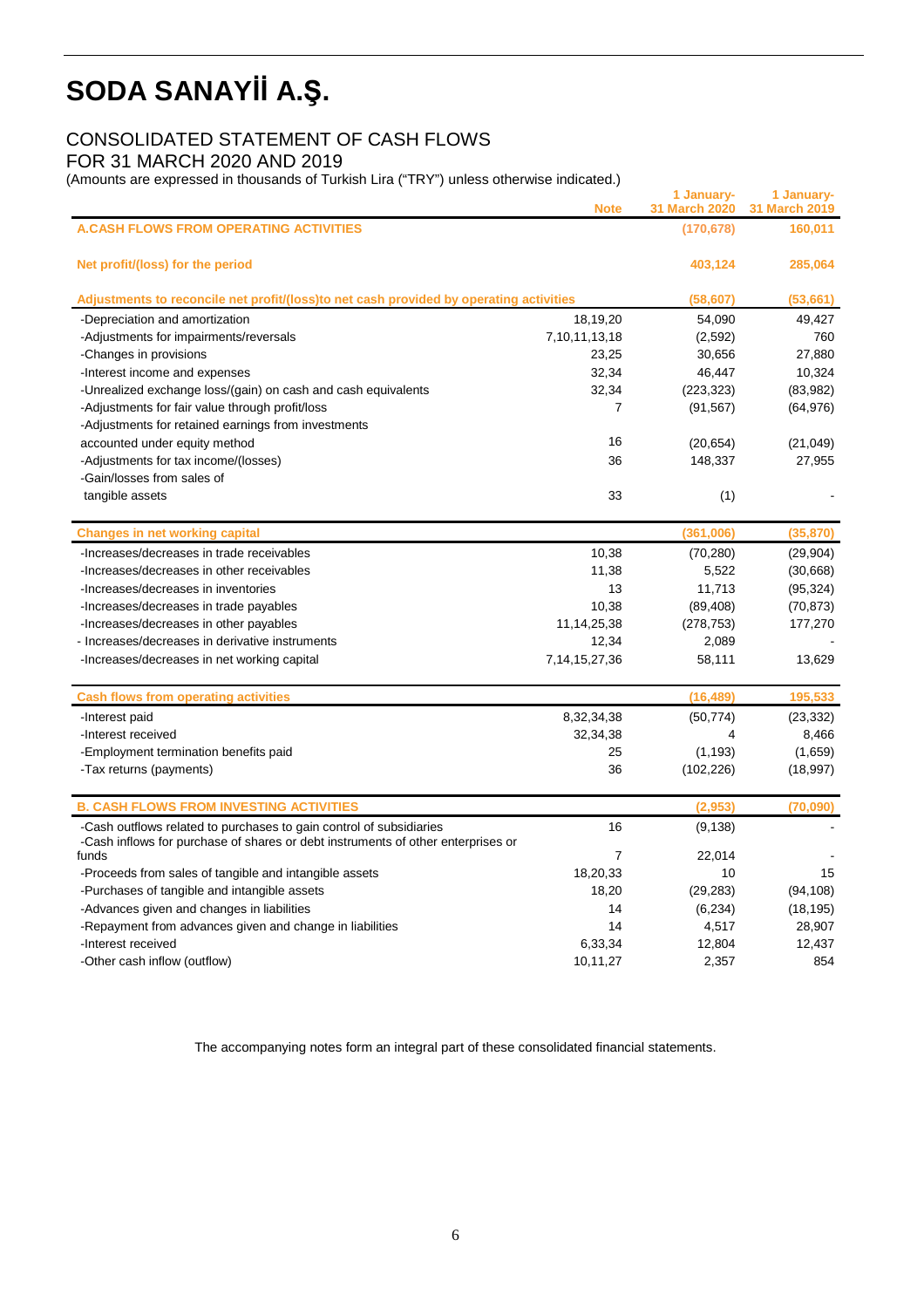# CONSOLIDATED STATEMENT OF CASH FLOWS

FOR 31 MARCH 2020 AND 2019

(Amounts are expressed in thousands of Turkish Lira ("TRY") unless otherwise indicated.)

|                                                                                           | <b>Note</b>       | 1 January-<br>31 March 2020 | 1 January-<br>31 March 2019 |
|-------------------------------------------------------------------------------------------|-------------------|-----------------------------|-----------------------------|
| <b>A.CASH FLOWS FROM OPERATING ACTIVITIES</b>                                             |                   | (170, 678)                  | 160,011                     |
| Net profit/(loss) for the period                                                          |                   | 403,124                     | 285,064                     |
| Adjustments to reconcile net profit/(loss)to net cash provided by operating activities    |                   | (58, 607)                   | (53, 661)                   |
| -Depreciation and amortization                                                            | 18,19,20          | 54,090                      | 49,427                      |
| -Adjustments for impairments/reversals                                                    | 7,10,11,13,18     | (2,592)                     | 760                         |
| -Changes in provisions                                                                    | 23,25             | 30,656                      | 27,880                      |
| -Interest income and expenses                                                             | 32,34             | 46,447                      | 10,324                      |
| -Unrealized exchange loss/(gain) on cash and cash equivalents                             | 32,34             | (223, 323)                  | (83,982)                    |
| -Adjustments for fair value through profit/loss                                           | 7                 | (91, 567)                   | (64, 976)                   |
| -Adjustments for retained earnings from investments                                       |                   |                             |                             |
| accounted under equity method                                                             | 16                | (20, 654)                   | (21, 049)                   |
| -Adjustments for tax income/(losses)                                                      | 36                | 148,337                     | 27,955                      |
| -Gain/losses from sales of                                                                |                   |                             |                             |
| tangible assets                                                                           | 33                | (1)                         |                             |
| <b>Changes in net working capital</b>                                                     |                   | (361,006)                   | (35, 870)                   |
| -Increases/decreases in trade receivables                                                 | 10,38             | (70, 280)                   | (29, 904)                   |
| -Increases/decreases in other receivables                                                 | 11,38             | 5,522                       | (30,668)                    |
| -Increases/decreases in inventories                                                       | 13                | 11,713                      | (95, 324)                   |
| -Increases/decreases in trade payables                                                    | 10,38             | (89, 408)                   | (70, 873)                   |
| -Increases/decreases in other payables                                                    | 11, 14, 25, 38    | (278, 753)                  | 177,270                     |
| - Increases/decreases in derivative instruments                                           | 12,34             | 2,089                       |                             |
| -Increases/decreases in net working capital                                               | 7, 14, 15, 27, 36 | 58,111                      | 13,629                      |
| <b>Cash flows from operating activities</b>                                               |                   | (16, 489)                   | 195,533                     |
| -Interest paid                                                                            | 8,32,34,38        | (50, 774)                   | (23, 332)                   |
| -Interest received                                                                        | 32,34,38          | 4                           | 8,466                       |
| -Employment termination benefits paid                                                     | 25                | (1, 193)                    | (1,659)                     |
| -Tax returns (payments)                                                                   | 36                | (102, 226)                  | (18, 997)                   |
|                                                                                           |                   |                             |                             |
| <b>B. CASH FLOWS FROM INVESTING ACTIVITIES</b>                                            |                   | (2,953)                     | (70,090)                    |
| -Cash outflows related to purchases to gain control of subsidiaries                       | 16                | (9, 138)                    |                             |
| -Cash inflows for purchase of shares or debt instruments of other enterprises or<br>funds | 7                 | 22,014                      |                             |
| -Proceeds from sales of tangible and intangible assets                                    | 18,20,33          | 10                          | 15                          |
| -Purchases of tangible and intangible assets                                              | 18,20             | (29, 283)                   | (94, 108)                   |
| -Advances given and changes in liabilities                                                | 14                | (6, 234)                    | (18, 195)                   |
| -Repayment from advances given and change in liabilities                                  | 14                | 4,517                       | 28,907                      |
| -Interest received                                                                        | 6,33,34           | 12,804                      | 12,437                      |
| -Other cash inflow (outflow)                                                              | 10,11,27          | 2,357                       | 854                         |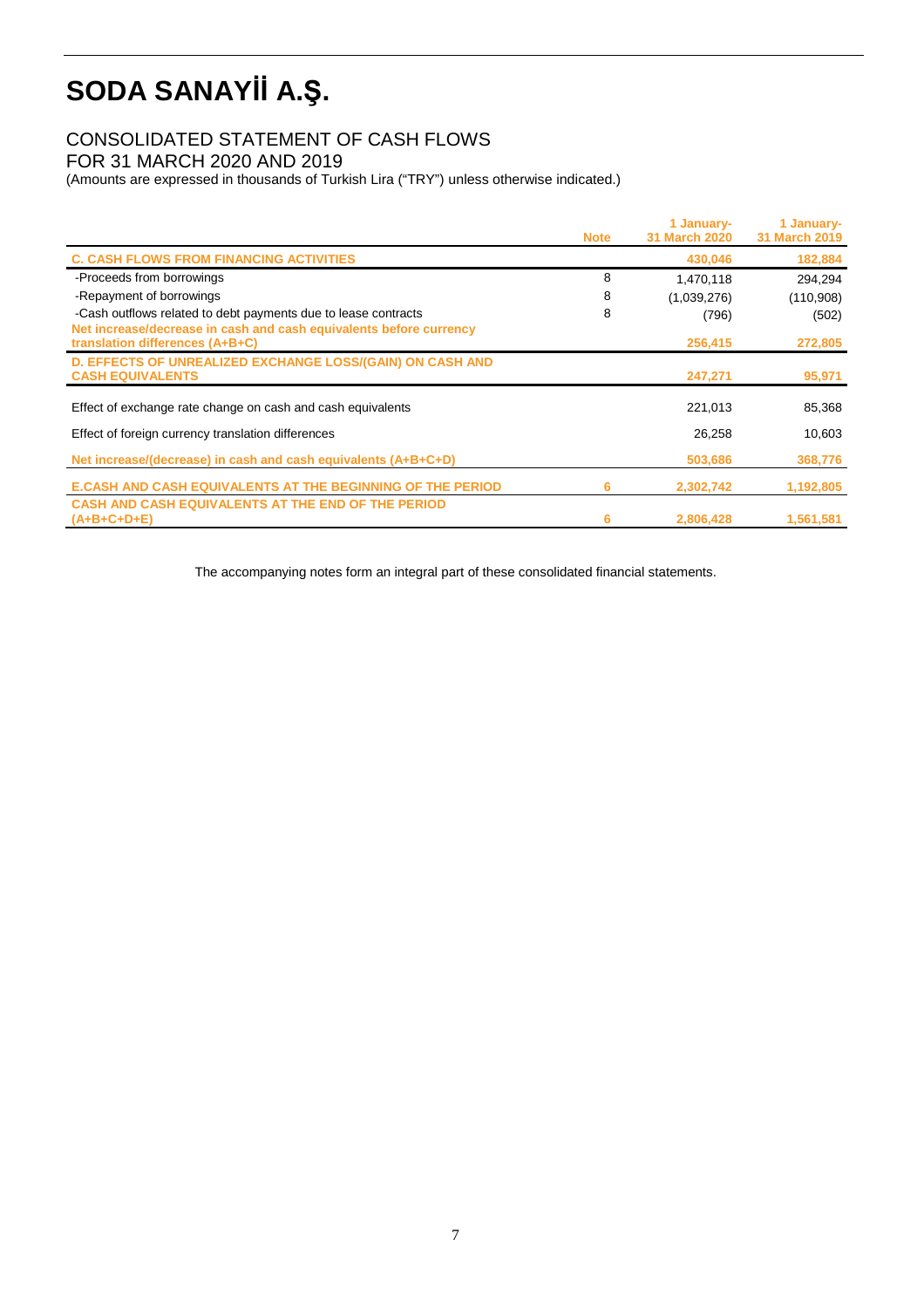# CONSOLIDATED STATEMENT OF CASH FLOWS

FOR 31 MARCH 2020 AND 2019

(Amounts are expressed in thousands of Turkish Lira ("TRY") unless otherwise indicated.)

|                                                                                                       | <b>Note</b> | 1 January-<br><b>31 March 2020</b> | 1 January-<br>31 March 2019 |
|-------------------------------------------------------------------------------------------------------|-------------|------------------------------------|-----------------------------|
|                                                                                                       |             |                                    |                             |
| <b>C. CASH FLOWS FROM FINANCING ACTIVITIES</b>                                                        |             | 430,046                            | 182,884                     |
| -Proceeds from borrowings                                                                             | 8           | 1,470,118                          | 294,294                     |
| -Repayment of borrowings                                                                              | 8           | (1,039,276)                        | (110,908)                   |
| -Cash outflows related to debt payments due to lease contracts                                        | 8           | (796)                              | (502)                       |
| Net increase/decrease in cash and cash equivalents before currency<br>translation differences (A+B+C) |             | 256,415                            | 272,805                     |
| <b>D. EFFECTS OF UNREALIZED EXCHANGE LOSS/(GAIN) ON CASH AND</b><br><b>CASH EQUIVALENTS</b>           |             | 247,271                            | 95,971                      |
| Effect of exchange rate change on cash and cash equivalents                                           |             | 221,013                            | 85,368                      |
| Effect of foreign currency translation differences                                                    |             | 26,258                             | 10,603                      |
| Net increase/(decrease) in cash and cash equivalents (A+B+C+D)                                        |             | 503,686                            | 368,776                     |
| <b>E.CASH AND CASH EQUIVALENTS AT THE BEGINNING OF THE PERIOD</b>                                     | 6           | 2,302,742                          | 1,192,805                   |
| <b>CASH AND CASH EQUIVALENTS AT THE END OF THE PERIOD</b>                                             |             |                                    |                             |
| $(A+B+C+D+E)$                                                                                         | 6           | 2,806,428                          | 1,561,581                   |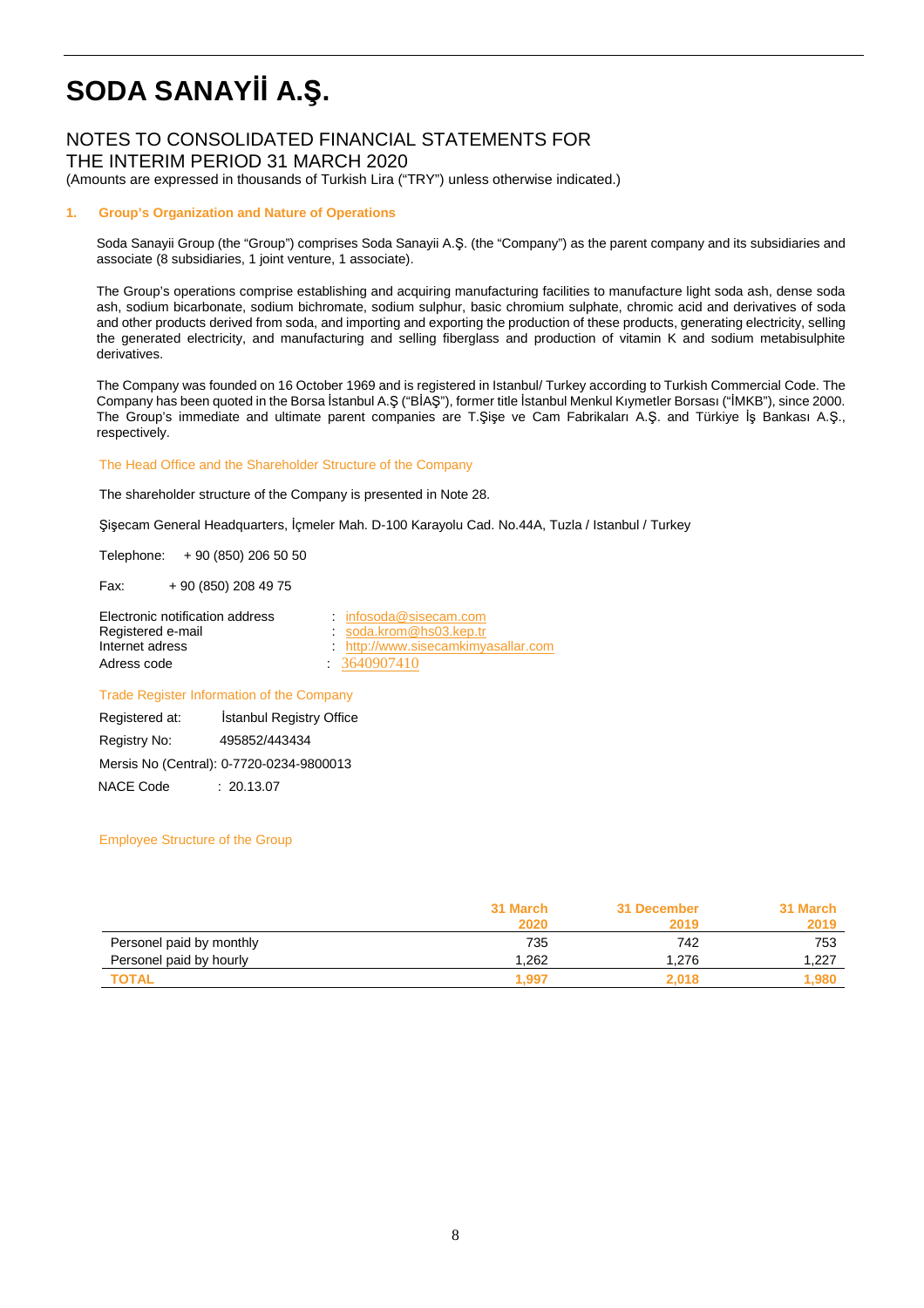# NOTES TO CONSOLIDATED FINANCIAL STATEMENTS FOR

THE INTERIM PERIOD 31 MARCH 2020

(Amounts are expressed in thousands of Turkish Lira ("TRY") unless otherwise indicated.)

### **1. Group's Organization and Nature of Operations**

Soda Sanayii Group (the "Group") comprises Soda Sanayii A.Ş. (the "Company") as the parent company and its subsidiaries and associate (8 subsidiaries, 1 joint venture, 1 associate).

The Group's operations comprise establishing and acquiring manufacturing facilities to manufacture light soda ash, dense soda ash, sodium bicarbonate, sodium bichromate, sodium sulphur, basic chromium sulphate, chromic acid and derivatives of soda and other products derived from soda, and importing and exporting the production of these products, generating electricity, selling the generated electricity, and manufacturing and selling fiberglass and production of vitamin K and sodium metabisulphite derivatives.

The Company was founded on 16 October 1969 and is registered in Istanbul/ Turkey according to Turkish Commercial Code. The Company has been quoted in the Borsa İstanbul A.Ş ("BİAŞ"), former title İstanbul Menkul Kıymetler Borsası ("İMKB"), since 2000. The Group's immediate and ultimate parent companies are T.Şişe ve Cam Fabrikaları A.Ş. and Türkiye İş Bankası A.Ş., respectively.

#### The Head Office and the Shareholder Structure of the Company

The shareholder structure of the Company is presented in Note 28.

Şişecam General Headquarters, İçmeler Mah. D-100 Karayolu Cad. No.44A, Tuzla / Istanbul / Turkey

Telephone: + 90 (850) 206 50 50

Fax: + 90 (850) 208 49 75

| Electronic notification address | infosoda@sisecam.com              |
|---------------------------------|-----------------------------------|
| Registered e-mail               | soda.krom@hs03.kep.tr             |
| Internet adress                 | http://www.sisecamkimyasallar.com |
| Adress code                     | 3640907410                        |

### Trade Register Information of the Company

 Registered at: İstanbul Registry Office Registry No: 495852/443434 Mersis No (Central): 0-7720-0234-9800013 NACE Code : 20.13.07

### Employee Structure of the Group

|                          | 31 March | 31 December | 31 March |
|--------------------------|----------|-------------|----------|
|                          | 2020     | 2019        | 2019     |
| Personel paid by monthly | 735      | 742         | 753      |
| Personel paid by hourly  | .262     | 1.276       | 1,227    |
| TOTAL                    | 1.997    | 2.018       | .980     |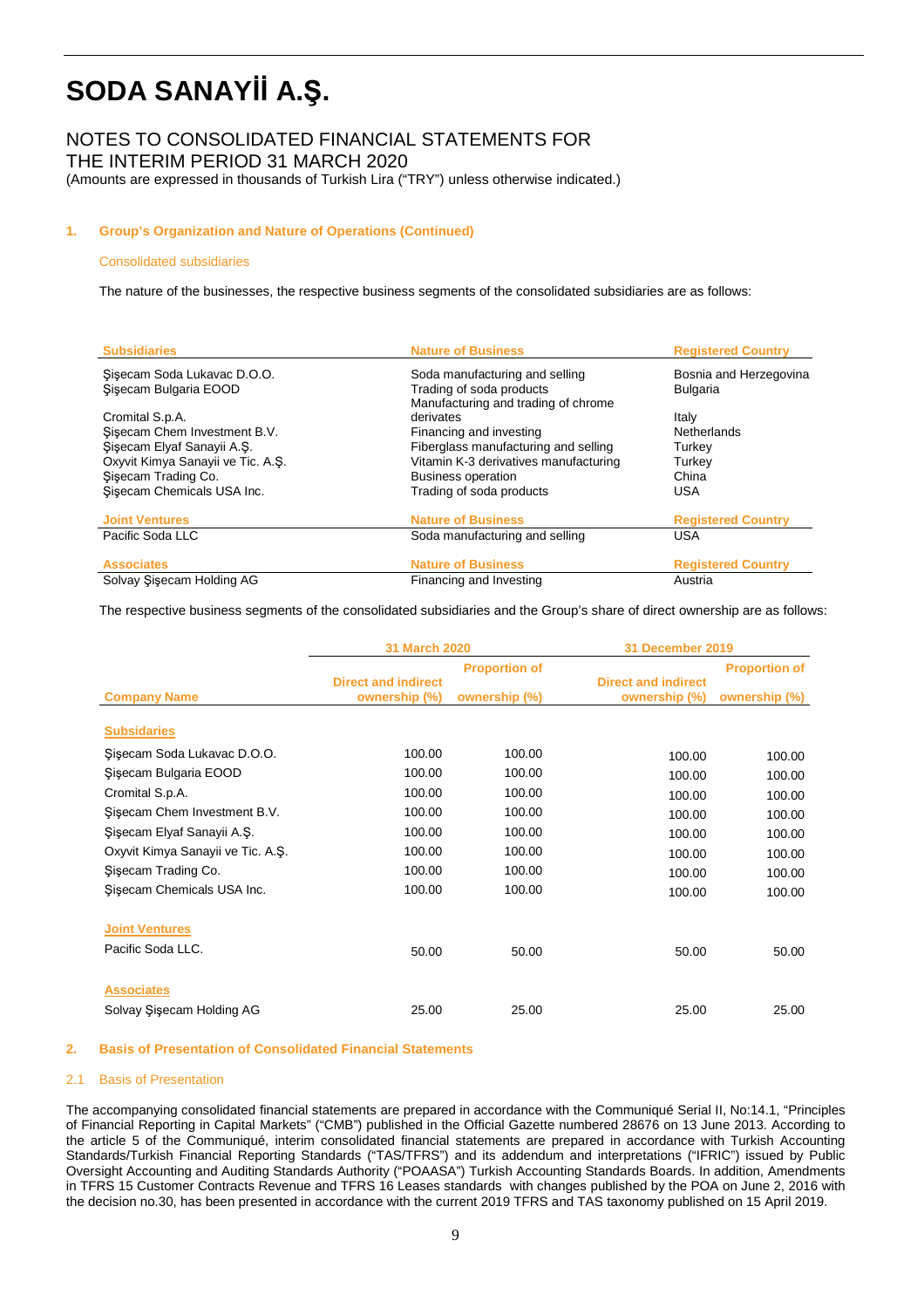## NOTES TO CONSOLIDATED FINANCIAL STATEMENTS FOR

THE INTERIM PERIOD 31 MARCH 2020

(Amounts are expressed in thousands of Turkish Lira ("TRY") unless otherwise indicated.)

### **1. Group's Organization and Nature of Operations (Continued)**

#### Consolidated subsidiaries

The nature of the businesses, the respective business segments of the consolidated subsidiaries are as follows:

| <b>Subsidiaries</b>               | <b>Nature of Business</b>             | <b>Registered Country</b> |
|-----------------------------------|---------------------------------------|---------------------------|
| Sisecam Soda Lukavac D.O.O.       | Soda manufacturing and selling        | Bosnia and Herzegovina    |
| Sisecam Bulgaria EOOD             | Trading of soda products              | <b>Bulgaria</b>           |
|                                   | Manufacturing and trading of chrome   |                           |
| Cromital S.p.A.                   | derivates                             | Italy                     |
| Sisecam Chem Investment B.V.      | Financing and investing               | Netherlands               |
| Sisecam Elyaf Sanayii A.S.        | Fiberglass manufacturing and selling  | Turkey                    |
| Oxyvit Kimya Sanayii ve Tic. A.S. | Vitamin K-3 derivatives manufacturing | Turkey                    |
| Sisecam Trading Co.               | <b>Business operation</b>             | China                     |
| Sisecam Chemicals USA Inc.        | Trading of soda products              | <b>USA</b>                |
| <b>Joint Ventures</b>             | <b>Nature of Business</b>             | <b>Registered Country</b> |
| Pacific Soda LLC                  | Soda manufacturing and selling        | <b>USA</b>                |
| <b>Associates</b>                 | <b>Nature of Business</b>             | <b>Registered Country</b> |
| Solvay Sisecam Holding AG         | Financing and Investing               | Austria                   |

The respective business segments of the consolidated subsidiaries and the Group's share of direct ownership are as follows:

|                                   | <b>31 March 2020</b>                        |                      | 31 December 2019                            |                      |
|-----------------------------------|---------------------------------------------|----------------------|---------------------------------------------|----------------------|
|                                   |                                             | <b>Proportion of</b> |                                             | <b>Proportion of</b> |
| <b>Company Name</b>               | <b>Direct and indirect</b><br>ownership (%) | ownership (%)        | <b>Direct and indirect</b><br>ownership (%) | ownership (%)        |
| <b>Subsidaries</b>                |                                             |                      |                                             |                      |
| Şişecam Soda Lukavac D.O.O.       | 100.00                                      | 100.00               | 100.00                                      | 100.00               |
| Sisecam Bulgaria EOOD             | 100.00                                      | 100.00               | 100.00                                      | 100.00               |
| Cromital S.p.A.                   | 100.00                                      | 100.00               | 100.00                                      | 100.00               |
| Sisecam Chem Investment B.V.      | 100.00                                      | 100.00               | 100.00                                      | 100.00               |
| Şişecam Elyaf Sanayii A.Ş.        | 100.00                                      | 100.00               | 100.00                                      | 100.00               |
| Oxyvit Kimya Sanayii ve Tic. A.Ş. | 100.00                                      | 100.00               | 100.00                                      | 100.00               |
| Sisecam Trading Co.               | 100.00                                      | 100.00               | 100.00                                      | 100.00               |
| Sisecam Chemicals USA Inc.        | 100.00                                      | 100.00               | 100.00                                      | 100.00               |
| <b>Joint Ventures</b>             |                                             |                      |                                             |                      |
| Pacific Soda LLC.                 | 50.00                                       | 50.00                | 50.00                                       | 50.00                |
| <b>Associates</b>                 |                                             |                      |                                             |                      |
| Solvay Şişecam Holding AG         | 25.00                                       | 25.00                | 25.00                                       | 25.00                |

### **2. Basis of Presentation of Consolidated Financial Statements**

### 2.1 Basis of Presentation

The accompanying consolidated financial statements are prepared in accordance with the Communiqué Serial II, No:14.1, "Principles of Financial Reporting in Capital Markets" ("CMB") published in the Official Gazette numbered 28676 on 13 June 2013. According to the article 5 of the Communiqué, interim consolidated financial statements are prepared in accordance with Turkish Accounting Standards/Turkish Financial Reporting Standards ("TAS/TFRS") and its addendum and interpretations ("IFRIC") issued by Public Oversight Accounting and Auditing Standards Authority ("POAASA") Turkish Accounting Standards Boards. In addition, Amendments in TFRS 15 Customer Contracts Revenue and TFRS 16 Leases standards with changes published by the POA on June 2, 2016 with the decision no.30, has been presented in accordance with the current 2019 TFRS and TAS taxonomy published on 15 April 2019.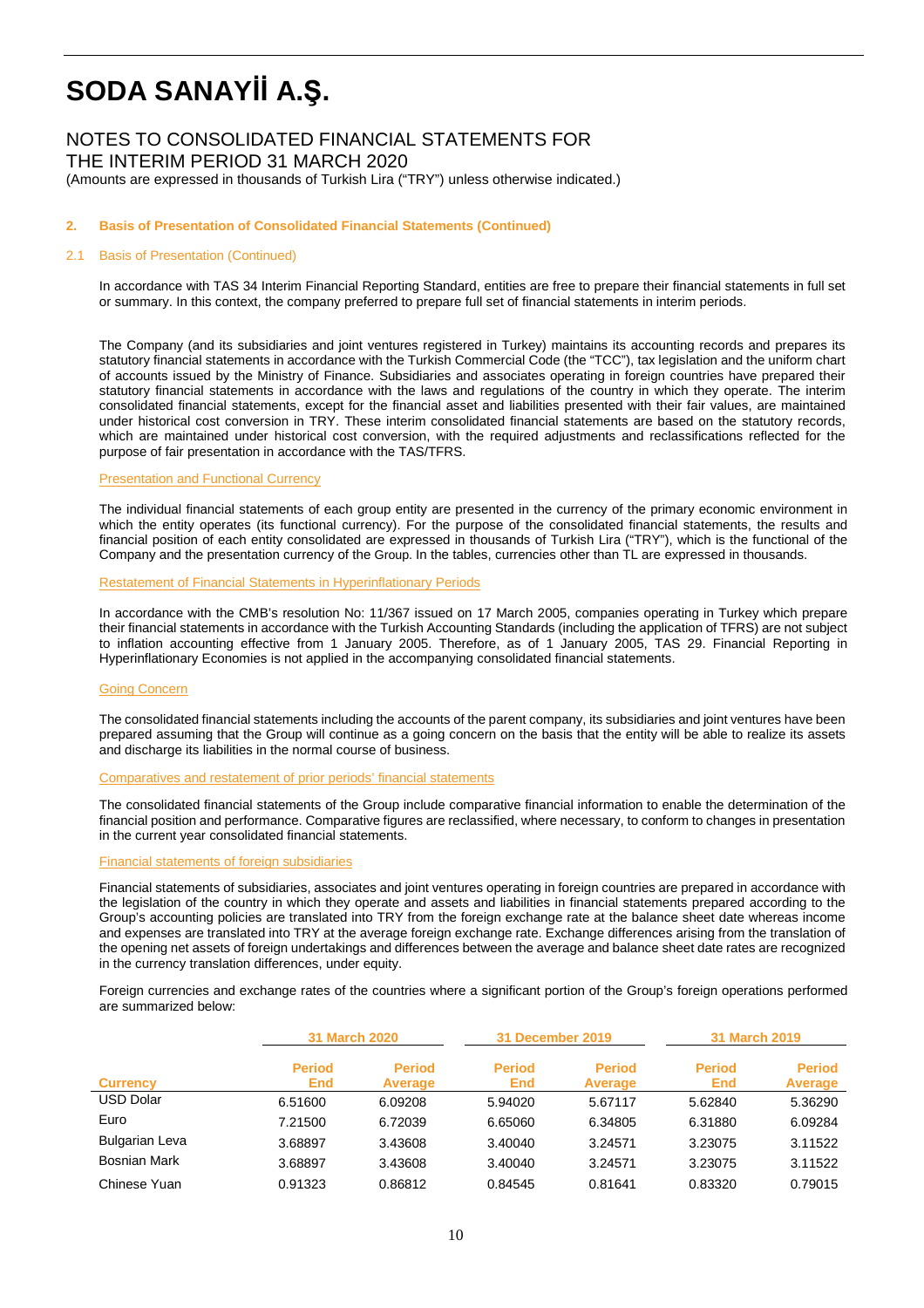# NOTES TO CONSOLIDATED FINANCIAL STATEMENTS FOR THE INTERIM PERIOD 31 MARCH 2020

(Amounts are expressed in thousands of Turkish Lira ("TRY") unless otherwise indicated.)

### **2. Basis of Presentation of Consolidated Financial Statements (Continued)**

#### 2.1 Basis of Presentation (Continued)

In accordance with TAS 34 Interim Financial Reporting Standard, entities are free to prepare their financial statements in full set or summary. In this context, the company preferred to prepare full set of financial statements in interim periods.

The Company (and its subsidiaries and joint ventures registered in Turkey) maintains its accounting records and prepares its statutory financial statements in accordance with the Turkish Commercial Code (the "TCC"), tax legislation and the uniform chart of accounts issued by the Ministry of Finance. Subsidiaries and associates operating in foreign countries have prepared their statutory financial statements in accordance with the laws and regulations of the country in which they operate. The interim consolidated financial statements, except for the financial asset and liabilities presented with their fair values, are maintained under historical cost conversion in TRY. These interim consolidated financial statements are based on the statutory records, which are maintained under historical cost conversion, with the required adjustments and reclassifications reflected for the purpose of fair presentation in accordance with the TAS/TFRS.

#### **Presentation and Functional Currency**

The individual financial statements of each group entity are presented in the currency of the primary economic environment in which the entity operates (its functional currency). For the purpose of the consolidated financial statements, the results and financial position of each entity consolidated are expressed in thousands of Turkish Lira ("TRY"), which is the functional of the Company and the presentation currency of the Group. In the tables, currencies other than TL are expressed in thousands.

#### Restatement of Financial Statements in Hyperinflationary Periods

In accordance with the CMB's resolution No: 11/367 issued on 17 March 2005, companies operating in Turkey which prepare their financial statements in accordance with the Turkish Accounting Standards (including the application of TFRS) are not subject to inflation accounting effective from 1 January 2005. Therefore, as of 1 January 2005, TAS 29. Financial Reporting in Hyperinflationary Economies is not applied in the accompanying consolidated financial statements.

#### Going Concern

The consolidated financial statements including the accounts of the parent company, its subsidiaries and joint ventures have been prepared assuming that the Group will continue as a going concern on the basis that the entity will be able to realize its assets and discharge its liabilities in the normal course of business.

#### Comparatives and restatement of prior periods' financial statements

The consolidated financial statements of the Group include comparative financial information to enable the determination of the financial position and performance. Comparative figures are reclassified, where necessary, to conform to changes in presentation in the current year consolidated financial statements.

#### Financial statements of foreign subsidiaries

Financial statements of subsidiaries, associates and joint ventures operating in foreign countries are prepared in accordance with the legislation of the country in which they operate and assets and liabilities in financial statements prepared according to the Group's accounting policies are translated into TRY from the foreign exchange rate at the balance sheet date whereas income and expenses are translated into TRY at the average foreign exchange rate. Exchange differences arising from the translation of the opening net assets of foreign undertakings and differences between the average and balance sheet date rates are recognized in the currency translation differences, under equity.

Foreign currencies and exchange rates of the countries where a significant portion of the Group's foreign operations performed are summarized below:

|                       | <b>31 March 2020</b>        |                                 |                      | 31 December 2019                |                      | <b>31 March 2019</b>     |
|-----------------------|-----------------------------|---------------------------------|----------------------|---------------------------------|----------------------|--------------------------|
| <b>Currency</b>       | <b>Period</b><br><b>End</b> | <b>Period</b><br><b>Average</b> | <b>Period</b><br>End | <b>Period</b><br><b>Average</b> | <b>Period</b><br>End | <b>Period</b><br>Average |
| <b>USD Dolar</b>      | 6.51600                     | 6.09208                         | 5.94020              | 5.67117                         | 5.62840              | 5.36290                  |
| Euro                  | 7.21500                     | 6.72039                         | 6.65060              | 6.34805                         | 6.31880              | 6.09284                  |
| <b>Bulgarian Leva</b> | 3.68897                     | 3.43608                         | 3.40040              | 3.24571                         | 3.23075              | 3.11522                  |
| Bosnian Mark          | 3.68897                     | 3.43608                         | 3.40040              | 3.24571                         | 3.23075              | 3.11522                  |
| Chinese Yuan          | 0.91323                     | 0.86812                         | 0.84545              | 0.81641                         | 0.83320              | 0.79015                  |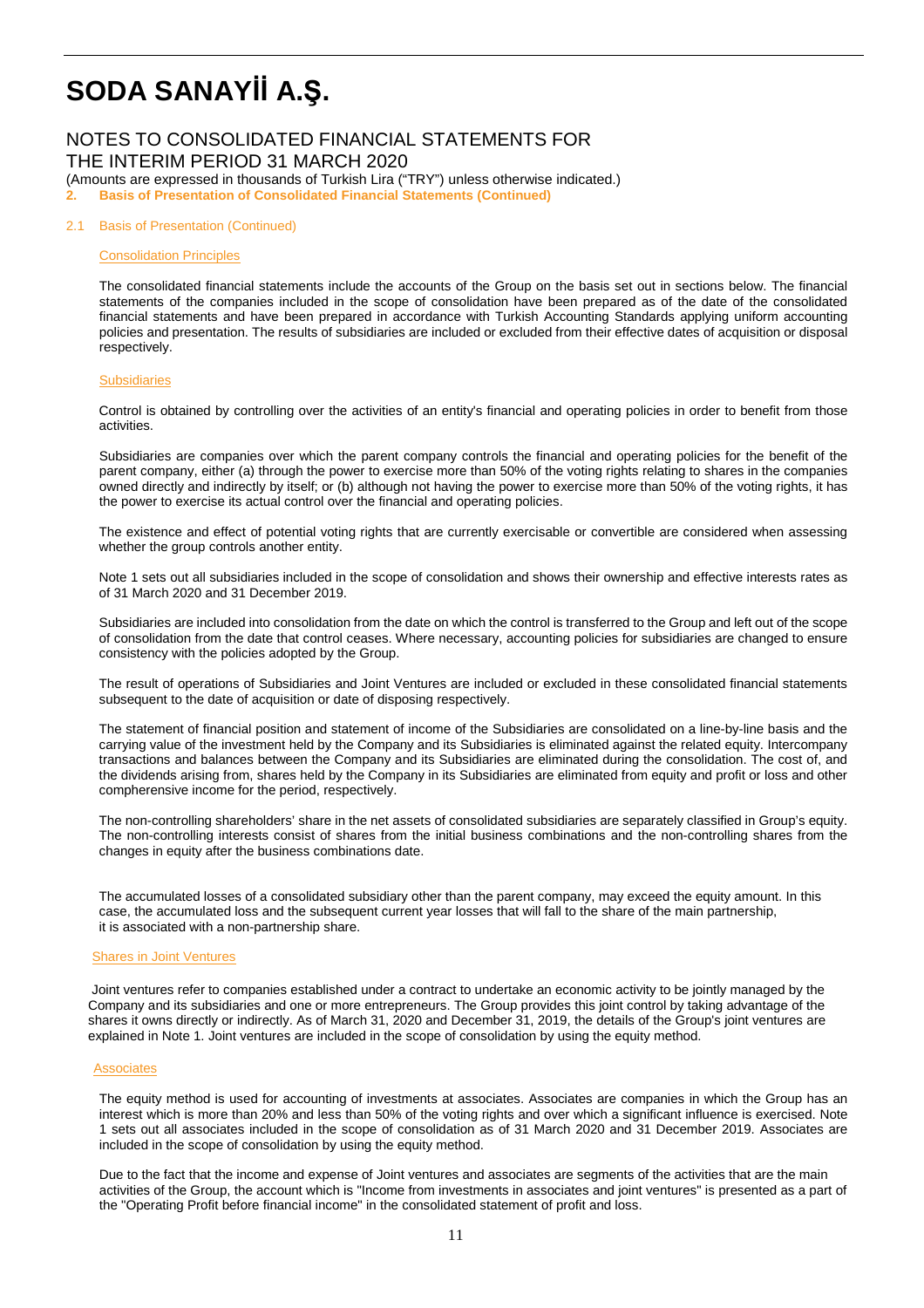# NOTES TO CONSOLIDATED FINANCIAL STATEMENTS FOR

THE INTERIM PERIOD 31 MARCH 2020

(Amounts are expressed in thousands of Turkish Lira ("TRY") unless otherwise indicated.)

**2. Basis of Presentation of Consolidated Financial Statements (Continued)**

#### 2.1 Basis of Presentation (Continued)

#### Consolidation Principles

The consolidated financial statements include the accounts of the Group on the basis set out in sections below. The financial statements of the companies included in the scope of consolidation have been prepared as of the date of the consolidated financial statements and have been prepared in accordance with Turkish Accounting Standards applying uniform accounting policies and presentation. The results of subsidiaries are included or excluded from their effective dates of acquisition or disposal respectively.

#### **Subsidiaries**

Control is obtained by controlling over the activities of an entity's financial and operating policies in order to benefit from those activities.

Subsidiaries are companies over which the parent company controls the financial and operating policies for the benefit of the parent company, either (a) through the power to exercise more than 50% of the voting rights relating to shares in the companies owned directly and indirectly by itself; or (b) although not having the power to exercise more than 50% of the voting rights, it has the power to exercise its actual control over the financial and operating policies.

The existence and effect of potential voting rights that are currently exercisable or convertible are considered when assessing whether the group controls another entity.

Note 1 sets out all subsidiaries included in the scope of consolidation and shows their ownership and effective interests rates as of 31 March 2020 and 31 December 2019.

Subsidiaries are included into consolidation from the date on which the control is transferred to the Group and left out of the scope of consolidation from the date that control ceases. Where necessary, accounting policies for subsidiaries are changed to ensure consistency with the policies adopted by the Group.

The result of operations of Subsidiaries and Joint Ventures are included or excluded in these consolidated financial statements subsequent to the date of acquisition or date of disposing respectively.

The statement of financial position and statement of income of the Subsidiaries are consolidated on a line-by-line basis and the carrying value of the investment held by the Company and its Subsidiaries is eliminated against the related equity. Intercompany transactions and balances between the Company and its Subsidiaries are eliminated during the consolidation. The cost of, and the dividends arising from, shares held by the Company in its Subsidiaries are eliminated from equity and profit or loss and other compherensive income for the period, respectively.

The non-controlling shareholders' share in the net assets of consolidated subsidiaries are separately classified in Group's equity. The non-controlling interests consist of shares from the initial business combinations and the non-controlling shares from the changes in equity after the business combinations date.

The accumulated losses of a consolidated subsidiary other than the parent company, may exceed the equity amount. In this case, the accumulated loss and the subsequent current year losses that will fall to the share of the main partnership, it is associated with a non-partnership share.

#### Shares in Joint Ventures

 Joint ventures refer to companies established under a contract to undertake an economic activity to be jointly managed by the Company and its subsidiaries and one or more entrepreneurs. The Group provides this joint control by taking advantage of the shares it owns directly or indirectly. As of March 31, 2020 and December 31, 2019, the details of the Group's joint ventures are explained in Note 1. Joint ventures are included in the scope of consolidation by using the equity method.

#### **Associates**

The equity method is used for accounting of investments at associates. Associates are companies in which the Group has an interest which is more than 20% and less than 50% of the voting rights and over which a significant influence is exercised. Note 1 sets out all associates included in the scope of consolidation as of 31 March 2020 and 31 December 2019. Associates are included in the scope of consolidation by using the equity method.

Due to the fact that the income and expense of Joint ventures and associates are segments of the activities that are the main activities of the Group, the account which is "Income from investments in associates and joint ventures" is presented as a part of the "Operating Profit before financial income" in the consolidated statement of profit and loss.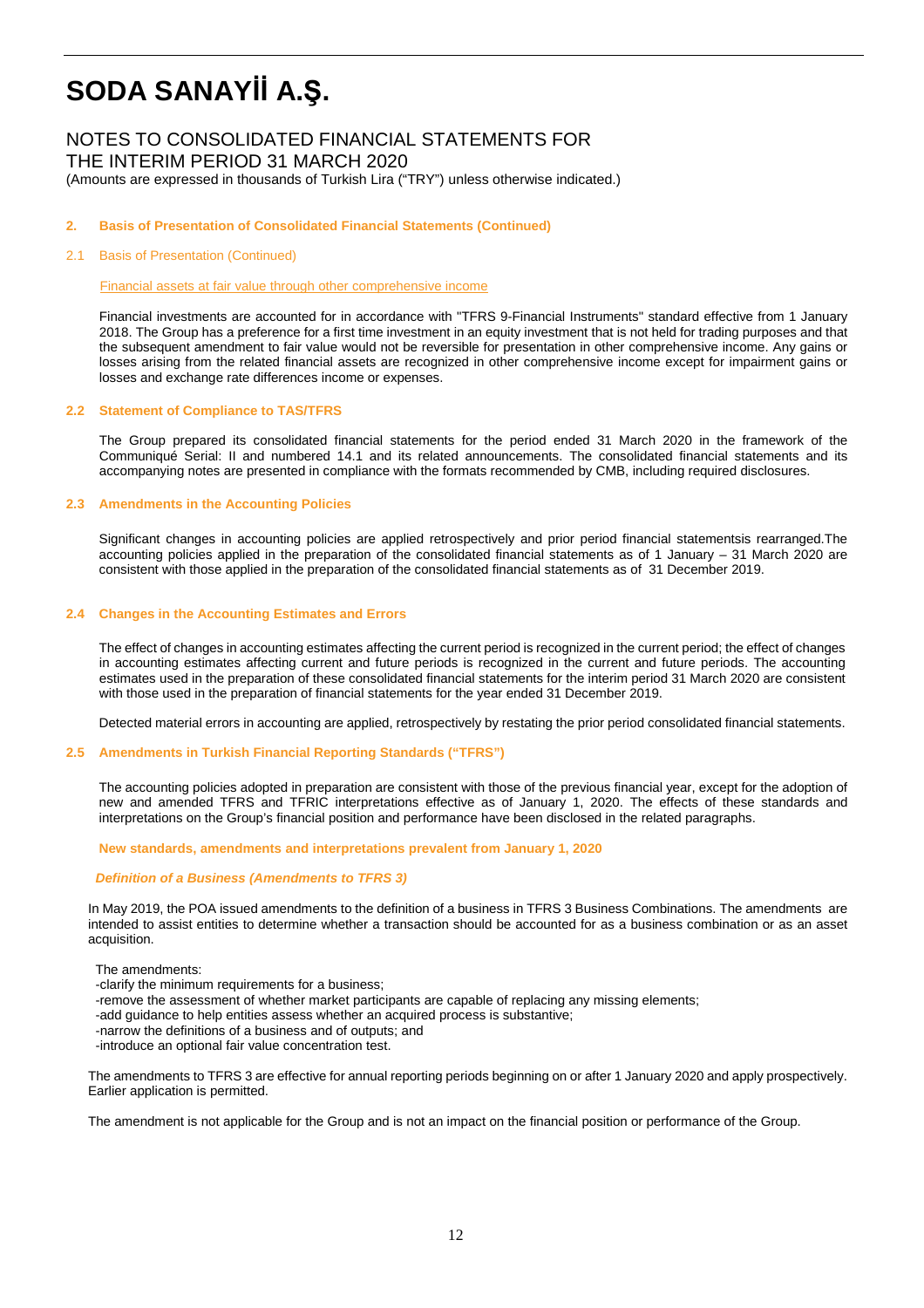# NOTES TO CONSOLIDATED FINANCIAL STATEMENTS FOR

THE INTERIM PERIOD 31 MARCH 2020

(Amounts are expressed in thousands of Turkish Lira ("TRY") unless otherwise indicated.)

### **2. Basis of Presentation of Consolidated Financial Statements (Continued)**

#### 2.1 Basis of Presentation (Continued)

Financial assets at fair value through other comprehensive income

Financial investments are accounted for in accordance with "TFRS 9-Financial Instruments" standard effective from 1 January 2018. The Group has a preference for a first time investment in an equity investment that is not held for trading purposes and that the subsequent amendment to fair value would not be reversible for presentation in other comprehensive income. Any gains or losses arising from the related financial assets are recognized in other comprehensive income except for impairment gains or losses and exchange rate differences income or expenses.

#### **2.2 Statement of Compliance to TAS/TFRS**

The Group prepared its consolidated financial statements for the period ended 31 March 2020 in the framework of the Communiqué Serial: II and numbered 14.1 and its related announcements. The consolidated financial statements and its accompanying notes are presented in compliance with the formats recommended by CMB, including required disclosures.

#### **2.3 Amendments in the Accounting Policies**

Significant changes in accounting policies are applied retrospectively and prior period financial statementsis rearranged.The accounting policies applied in the preparation of the consolidated financial statements as of 1 January – 31 March 2020 are consistent with those applied in the preparation of the consolidated financial statements as of 31 December 2019.

#### **2.4 Changes in the Accounting Estimates and Errors**

The effect of changes in accounting estimates affecting the current period is recognized in the current period; the effect of changes in accounting estimates affecting current and future periods is recognized in the current and future periods. The accounting estimates used in the preparation of these consolidated financial statements for the interim period 31 March 2020 are consistent with those used in the preparation of financial statements for the year ended 31 December 2019.

Detected material errors in accounting are applied, retrospectively by restating the prior period consolidated financial statements.

#### **2.5 Amendments in Turkish Financial Reporting Standards ("TFRS")**

The accounting policies adopted in preparation are consistent with those of the previous financial year, except for the adoption of new and amended TFRS and TFRIC interpretations effective as of January 1, 2020. The effects of these standards and interpretations on the Group's financial position and performance have been disclosed in the related paragraphs.

**New standards, amendments and interpretations prevalent from January 1, 2020** 

#### **Definition of a Business (Amendments to TFRS 3)**

In May 2019, the POA issued amendments to the definition of a business in TFRS 3 Business Combinations. The amendments are intended to assist entities to determine whether a transaction should be accounted for as a business combination or as an asset acquisition.

The amendments:

- -clarify the minimum requirements for a business;
- -remove the assessment of whether market participants are capable of replacing any missing elements;
- -add guidance to help entities assess whether an acquired process is substantive;
- -narrow the definitions of a business and of outputs; and
- -introduce an optional fair value concentration test.

The amendments to TFRS 3 are effective for annual reporting periods beginning on or after 1 January 2020 and apply prospectively. Earlier application is permitted.

The amendment is not applicable for the Group and is not an impact on the financial position or performance of the Group.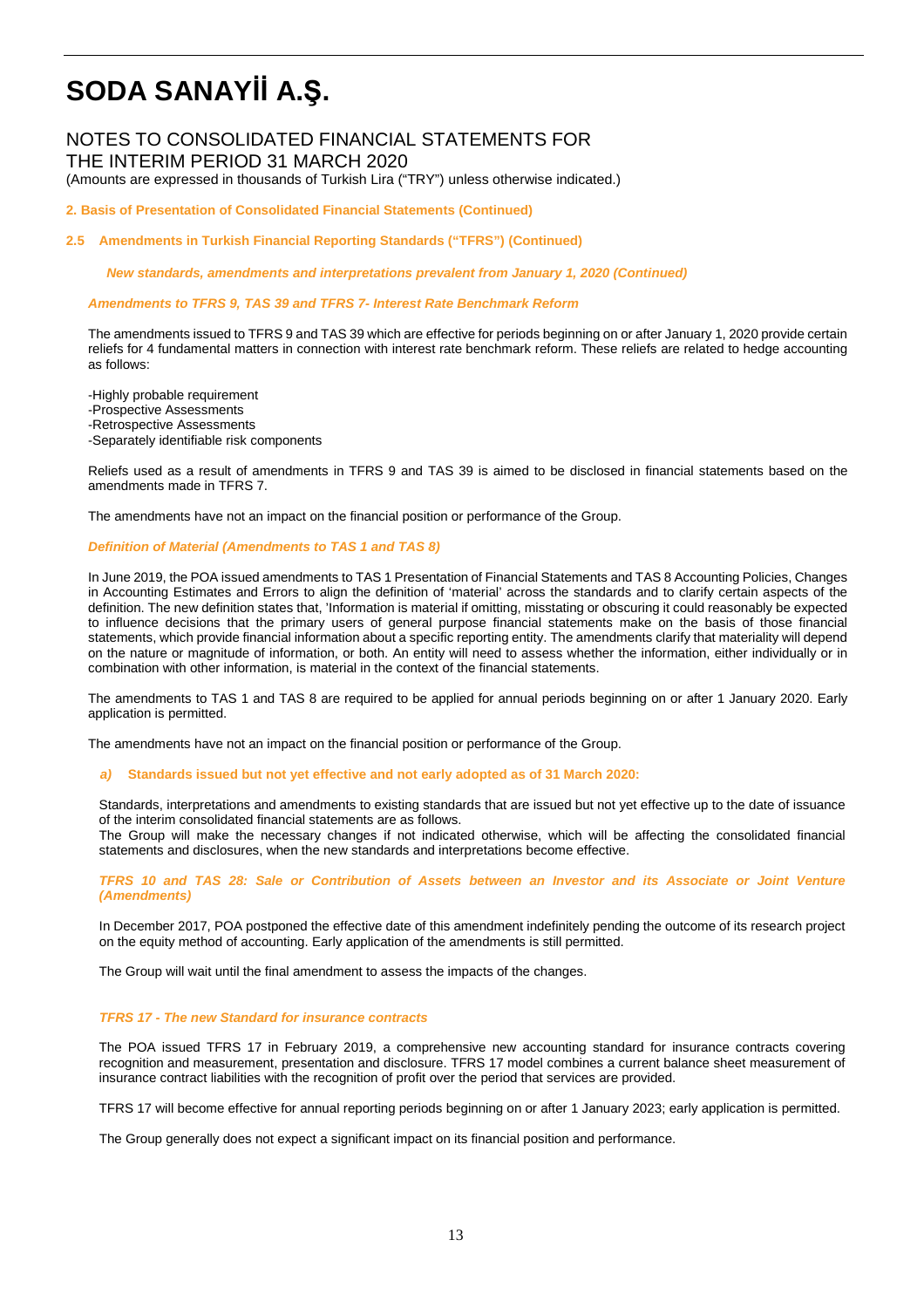## NOTES TO CONSOLIDATED FINANCIAL STATEMENTS FOR THE INTERIM PERIOD 31 MARCH 2020

(Amounts are expressed in thousands of Turkish Lira ("TRY") unless otherwise indicated.)

### **2. Basis of Presentation of Consolidated Financial Statements (Continued)**

**2.5 Amendments in Turkish Financial Reporting Standards ("TFRS") (Continued)** 

 **New standards, amendments and interpretations prevalent from January 1, 2020 (Continued)** 

**Amendments to TFRS 9, TAS 39 and TFRS 7- Interest Rate Benchmark Reform** 

The amendments issued to TFRS 9 and TAS 39 which are effective for periods beginning on or after January 1, 2020 provide certain reliefs for 4 fundamental matters in connection with interest rate benchmark reform. These reliefs are related to hedge accounting as follows:

-Highly probable requirement -Prospective Assessments -Retrospective Assessments -Separately identifiable risk components

Reliefs used as a result of amendments in TFRS 9 and TAS 39 is aimed to be disclosed in financial statements based on the amendments made in TFRS 7.

The amendments have not an impact on the financial position or performance of the Group.

#### **Definition of Material (Amendments to TAS 1 and TAS 8)**

In June 2019, the POA issued amendments to TAS 1 Presentation of Financial Statements and TAS 8 Accounting Policies, Changes in Accounting Estimates and Errors to align the definition of 'material' across the standards and to clarify certain aspects of the definition. The new definition states that, 'Information is material if omitting, misstating or obscuring it could reasonably be expected to influence decisions that the primary users of general purpose financial statements make on the basis of those financial statements, which provide financial information about a specific reporting entity. The amendments clarify that materiality will depend on the nature or magnitude of information, or both. An entity will need to assess whether the information, either individually or in combination with other information, is material in the context of the financial statements.

The amendments to TAS 1 and TAS 8 are required to be applied for annual periods beginning on or after 1 January 2020. Early application is permitted.

The amendments have not an impact on the financial position or performance of the Group.

**a) Standards issued but not yet effective and not early adopted as of 31 March 2020:**

Standards, interpretations and amendments to existing standards that are issued but not yet effective up to the date of issuance of the interim consolidated financial statements are as follows.

The Group will make the necessary changes if not indicated otherwise, which will be affecting the consolidated financial statements and disclosures, when the new standards and interpretations become effective.

**TFRS 10 and TAS 28: Sale or Contribution of Assets between an Investor and its Associate or Joint Venture (Amendments)** 

In December 2017, POA postponed the effective date of this amendment indefinitely pending the outcome of its research project on the equity method of accounting. Early application of the amendments is still permitted.

The Group will wait until the final amendment to assess the impacts of the changes.

#### **TFRS 17 - The new Standard for insurance contracts**

The POA issued TFRS 17 in February 2019, a comprehensive new accounting standard for insurance contracts covering recognition and measurement, presentation and disclosure. TFRS 17 model combines a current balance sheet measurement of insurance contract liabilities with the recognition of profit over the period that services are provided.

TFRS 17 will become effective for annual reporting periods beginning on or after 1 January 2023; early application is permitted.

The Group generally does not expect a significant impact on its financial position and performance.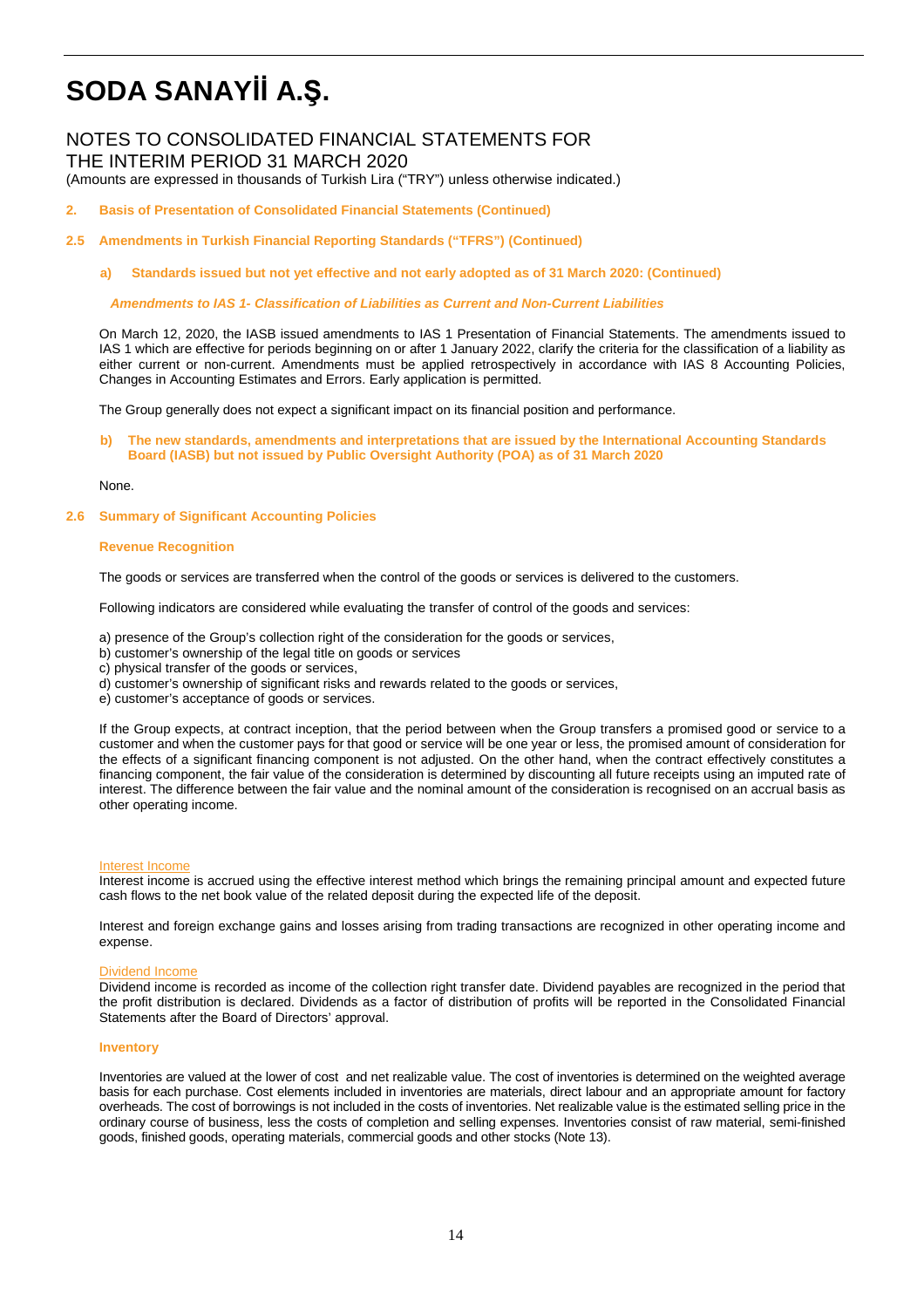## NOTES TO CONSOLIDATED FINANCIAL STATEMENTS FOR THE INTERIM PERIOD 31 MARCH 2020

(Amounts are expressed in thousands of Turkish Lira ("TRY") unless otherwise indicated.)

- **2. Basis of Presentation of Consolidated Financial Statements (Continued)**
- **2.5 Amendments in Turkish Financial Reporting Standards ("TFRS") (Continued)** 
	- **a) Standards issued but not yet effective and not early adopted as of 31 March 2020: (Continued)**

 **Amendments to IAS 1- Classification of Liabilities as Current and Non-Current Liabilities** 

On March 12, 2020, the IASB issued amendments to IAS 1 Presentation of Financial Statements. The amendments issued to IAS 1 which are effective for periods beginning on or after 1 January 2022, clarify the criteria for the classification of a liability as either current or non-current. Amendments must be applied retrospectively in accordance with IAS 8 Accounting Policies, Changes in Accounting Estimates and Errors. Early application is permitted.

The Group generally does not expect a significant impact on its financial position and performance.

**b) The new standards, amendments and interpretations that are issued by the International Accounting Standards Board (IASB) but not issued by Public Oversight Authority (POA) as of 31 March 2020** 

#### None.

#### **2.6 Summary of Significant Accounting Policies**

#### **Revenue Recognition**

The goods or services are transferred when the control of the goods or services is delivered to the customers.

Following indicators are considered while evaluating the transfer of control of the goods and services:

- a) presence of the Group's collection right of the consideration for the goods or services,
- b) customer's ownership of the legal title on goods or services
- c) physical transfer of the goods or services,
- d) customer's ownership of significant risks and rewards related to the goods or services,
- e) customer's acceptance of goods or services.

If the Group expects, at contract inception, that the period between when the Group transfers a promised good or service to a customer and when the customer pays for that good or service will be one year or less, the promised amount of consideration for the effects of a significant financing component is not adjusted. On the other hand, when the contract effectively constitutes a financing component, the fair value of the consideration is determined by discounting all future receipts using an imputed rate of interest. The difference between the fair value and the nominal amount of the consideration is recognised on an accrual basis as other operating income.

#### Interest Income

Interest income is accrued using the effective interest method which brings the remaining principal amount and expected future cash flows to the net book value of the related deposit during the expected life of the deposit.

Interest and foreign exchange gains and losses arising from trading transactions are recognized in other operating income and expense.

#### Dividend Income

Dividend income is recorded as income of the collection right transfer date. Dividend payables are recognized in the period that the profit distribution is declared. Dividends as a factor of distribution of profits will be reported in the Consolidated Financial Statements after the Board of Directors' approval.

#### **Inventory**

Inventories are valued at the lower of cost and net realizable value. The cost of inventories is determined on the weighted average basis for each purchase. Cost elements included in inventories are materials, direct labour and an appropriate amount for factory overheads. The cost of borrowings is not included in the costs of inventories. Net realizable value is the estimated selling price in the ordinary course of business, less the costs of completion and selling expenses. Inventories consist of raw material, semi-finished goods, finished goods, operating materials, commercial goods and other stocks (Note 13).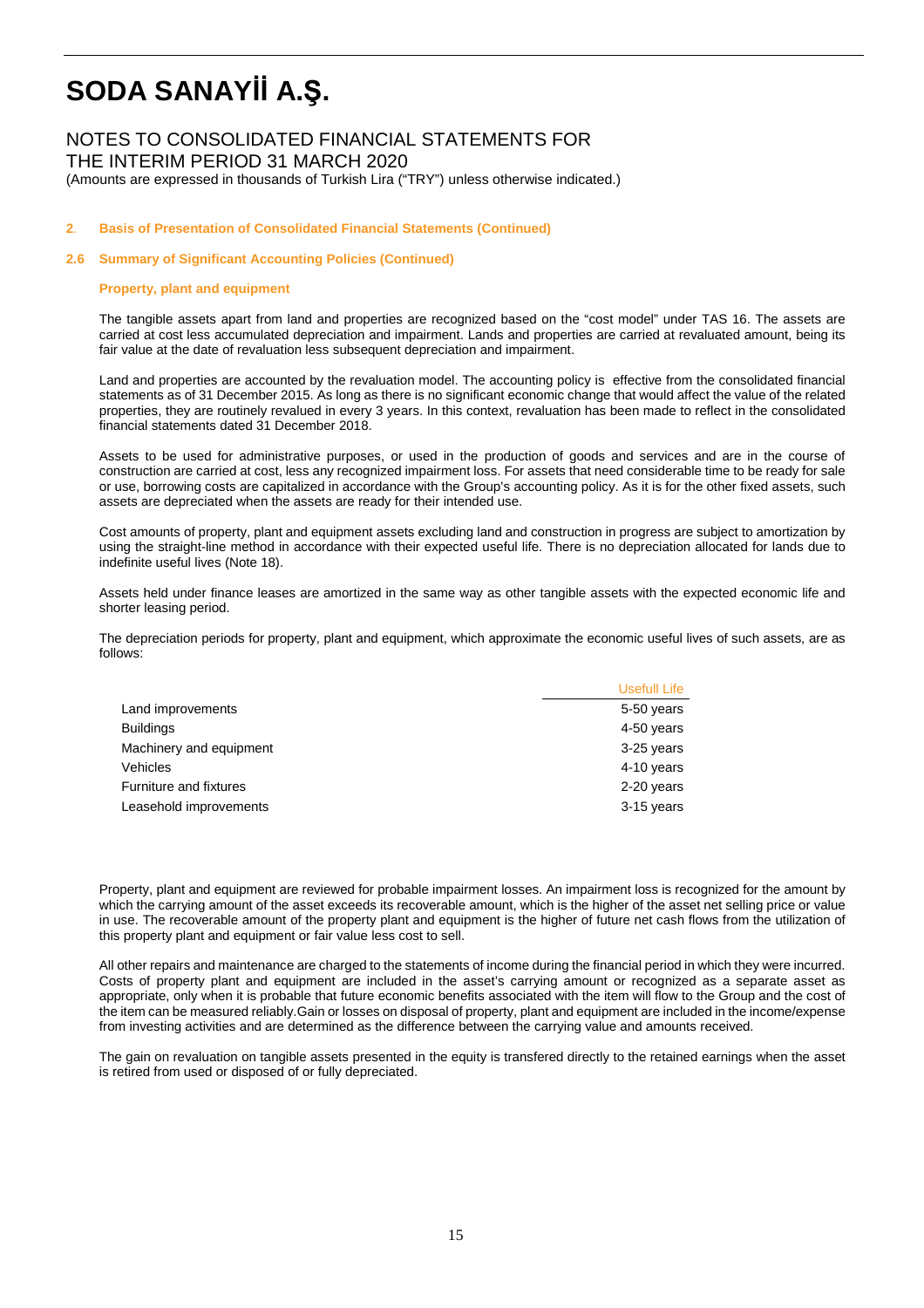# NOTES TO CONSOLIDATED FINANCIAL STATEMENTS FOR THE INTERIM PERIOD 31 MARCH 2020

(Amounts are expressed in thousands of Turkish Lira ("TRY") unless otherwise indicated.)

### **2**. **Basis of Presentation of Consolidated Financial Statements (Continued)**

### **2.6 Summary of Significant Accounting Policies (Continued)**

### **Property, plant and equipment**

The tangible assets apart from land and properties are recognized based on the "cost model" under TAS 16. The assets are carried at cost less accumulated depreciation and impairment. Lands and properties are carried at revaluated amount, being its fair value at the date of revaluation less subsequent depreciation and impairment.

Land and properties are accounted by the revaluation model. The accounting policy is effective from the consolidated financial statements as of 31 December 2015. As long as there is no significant economic change that would affect the value of the related properties, they are routinely revalued in every 3 years. In this context, revaluation has been made to reflect in the consolidated financial statements dated 31 December 2018.

Assets to be used for administrative purposes, or used in the production of goods and services and are in the course of construction are carried at cost, less any recognized impairment loss. For assets that need considerable time to be ready for sale or use, borrowing costs are capitalized in accordance with the Group's accounting policy. As it is for the other fixed assets, such assets are depreciated when the assets are ready for their intended use.

Cost amounts of property, plant and equipment assets excluding land and construction in progress are subject to amortization by using the straight-line method in accordance with their expected useful life. There is no depreciation allocated for lands due to indefinite useful lives (Note 18).

Assets held under finance leases are amortized in the same way as other tangible assets with the expected economic life and shorter leasing period.

The depreciation periods for property, plant and equipment, which approximate the economic useful lives of such assets, are as follows:

|                         | Usefull Life |
|-------------------------|--------------|
| Land improvements       | 5-50 years   |
| <b>Buildings</b>        | 4-50 years   |
| Machinery and equipment | 3-25 years   |
| Vehicles                | 4-10 years   |
| Furniture and fixtures  | 2-20 years   |
| Leasehold improvements  | 3-15 years   |

Property, plant and equipment are reviewed for probable impairment losses. An impairment loss is recognized for the amount by which the carrying amount of the asset exceeds its recoverable amount, which is the higher of the asset net selling price or value in use. The recoverable amount of the property plant and equipment is the higher of future net cash flows from the utilization of this property plant and equipment or fair value less cost to sell.

All other repairs and maintenance are charged to the statements of income during the financial period in which they were incurred. Costs of property plant and equipment are included in the asset's carrying amount or recognized as a separate asset as appropriate, only when it is probable that future economic benefits associated with the item will flow to the Group and the cost of the item can be measured reliably.Gain or losses on disposal of property, plant and equipment are included in the income/expense from investing activities and are determined as the difference between the carrying value and amounts received.

The gain on revaluation on tangible assets presented in the equity is transfered directly to the retained earnings when the asset is retired from used or disposed of or fully depreciated.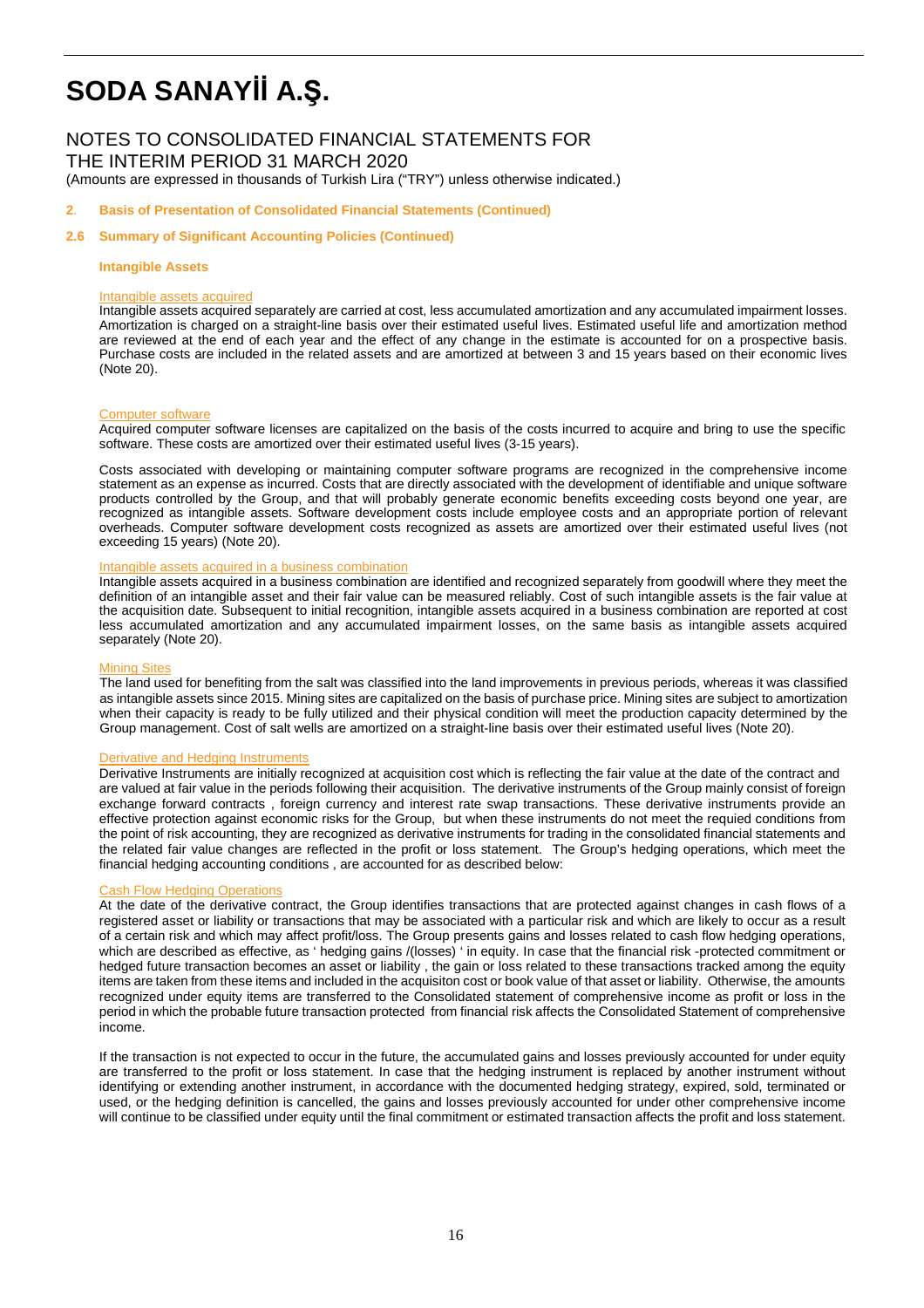## NOTES TO CONSOLIDATED FINANCIAL STATEMENTS FOR THE INTERIM PERIOD 31 MARCH 2020

(Amounts are expressed in thousands of Turkish Lira ("TRY") unless otherwise indicated.)

#### **2**. **Basis of Presentation of Consolidated Financial Statements (Continued)**

#### **2.6 Summary of Significant Accounting Policies (Continued)**

#### **Intangible Assets**

#### Intangible assets acquired

Intangible assets acquired separately are carried at cost, less accumulated amortization and any accumulated impairment losses. Amortization is charged on a straight-line basis over their estimated useful lives. Estimated useful life and amortization method are reviewed at the end of each year and the effect of any change in the estimate is accounted for on a prospective basis. Purchase costs are included in the related assets and are amortized at between 3 and 15 years based on their economic lives (Note 20).

#### Computer software

Acquired computer software licenses are capitalized on the basis of the costs incurred to acquire and bring to use the specific software. These costs are amortized over their estimated useful lives (3-15 years).

Costs associated with developing or maintaining computer software programs are recognized in the comprehensive income statement as an expense as incurred. Costs that are directly associated with the development of identifiable and unique software products controlled by the Group, and that will probably generate economic benefits exceeding costs beyond one year, are recognized as intangible assets. Software development costs include employee costs and an appropriate portion of relevant overheads. Computer software development costs recognized as assets are amortized over their estimated useful lives (not exceeding 15 years) (Note 20).

### Intangible assets acquired in a business combination

Intangible assets acquired in a business combination are identified and recognized separately from goodwill where they meet the definition of an intangible asset and their fair value can be measured reliably. Cost of such intangible assets is the fair value at the acquisition date. Subsequent to initial recognition, intangible assets acquired in a business combination are reported at cost less accumulated amortization and any accumulated impairment losses, on the same basis as intangible assets acquired separately (Note 20).

#### **Mining Sites**

The land used for benefiting from the salt was classified into the land improvements in previous periods, whereas it was classified as intangible assets since 2015. Mining sites are capitalized on the basis of purchase price. Mining sites are subject to amortization when their capacity is ready to be fully utilized and their physical condition will meet the production capacity determined by the Group management. Cost of salt wells are amortized on a straight-line basis over their estimated useful lives (Note 20).

#### Derivative and Hedging Instruments

Derivative Instruments are initially recognized at acquisition cost which is reflecting the fair value at the date of the contract and are valued at fair value in the periods following their acquisition. The derivative instruments of the Group mainly consist of foreign exchange forward contracts , foreign currency and interest rate swap transactions. These derivative instruments provide an effective protection against economic risks for the Group, but when these instruments do not meet the requied conditions from the point of risk accounting, they are recognized as derivative instruments for trading in the consolidated financial statements and the related fair value changes are reflected in the profit or loss statement. The Group's hedging operations, which meet the financial hedging accounting conditions , are accounted for as described below:

#### Cash Flow Hedging Operations

At the date of the derivative contract, the Group identifies transactions that are protected against changes in cash flows of a registered asset or liability or transactions that may be associated with a particular risk and which are likely to occur as a result of a certain risk and which may affect profit/loss. The Group presents gains and losses related to cash flow hedging operations, which are described as effective, as ' hedging gains /(losses) ' in equity. In case that the financial risk -protected commitment or hedged future transaction becomes an asset or liability , the gain or loss related to these transactions tracked among the equity items are taken from these items and included in the acquisiton cost or book value of that asset or liability. Otherwise, the amounts recognized under equity items are transferred to the Consolidated statement of comprehensive income as profit or loss in the period in which the probable future transaction protected from financial risk affects the Consolidated Statement of comprehensive income.

If the transaction is not expected to occur in the future, the accumulated gains and losses previously accounted for under equity are transferred to the profit or loss statement. In case that the hedging instrument is replaced by another instrument without identifying or extending another instrument, in accordance with the documented hedging strategy, expired, sold, terminated or used, or the hedging definition is cancelled, the gains and losses previously accounted for under other comprehensive income will continue to be classified under equity until the final commitment or estimated transaction affects the profit and loss statement.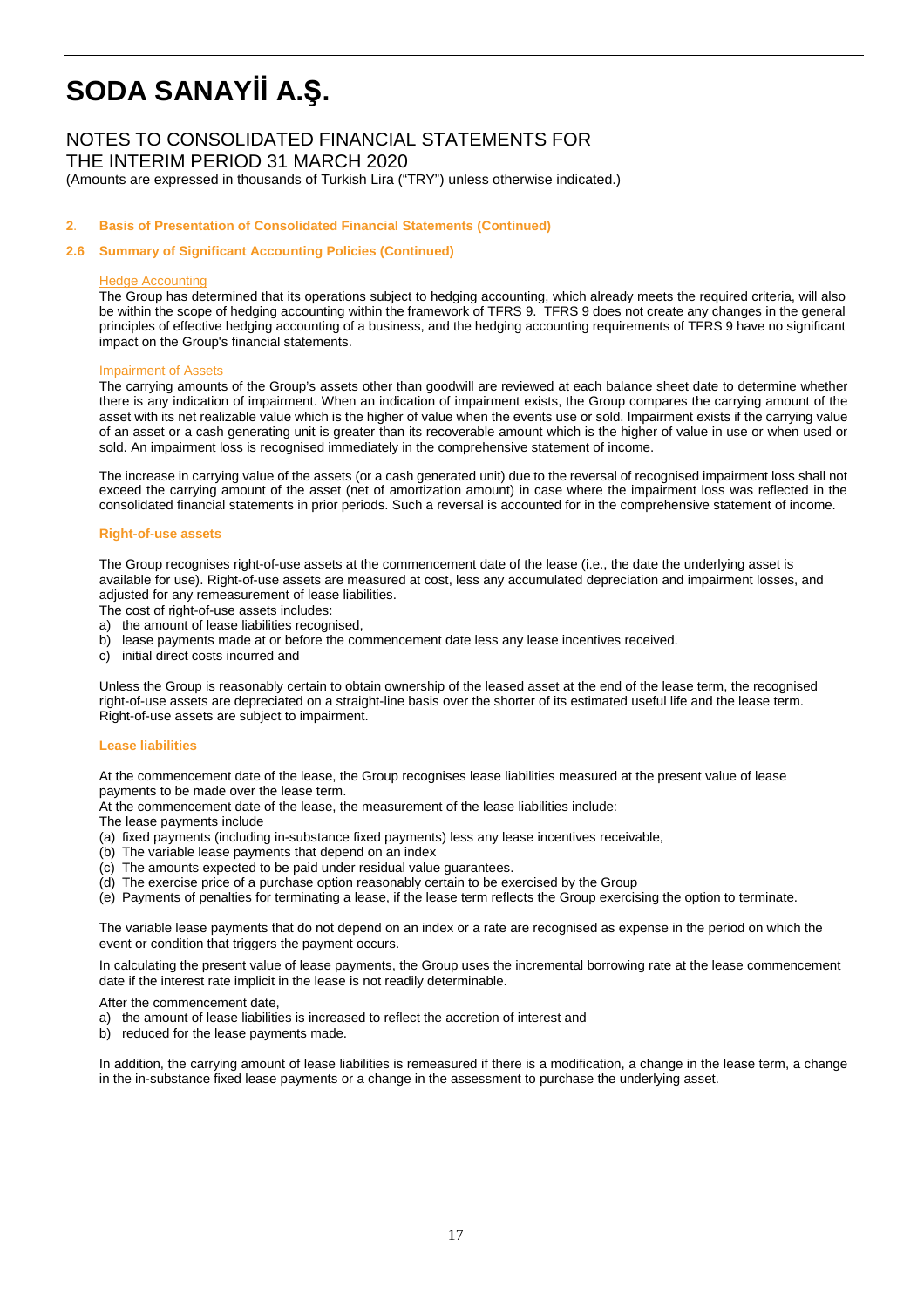# NOTES TO CONSOLIDATED FINANCIAL STATEMENTS FOR

THE INTERIM PERIOD 31 MARCH 2020

(Amounts are expressed in thousands of Turkish Lira ("TRY") unless otherwise indicated.)

### **2**. **Basis of Presentation of Consolidated Financial Statements (Continued)**

### **2.6 Summary of Significant Accounting Policies (Continued)**

#### Hedge Accounting

The Group has determined that its operations subject to hedging accounting, which already meets the required criteria, will also be within the scope of hedging accounting within the framework of TFRS 9. TFRS 9 does not create any changes in the general principles of effective hedging accounting of a business, and the hedging accounting requirements of TFRS 9 have no significant impact on the Group's financial statements.

#### Impairment of Assets

The carrying amounts of the Group's assets other than goodwill are reviewed at each balance sheet date to determine whether there is any indication of impairment. When an indication of impairment exists, the Group compares the carrying amount of the asset with its net realizable value which is the higher of value when the events use or sold. Impairment exists if the carrying value of an asset or a cash generating unit is greater than its recoverable amount which is the higher of value in use or when used or sold. An impairment loss is recognised immediately in the comprehensive statement of income.

The increase in carrying value of the assets (or a cash generated unit) due to the reversal of recognised impairment loss shall not exceed the carrying amount of the asset (net of amortization amount) in case where the impairment loss was reflected in the consolidated financial statements in prior periods. Such a reversal is accounted for in the comprehensive statement of income.

#### **Right-of-use assets**

The Group recognises right-of-use assets at the commencement date of the lease (i.e., the date the underlying asset is available for use). Right-of-use assets are measured at cost, less any accumulated depreciation and impairment losses, and adjusted for any remeasurement of lease liabilities.

The cost of right-of-use assets includes:

- a) the amount of lease liabilities recognised,
- b) lease payments made at or before the commencement date less any lease incentives received.
- c) initial direct costs incurred and

Unless the Group is reasonably certain to obtain ownership of the leased asset at the end of the lease term, the recognised right-of-use assets are depreciated on a straight-line basis over the shorter of its estimated useful life and the lease term. Right-of-use assets are subject to impairment.

#### **Lease liabilities**

At the commencement date of the lease, the Group recognises lease liabilities measured at the present value of lease payments to be made over the lease term.

At the commencement date of the lease, the measurement of the lease liabilities include:

The lease payments include

- (a) fixed payments (including in-substance fixed payments) less any lease incentives receivable,
- (b) The variable lease payments that depend on an index
- (c) The amounts expected to be paid under residual value guarantees.
- (d) The exercise price of a purchase option reasonably certain to be exercised by the Group
- (e) Payments of penalties for terminating a lease, if the lease term reflects the Group exercising the option to terminate.

The variable lease payments that do not depend on an index or a rate are recognised as expense in the period on which the event or condition that triggers the payment occurs.

In calculating the present value of lease payments, the Group uses the incremental borrowing rate at the lease commencement date if the interest rate implicit in the lease is not readily determinable.

After the commencement date,

- a) the amount of lease liabilities is increased to reflect the accretion of interest and
- b) reduced for the lease payments made.

In addition, the carrying amount of lease liabilities is remeasured if there is a modification, a change in the lease term, a change in the in-substance fixed lease payments or a change in the assessment to purchase the underlying asset.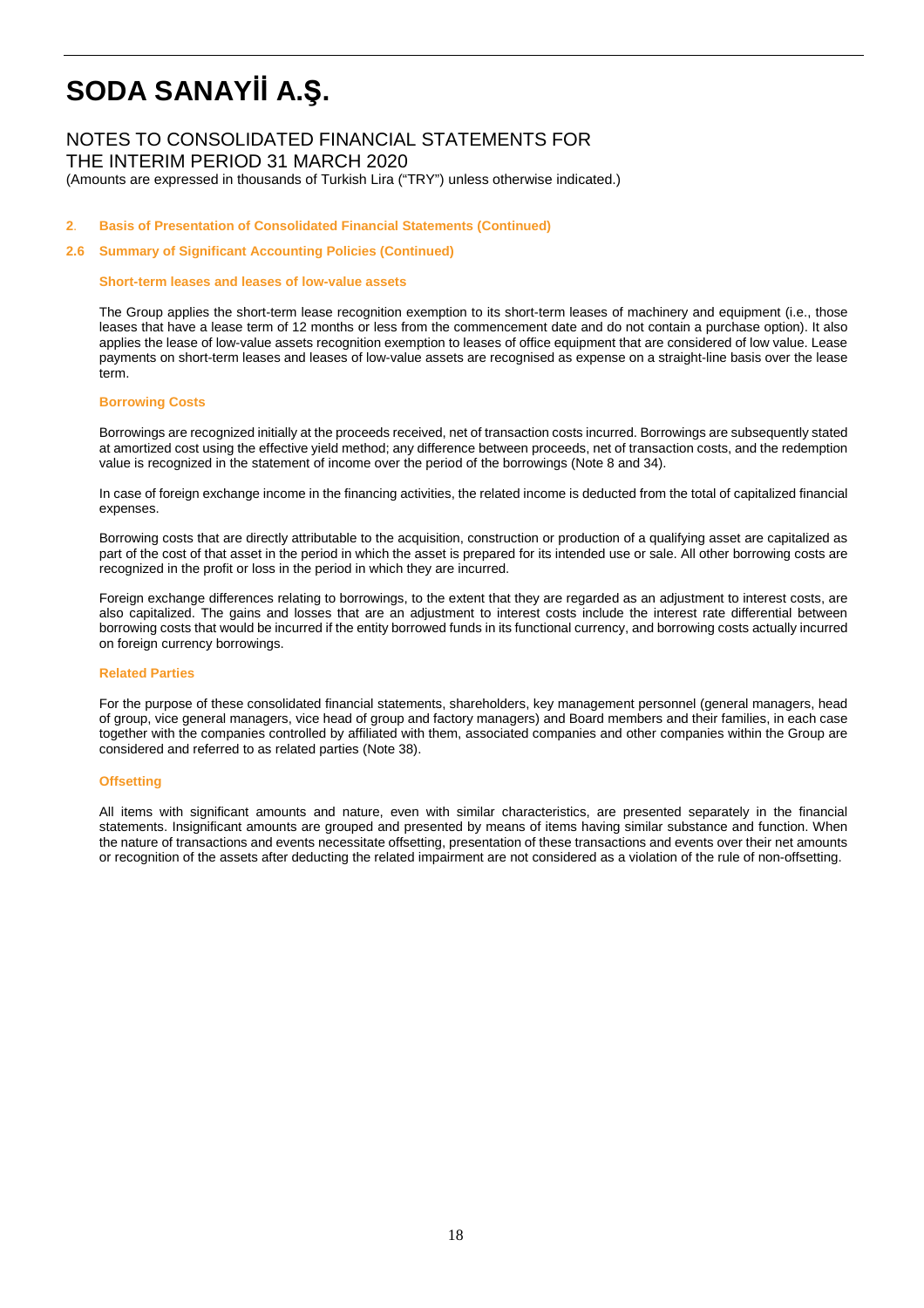# NOTES TO CONSOLIDATED FINANCIAL STATEMENTS FOR

THE INTERIM PERIOD 31 MARCH 2020

(Amounts are expressed in thousands of Turkish Lira ("TRY") unless otherwise indicated.)

### **2**. **Basis of Presentation of Consolidated Financial Statements (Continued)**

#### **2.6 Summary of Significant Accounting Policies (Continued)**

#### **Short-term leases and leases of low-value assets**

The Group applies the short-term lease recognition exemption to its short-term leases of machinery and equipment (i.e., those leases that have a lease term of 12 months or less from the commencement date and do not contain a purchase option). It also applies the lease of low-value assets recognition exemption to leases of office equipment that are considered of low value. Lease payments on short-term leases and leases of low-value assets are recognised as expense on a straight-line basis over the lease term

#### **Borrowing Costs**

Borrowings are recognized initially at the proceeds received, net of transaction costs incurred. Borrowings are subsequently stated at amortized cost using the effective yield method; any difference between proceeds, net of transaction costs, and the redemption value is recognized in the statement of income over the period of the borrowings (Note 8 and 34).

In case of foreign exchange income in the financing activities, the related income is deducted from the total of capitalized financial expenses.

Borrowing costs that are directly attributable to the acquisition, construction or production of a qualifying asset are capitalized as part of the cost of that asset in the period in which the asset is prepared for its intended use or sale. All other borrowing costs are recognized in the profit or loss in the period in which they are incurred.

Foreign exchange differences relating to borrowings, to the extent that they are regarded as an adjustment to interest costs, are also capitalized. The gains and losses that are an adjustment to interest costs include the interest rate differential between borrowing costs that would be incurred if the entity borrowed funds in its functional currency, and borrowing costs actually incurred on foreign currency borrowings.

### **Related Parties**

For the purpose of these consolidated financial statements, shareholders, key management personnel (general managers, head of group, vice general managers, vice head of group and factory managers) and Board members and their families, in each case together with the companies controlled by affiliated with them, associated companies and other companies within the Group are considered and referred to as related parties (Note 38).

#### **Offsetting**

All items with significant amounts and nature, even with similar characteristics, are presented separately in the financial statements. Insignificant amounts are grouped and presented by means of items having similar substance and function. When the nature of transactions and events necessitate offsetting, presentation of these transactions and events over their net amounts or recognition of the assets after deducting the related impairment are not considered as a violation of the rule of non-offsetting.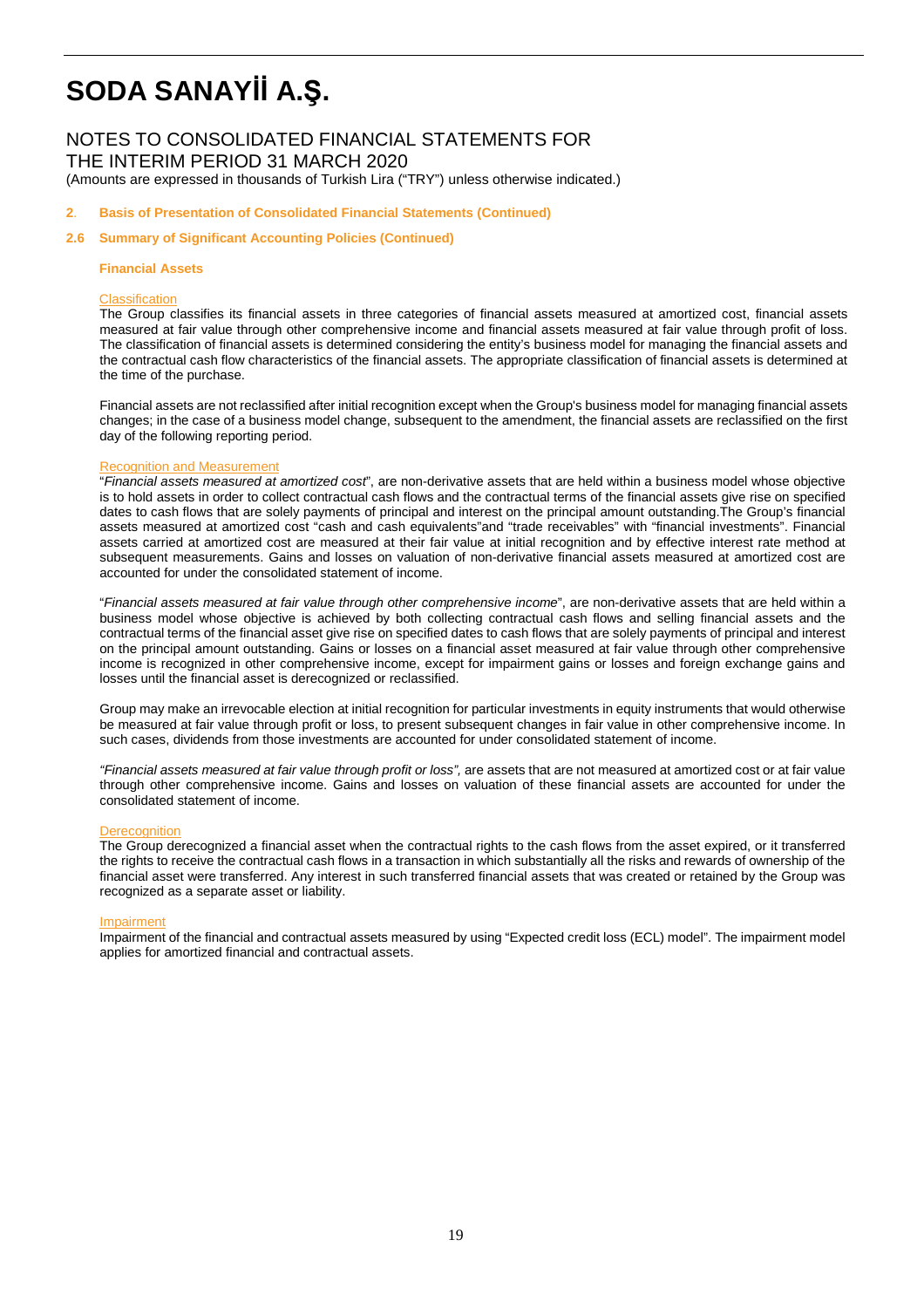## NOTES TO CONSOLIDATED FINANCIAL STATEMENTS FOR THE INTERIM PERIOD 31 MARCH 2020

(Amounts are expressed in thousands of Turkish Lira ("TRY") unless otherwise indicated.)

#### **2**. **Basis of Presentation of Consolidated Financial Statements (Continued)**

#### **2.6 Summary of Significant Accounting Policies (Continued)**

#### **Financial Assets**

#### **Classification**

The Group classifies its financial assets in three categories of financial assets measured at amortized cost, financial assets measured at fair value through other comprehensive income and financial assets measured at fair value through profit of loss. The classification of financial assets is determined considering the entity's business model for managing the financial assets and the contractual cash flow characteristics of the financial assets. The appropriate classification of financial assets is determined at the time of the purchase.

Financial assets are not reclassified after initial recognition except when the Group's business model for managing financial assets changes; in the case of a business model change, subsequent to the amendment, the financial assets are reclassified on the first day of the following reporting period.

#### Recognition and Measurement

"Financial assets measured at amortized cost", are non-derivative assets that are held within a business model whose objective is to hold assets in order to collect contractual cash flows and the contractual terms of the financial assets give rise on specified dates to cash flows that are solely payments of principal and interest on the principal amount outstanding.The Group's financial assets measured at amortized cost "cash and cash equivalents"and "trade receivables" with "financial investments". Financial assets carried at amortized cost are measured at their fair value at initial recognition and by effective interest rate method at subsequent measurements. Gains and losses on valuation of non-derivative financial assets measured at amortized cost are accounted for under the consolidated statement of income.

"Financial assets measured at fair value through other comprehensive income", are non-derivative assets that are held within a business model whose objective is achieved by both collecting contractual cash flows and selling financial assets and the contractual terms of the financial asset give rise on specified dates to cash flows that are solely payments of principal and interest on the principal amount outstanding. Gains or losses on a financial asset measured at fair value through other comprehensive income is recognized in other comprehensive income, except for impairment gains or losses and foreign exchange gains and losses until the financial asset is derecognized or reclassified.

Group may make an irrevocable election at initial recognition for particular investments in equity instruments that would otherwise be measured at fair value through profit or loss, to present subsequent changes in fair value in other comprehensive income. In such cases, dividends from those investments are accounted for under consolidated statement of income.

"Financial assets measured at fair value through profit or loss", are assets that are not measured at amortized cost or at fair value through other comprehensive income. Gains and losses on valuation of these financial assets are accounted for under the consolidated statement of income.

#### Derecognition

The Group derecognized a financial asset when the contractual rights to the cash flows from the asset expired, or it transferred the rights to receive the contractual cash flows in a transaction in which substantially all the risks and rewards of ownership of the financial asset were transferred. Any interest in such transferred financial assets that was created or retained by the Group was recognized as a separate asset or liability.

#### Impairment

Impairment of the financial and contractual assets measured by using "Expected credit loss (ECL) model". The impairment model applies for amortized financial and contractual assets.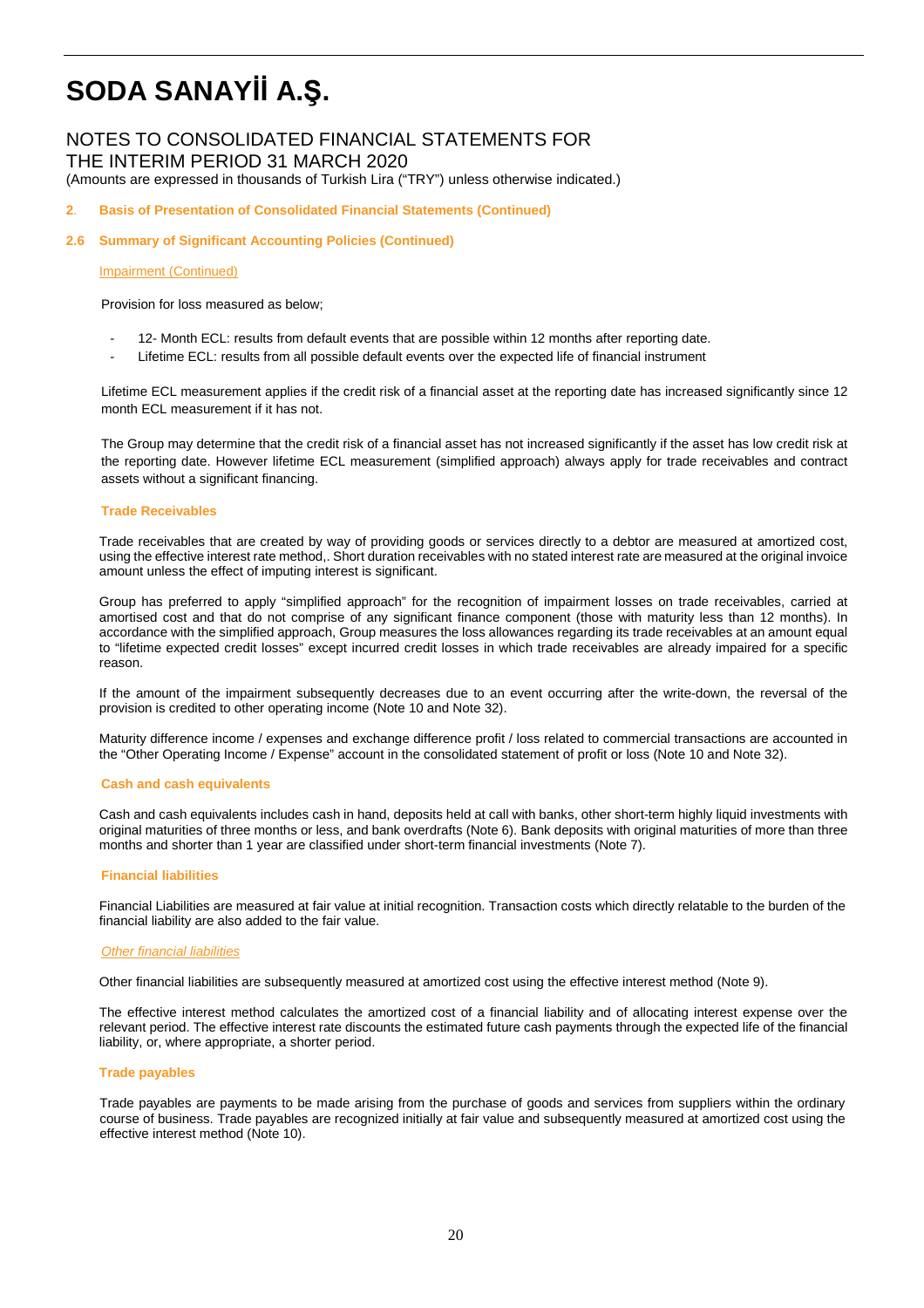## NOTES TO CONSOLIDATED FINANCIAL STATEMENTS FOR THE INTERIM PERIOD 31 MARCH 2020 (Amounts are expressed in thousands of Turkish Lira ("TRY") unless otherwise indicated.)

## **2**. **Basis of Presentation of Consolidated Financial Statements (Continued)**

### **2.6 Summary of Significant Accounting Policies (Continued)**

#### Impairment (Continued)

Provision for loss measured as below;

- 12- Month ECL: results from default events that are possible within 12 months after reporting date.
- Lifetime ECL: results from all possible default events over the expected life of financial instrument

Lifetime ECL measurement applies if the credit risk of a financial asset at the reporting date has increased significantly since 12 month ECL measurement if it has not.

The Group may determine that the credit risk of a financial asset has not increased significantly if the asset has low credit risk at the reporting date. However lifetime ECL measurement (simplified approach) always apply for trade receivables and contract assets without a significant financing.

#### **Trade Receivables**

Trade receivables that are created by way of providing goods or services directly to a debtor are measured at amortized cost, using the effective interest rate method,. Short duration receivables with no stated interest rate are measured at the original invoice amount unless the effect of imputing interest is significant.

Group has preferred to apply "simplified approach" for the recognition of impairment losses on trade receivables, carried at amortised cost and that do not comprise of any significant finance component (those with maturity less than 12 months). In accordance with the simplified approach, Group measures the loss allowances regarding its trade receivables at an amount equal to "lifetime expected credit losses" except incurred credit losses in which trade receivables are already impaired for a specific reason.

If the amount of the impairment subsequently decreases due to an event occurring after the write-down, the reversal of the provision is credited to other operating income (Note 10 and Note 32).

Maturity difference income / expenses and exchange difference profit / loss related to commercial transactions are accounted in the "Other Operating Income / Expense" account in the consolidated statement of profit or loss (Note 10 and Note 32).

#### **Cash and cash equivalents**

Cash and cash equivalents includes cash in hand, deposits held at call with banks, other short-term highly liquid investments with original maturities of three months or less, and bank overdrafts (Note 6). Bank deposits with original maturities of more than three months and shorter than 1 year are classified under short-term financial investments (Note 7).

#### **Financial liabilities**

Financial Liabilities are measured at fair value at initial recognition. Transaction costs which directly relatable to the burden of the financial liability are also added to the fair value.

### **Other financial liabilities**

Other financial liabilities are subsequently measured at amortized cost using the effective interest method (Note 9).

The effective interest method calculates the amortized cost of a financial liability and of allocating interest expense over the relevant period. The effective interest rate discounts the estimated future cash payments through the expected life of the financial liability, or, where appropriate, a shorter period.

#### **Trade payables**

Trade payables are payments to be made arising from the purchase of goods and services from suppliers within the ordinary course of business. Trade payables are recognized initially at fair value and subsequently measured at amortized cost using the effective interest method (Note 10).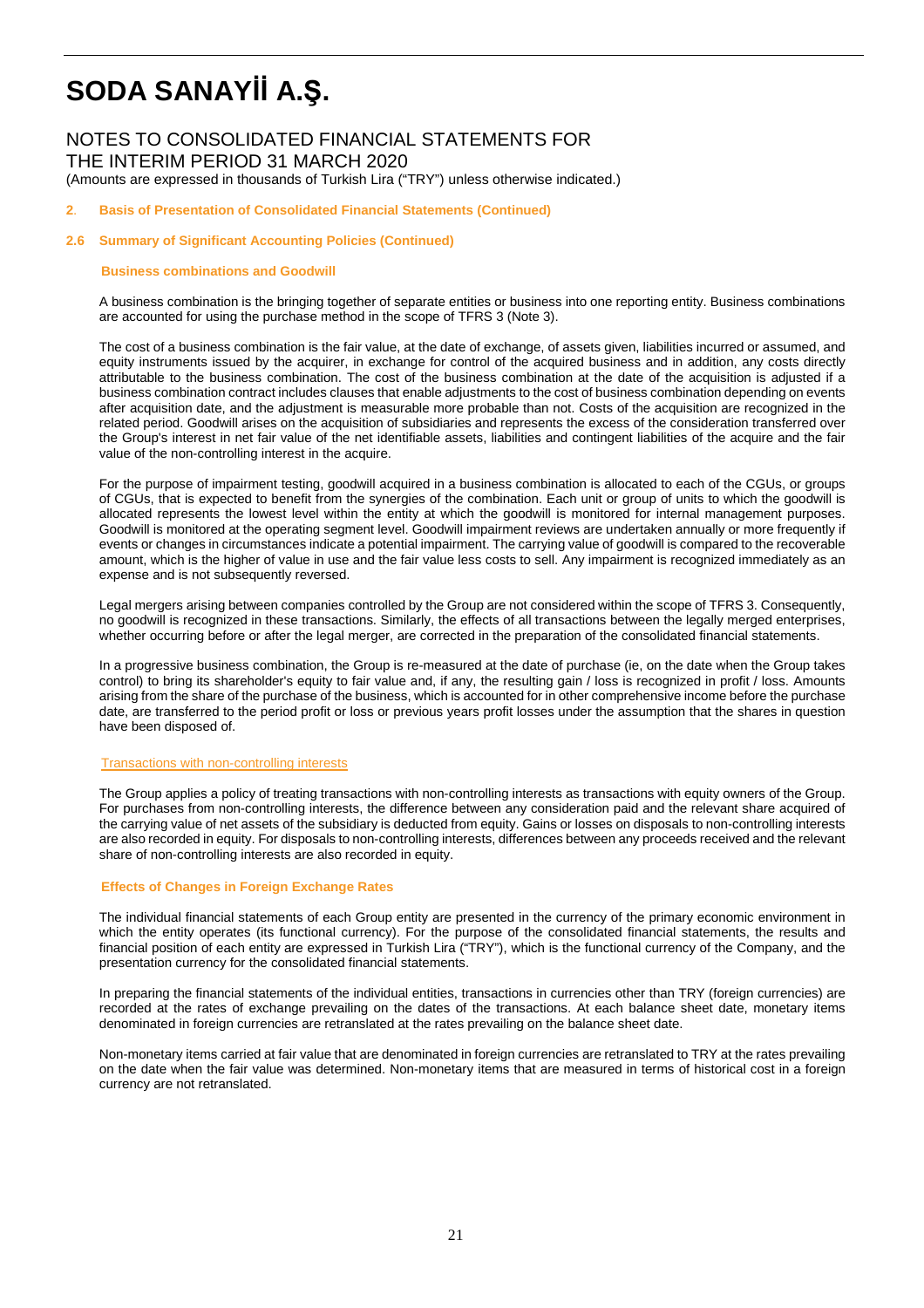## NOTES TO CONSOLIDATED FINANCIAL STATEMENTS FOR THE INTERIM PERIOD 31 MARCH 2020 (Amounts are expressed in thousands of Turkish Lira ("TRY") unless otherwise indicated.)

### **2**. **Basis of Presentation of Consolidated Financial Statements (Continued)**

### **2.6 Summary of Significant Accounting Policies (Continued)**

#### **Business combinations and Goodwill**

A business combination is the bringing together of separate entities or business into one reporting entity. Business combinations are accounted for using the purchase method in the scope of TFRS 3 (Note 3).

The cost of a business combination is the fair value, at the date of exchange, of assets given, liabilities incurred or assumed, and equity instruments issued by the acquirer, in exchange for control of the acquired business and in addition, any costs directly attributable to the business combination. The cost of the business combination at the date of the acquisition is adjusted if a business combination contract includes clauses that enable adjustments to the cost of business combination depending on events after acquisition date, and the adjustment is measurable more probable than not. Costs of the acquisition are recognized in the related period. Goodwill arises on the acquisition of subsidiaries and represents the excess of the consideration transferred over the Group's interest in net fair value of the net identifiable assets, liabilities and contingent liabilities of the acquire and the fair value of the non-controlling interest in the acquire.

For the purpose of impairment testing, goodwill acquired in a business combination is allocated to each of the CGUs, or groups of CGUs, that is expected to benefit from the synergies of the combination. Each unit or group of units to which the goodwill is allocated represents the lowest level within the entity at which the goodwill is monitored for internal management purposes. Goodwill is monitored at the operating segment level. Goodwill impairment reviews are undertaken annually or more frequently if events or changes in circumstances indicate a potential impairment. The carrying value of goodwill is compared to the recoverable amount, which is the higher of value in use and the fair value less costs to sell. Any impairment is recognized immediately as an expense and is not subsequently reversed.

Legal mergers arising between companies controlled by the Group are not considered within the scope of TFRS 3. Consequently, no goodwill is recognized in these transactions. Similarly, the effects of all transactions between the legally merged enterprises, whether occurring before or after the legal merger, are corrected in the preparation of the consolidated financial statements.

In a progressive business combination, the Group is re-measured at the date of purchase (ie, on the date when the Group takes control) to bring its shareholder's equity to fair value and, if any, the resulting gain / loss is recognized in profit / loss. Amounts arising from the share of the purchase of the business, which is accounted for in other comprehensive income before the purchase date, are transferred to the period profit or loss or previous years profit losses under the assumption that the shares in question have been disposed of.

#### Transactions with non-controlling interests

The Group applies a policy of treating transactions with non-controlling interests as transactions with equity owners of the Group. For purchases from non-controlling interests, the difference between any consideration paid and the relevant share acquired of the carrying value of net assets of the subsidiary is deducted from equity. Gains or losses on disposals to non-controlling interests are also recorded in equity. For disposals to non-controlling interests, differences between any proceeds received and the relevant share of non-controlling interests are also recorded in equity.

### **Effects of Changes in Foreign Exchange Rates**

The individual financial statements of each Group entity are presented in the currency of the primary economic environment in which the entity operates (its functional currency). For the purpose of the consolidated financial statements, the results and financial position of each entity are expressed in Turkish Lira ("TRY"), which is the functional currency of the Company, and the presentation currency for the consolidated financial statements.

In preparing the financial statements of the individual entities, transactions in currencies other than TRY (foreign currencies) are recorded at the rates of exchange prevailing on the dates of the transactions. At each balance sheet date, monetary items denominated in foreign currencies are retranslated at the rates prevailing on the balance sheet date.

Non-monetary items carried at fair value that are denominated in foreign currencies are retranslated to TRY at the rates prevailing on the date when the fair value was determined. Non-monetary items that are measured in terms of historical cost in a foreign currency are not retranslated.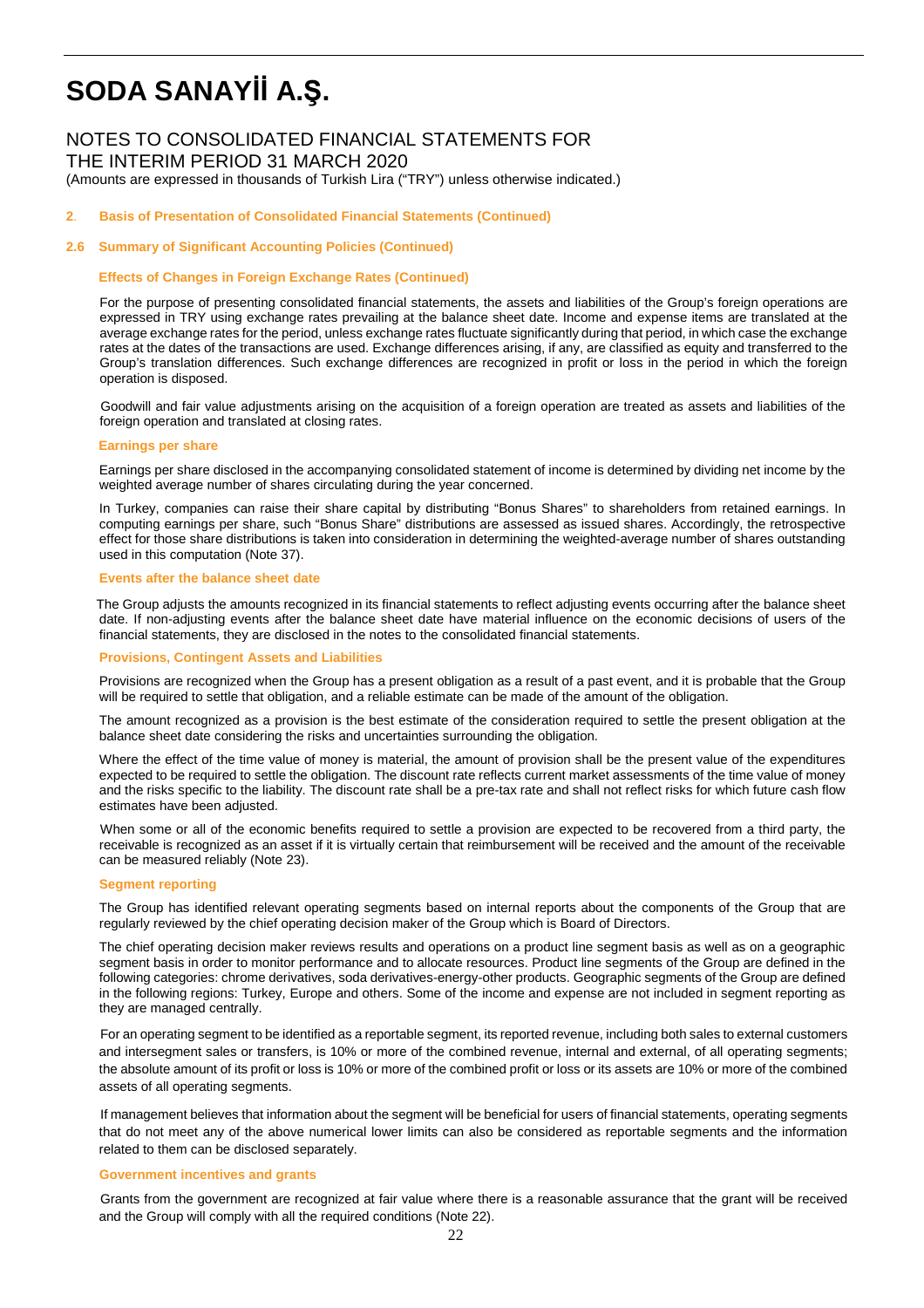# NOTES TO CONSOLIDATED FINANCIAL STATEMENTS FOR

THE INTERIM PERIOD 31 MARCH 2020

(Amounts are expressed in thousands of Turkish Lira ("TRY") unless otherwise indicated.)

#### **2**. **Basis of Presentation of Consolidated Financial Statements (Continued)**

#### **2.6 Summary of Significant Accounting Policies (Continued)**

#### **Effects of Changes in Foreign Exchange Rates (Continued)**

For the purpose of presenting consolidated financial statements, the assets and liabilities of the Group's foreign operations are expressed in TRY using exchange rates prevailing at the balance sheet date. Income and expense items are translated at the average exchange rates for the period, unless exchange rates fluctuate significantly during that period, in which case the exchange rates at the dates of the transactions are used. Exchange differences arising, if any, are classified as equity and transferred to the Group's translation differences. Such exchange differences are recognized in profit or loss in the period in which the foreign operation is disposed.

 Goodwill and fair value adjustments arising on the acquisition of a foreign operation are treated as assets and liabilities of the foreign operation and translated at closing rates.

#### **Earnings per share**

Earnings per share disclosed in the accompanying consolidated statement of income is determined by dividing net income by the weighted average number of shares circulating during the year concerned.

In Turkey, companies can raise their share capital by distributing "Bonus Shares" to shareholders from retained earnings. In computing earnings per share, such "Bonus Share" distributions are assessed as issued shares. Accordingly, the retrospective effect for those share distributions is taken into consideration in determining the weighted-average number of shares outstanding used in this computation (Note 37).

#### **Events after the balance sheet date**

The Group adjusts the amounts recognized in its financial statements to reflect adjusting events occurring after the balance sheet date. If non-adjusting events after the balance sheet date have material influence on the economic decisions of users of the financial statements, they are disclosed in the notes to the consolidated financial statements.

#### **Provisions, Contingent Assets and Liabilities**

Provisions are recognized when the Group has a present obligation as a result of a past event, and it is probable that the Group will be required to settle that obligation, and a reliable estimate can be made of the amount of the obligation.

The amount recognized as a provision is the best estimate of the consideration required to settle the present obligation at the balance sheet date considering the risks and uncertainties surrounding the obligation.

Where the effect of the time value of money is material, the amount of provision shall be the present value of the expenditures expected to be required to settle the obligation. The discount rate reflects current market assessments of the time value of money and the risks specific to the liability. The discount rate shall be a pre-tax rate and shall not reflect risks for which future cash flow estimates have been adjusted.

 When some or all of the economic benefits required to settle a provision are expected to be recovered from a third party, the receivable is recognized as an asset if it is virtually certain that reimbursement will be received and the amount of the receivable can be measured reliably (Note 23).

#### **Segment reporting**

The Group has identified relevant operating segments based on internal reports about the components of the Group that are regularly reviewed by the chief operating decision maker of the Group which is Board of Directors.

The chief operating decision maker reviews results and operations on a product line segment basis as well as on a geographic segment basis in order to monitor performance and to allocate resources. Product line segments of the Group are defined in the following categories: chrome derivatives, soda derivatives-energy-other products. Geographic segments of the Group are defined in the following regions: Turkey, Europe and others. Some of the income and expense are not included in segment reporting as they are managed centrally.

 For an operating segment to be identified as a reportable segment, its reported revenue, including both sales to external customers and intersegment sales or transfers, is 10% or more of the combined revenue, internal and external, of all operating segments; the absolute amount of its profit or loss is 10% or more of the combined profit or loss or its assets are 10% or more of the combined assets of all operating segments.

 If management believes that information about the segment will be beneficial for users of financial statements, operating segments that do not meet any of the above numerical lower limits can also be considered as reportable segments and the information related to them can be disclosed separately.

#### **Government incentives and grants**

 Grants from the government are recognized at fair value where there is a reasonable assurance that the grant will be received and the Group will comply with all the required conditions (Note 22).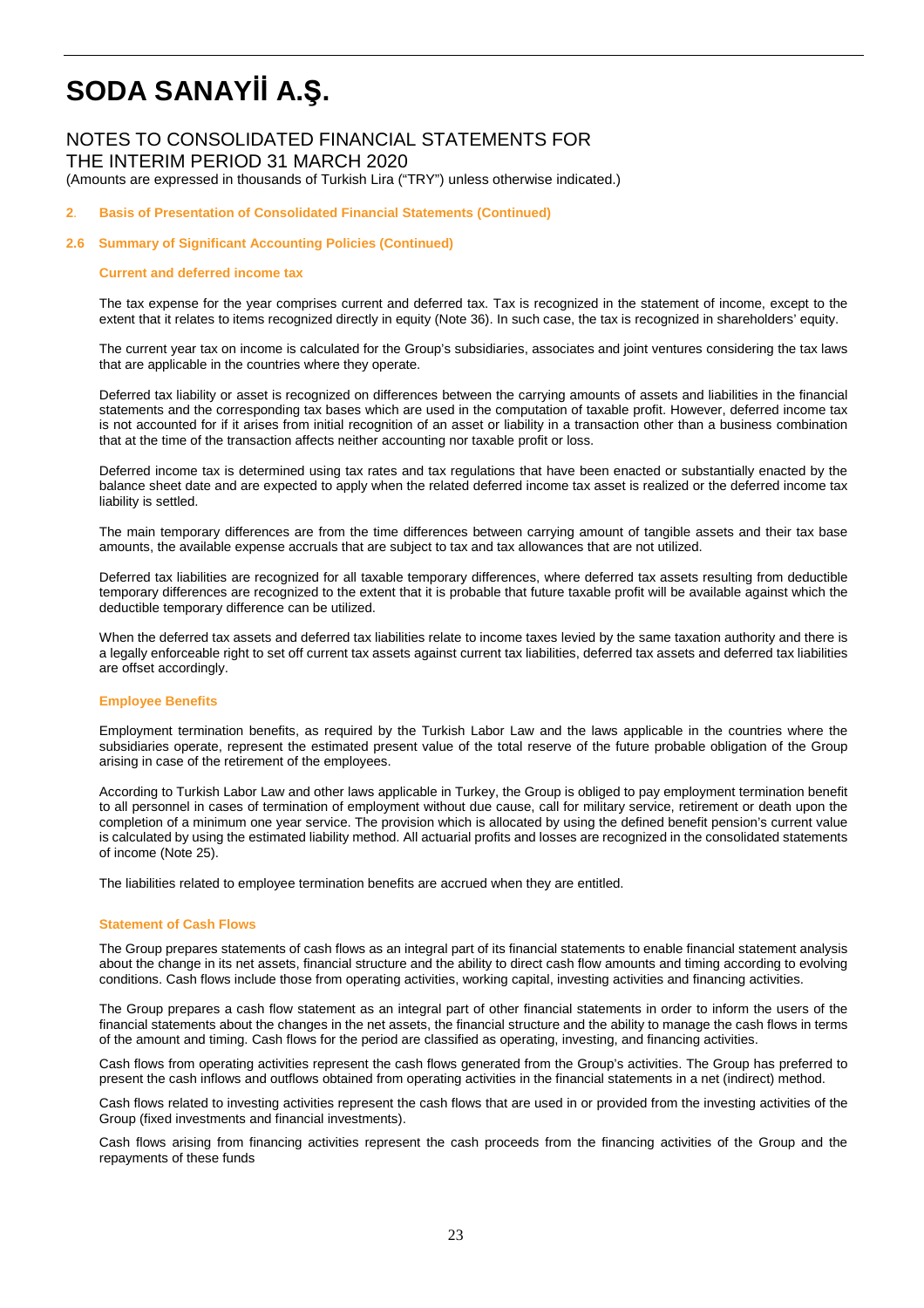## NOTES TO CONSOLIDATED FINANCIAL STATEMENTS FOR THE INTERIM PERIOD 31 MARCH 2020

(Amounts are expressed in thousands of Turkish Lira ("TRY") unless otherwise indicated.)

#### **2**. **Basis of Presentation of Consolidated Financial Statements (Continued)**

#### **2.6 Summary of Significant Accounting Policies (Continued)**

#### **Current and deferred income tax**

The tax expense for the year comprises current and deferred tax. Tax is recognized in the statement of income, except to the extent that it relates to items recognized directly in equity (Note 36). In such case, the tax is recognized in shareholders' equity.

The current year tax on income is calculated for the Group's subsidiaries, associates and joint ventures considering the tax laws that are applicable in the countries where they operate.

Deferred tax liability or asset is recognized on differences between the carrying amounts of assets and liabilities in the financial statements and the corresponding tax bases which are used in the computation of taxable profit. However, deferred income tax is not accounted for if it arises from initial recognition of an asset or liability in a transaction other than a business combination that at the time of the transaction affects neither accounting nor taxable profit or loss.

Deferred income tax is determined using tax rates and tax regulations that have been enacted or substantially enacted by the balance sheet date and are expected to apply when the related deferred income tax asset is realized or the deferred income tax liability is settled.

The main temporary differences are from the time differences between carrying amount of tangible assets and their tax base amounts, the available expense accruals that are subject to tax and tax allowances that are not utilized.

Deferred tax liabilities are recognized for all taxable temporary differences, where deferred tax assets resulting from deductible temporary differences are recognized to the extent that it is probable that future taxable profit will be available against which the deductible temporary difference can be utilized.

When the deferred tax assets and deferred tax liabilities relate to income taxes levied by the same taxation authority and there is a legally enforceable right to set off current tax assets against current tax liabilities, deferred tax assets and deferred tax liabilities are offset accordingly.

#### **Employee Benefits**

Employment termination benefits, as required by the Turkish Labor Law and the laws applicable in the countries where the subsidiaries operate, represent the estimated present value of the total reserve of the future probable obligation of the Group arising in case of the retirement of the employees.

According to Turkish Labor Law and other laws applicable in Turkey, the Group is obliged to pay employment termination benefit to all personnel in cases of termination of employment without due cause, call for military service, retirement or death upon the completion of a minimum one year service. The provision which is allocated by using the defined benefit pension's current value is calculated by using the estimated liability method. All actuarial profits and losses are recognized in the consolidated statements of income (Note 25).

The liabilities related to employee termination benefits are accrued when they are entitled.

#### **Statement of Cash Flows**

The Group prepares statements of cash flows as an integral part of its financial statements to enable financial statement analysis about the change in its net assets, financial structure and the ability to direct cash flow amounts and timing according to evolving conditions. Cash flows include those from operating activities, working capital, investing activities and financing activities.

The Group prepares a cash flow statement as an integral part of other financial statements in order to inform the users of the financial statements about the changes in the net assets, the financial structure and the ability to manage the cash flows in terms of the amount and timing. Cash flows for the period are classified as operating, investing, and financing activities.

Cash flows from operating activities represent the cash flows generated from the Group's activities. The Group has preferred to present the cash inflows and outflows obtained from operating activities in the financial statements in a net (indirect) method.

Cash flows related to investing activities represent the cash flows that are used in or provided from the investing activities of the Group (fixed investments and financial investments).

Cash flows arising from financing activities represent the cash proceeds from the financing activities of the Group and the repayments of these funds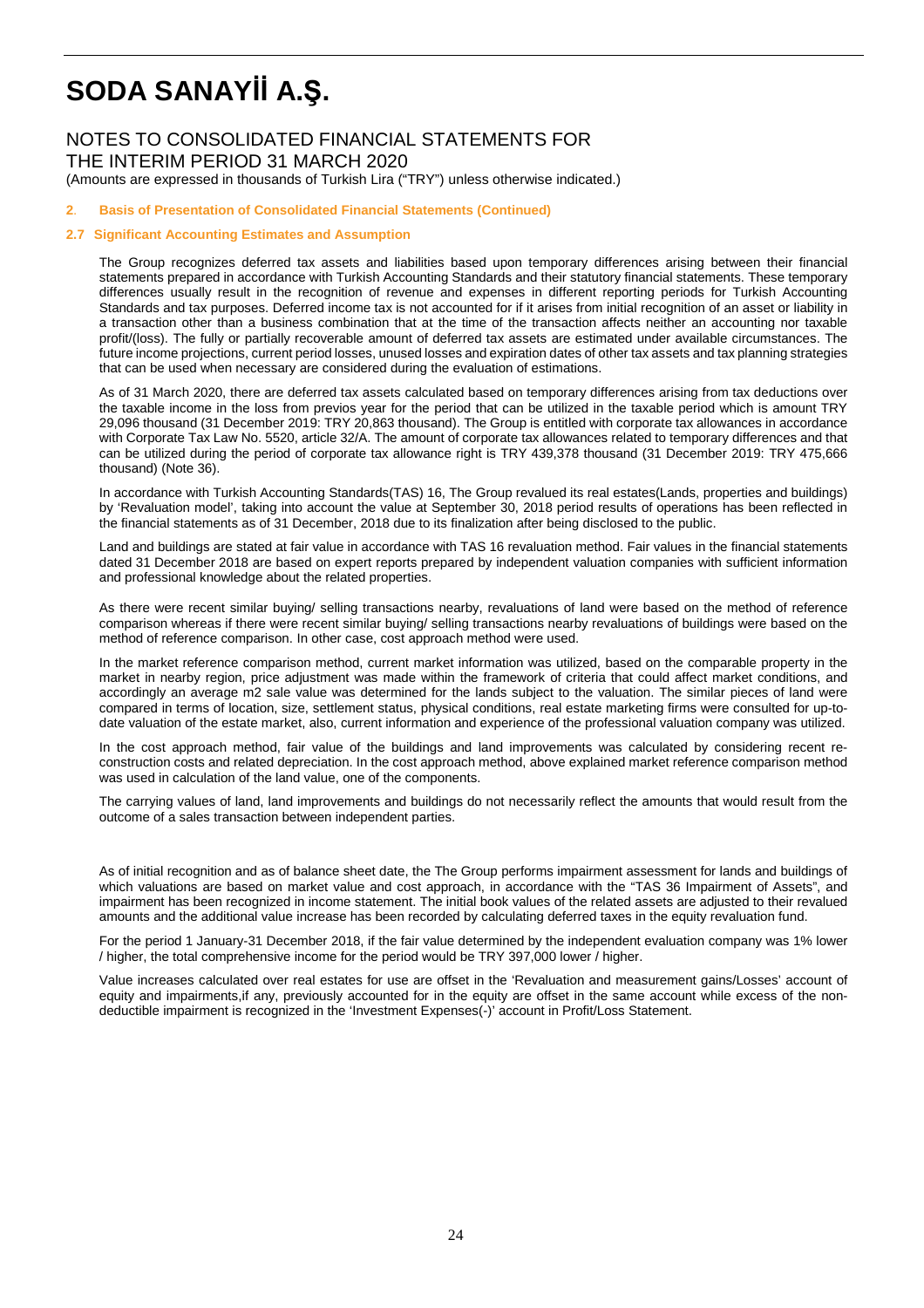## NOTES TO CONSOLIDATED FINANCIAL STATEMENTS FOR THE INTERIM PERIOD 31 MARCH 2020

(Amounts are expressed in thousands of Turkish Lira ("TRY") unless otherwise indicated.)

### **2**. **Basis of Presentation of Consolidated Financial Statements (Continued)**

### **2.7 Significant Accounting Estimates and Assumption**

The Group recognizes deferred tax assets and liabilities based upon temporary differences arising between their financial statements prepared in accordance with Turkish Accounting Standards and their statutory financial statements. These temporary differences usually result in the recognition of revenue and expenses in different reporting periods for Turkish Accounting Standards and tax purposes. Deferred income tax is not accounted for if it arises from initial recognition of an asset or liability in a transaction other than a business combination that at the time of the transaction affects neither an accounting nor taxable profit/(loss). The fully or partially recoverable amount of deferred tax assets are estimated under available circumstances. The future income projections, current period losses, unused losses and expiration dates of other tax assets and tax planning strategies that can be used when necessary are considered during the evaluation of estimations.

As of 31 March 2020, there are deferred tax assets calculated based on temporary differences arising from tax deductions over the taxable income in the loss from previos year for the period that can be utilized in the taxable period which is amount TRY 29,096 thousand (31 December 2019: TRY 20,863 thousand). The Group is entitled with corporate tax allowances in accordance with Corporate Tax Law No. 5520, article 32/A. The amount of corporate tax allowances related to temporary differences and that can be utilized during the period of corporate tax allowance right is TRY 439,378 thousand (31 December 2019: TRY 475,666 thousand) (Note 36).

In accordance with Turkish Accounting Standards(TAS) 16, The Group revalued its real estates(Lands, properties and buildings) by 'Revaluation model', taking into account the value at September 30, 2018 period results of operations has been reflected in the financial statements as of 31 December, 2018 due to its finalization after being disclosed to the public.

Land and buildings are stated at fair value in accordance with TAS 16 revaluation method. Fair values in the financial statements dated 31 December 2018 are based on expert reports prepared by independent valuation companies with sufficient information and professional knowledge about the related properties.

As there were recent similar buying/ selling transactions nearby, revaluations of land were based on the method of reference comparison whereas if there were recent similar buying/ selling transactions nearby revaluations of buildings were based on the method of reference comparison. In other case, cost approach method were used.

In the market reference comparison method, current market information was utilized, based on the comparable property in the market in nearby region, price adjustment was made within the framework of criteria that could affect market conditions, and accordingly an average m2 sale value was determined for the lands subject to the valuation. The similar pieces of land were compared in terms of location, size, settlement status, physical conditions, real estate marketing firms were consulted for up-todate valuation of the estate market, also, current information and experience of the professional valuation company was utilized.

In the cost approach method, fair value of the buildings and land improvements was calculated by considering recent reconstruction costs and related depreciation. In the cost approach method, above explained market reference comparison method was used in calculation of the land value, one of the components.

The carrying values of land, land improvements and buildings do not necessarily reflect the amounts that would result from the outcome of a sales transaction between independent parties.

As of initial recognition and as of balance sheet date, the The Group performs impairment assessment for lands and buildings of which valuations are based on market value and cost approach, in accordance with the "TAS 36 Impairment of Assets", and impairment has been recognized in income statement. The initial book values of the related assets are adjusted to their revalued amounts and the additional value increase has been recorded by calculating deferred taxes in the equity revaluation fund.

For the period 1 January-31 December 2018, if the fair value determined by the independent evaluation company was 1% lower / higher, the total comprehensive income for the period would be TRY 397,000 lower / higher.

Value increases calculated over real estates for use are offset in the 'Revaluation and measurement gains/Losses' account of equity and impairments,if any, previously accounted for in the equity are offset in the same account while excess of the nondeductible impairment is recognized in the 'Investment Expenses(-)' account in Profit/Loss Statement.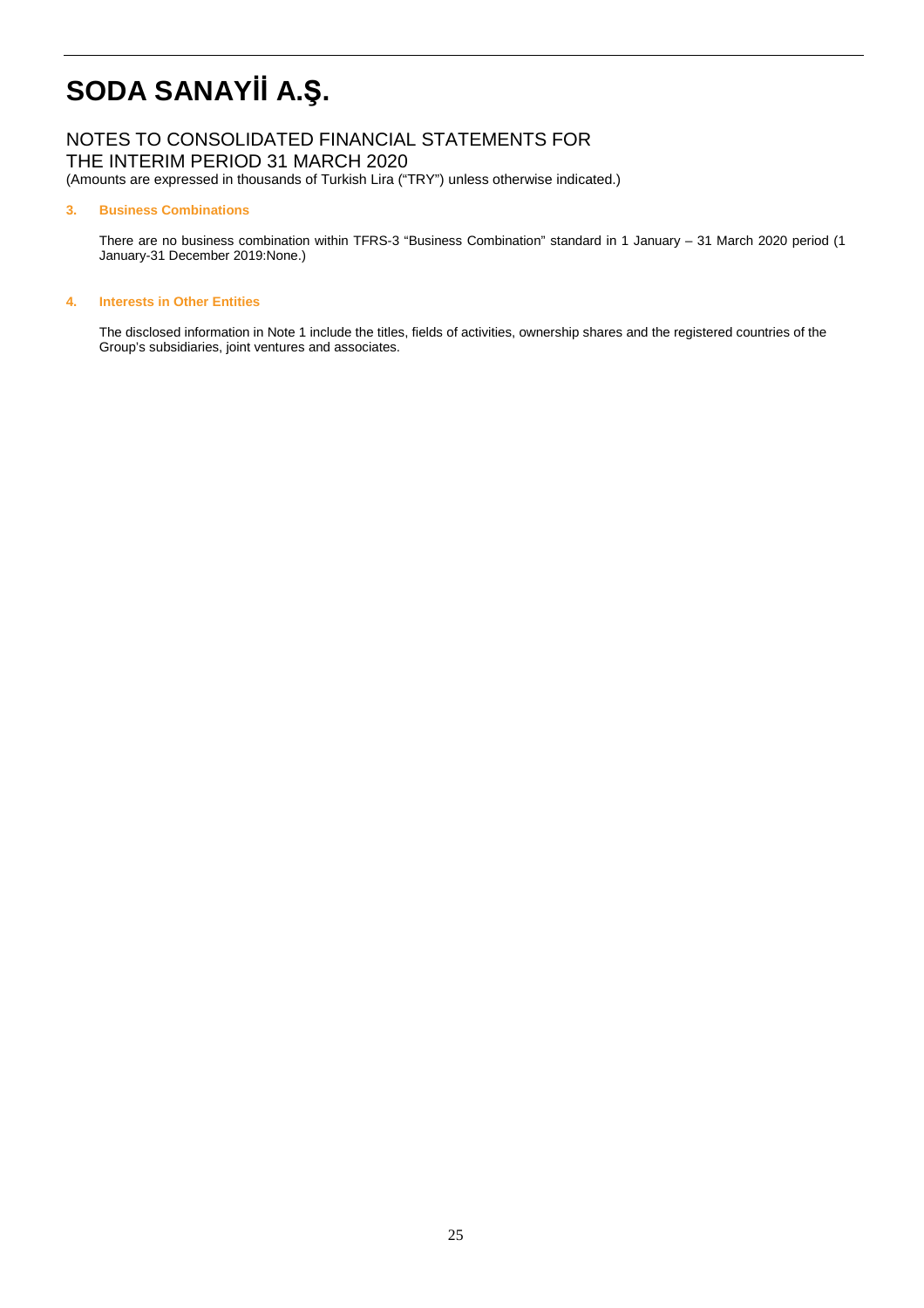## NOTES TO CONSOLIDATED FINANCIAL STATEMENTS FOR THE INTERIM PERIOD 31 MARCH 2020

(Amounts are expressed in thousands of Turkish Lira ("TRY") unless otherwise indicated.)

### **3. Business Combinations**

There are no business combination within TFRS-3 "Business Combination" standard in 1 January – 31 March 2020 period (1 January-31 December 2019:None.)

### **4. Interests in Other Entities**

The disclosed information in Note 1 include the titles, fields of activities, ownership shares and the registered countries of the Group's subsidiaries, joint ventures and associates.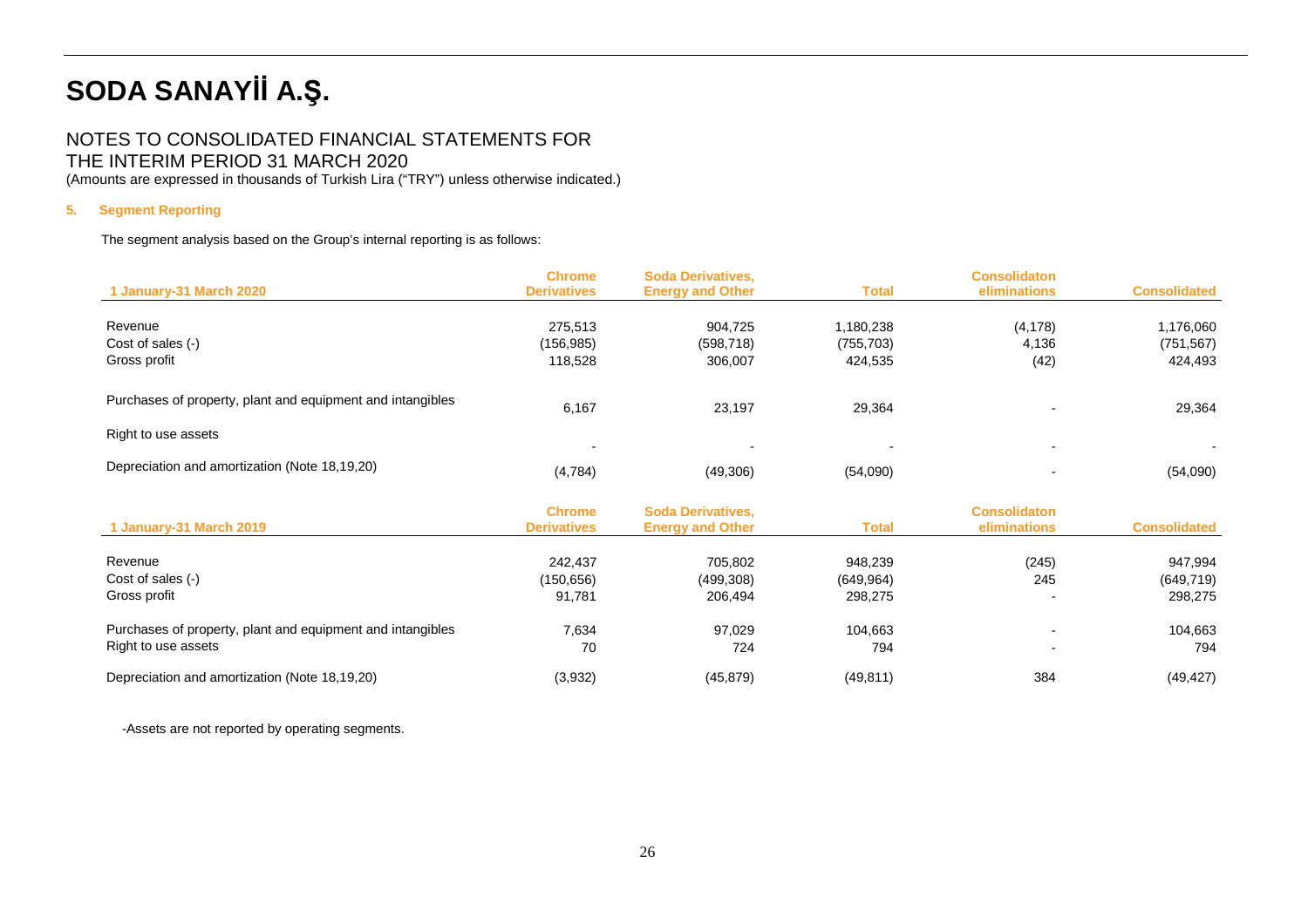## NOTES TO CONSOLIDATED FINANCIAL STATEMENTS FOR THE INTERIM PERIOD 31 MARCH 2020

(Amounts are expressed in thousands of Turkish Lira ("TRY") unless otherwise indicated.)

### **5. Segment Reporting**

The segment analysis based on the Group's internal reporting is as follows:

|                                                            | <b>Chrome</b><br><b>Derivatives</b> | <b>Soda Derivatives,</b>                            | <b>Total</b> | <b>Consolidaton</b><br>eliminations | <b>Consolidated</b> |
|------------------------------------------------------------|-------------------------------------|-----------------------------------------------------|--------------|-------------------------------------|---------------------|
| 1 January-31 March 2020                                    |                                     | <b>Energy and Other</b>                             |              |                                     |                     |
| Revenue                                                    | 275,513                             | 904,725                                             | 1,180,238    | (4, 178)                            | 1,176,060           |
| Cost of sales (-)                                          | (156, 985)                          | (598, 718)                                          | (755, 703)   | 4,136                               | (751, 567)          |
| Gross profit                                               | 118,528                             | 306,007                                             | 424,535      | (42)                                | 424,493             |
| Purchases of property, plant and equipment and intangibles | 6,167                               | 23,197                                              | 29,364       |                                     | 29,364              |
| Right to use assets                                        |                                     |                                                     |              | $\overline{a}$                      |                     |
| Depreciation and amortization (Note 18,19,20)              | (4,784)                             | (49,306)                                            | (54,090)     |                                     | (54,090)            |
| 1 January-31 March 2019                                    | <b>Chrome</b><br><b>Derivatives</b> | <b>Soda Derivatives,</b><br><b>Energy and Other</b> | <b>Total</b> | <b>Consolidaton</b><br>eliminations | <b>Consolidated</b> |
| Revenue                                                    | 242,437                             | 705,802                                             | 948,239      | (245)                               | 947,994             |
| Cost of sales (-)                                          | (150, 656)                          | (499, 308)                                          | (649, 964)   | 245                                 | (649, 719)          |
| Gross profit                                               | 91,781                              | 206,494                                             | 298,275      |                                     | 298,275             |
| Purchases of property, plant and equipment and intangibles | 7,634                               | 97,029                                              | 104,663      |                                     | 104,663             |
| Right to use assets                                        | 70                                  | 724                                                 | 794          |                                     | 794                 |
| Depreciation and amortization (Note 18,19,20)              | (3,932)                             | (45, 879)                                           | (49, 811)    | 384                                 | (49, 427)           |

-Assets are not reported by operating segments.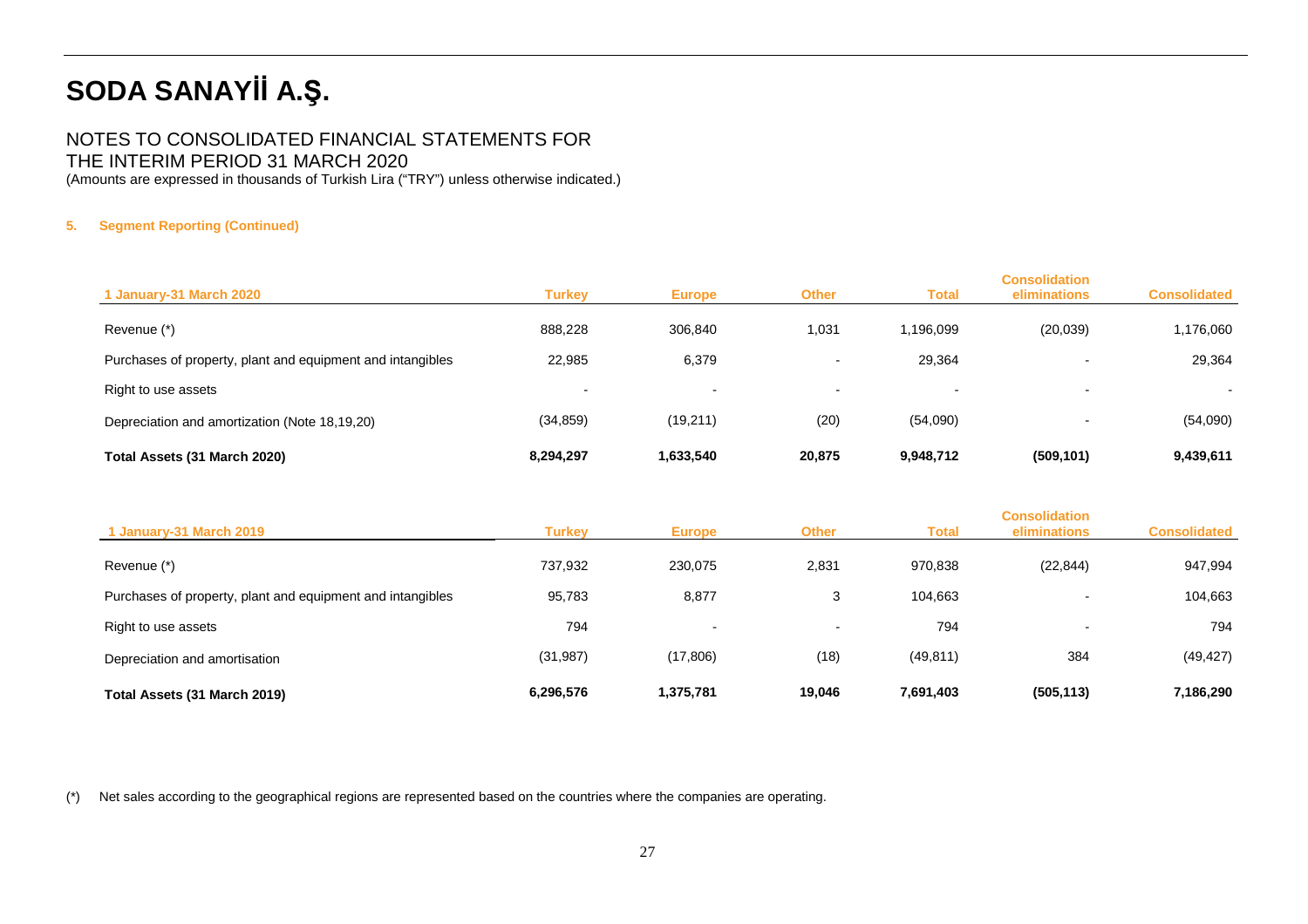## NOTES TO CONSOLIDATED FINANCIAL STATEMENTS FOR THE INTERIM PERIOD 31 MARCH 2020

(Amounts are expressed in thousands of Turkish Lira ("TRY") unless otherwise indicated.)

## **5. Segment Reporting (Continued)**

| 1 January-31 March 2020                                    | Turkev                   | <b>Europe</b>            | <b>Other</b>             | Total                    | <b>Consolidation</b><br>eliminations | <b>Consolidated</b>      |
|------------------------------------------------------------|--------------------------|--------------------------|--------------------------|--------------------------|--------------------------------------|--------------------------|
| Revenue (*)                                                | 888,228                  | 306,840                  | 1,031                    | 1,196,099                | (20,039)                             | 1,176,060                |
| Purchases of property, plant and equipment and intangibles | 22,985                   | 6,379                    | -                        | 29,364                   |                                      | 29,364                   |
| Right to use assets                                        | $\overline{\phantom{0}}$ | $\overline{\phantom{a}}$ | $\overline{\phantom{a}}$ | $\overline{\phantom{a}}$ |                                      | $\overline{\phantom{0}}$ |
| Depreciation and amortization (Note 18,19,20)              | (34, 859)                | (19,211)                 | (20)                     | (54,090)                 |                                      | (54,090)                 |
| Total Assets (31 March 2020)                               | 8,294,297                | 1,633,540                | 20,875                   | 9,948,712                | (509, 101)                           | 9,439,611                |

| 1 January-31 March 2019                                    | Turkey    | <b>Europe</b> | <b>Other</b>             | Total     | <b>Consolidation</b><br>eliminations | <b>Consolidated</b> |
|------------------------------------------------------------|-----------|---------------|--------------------------|-----------|--------------------------------------|---------------------|
| Revenue (*)                                                | 737.932   | 230,075       | 2,831                    | 970,838   | (22, 844)                            | 947,994             |
| Purchases of property, plant and equipment and intangibles | 95,783    | 8,877         | 3                        | 104,663   |                                      | 104,663             |
| Right to use assets                                        | 794       | $\sim$        | $\overline{\phantom{0}}$ | 794       |                                      | 794                 |
| Depreciation and amortisation                              | (31, 987) | (17, 806)     | (18)                     | (49, 811) | 384                                  | (49, 427)           |
| Total Assets (31 March 2019)                               | 6,296,576 | 1,375,781     | 19,046                   | 7,691,403 | (505, 113)                           | 7,186,290           |

(\*) Net sales according to the geographical regions are represented based on the countries where the companies are operating.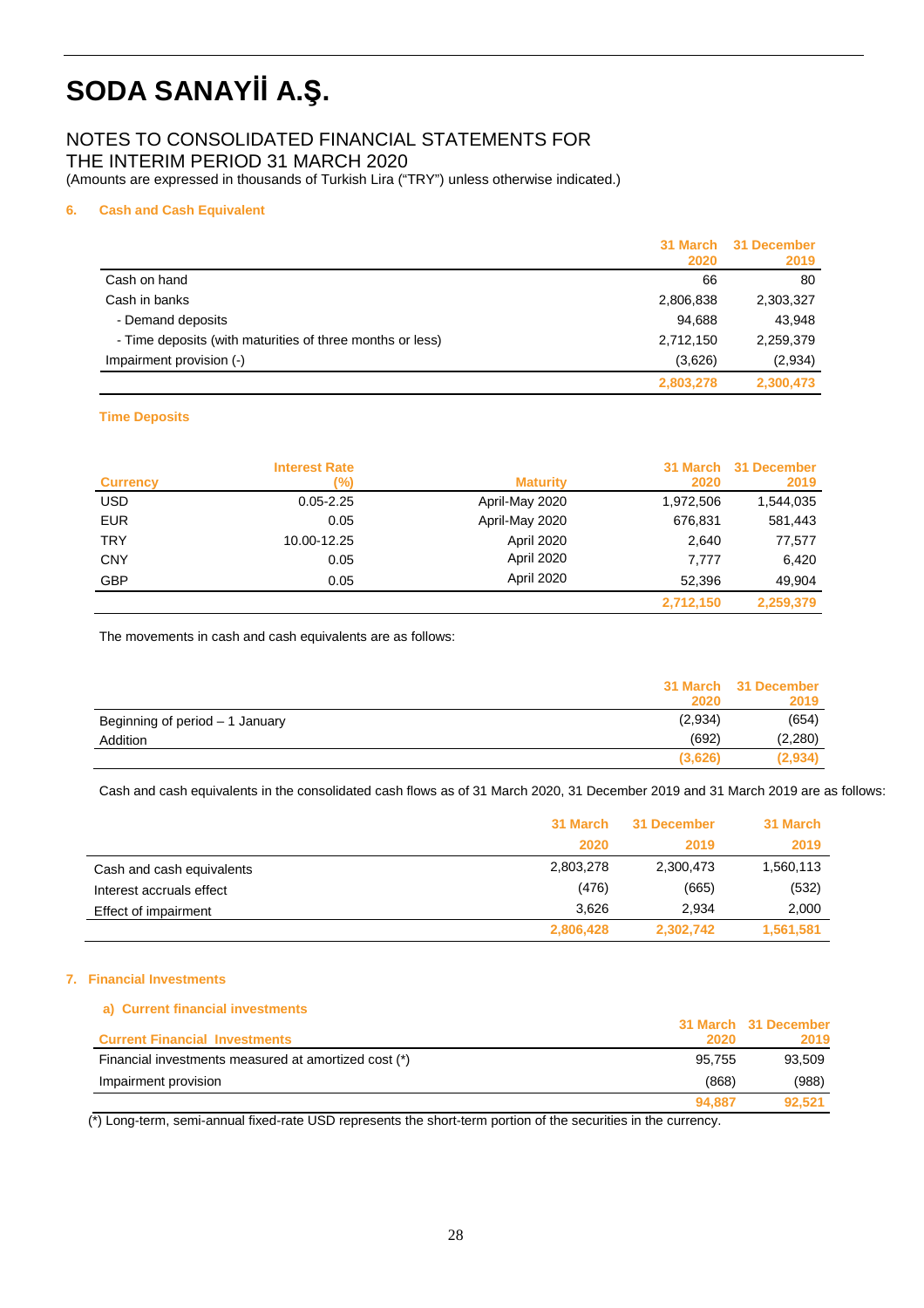# NOTES TO CONSOLIDATED FINANCIAL STATEMENTS FOR

THE INTERIM PERIOD 31 MARCH 2020

(Amounts are expressed in thousands of Turkish Lira ("TRY") unless otherwise indicated.)

## **6. Cash and Cash Equivalent**

|                                                           | 2020      | 31 March 31 December<br>2019 |
|-----------------------------------------------------------|-----------|------------------------------|
| Cash on hand                                              | 66        | 80                           |
| Cash in banks                                             | 2,806,838 | 2,303,327                    |
| - Demand deposits                                         | 94,688    | 43,948                       |
| - Time deposits (with maturities of three months or less) | 2,712,150 | 2,259,379                    |
| Impairment provision (-)                                  | (3,626)   | (2,934)                      |
|                                                           | 2,803,278 | 2,300,473                    |

## **Time Deposits**

| <b>Currency</b> | <b>Interest Rate</b><br>(%) | <b>Maturity</b> | 2020      | 31 March 31 December<br>2019 |
|-----------------|-----------------------------|-----------------|-----------|------------------------------|
| <b>USD</b>      | $0.05 - 2.25$               | April-May 2020  | 1,972,506 | 1,544,035                    |
| <b>EUR</b>      | 0.05                        | April-May 2020  | 676,831   | 581,443                      |
| <b>TRY</b>      | 10.00-12.25                 | April 2020      | 2,640     | 77,577                       |
| <b>CNY</b>      | 0.05                        | April 2020      | 7.777     | 6.420                        |
| <b>GBP</b>      | 0.05                        | April 2020      | 52.396    | 49.904                       |
|                 |                             |                 | 2,712,150 | 2,259,379                    |

The movements in cash and cash equivalents are as follows:

|                                 |         | 31 March 31 December |
|---------------------------------|---------|----------------------|
|                                 | 2020    | 2019                 |
| Beginning of period - 1 January | (2,934) | (654)                |
| Addition                        | (692)   | (2,280)              |
|                                 | (3,626) | (2,934)              |
|                                 |         |                      |

Cash and cash equivalents in the consolidated cash flows as of 31 March 2020, 31 December 2019 and 31 March 2019 are as follows:

|                           | 31 March  | 31 December | 31 March  |
|---------------------------|-----------|-------------|-----------|
|                           | 2020      | 2019        | 2019      |
| Cash and cash equivalents | 2,803,278 | 2,300,473   | 1,560,113 |
| Interest accruals effect  | (476)     | (665)       | (532)     |
| Effect of impairment      | 3.626     | 2.934       | 2,000     |
|                           | 2,806,428 | 2,302,742   | 1,561,581 |

### **7. Financial Investments**

| a) Current financial investments                     |        |                      |
|------------------------------------------------------|--------|----------------------|
|                                                      |        | 31 March 31 December |
| <b>Current Financial Investments</b>                 | 2020   | 2019                 |
| Financial investments measured at amortized cost (*) | 95.755 | 93.509               |
| Impairment provision                                 | (868)  | (988)                |
|                                                      | 94.887 | 92.521               |

(\*) Long-term, semi-annual fixed-rate USD represents the short-term portion of the securities in the currency.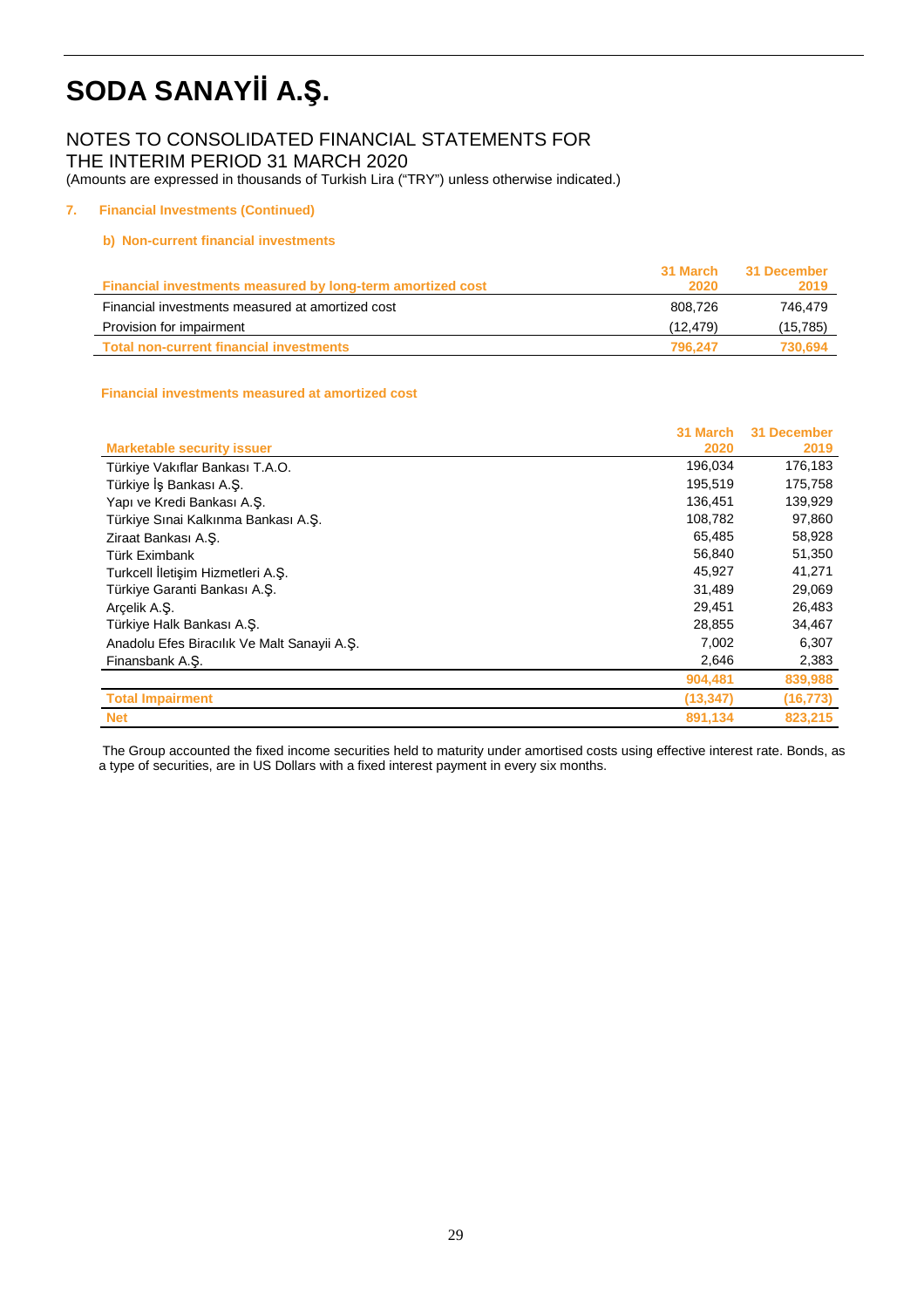# NOTES TO CONSOLIDATED FINANCIAL STATEMENTS FOR

THE INTERIM PERIOD 31 MARCH 2020

(Amounts are expressed in thousands of Turkish Lira ("TRY") unless otherwise indicated.)

## **7. Financial Investments (Continued)**

## **b) Non-current financial investments**

|                                                            | 31 March    | 31 December |
|------------------------------------------------------------|-------------|-------------|
| Financial investments measured by long-term amortized cost | <b>2020</b> | 2019        |
| Financial investments measured at amortized cost           | 808.726     | 746.479     |
| Provision for impairment                                   | (12.479)    | (15, 785)   |
| Total non-current financial investments                    | 796.247     | 730.694     |

### **Financial investments measured at amortized cost**

|                                             | 31 March  | <b>31 December</b> |
|---------------------------------------------|-----------|--------------------|
| <b>Marketable security issuer</b>           | 2020      | 2019               |
| Türkiye Vakıflar Bankası T.A.O.             | 196,034   | 176,183            |
| Türkiye İş Bankası A.Ş.                     | 195,519   | 175,758            |
| Yapı ve Kredi Bankası A.Ş.                  | 136,451   | 139,929            |
| Türkiye Sınai Kalkınma Bankası A.S.         | 108,782   | 97,860             |
| Ziraat Bankası A.S.                         | 65,485    | 58,928             |
| Türk Eximbank                               | 56,840    | 51,350             |
| Turkcell İletişim Hizmetleri A.Ş.           | 45,927    | 41,271             |
| Türkiye Garanti Bankası A.Ş.                | 31,489    | 29,069             |
| Arcelik A.S.                                | 29.451    | 26,483             |
| Türkiye Halk Bankası A.S.                   | 28,855    | 34,467             |
| Anadolu Efes Biracılık Ve Malt Sanayii A.Ş. | 7,002     | 6,307              |
| Finansbank A.S.                             | 2,646     | 2,383              |
|                                             | 904,481   | 839,988            |
| <b>Total Impairment</b>                     | (13, 347) | (16, 773)          |
| <b>Net</b>                                  | 891,134   | 823.215            |

 The Group accounted the fixed income securities held to maturity under amortised costs using effective interest rate. Bonds, as a type of securities, are in US Dollars with a fixed interest payment in every six months.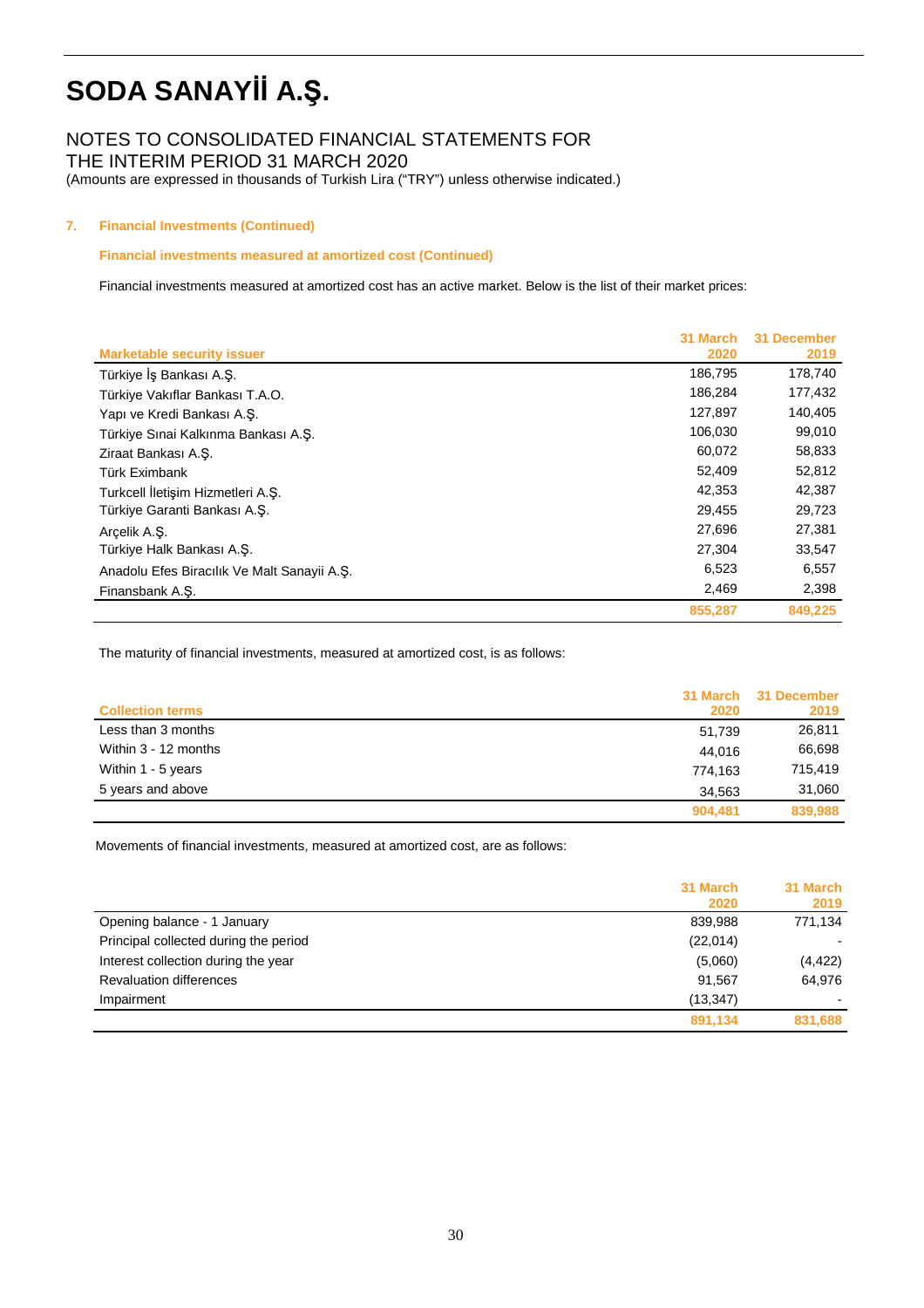## NOTES TO CONSOLIDATED FINANCIAL STATEMENTS FOR

THE INTERIM PERIOD 31 MARCH 2020

(Amounts are expressed in thousands of Turkish Lira ("TRY") unless otherwise indicated.)

## **7. Financial Investments (Continued)**

### **Financial investments measured at amortized cost (Continued)**

Financial investments measured at amortized cost has an active market. Below is the list of their market prices:

| <b>Marketable security issuer</b>           | 31 March<br>2020 | 31 December<br>2019 |
|---------------------------------------------|------------------|---------------------|
| Türkiye İş Bankası A.Ş.                     | 186,795          | 178,740             |
| Türkiye Vakıflar Bankası T.A.O.             | 186,284          | 177,432             |
| Yapı ve Kredi Bankası A.S.                  | 127,897          | 140,405             |
| Türkiye Sınai Kalkınma Bankası A.Ş.         | 106,030          | 99,010              |
| Ziraat Bankası A.Ş.                         | 60,072           | 58,833              |
| Türk Eximbank                               | 52,409           | 52,812              |
| Turkcell İletişim Hizmetleri A.S.           | 42,353           | 42,387              |
| Türkiye Garanti Bankası A.S.                | 29,455           | 29,723              |
| Arcelik A.S.                                | 27,696           | 27,381              |
| Türkiye Halk Bankası A.S.                   | 27,304           | 33,547              |
| Anadolu Efes Biracılık Ve Malt Sanayii A.Ş. | 6,523            | 6,557               |
| Finansbank A.S.                             | 2,469            | 2,398               |
|                                             | 855,287          | 849,225             |

The maturity of financial investments, measured at amortized cost, is as follows:

|                         |         | 31 March 31 December |
|-------------------------|---------|----------------------|
| <b>Collection terms</b> | 2020    | 2019                 |
| Less than 3 months      | 51,739  | 26,811               |
| Within 3 - 12 months    | 44.016  | 66,698               |
| Within 1 - 5 years      | 774.163 | 715.419              |
| 5 years and above       | 34.563  | 31,060               |
|                         | 904.481 | 839,988              |

Movements of financial investments, measured at amortized cost, are as follows:

|                                       | 31 March  | 31 March |
|---------------------------------------|-----------|----------|
|                                       | 2020      | 2019     |
| Opening balance - 1 January           | 839,988   | 771.134  |
| Principal collected during the period | (22,014)  |          |
| Interest collection during the year   | (5,060)   | (4, 422) |
| <b>Revaluation differences</b>        | 91.567    | 64,976   |
| Impairment                            | (13, 347) |          |
|                                       | 891,134   | 831,688  |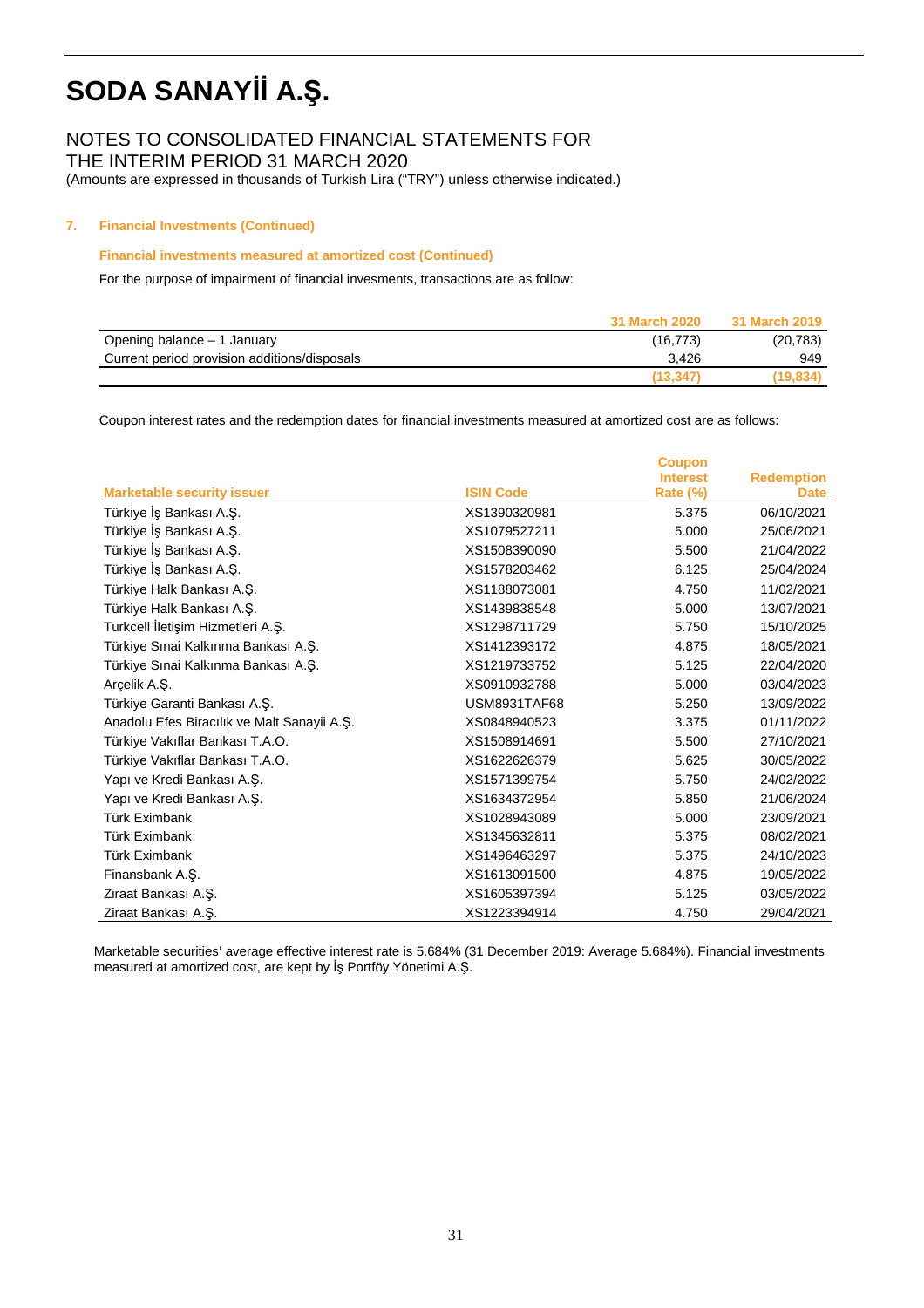## NOTES TO CONSOLIDATED FINANCIAL STATEMENTS FOR

THE INTERIM PERIOD 31 MARCH 2020

(Amounts are expressed in thousands of Turkish Lira ("TRY") unless otherwise indicated.)

### **7. Financial Investments (Continued)**

#### **Financial investments measured at amortized cost (Continued)**

For the purpose of impairment of financial invesments, transactions are as follow:

|                                              | 31 March 2020 | 31 March 2019 |
|----------------------------------------------|---------------|---------------|
| Opening balance – 1 January                  | (16, 773)     | (20, 783)     |
| Current period provision additions/disposals | 3.426         | 949           |
|                                              | (13, 347)     | (19, 834)     |

Coupon interest rates and the redemption dates for financial investments measured at amortized cost are as follows:

|                                             |                     | <b>Coupon</b>   |                   |
|---------------------------------------------|---------------------|-----------------|-------------------|
|                                             |                     | <b>Interest</b> | <b>Redemption</b> |
| <b>Marketable security issuer</b>           | <b>ISIN Code</b>    | Rate (%)        | <b>Date</b>       |
| Türkiye İş Bankası A.Ş.                     | XS1390320981        | 5.375           | 06/10/2021        |
| Türkiye İş Bankası A.Ş.                     | XS1079527211        | 5.000           | 25/06/2021        |
| Türkiye İş Bankası A.Ş.                     | XS1508390090        | 5.500           | 21/04/2022        |
| Türkiye İş Bankası A.Ş.                     | XS1578203462        | 6.125           | 25/04/2024        |
| Türkiye Halk Bankası A.Ş.                   | XS1188073081        | 4.750           | 11/02/2021        |
| Türkiye Halk Bankası A.Ş.                   | XS1439838548        | 5.000           | 13/07/2021        |
| Turkcell İletişim Hizmetleri A.Ş.           | XS1298711729        | 5.750           | 15/10/2025        |
| Türkiye Sınai Kalkınma Bankası A.Ş.         | XS1412393172        | 4.875           | 18/05/2021        |
| Türkiye Sınai Kalkınma Bankası A.Ş.         | XS1219733752        | 5.125           | 22/04/2020        |
| Arcelik A.S.                                | XS0910932788        | 5.000           | 03/04/2023        |
| Türkiye Garanti Bankası A.Ş.                | <b>USM8931TAF68</b> | 5.250           | 13/09/2022        |
| Anadolu Efes Biracılık ve Malt Sanayii A.Ş. | XS0848940523        | 3.375           | 01/11/2022        |
| Türkiye Vakıflar Bankası T.A.O.             | XS1508914691        | 5.500           | 27/10/2021        |
| Türkiye Vakıflar Bankası T.A.O.             | XS1622626379        | 5.625           | 30/05/2022        |
| Yapı ve Kredi Bankası A.Ş.                  | XS1571399754        | 5.750           | 24/02/2022        |
| Yapı ve Kredi Bankası A.Ş.                  | XS1634372954        | 5.850           | 21/06/2024        |
| <b>Türk Eximbank</b>                        | XS1028943089        | 5.000           | 23/09/2021        |
| <b>Türk Eximbank</b>                        | XS1345632811        | 5.375           | 08/02/2021        |
| <b>Türk Eximbank</b>                        | XS1496463297        | 5.375           | 24/10/2023        |
| Finansbank A.Ş.                             | XS1613091500        | 4.875           | 19/05/2022        |
| Ziraat Bankası A.Ş.                         | XS1605397394        | 5.125           | 03/05/2022        |
| Ziraat Bankası A.Ş.                         | XS1223394914        | 4.750           | 29/04/2021        |

Marketable securities' average effective interest rate is 5.684% (31 December 2019: Average 5.684%). Financial investments measured at amortized cost, are kept by İş Portföy Yönetimi A.Ş.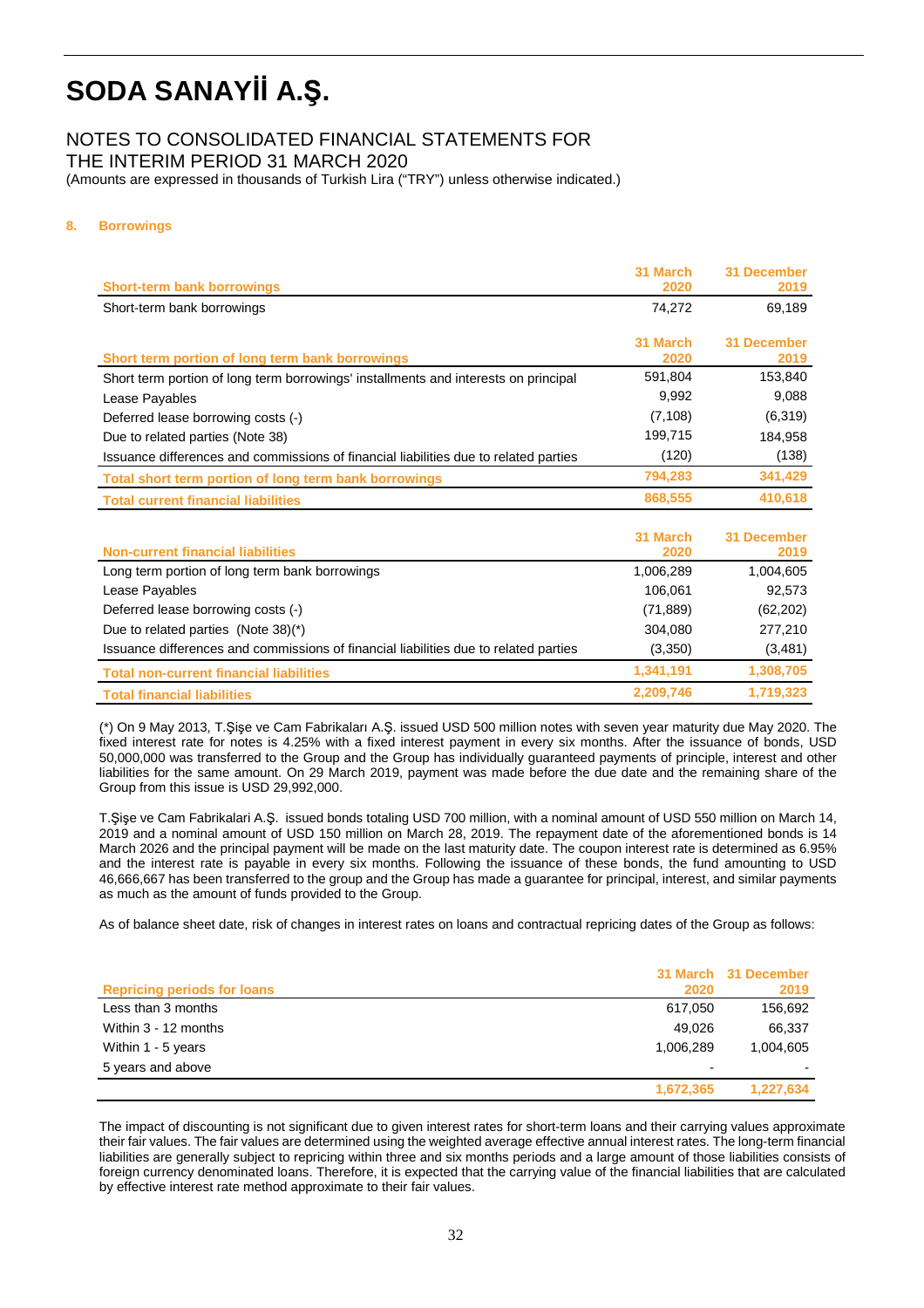## NOTES TO CONSOLIDATED FINANCIAL STATEMENTS FOR

THE INTERIM PERIOD 31 MARCH 2020

(Amounts are expressed in thousands of Turkish Lira ("TRY") unless otherwise indicated.)

## **8. Borrowings**

| <b>Short-term bank borrowings</b>                                                    | 31 March<br>2020 | 31 December<br>2019        |
|--------------------------------------------------------------------------------------|------------------|----------------------------|
| Short-term bank borrowings                                                           | 74,272           | 69,189                     |
|                                                                                      | 31 March         | 31 December                |
| Short term portion of long term bank borrowings                                      | 2020             | 2019                       |
| Short term portion of long term borrowings' installments and interests on principal  | 591,804          | 153,840                    |
| Lease Payables                                                                       | 9,992            | 9,088                      |
| Deferred lease borrowing costs (-)                                                   | (7, 108)         | (6, 319)                   |
| Due to related parties (Note 38)                                                     | 199,715          | 184,958                    |
| Issuance differences and commissions of financial liabilities due to related parties | (120)            | (138)                      |
| Total short term portion of long term bank borrowings                                | 794,283          | 341,429                    |
| <b>Total current financial liabilities</b>                                           | 868,555          | 410,618                    |
|                                                                                      |                  |                            |
| <b>Non-current financial liabilities</b>                                             | 31 March<br>2020 | <b>31 December</b><br>2019 |
| Long term portion of long term bank borrowings                                       | 1,006,289        | 1,004,605                  |
| Lease Payables                                                                       | 106,061          | 92,573                     |
| Deferred lease borrowing costs (-)                                                   | (71, 889)        | (62, 202)                  |
| Due to related parties (Note 38)(*)                                                  | 304,080          | 277,210                    |
| Issuance differences and commissions of financial liabilities due to related parties | (3,350)          | (3, 481)                   |
| <b>Total non-current financial liabilities</b>                                       | 1,341,191        | 1,308,705                  |

**Total financial liabilities 2,209,746 1,719,323**

(\*) On 9 May 2013, T.Şişe ve Cam Fabrikaları A.Ş. issued USD 500 million notes with seven year maturity due May 2020. The fixed interest rate for notes is 4.25% with a fixed interest payment in every six months. After the issuance of bonds, USD 50,000,000 was transferred to the Group and the Group has individually guaranteed payments of principle, interest and other liabilities for the same amount. On 29 March 2019, payment was made before the due date and the remaining share of the Group from this issue is USD 29,992,000.

T.Şişe ve Cam Fabrikalari A.Ş. issued bonds totaling USD 700 million, with a nominal amount of USD 550 million on March 14, 2019 and a nominal amount of USD 150 million on March 28, 2019. The repayment date of the aforementioned bonds is 14 March 2026 and the principal payment will be made on the last maturity date. The coupon interest rate is determined as 6.95% and the interest rate is payable in every six months. Following the issuance of these bonds, the fund amounting to USD 46,666,667 has been transferred to the group and the Group has made a guarantee for principal, interest, and similar payments as much as the amount of funds provided to the Group.

As of balance sheet date, risk of changes in interest rates on loans and contractual repricing dates of the Group as follows:

| <b>Repricing periods for loans</b> | 2020      | 31 March 31 December<br>2019 |
|------------------------------------|-----------|------------------------------|
| Less than 3 months                 | 617.050   | 156,692                      |
|                                    |           |                              |
| Within 3 - 12 months               | 49.026    | 66,337                       |
| Within 1 - 5 years                 | 1.006.289 | 1,004,605                    |
| 5 years and above                  |           |                              |
|                                    | 1,672,365 | 1,227,634                    |

The impact of discounting is not significant due to given interest rates for short-term loans and their carrying values approximate their fair values. The fair values are determined using the weighted average effective annual interest rates. The long-term financial liabilities are generally subject to repricing within three and six months periods and a large amount of those liabilities consists of foreign currency denominated loans. Therefore, it is expected that the carrying value of the financial liabilities that are calculated by effective interest rate method approximate to their fair values.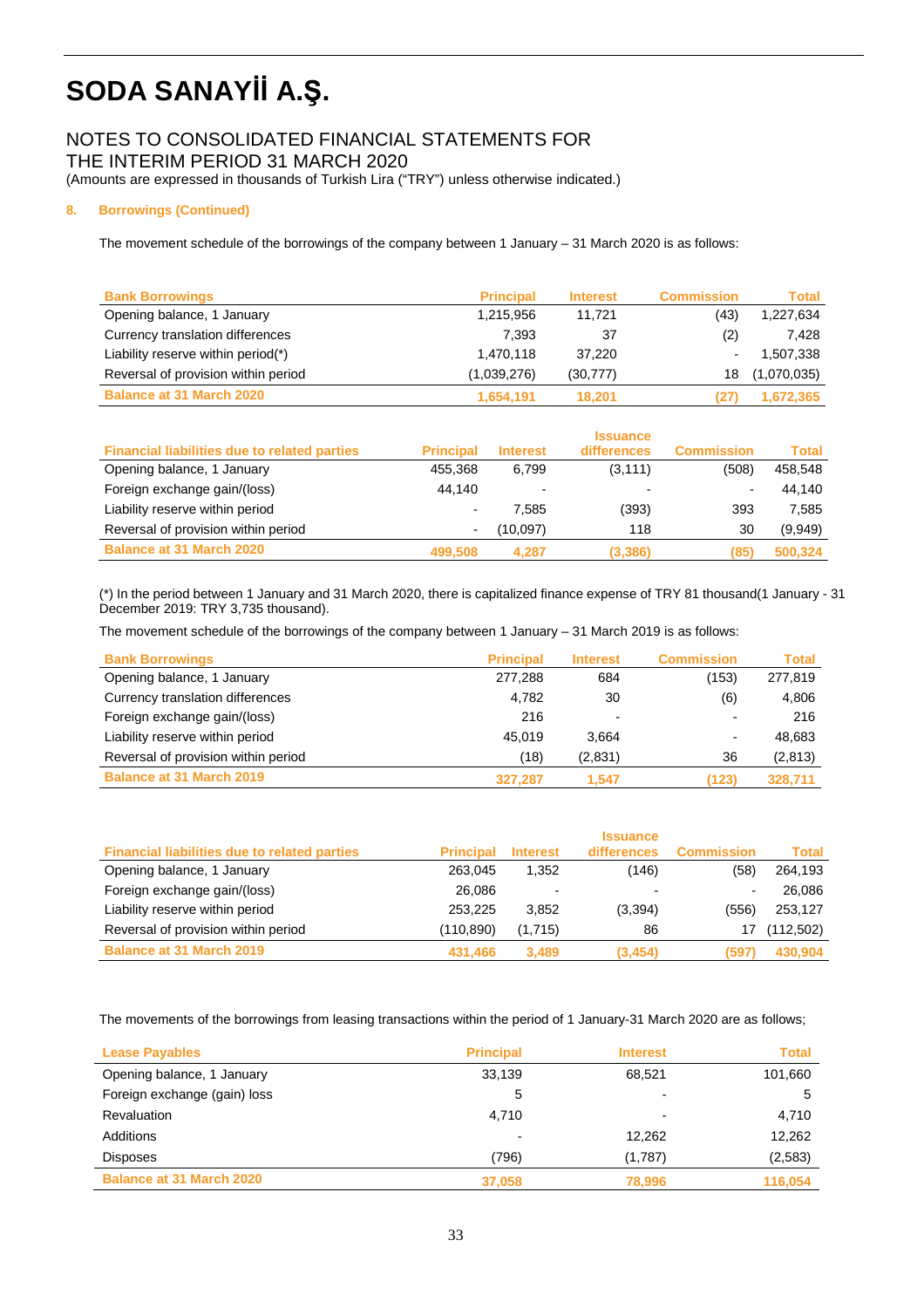# NOTES TO CONSOLIDATED FINANCIAL STATEMENTS FOR

THE INTERIM PERIOD 31 MARCH 2020

(Amounts are expressed in thousands of Turkish Lira ("TRY") unless otherwise indicated.)

## **8. Borrowings (Continued)**

The movement schedule of the borrowings of the company between 1 January – 31 March 2020 is as follows:

| <b>Bank Borrowings</b>              | <b>Principal</b> | <b>Interest</b> | <b>Commission</b> | Total       |
|-------------------------------------|------------------|-----------------|-------------------|-------------|
| Opening balance, 1 January          | 1,215,956        | 11.721          | (43)              | 1,227,634   |
| Currency translation differences    | 7.393            | 37              | (2)               | 7.428       |
| Liability reserve within period(*)  | 1,470,118        | 37.220          | -                 | 507,338. ا  |
| Reversal of provision within period | (1,039,276)      | (30, 777)       | 18                | (1,070,035) |
| <b>Balance at 31 March 2020</b>     | 1,654,191        | 18.201          | 127               | 1,672,365   |

|                                                     |                  |                          | <b>Issuance</b> |                   |              |
|-----------------------------------------------------|------------------|--------------------------|-----------------|-------------------|--------------|
| <b>Financial liabilities due to related parties</b> | <b>Principal</b> | <b>Interest</b>          | differences     | <b>Commission</b> | <b>Total</b> |
| Opening balance, 1 January                          | 455,368          | 6.799                    | (3, 111)        | (508)             | 458,548      |
| Foreign exchange gain/(loss)                        | 44.140           | $\overline{\phantom{0}}$ |                 |                   | 44.140       |
| Liability reserve within period                     | ٠                | 7.585                    | (393)           | 393               | 7.585        |
| Reversal of provision within period                 | -                | (10,097)                 | 118             | 30                | (9,949)      |
| <b>Balance at 31 March 2020</b>                     | 499,508          | 4.287                    | (3,386)         | (85)              | 500,324      |

(\*) In the period between 1 January and 31 March 2020, there is capitalized finance expense of TRY 81 thousand(1 January - 31 December 2019: TRY 3,735 thousand).

The movement schedule of the borrowings of the company between 1 January – 31 March 2019 is as follows:

| <b>Bank Borrowings</b>              | <b>Principal</b> | <b>Interest</b> | <b>Commission</b> | Total    |
|-------------------------------------|------------------|-----------------|-------------------|----------|
| Opening balance, 1 January          | 277.288          | 684             | (153)             | 277,819  |
| Currency translation differences    | 4,782            | 30              | (6)               | 4,806    |
| Foreign exchange gain/(loss)        | 216              | -               |                   | 216      |
| Liability reserve within period     | 45.019           | 3.664           | $\blacksquare$    | 48.683   |
| Reversal of provision within period | (18)             | (2,831)         | 36                | (2, 813) |
| <b>Balance at 31 March 2019</b>     | 327.287          | 1.547           | (123)             | 328,711  |

|                                                     |                  |                 | <b>Issuance</b> |                   |            |
|-----------------------------------------------------|------------------|-----------------|-----------------|-------------------|------------|
| <b>Financial liabilities due to related parties</b> | <b>Principal</b> | <b>Interest</b> | differences     | <b>Commission</b> | Total      |
| Opening balance, 1 January                          | 263.045          | 1,352           | (146)           | (58)              | 264,193    |
| Foreign exchange gain/(loss)                        | 26,086           | $\blacksquare$  | -               |                   | 26,086     |
| Liability reserve within period                     | 253.225          | 3.852           | (3,394)         | (556)             | 253,127    |
| Reversal of provision within period                 | (110,890)        | (1,715)         | 86              |                   | (112, 502) |
| <b>Balance at 31 March 2019</b>                     | 431.466          | 3.489           | (3, 454)        | (597)             | 430,904    |

The movements of the borrowings from leasing transactions within the period of 1 January-31 March 2020 are as follows;

| <b>Lease Payables</b>           | <b>Principal</b> | <b>Interest</b> | <b>Total</b> |
|---------------------------------|------------------|-----------------|--------------|
| Opening balance, 1 January      | 33,139           | 68,521          | 101,660      |
| Foreign exchange (gain) loss    | 5                |                 | 5            |
| Revaluation                     | 4.710            |                 | 4,710        |
| Additions                       |                  | 12,262          | 12,262       |
| <b>Disposes</b>                 | (796)            | (1,787)         | (2, 583)     |
| <b>Balance at 31 March 2020</b> | 37,058           | 78,996          | 116.054      |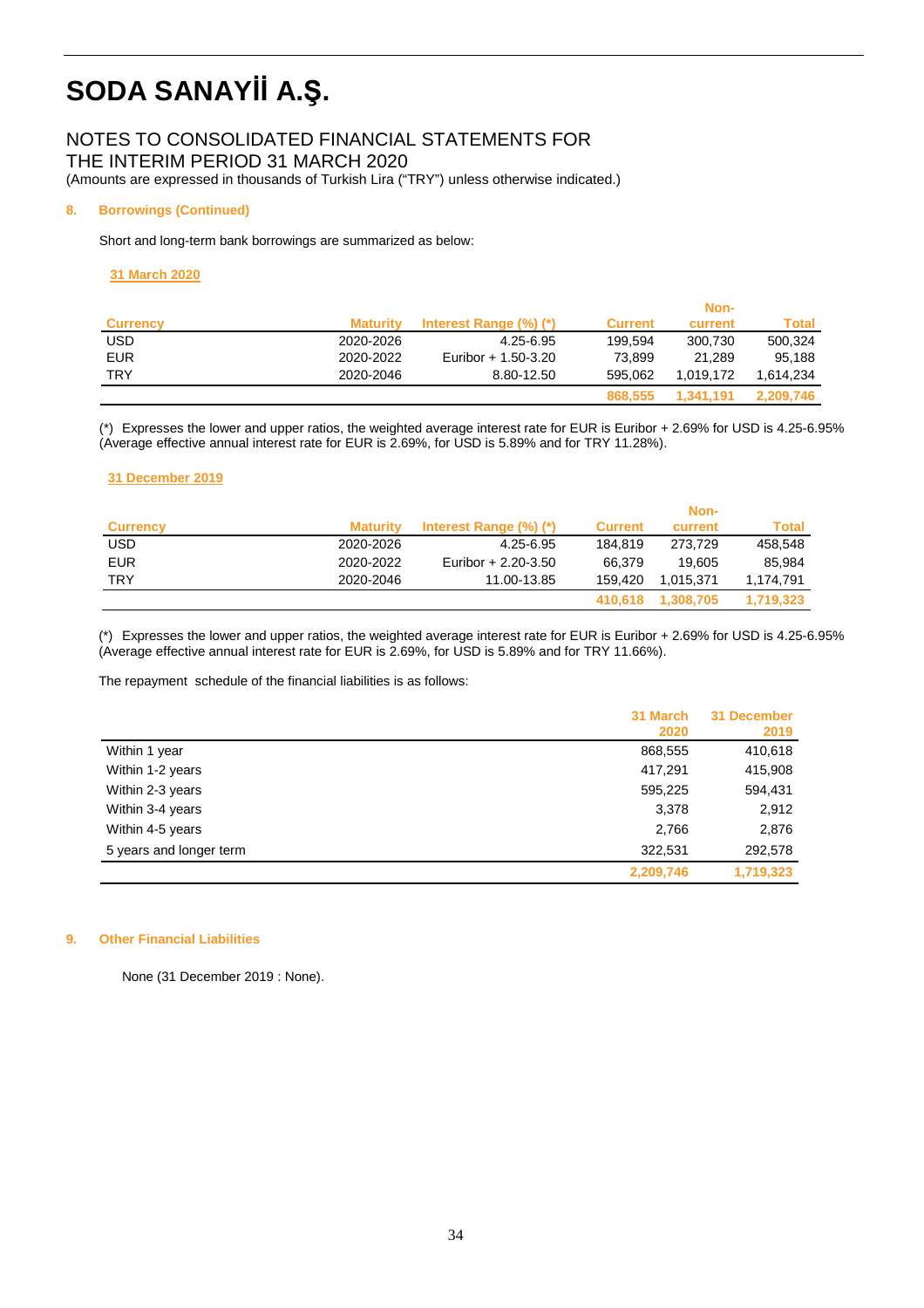## NOTES TO CONSOLIDATED FINANCIAL STATEMENTS FOR

THE INTERIM PERIOD 31 MARCH 2020

(Amounts are expressed in thousands of Turkish Lira ("TRY") unless otherwise indicated.)

## **8. Borrowings (Continued)**

Short and long-term bank borrowings are summarized as below:

### **31 March 2020**

|                 |                 |                        |                | Non-      |           |
|-----------------|-----------------|------------------------|----------------|-----------|-----------|
| <b>Currency</b> | <b>Maturity</b> | Interest Range (%) (*) | <b>Current</b> | current   | Total     |
| USD             | 2020-2026       | 4.25-6.95              | 199.594        | 300.730   | 500.324   |
| <b>EUR</b>      | 2020-2022       | Euribor + 1.50-3.20    | 73.899         | 21.289    | 95.188    |
| <b>TRY</b>      | 2020-2046       | 8.80-12.50             | 595.062        | 1.019.172 | 1.614.234 |
|                 |                 |                        | 868,555        | 1.341.191 | 2.209.746 |

(\*) Expresses the lower and upper ratios, the weighted average interest rate for EUR is Euribor + 2.69% for USD is 4.25-6.95% (Average effective annual interest rate for EUR is 2.69%, for USD is 5.89% and for TRY 11.28%).

## **31 December 2019**

|                 |                 |                        |                | Non-      |           |
|-----------------|-----------------|------------------------|----------------|-----------|-----------|
| <b>Currency</b> | <b>Maturity</b> | Interest Range (%) (*) | <b>Current</b> | current   | Total     |
| USD             | 2020-2026       | 4.25-6.95              | 184.819        | 273.729   | 458.548   |
| <b>EUR</b>      | 2020-2022       | Euribor + 2.20-3.50    | 66.379         | 19.605    | 85.984    |
| TRY             | 2020-2046       | 11.00-13.85            | 159.420        | 1.015.371 | 1.174.791 |
|                 |                 |                        | 410.618        | 1.308.705 | 1.719.323 |

(\*) Expresses the lower and upper ratios, the weighted average interest rate for EUR is Euribor + 2.69% for USD is 4.25-6.95% (Average effective annual interest rate for EUR is 2.69%, for USD is 5.89% and for TRY 11.66%).

The repayment schedule of the financial liabilities is as follows:

|                         | 31 March<br>2020 | 31 December<br>2019 |
|-------------------------|------------------|---------------------|
| Within 1 year           | 868,555          | 410,618             |
| Within 1-2 years        | 417,291          | 415,908             |
| Within 2-3 years        | 595,225          | 594,431             |
| Within 3-4 years        | 3,378            | 2,912               |
| Within 4-5 years        | 2,766            | 2,876               |
| 5 years and longer term | 322,531          | 292,578             |
|                         | 2,209,746        | 1,719,323           |

### **9. Other Financial Liabilities**

None (31 December 2019 : None).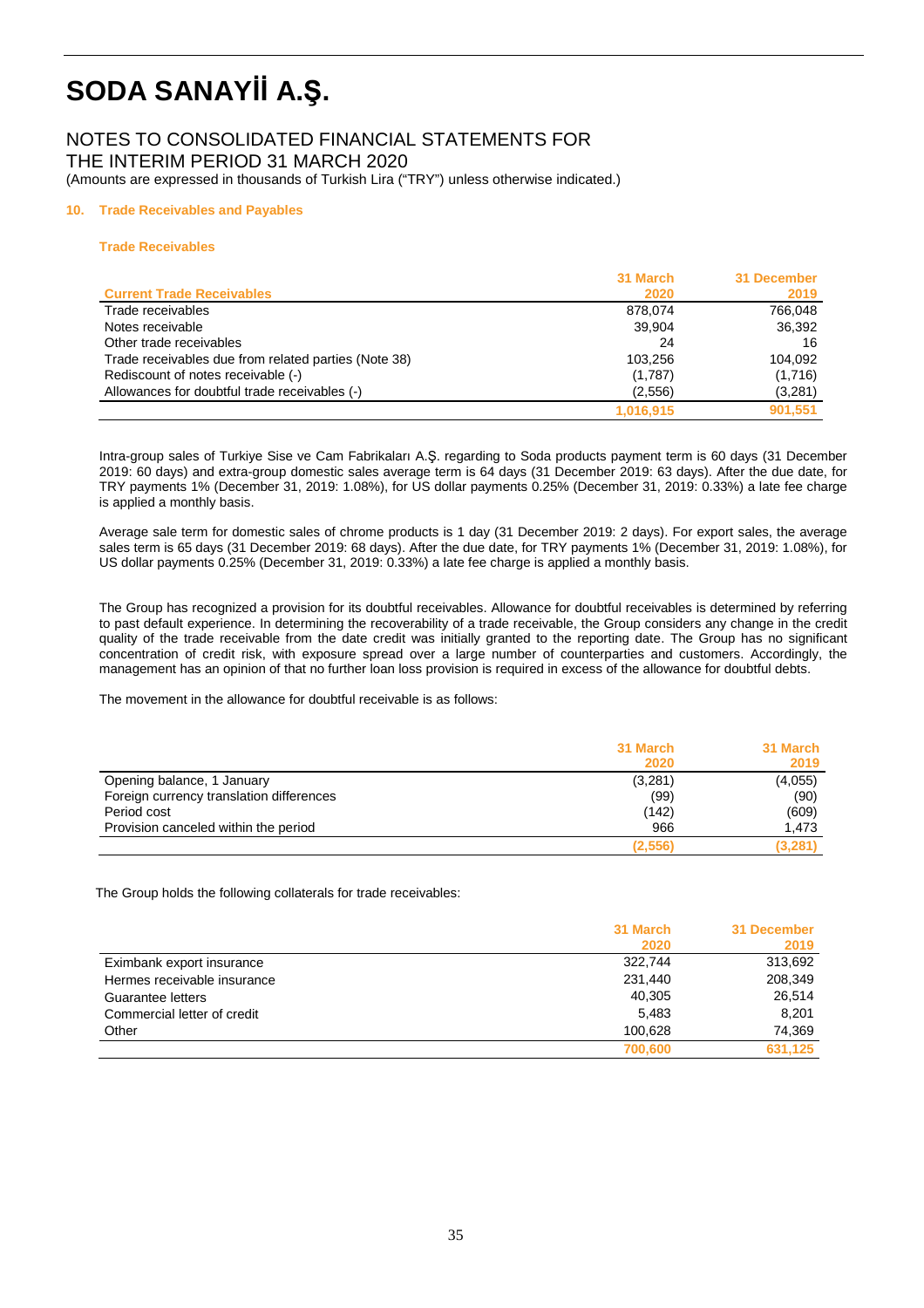### NOTES TO CONSOLIDATED FINANCIAL STATEMENTS FOR THE INTERIM PERIOD 31 MARCH 2020

(Amounts are expressed in thousands of Turkish Lira ("TRY") unless otherwise indicated.)

#### **10. Trade Receivables and Payables**

#### **Trade Receivables**

|                                                      | 31 March  | 31 December |
|------------------------------------------------------|-----------|-------------|
| <b>Current Trade Receivables</b>                     | 2020      | 2019        |
| Trade receivables                                    | 878.074   | 766.048     |
| Notes receivable                                     | 39,904    | 36,392      |
| Other trade receivables                              | 24        | 16          |
| Trade receivables due from related parties (Note 38) | 103.256   | 104.092     |
| Rediscount of notes receivable (-)                   | (1,787)   | (1,716)     |
| Allowances for doubtful trade receivables (-)        | (2,556)   | (3,281)     |
|                                                      | 1,016,915 | 901.551     |

Intra-group sales of Turkiye Sise ve Cam Fabrikaları A.Ş. regarding to Soda products payment term is 60 days (31 December 2019: 60 days) and extra-group domestic sales average term is 64 days (31 December 2019: 63 days). After the due date, for TRY payments 1% (December 31, 2019: 1.08%), for US dollar payments 0.25% (December 31, 2019: 0.33%) a late fee charge is applied a monthly basis.

Average sale term for domestic sales of chrome products is 1 day (31 December 2019: 2 days). For export sales, the average sales term is 65 days (31 December 2019: 68 days). After the due date, for TRY payments 1% (December 31, 2019: 1.08%), for US dollar payments 0.25% (December 31, 2019: 0.33%) a late fee charge is applied a monthly basis.

The Group has recognized a provision for its doubtful receivables. Allowance for doubtful receivables is determined by referring to past default experience. In determining the recoverability of a trade receivable, the Group considers any change in the credit quality of the trade receivable from the date credit was initially granted to the reporting date. The Group has no significant concentration of credit risk, with exposure spread over a large number of counterparties and customers. Accordingly, the management has an opinion of that no further loan loss provision is required in excess of the allowance for doubtful debts.

The movement in the allowance for doubtful receivable is as follows:

|                                          | 31 March | 31 March |
|------------------------------------------|----------|----------|
|                                          | 2020     | 2019     |
| Opening balance, 1 January               | (3,281)  | (4,055)  |
| Foreign currency translation differences | (99)     | (90)     |
| Period cost                              | (142)    | (609)    |
| Provision canceled within the period     | 966      | 1,473    |
|                                          | (2,556)  | (3, 281) |

The Group holds the following collaterals for trade receivables:

|                             | 31 March<br>2020 | 31 December<br>2019 |
|-----------------------------|------------------|---------------------|
| Eximbank export insurance   | 322.744          | 313,692             |
| Hermes receivable insurance | 231,440          | 208,349             |
| Guarantee letters           | 40,305           | 26,514              |
| Commercial letter of credit | 5.483            | 8.201               |
| Other                       | 100.628          | 74,369              |
|                             | 700,600          | 631.125             |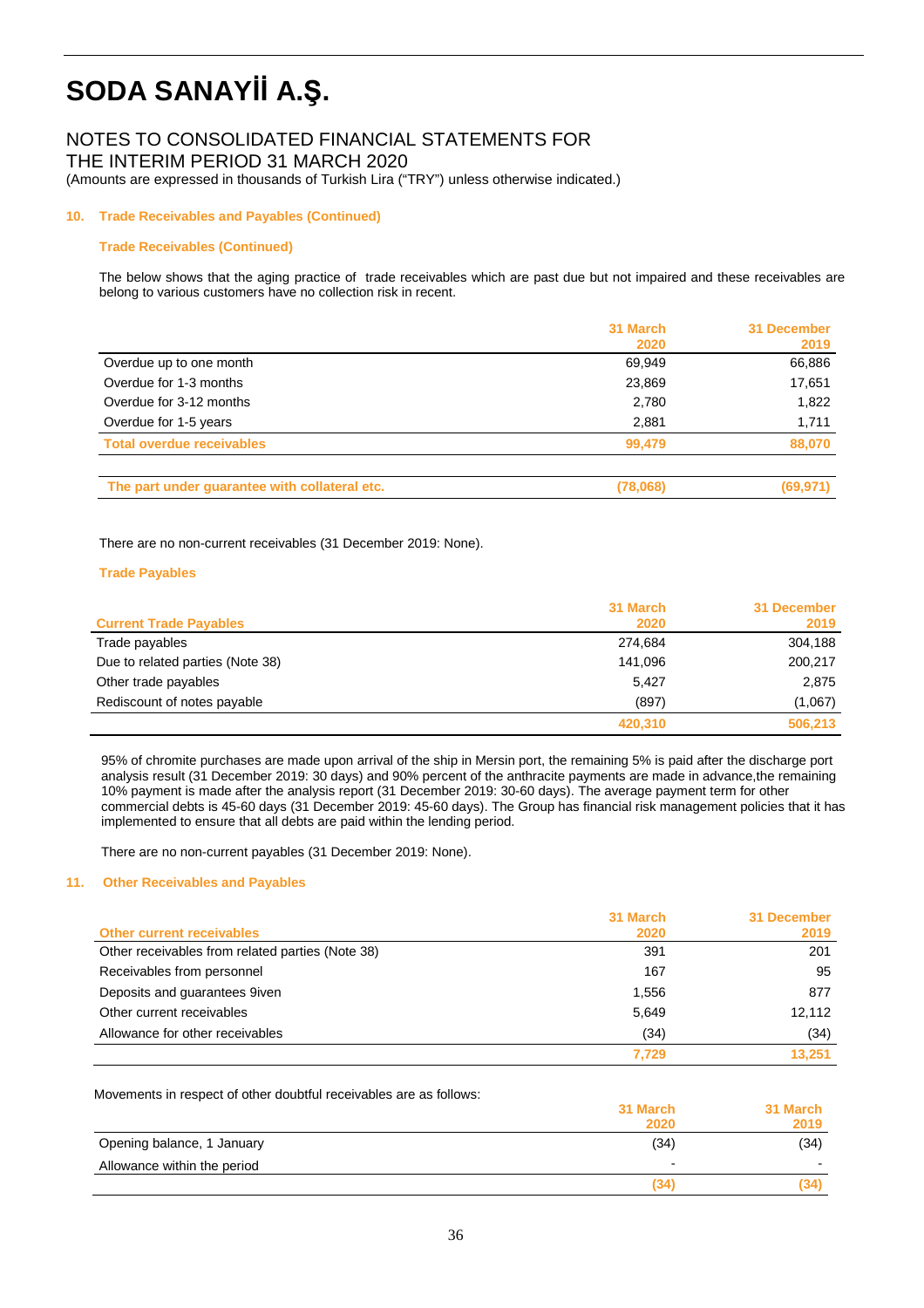### NOTES TO CONSOLIDATED FINANCIAL STATEMENTS FOR

THE INTERIM PERIOD 31 MARCH 2020

(Amounts are expressed in thousands of Turkish Lira ("TRY") unless otherwise indicated.)

#### **10. Trade Receivables and Payables (Continued)**

#### **Trade Receivables (Continued)**

 The below shows that the aging practice of trade receivables which are past due but not impaired and these receivables are belong to various customers have no collection risk in recent.

|                                               | 31 March | 31 December |
|-----------------------------------------------|----------|-------------|
|                                               | 2020     | 2019        |
| Overdue up to one month                       | 69,949   | 66,886      |
| Overdue for 1-3 months                        | 23,869   | 17,651      |
| Overdue for 3-12 months                       | 2,780    | 1,822       |
| Overdue for 1-5 years                         | 2,881    | 1,711       |
| <b>Total overdue receivables</b>              | 99.479   | 88,070      |
| The part under guarantee with collateral etc. | (78,068) | (69, 971)   |

There are no non-current receivables (31 December 2019: None).

#### **Trade Payables**

|                                  | 31 March | 31 December |
|----------------------------------|----------|-------------|
| <b>Current Trade Payables</b>    | 2020     | 2019        |
| Trade payables                   | 274,684  | 304,188     |
| Due to related parties (Note 38) | 141.096  | 200,217     |
| Other trade payables             | 5.427    | 2,875       |
| Rediscount of notes payable      | (897)    | (1,067)     |
|                                  | 420,310  | 506,213     |

95% of chromite purchases are made upon arrival of the ship in Mersin port, the remaining 5% is paid after the discharge port analysis result (31 December 2019: 30 days) and 90% percent of the anthracite payments are made in advance,the remaining 10% payment is made after the analysis report (31 December 2019: 30-60 days). The average payment term for other commercial debts is 45-60 days (31 December 2019: 45-60 days). The Group has financial risk management policies that it has implemented to ensure that all debts are paid within the lending period.

There are no non-current payables (31 December 2019: None).

#### **11. Other Receivables and Payables**

|                                                  | 31 March | 31 December |
|--------------------------------------------------|----------|-------------|
| <b>Other current receivables</b>                 | 2020     | 2019        |
| Other receivables from related parties (Note 38) | 391      | 201         |
| Receivables from personnel                       | 167      | 95          |
| Deposits and guarantees 9iven                    | 1,556    | 877         |
| Other current receivables                        | 5,649    | 12.112      |
| Allowance for other receivables                  | (34)     | (34)        |
|                                                  | 7,729    | 13,251      |

Movements in respect of other doubtful receivables are as follows:

|                             | 31 March                 | 31 March |
|-----------------------------|--------------------------|----------|
|                             | 2020                     | 2019     |
| Opening balance, 1 January  | (34)                     | (34)     |
| Allowance within the period | $\overline{\phantom{0}}$ |          |
|                             | (34)                     | (34)     |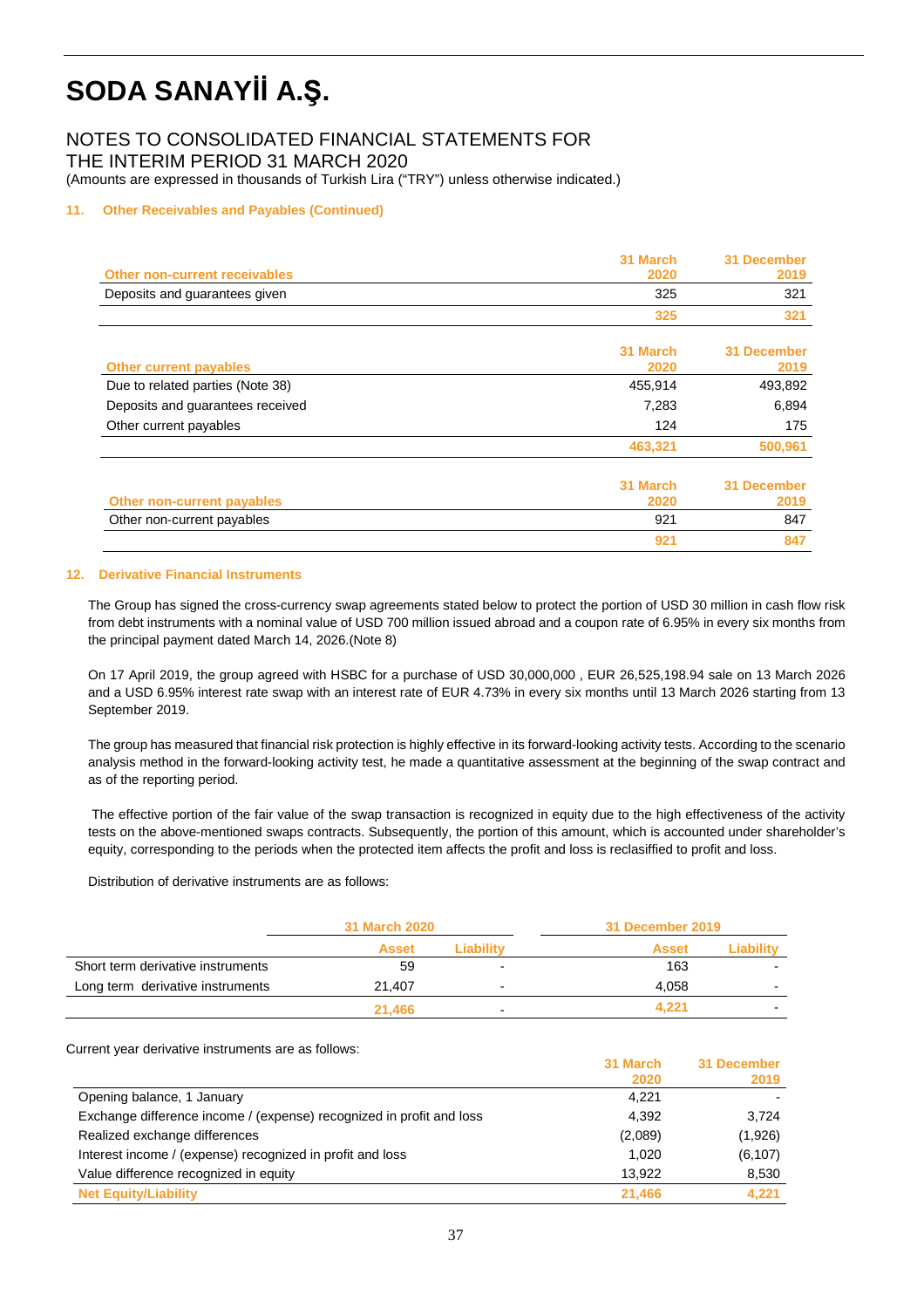NOTES TO CONSOLIDATED FINANCIAL STATEMENTS FOR THE INTERIM PERIOD 31 MARCH 2020

(Amounts are expressed in thousands of Turkish Lira ("TRY") unless otherwise indicated.)

#### **11. Other Receivables and Payables (Continued)**

| <b>Other non-current receivables</b> | 31 March<br>2020 | <b>31 December</b><br>2019 |
|--------------------------------------|------------------|----------------------------|
| Deposits and guarantees given        | 325              | 321                        |
|                                      | 325              | 321                        |
| <b>Other current payables</b>        | 31 March<br>2020 | <b>31 December</b><br>2019 |
| Due to related parties (Note 38)     | 455,914          | 493,892                    |
| Deposits and guarantees received     | 7,283            | 6,894                      |
| Other current payables               | 124              | 175                        |
|                                      | 463,321          | 500,961                    |
| <b>Other non-current payables</b>    | 31 March<br>2020 | <b>31 December</b><br>2019 |
| Other non-current payables           | 921              | 847                        |
|                                      | 921              | 847                        |

#### **12. Derivative Financial Instruments**

The Group has signed the cross-currency swap agreements stated below to protect the portion of USD 30 million in cash flow risk from debt instruments with a nominal value of USD 700 million issued abroad and a coupon rate of 6.95% in every six months from the principal payment dated March 14, 2026.(Note 8)

On 17 April 2019, the group agreed with HSBC for a purchase of USD 30,000,000 , EUR 26,525,198.94 sale on 13 March 2026 and a USD 6.95% interest rate swap with an interest rate of EUR 4.73% in every six months until 13 March 2026 starting from 13 September 2019.

The group has measured that financial risk protection is highly effective in its forward-looking activity tests. According to the scenario analysis method in the forward-looking activity test, he made a quantitative assessment at the beginning of the swap contract and as of the reporting period.

 The effective portion of the fair value of the swap transaction is recognized in equity due to the high effectiveness of the activity tests on the above-mentioned swaps contracts. Subsequently, the portion of this amount, which is accounted under shareholder's equity, corresponding to the periods when the protected item affects the profit and loss is reclasiffied to profit and loss.

Distribution of derivative instruments are as follows:

|                                   | <b>31 March 2020</b> |                          | 31 December 2019 |            |
|-----------------------------------|----------------------|--------------------------|------------------|------------|
|                                   | <b>Asset</b>         | Liabilitv                | <b>Asset</b>     | ⊥Liabilitv |
| Short term derivative instruments | 59                   | $\overline{\phantom{0}}$ | 163              |            |
| Long term derivative instruments  | 21,407               | $\overline{\phantom{0}}$ | 4.058            | -          |
|                                   | 21.466               | $\overline{\phantom{0}}$ | 4.221            | -          |

Current year derivative instruments are as follows:

|                                                                      | 31 March | 31 December |
|----------------------------------------------------------------------|----------|-------------|
|                                                                      | 2020     | 2019        |
| Opening balance, 1 January                                           | 4.221    |             |
| Exchange difference income / (expense) recognized in profit and loss | 4,392    | 3.724       |
| Realized exchange differences                                        | (2,089)  | (1,926)     |
| Interest income / (expense) recognized in profit and loss            | 1,020    | (6, 107)    |
| Value difference recognized in equity                                | 13.922   | 8,530       |
| <b>Net Equity/Liability</b>                                          | 21.466   | 4.221       |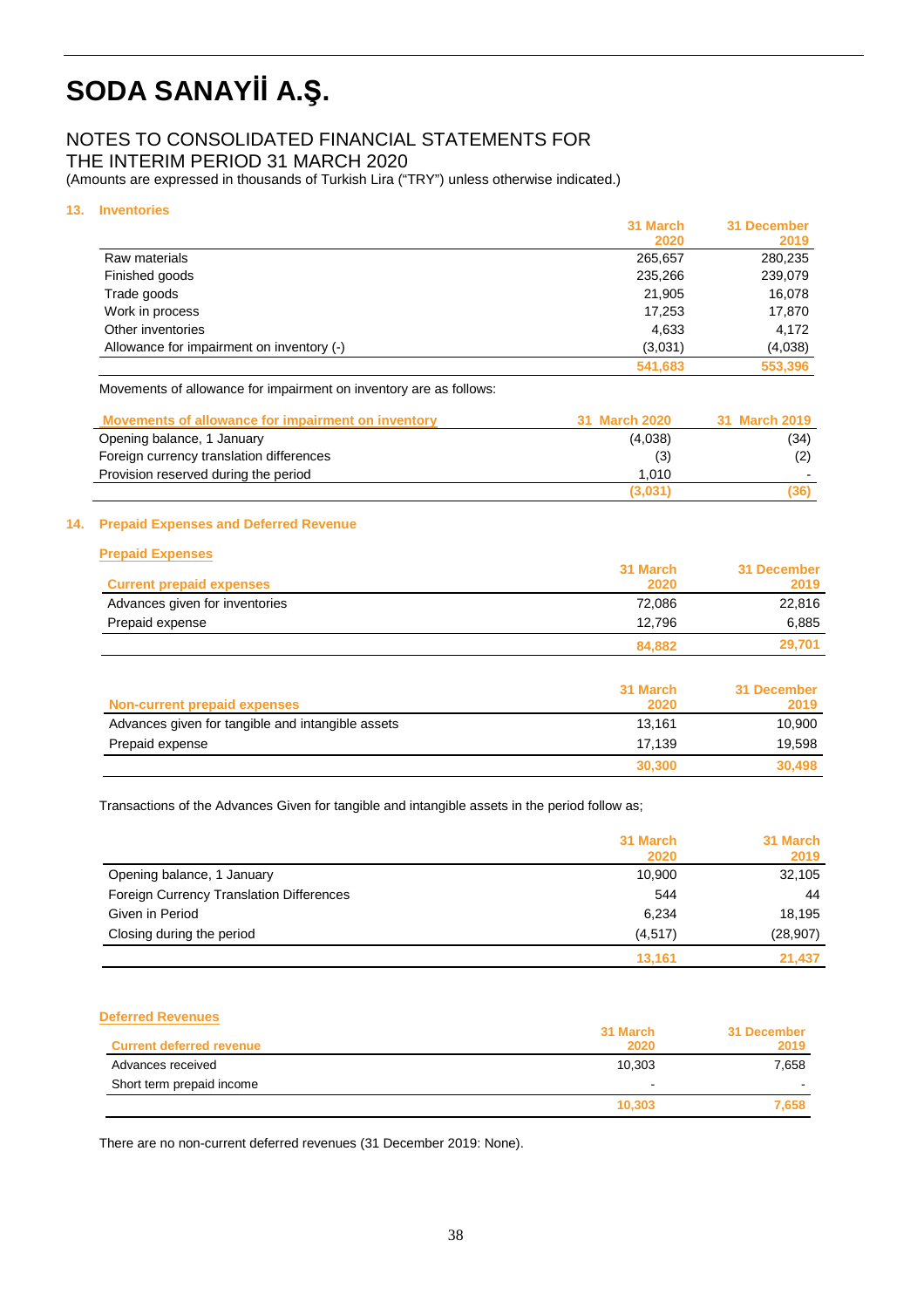### NOTES TO CONSOLIDATED FINANCIAL STATEMENTS FOR

THE INTERIM PERIOD 31 MARCH 2020

(Amounts are expressed in thousands of Turkish Lira ("TRY") unless otherwise indicated.)

#### **13. Inventories**

|                                           | 31 March | 31 December |
|-------------------------------------------|----------|-------------|
|                                           | 2020     | 2019        |
| Raw materials                             | 265,657  | 280,235     |
| Finished goods                            | 235,266  | 239,079     |
| Trade goods                               | 21.905   | 16,078      |
| Work in process                           | 17,253   | 17,870      |
| Other inventories                         | 4,633    | 4.172       |
| Allowance for impairment on inventory (-) | (3,031)  | (4,038)     |
|                                           | 541,683  | 553,396     |

Movements of allowance for impairment on inventory are as follows:

| Movements of allowance for impairment on inventory | 31 March 2020 | 31 March 2019 |
|----------------------------------------------------|---------------|---------------|
| Opening balance, 1 January                         | (4,038)       | (34)          |
| Foreign currency translation differences           | (3)           |               |
| Provision reserved during the period               | 1.010         |               |
|                                                    | (3,031)       | (36)          |

#### **14. Prepaid Expenses and Deferred Revenue**

| <b>Prepaid Expenses</b>         |          |             |
|---------------------------------|----------|-------------|
|                                 | 31 March | 31 December |
| <b>Current prepaid expenses</b> | 2020     | 2019        |
| Advances given for inventories  | 72,086   | 22,816      |
| Prepaid expense                 | 12.796   | 6,885       |
|                                 | 84,882   | 29,701      |
|                                 | 31 March | 31 December |
| Non-currant propoid ovnances    | ാറാറ     | 2010        |

| Non-current prepaid expenses                      | 2020   | 2019   |
|---------------------------------------------------|--------|--------|
| Advances given for tangible and intangible assets | 13.161 | 10.900 |
| Prepaid expense                                   | 17.139 | 19,598 |
|                                                   | 30,300 | 30.498 |

Transactions of the Advances Given for tangible and intangible assets in the period follow as;

|                                          | 31 March<br>2020 | 31 March<br>2019 |
|------------------------------------------|------------------|------------------|
| Opening balance, 1 January               | 10,900           | 32,105           |
| Foreign Currency Translation Differences | 544              | 44               |
| Given in Period                          | 6,234            | 18,195           |
| Closing during the period                | (4, 517)         | (28, 907)        |
|                                          | 13.161           | 21.437           |

#### **Deferred Revenues**

|                                 | 31 March | 31 December |
|---------------------------------|----------|-------------|
| <b>Current deferred revenue</b> | 2020     | 2019        |
| Advances received               | 10,303   | 7.658       |
| Short term prepaid income       |          |             |
|                                 | 10,303   | 7.658       |

There are no non-current deferred revenues (31 December 2019: None).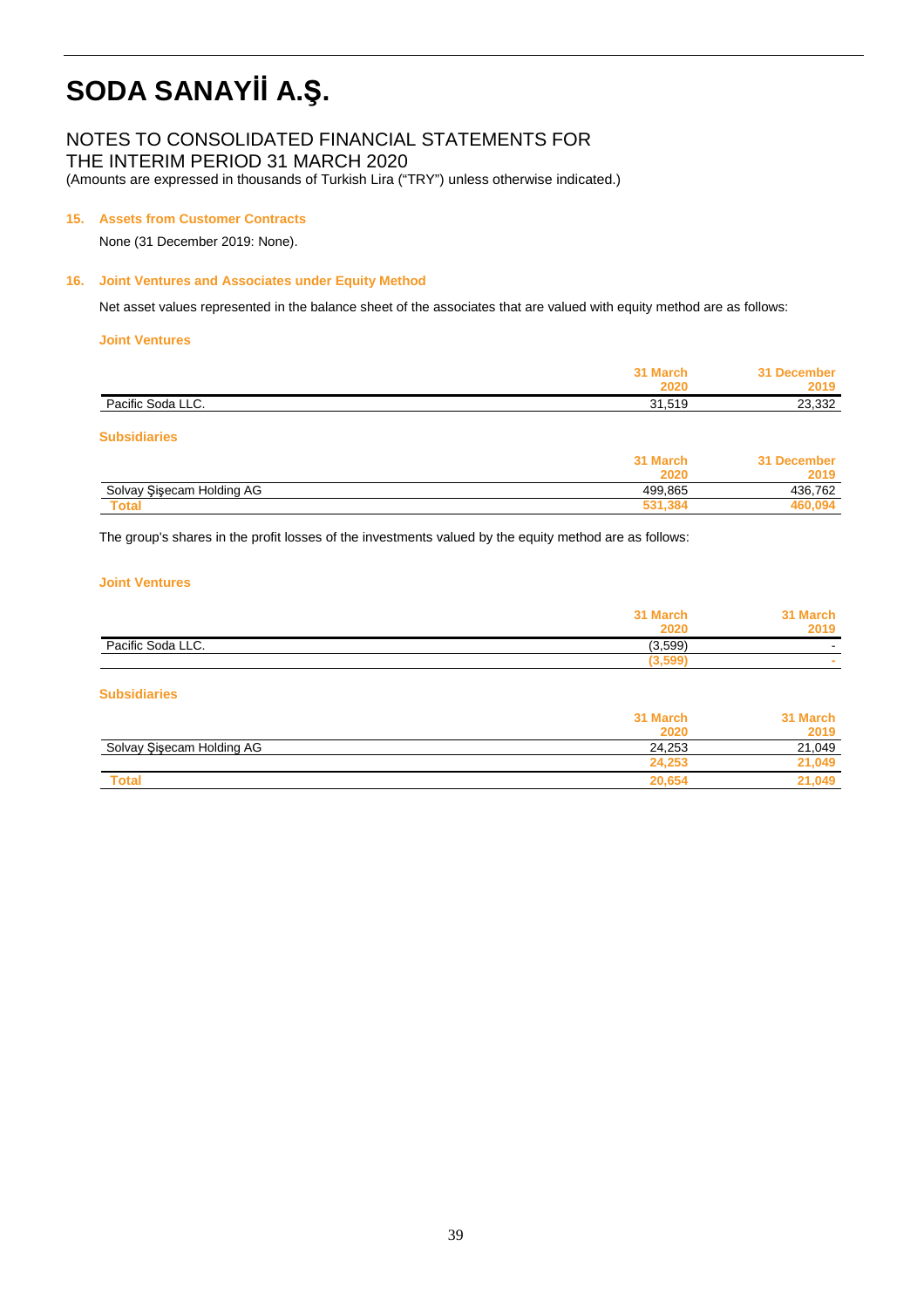### NOTES TO CONSOLIDATED FINANCIAL STATEMENTS FOR

THE INTERIM PERIOD 31 MARCH 2020

(Amounts are expressed in thousands of Turkish Lira ("TRY") unless otherwise indicated.)

#### **15. Assets from Customer Contracts**

None (31 December 2019: None).

#### **16. Joint Ventures and Associates under Equity Method**

Net asset values represented in the balance sheet of the associates that are valued with equity method are as follows:

#### **Joint Ventures**

|                           | 31 March<br>2020 | 31 December<br>2019 |
|---------------------------|------------------|---------------------|
| Pacific Soda LLC.         | 31,519           | 23,332              |
| <b>Subsidiaries</b>       |                  |                     |
|                           | 31 March         | 31 December         |
|                           | 2020             | 2019                |
| Solvay Sisecam Holding AG | 499,865          | 436.762             |

 **Total 531,384 460,094**

The group's shares in the profit losses of the investments valued by the equity method are as follows:

#### **Joint Ventures**

|                   | 31 March |                          |
|-------------------|----------|--------------------------|
|                   | 2020     | 2019                     |
| Pacific Soda LLC. | (3,599)  | $\sim$                   |
|                   | 3,599    | $\overline{\phantom{a}}$ |

#### **Subsidiaries**

|                           | 31 March | 31 March |
|---------------------------|----------|----------|
|                           | 2020     | 2019     |
| Solvay Şişecam Holding AG | 24.253   | 21.049   |
|                           | 24,253   | 21.049   |
| <b>Total</b>              | 20.654   | .049     |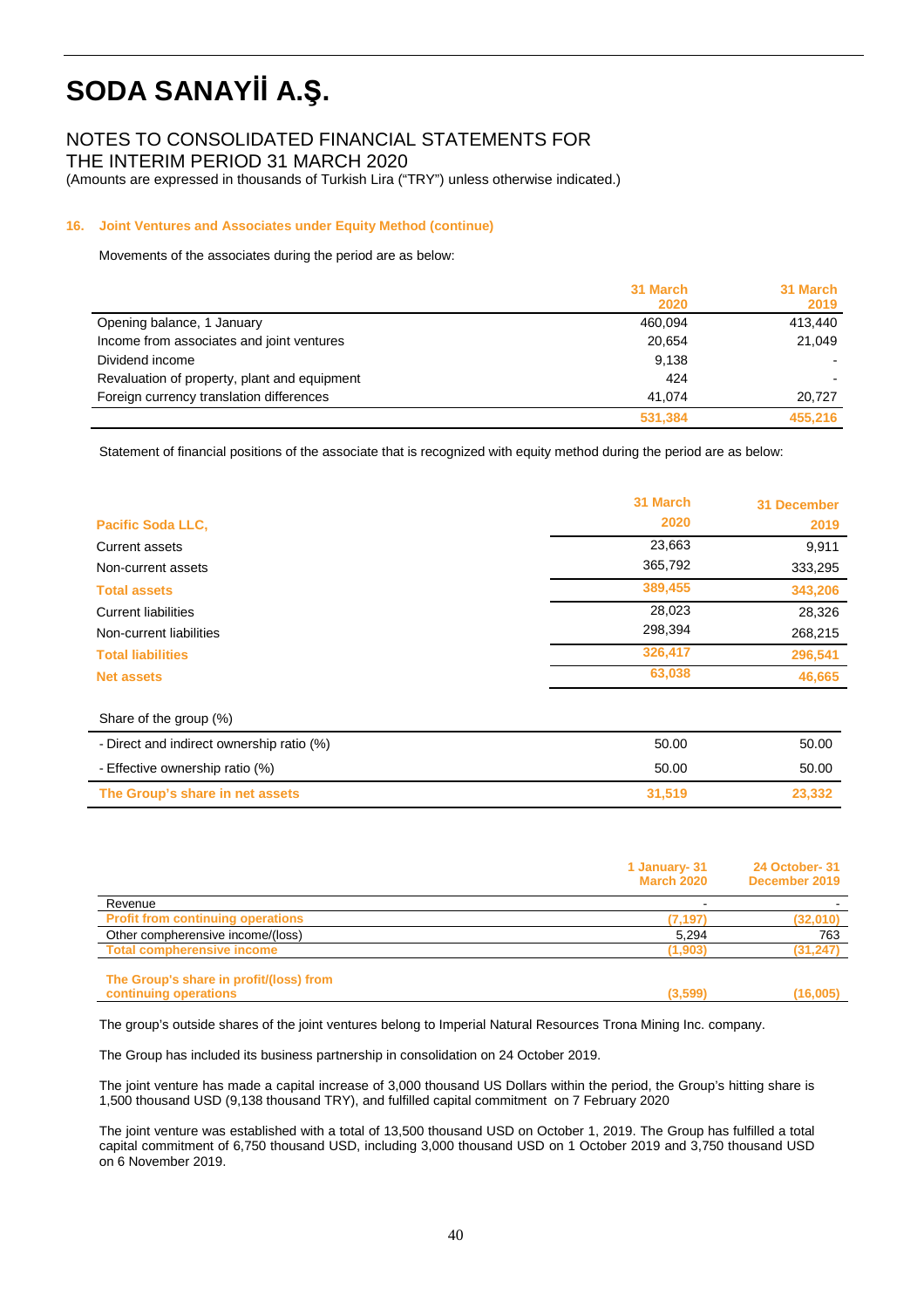### NOTES TO CONSOLIDATED FINANCIAL STATEMENTS FOR

THE INTERIM PERIOD 31 MARCH 2020

(Amounts are expressed in thousands of Turkish Lira ("TRY") unless otherwise indicated.)

#### **16. Joint Ventures and Associates under Equity Method (continue)**

Movements of the associates during the period are as below:

|                                              | 31 March<br>2020 | 31 March<br>2019 |
|----------------------------------------------|------------------|------------------|
| Opening balance, 1 January                   | 460.094          | 413.440          |
| Income from associates and joint ventures    | 20.654           | 21,049           |
| Dividend income                              | 9.138            |                  |
| Revaluation of property, plant and equipment | 424              |                  |
| Foreign currency translation differences     | 41.074           | 20.727           |
|                                              | 531,384          | 455,216          |

Statement of financial positions of the associate that is recognized with equity method during the period are as below:

|                                           | 31 March | 31 December |
|-------------------------------------------|----------|-------------|
| <b>Pacific Soda LLC,</b>                  | 2020     | 2019        |
| Current assets                            | 23,663   | 9,911       |
| Non-current assets                        | 365,792  | 333,295     |
| <b>Total assets</b>                       | 389,455  | 343,206     |
| <b>Current liabilities</b>                | 28,023   | 28,326      |
| Non-current liabilities                   | 298,394  | 268,215     |
| <b>Total liabilities</b>                  | 326,417  | 296,541     |
| <b>Net assets</b>                         | 63,038   | 46,665      |
| Share of the group (%)                    |          |             |
| - Direct and indirect ownership ratio (%) | 50.00    | 50.00       |
| - Effective ownership ratio (%)           | 50.00    | 50.00       |
| The Group's share in net assets           | 31,519   | 23,332      |

|                                                                  | 1 January- 31<br><b>March 2020</b> | 24 October-31<br>December 2019 |
|------------------------------------------------------------------|------------------------------------|--------------------------------|
| Revenue                                                          | $\overline{\phantom{a}}$           |                                |
| <b>Profit from continuing operations</b>                         | (7, 197)                           | (32,010)                       |
| Other compherensive income/(loss)                                | 5,294                              | 763                            |
| <b>Total compherensive income</b>                                | (1, 903)                           | (31, 247)                      |
| The Group's share in profit/(loss) from<br>continuing operations | (3,599)                            | (16,005)                       |

The group's outside shares of the joint ventures belong to Imperial Natural Resources Trona Mining Inc. company.

The Group has included its business partnership in consolidation on 24 October 2019.

The joint venture has made a capital increase of 3,000 thousand US Dollars within the period, the Group's hitting share is 1,500 thousand USD (9,138 thousand TRY), and fulfilled capital commitment on 7 February 2020

The joint venture was established with a total of 13,500 thousand USD on October 1, 2019. The Group has fulfilled a total capital commitment of 6,750 thousand USD, including 3,000 thousand USD on 1 October 2019 and 3,750 thousand USD on 6 November 2019.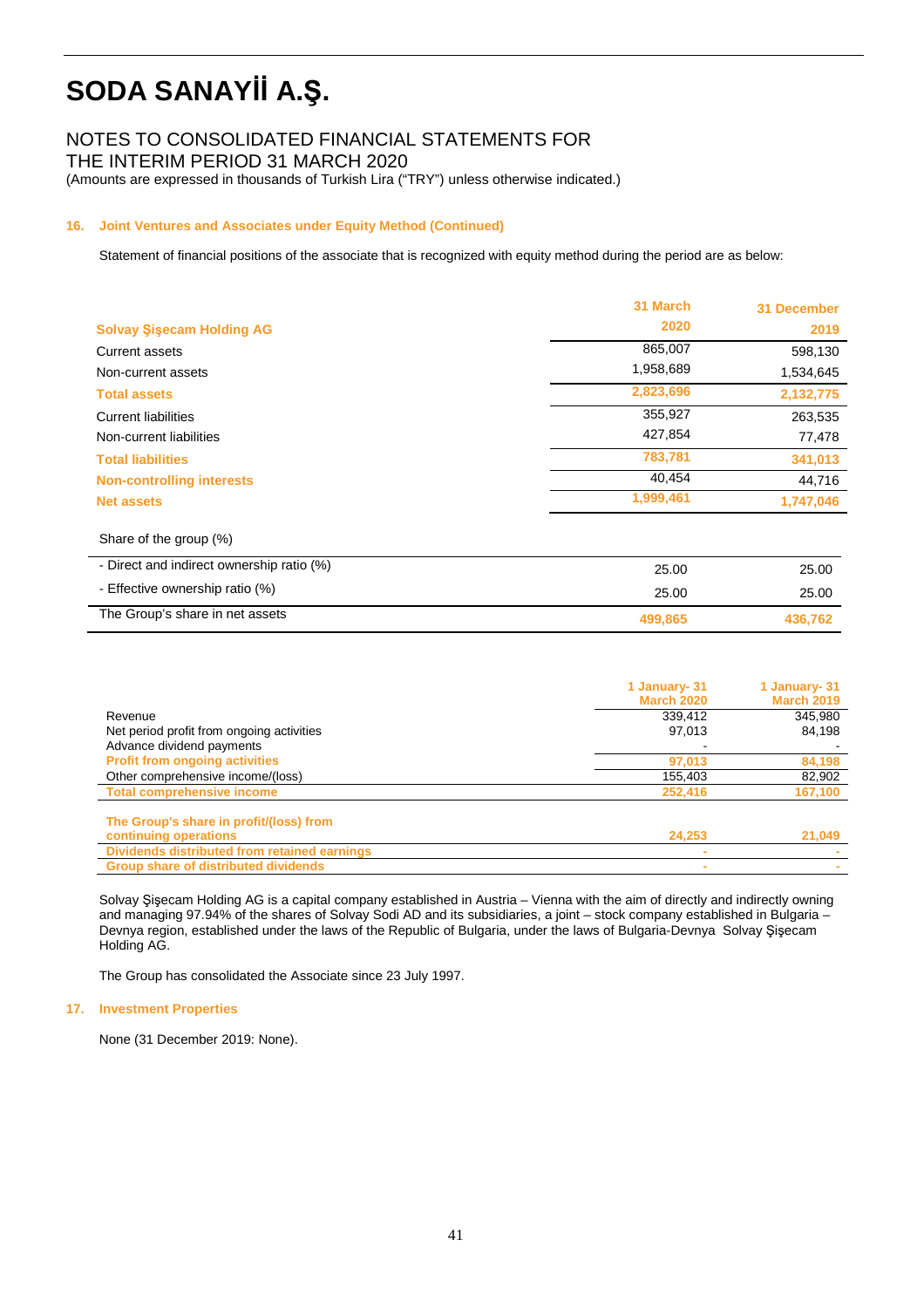### NOTES TO CONSOLIDATED FINANCIAL STATEMENTS FOR

THE INTERIM PERIOD 31 MARCH 2020

(Amounts are expressed in thousands of Turkish Lira ("TRY") unless otherwise indicated.)

#### **16. Joint Ventures and Associates under Equity Method (Continued)**

Statement of financial positions of the associate that is recognized with equity method during the period are as below:

|                                           | 31 March  | 31 December |
|-------------------------------------------|-----------|-------------|
| <b>Solvay Sisecam Holding AG</b>          | 2020      | 2019        |
| Current assets                            | 865,007   | 598,130     |
| Non-current assets                        | 1,958,689 | 1,534,645   |
| <b>Total assets</b>                       | 2,823,696 | 2,132,775   |
| <b>Current liabilities</b>                | 355,927   | 263,535     |
| Non-current liabilities                   | 427,854   | 77,478      |
| <b>Total liabilities</b>                  | 783,781   | 341,013     |
| <b>Non-controlling interests</b>          | 40,454    | 44,716      |
| <b>Net assets</b>                         | 1,999,461 | 1,747,046   |
| Share of the group (%)                    |           |             |
| - Direct and indirect ownership ratio (%) | 25.00     | 25.00       |

| The Group's share in net assets | 499.865 | 436.762 |
|---------------------------------|---------|---------|
| - Effective ownership ratio (%) | 25.00   | 25.00   |
|                                 | ZO.UU   | ZO.UU   |

|                                              | 1 January- 31<br><b>March 2020</b> | 1 January- 31<br><b>March 2019</b> |
|----------------------------------------------|------------------------------------|------------------------------------|
| Revenue                                      | 339,412                            | 345,980                            |
| Net period profit from ongoing activities    | 97,013                             | 84,198                             |
| Advance dividend payments                    |                                    |                                    |
| <b>Profit from ongoing activities</b>        | 97,013                             | 84,198                             |
| Other comprehensive income/(loss)            | 155.403                            | 82,902                             |
| <b>Total comprehensive income</b>            | 252.416                            | 167,100                            |
| The Group's share in profit/(loss) from      |                                    |                                    |
| continuing operations                        | 24,253                             | 21,049                             |
| Dividends distributed from retained earnings | $\blacksquare$                     |                                    |
| <b>Group share of distributed dividends</b>  | $\overline{\phantom{a}}$           |                                    |

Solvay Şişecam Holding AG is a capital company established in Austria – Vienna with the aim of directly and indirectly owning and managing 97.94% of the shares of Solvay Sodi AD and its subsidiaries, a joint – stock company established in Bulgaria – Devnya region, established under the laws of the Republic of Bulgaria, under the laws of Bulgaria-Devnya Solvay Şişecam Holding AG.

The Group has consolidated the Associate since 23 July 1997.

#### **17. Investment Properties**

None (31 December 2019: None).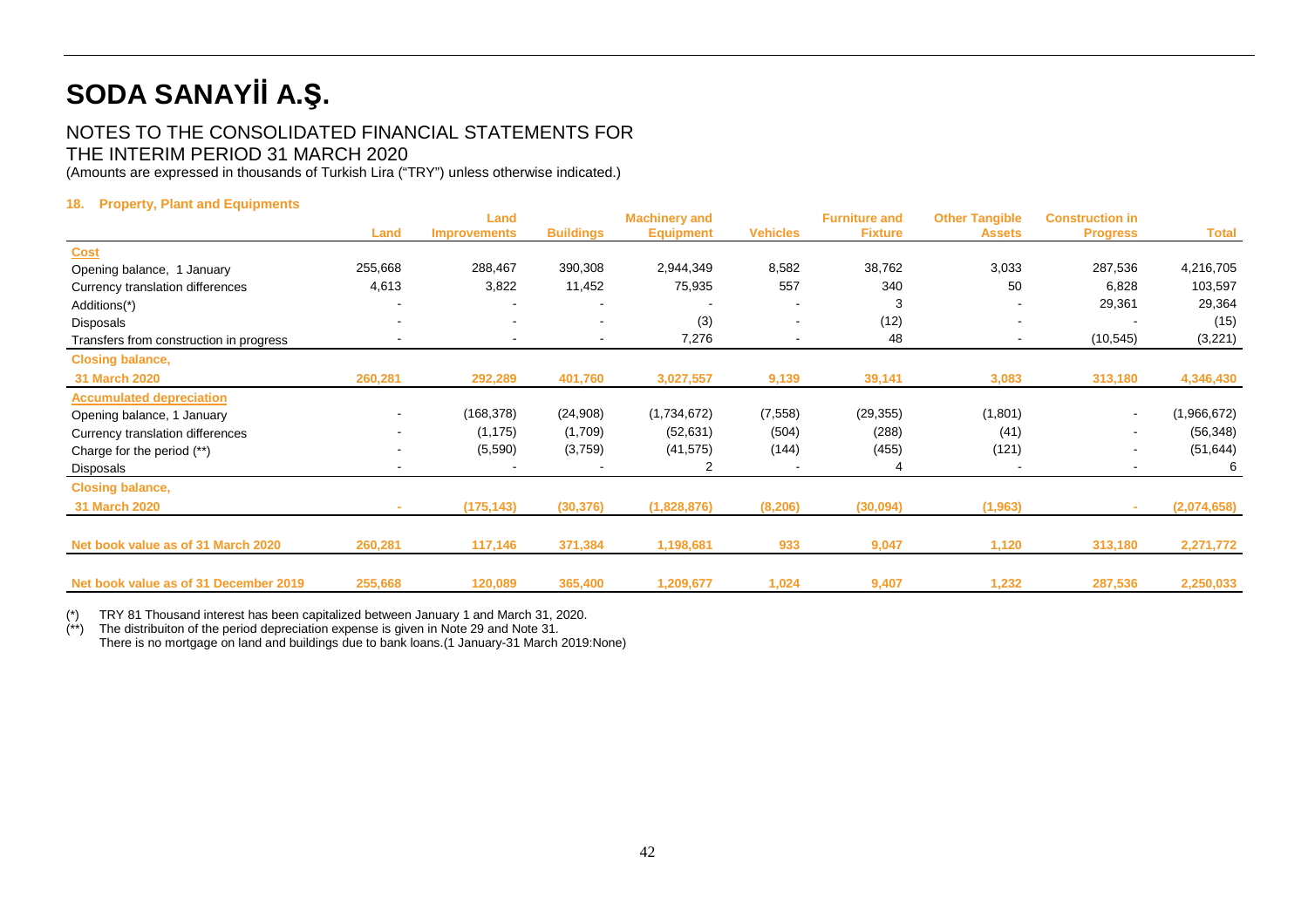### NOTES TO THE CONSOLIDATED FINANCIAL STATEMENTS FOR THE INTERIM PERIOD 31 MARCH 2020

(Amounts are expressed in thousands of Turkish Lira ("TRY") unless otherwise indicated.)

#### **18. Property, Plant and Equipments**

|                                         |                | Land                |                  | <b>Machinery and</b> |                          | <b>Furniture and</b> | <b>Other Tangible</b> | <b>Construction in</b>   |              |
|-----------------------------------------|----------------|---------------------|------------------|----------------------|--------------------------|----------------------|-----------------------|--------------------------|--------------|
|                                         | Land           | <b>Improvements</b> | <b>Buildings</b> | <b>Equipment</b>     | <b>Vehicles</b>          | <b>Fixture</b>       | <b>Assets</b>         | <b>Progress</b>          | <b>Total</b> |
| <b>Cost</b>                             |                |                     |                  |                      |                          |                      |                       |                          |              |
| Opening balance, 1 January              | 255,668        | 288,467             | 390,308          | 2,944,349            | 8,582                    | 38,762               | 3,033                 | 287,536                  | 4,216,705    |
| Currency translation differences        | 4,613          | 3,822               | 11,452           | 75,935               | 557                      | 340                  | 50                    | 6,828                    | 103,597      |
| Additions(*)                            |                |                     |                  |                      |                          | 3                    |                       | 29,361                   | 29,364       |
| Disposals                               |                |                     |                  | (3)                  | $\sim$                   | (12)                 | $\blacksquare$        |                          | (15)         |
| Transfers from construction in progress |                | $\blacksquare$      | $\blacksquare$   | 7,276                | $\overline{\phantom{a}}$ | 48                   | ۰                     | (10, 545)                | (3,221)      |
| <b>Closing balance,</b>                 |                |                     |                  |                      |                          |                      |                       |                          |              |
| 31 March 2020                           | 260,281        | 292,289             | 401,760          | 3,027,557            | 9,139                    | 39,141               | 3,083                 | 313,180                  | 4,346,430    |
| <b>Accumulated depreciation</b>         |                |                     |                  |                      |                          |                      |                       |                          |              |
| Opening balance, 1 January              | $\blacksquare$ | (168,378)           | (24,908)         | (1,734,672)          | (7,558)                  | (29, 355)            | (1,801)               | $\sim$                   | (1,966,672)  |
| Currency translation differences        |                | (1, 175)            | (1,709)          | (52, 631)            | (504)                    | (288)                | (41)                  |                          | (56, 348)    |
| Charge for the period (**)              |                | (5,590)             | (3,759)          | (41, 575)            | (144)                    | (455)                | (121)                 |                          | (51, 644)    |
| Disposals                               | $\blacksquare$ |                     |                  |                      |                          |                      |                       | $\overline{\phantom{a}}$ | 6            |
| <b>Closing balance,</b>                 |                |                     |                  |                      |                          |                      |                       |                          |              |
| 31 March 2020                           |                | (175, 143)          | (30, 376)        | (1,828,876)          | (8, 206)                 | (30,094)             | (1, 963)              |                          | (2,074,658)  |
|                                         |                |                     |                  |                      |                          |                      |                       |                          |              |
| Net book value as of 31 March 2020      | 260,281        | 117,146             | 371,384          | 1,198,681            | 933                      | 9,047                | 1,120                 | 313,180                  | 2,271,772    |
| Net book value as of 31 December 2019   | 255,668        | 120,089             | 365,400          | 1,209,677            | 1,024                    | 9,407                | 1,232                 | 287,536                  | 2,250,033    |
|                                         |                |                     |                  |                      |                          |                      |                       |                          |              |

 $\binom{*}{*}$ TRY 81 Thousand interest has been capitalized between January 1 and March 31, 2020.

The distribuiton of the period depreciation expense is given in Note 29 and Note 31.

There is no mortgage on land and buildings due to bank loans.(1 January-31 March 2019:None)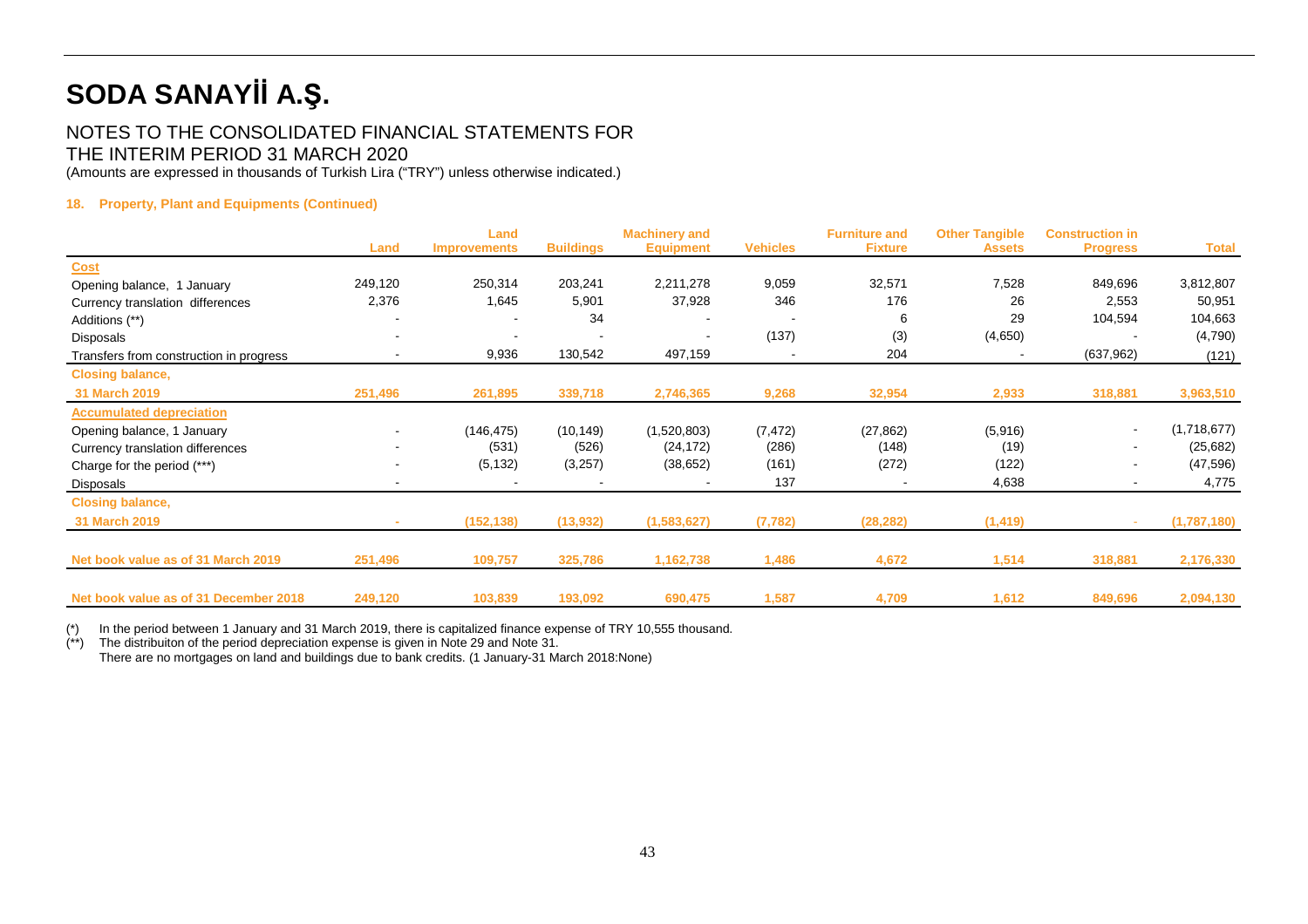### NOTES TO THE CONSOLIDATED FINANCIAL STATEMENTS FOR THE INTERIM PERIOD 31 MARCH 2020

(Amounts are expressed in thousands of Turkish Lira ("TRY") unless otherwise indicated.)

#### **18. Property, Plant and Equipments (Continued)**

|                                         | Land    | Land<br><b>Improvements</b> | <b>Buildings</b> | <b>Machinery and</b><br><b>Equipment</b> | <b>Vehicles</b>          | <b>Furniture and</b><br><b>Fixture</b> | <b>Other Tangible</b><br><b>Assets</b> | <b>Construction in</b><br><b>Progress</b> | <b>Total</b> |
|-----------------------------------------|---------|-----------------------------|------------------|------------------------------------------|--------------------------|----------------------------------------|----------------------------------------|-------------------------------------------|--------------|
| <b>Cost</b>                             |         |                             |                  |                                          |                          |                                        |                                        |                                           |              |
| Opening balance, 1 January              | 249,120 | 250,314                     | 203,241          | 2,211,278                                | 9,059                    | 32,571                                 | 7,528                                  | 849,696                                   | 3,812,807    |
| Currency translation differences        | 2,376   | 1,645                       | 5,901            | 37,928                                   | 346                      | 176                                    | 26                                     | 2,553                                     | 50,951       |
| Additions (**)                          |         |                             | 34               |                                          |                          | 6                                      | 29                                     | 104,594                                   | 104,663      |
| Disposals                               |         |                             |                  |                                          | (137)                    | (3)                                    | (4,650)                                |                                           | (4,790)      |
| Transfers from construction in progress |         | 9,936                       | 130,542          | 497,159                                  | $\overline{\phantom{a}}$ | 204                                    |                                        | (637, 962)                                | (121)        |
| <b>Closing balance,</b>                 |         |                             |                  |                                          |                          |                                        |                                        |                                           |              |
| 31 March 2019                           | 251,496 | 261,895                     | 339,718          | 2,746,365                                | 9,268                    | 32,954                                 | 2,933                                  | 318,881                                   | 3,963,510    |
| <b>Accumulated depreciation</b>         |         |                             |                  |                                          |                          |                                        |                                        |                                           |              |
| Opening balance, 1 January              |         | (146, 475)                  | (10, 149)        | (1,520,803)                              | (7, 472)                 | (27, 862)                              | (5,916)                                | $\blacksquare$                            | (1,718,677)  |
| Currency translation differences        |         | (531)                       | (526)            | (24, 172)                                | (286)                    | (148)                                  | (19)                                   | ۰.                                        | (25, 682)    |
| Charge for the period (***)             |         | (5, 132)                    | (3,257)          | (38, 652)                                | (161)                    | (272)                                  | (122)                                  | ٠                                         | (47, 596)    |
| Disposals                               | $\sim$  | $\overline{\phantom{a}}$    |                  |                                          | 137                      |                                        | 4,638                                  | $\blacksquare$                            | 4,775        |
| <b>Closing balance,</b>                 |         |                             |                  |                                          |                          |                                        |                                        |                                           |              |
| 31 March 2019                           |         | (152, 138)                  | (13,932)         | (1,583,627)                              | (7, 782)                 | (28, 282)                              | (1, 419)                               |                                           | (1,787,180)  |
|                                         |         |                             |                  |                                          |                          |                                        |                                        |                                           |              |
| Net book value as of 31 March 2019      | 251,496 | 109,757                     | 325,786          | 1,162,738                                | 1,486                    | 4,672                                  | 1,514                                  | 318,881                                   | 2,176,330    |
|                                         |         |                             |                  |                                          |                          |                                        |                                        |                                           |              |
| Net book value as of 31 December 2018   | 249,120 | 103,839                     | 193,092          | 690,475                                  | 1,587                    | 4,709                                  | 1,612                                  | 849,696                                   | 2,094,130    |

(\*) In the period between 1 January and 31 March 2019, there is capitalized finance expense of TRY 10,555 thousand.

(\*\*) The distribuiton of the period depreciation expense is given in Note 29 and Note 31.

There are no mortgages on land and buildings due to bank credits. (1 January-31 March 2018:None)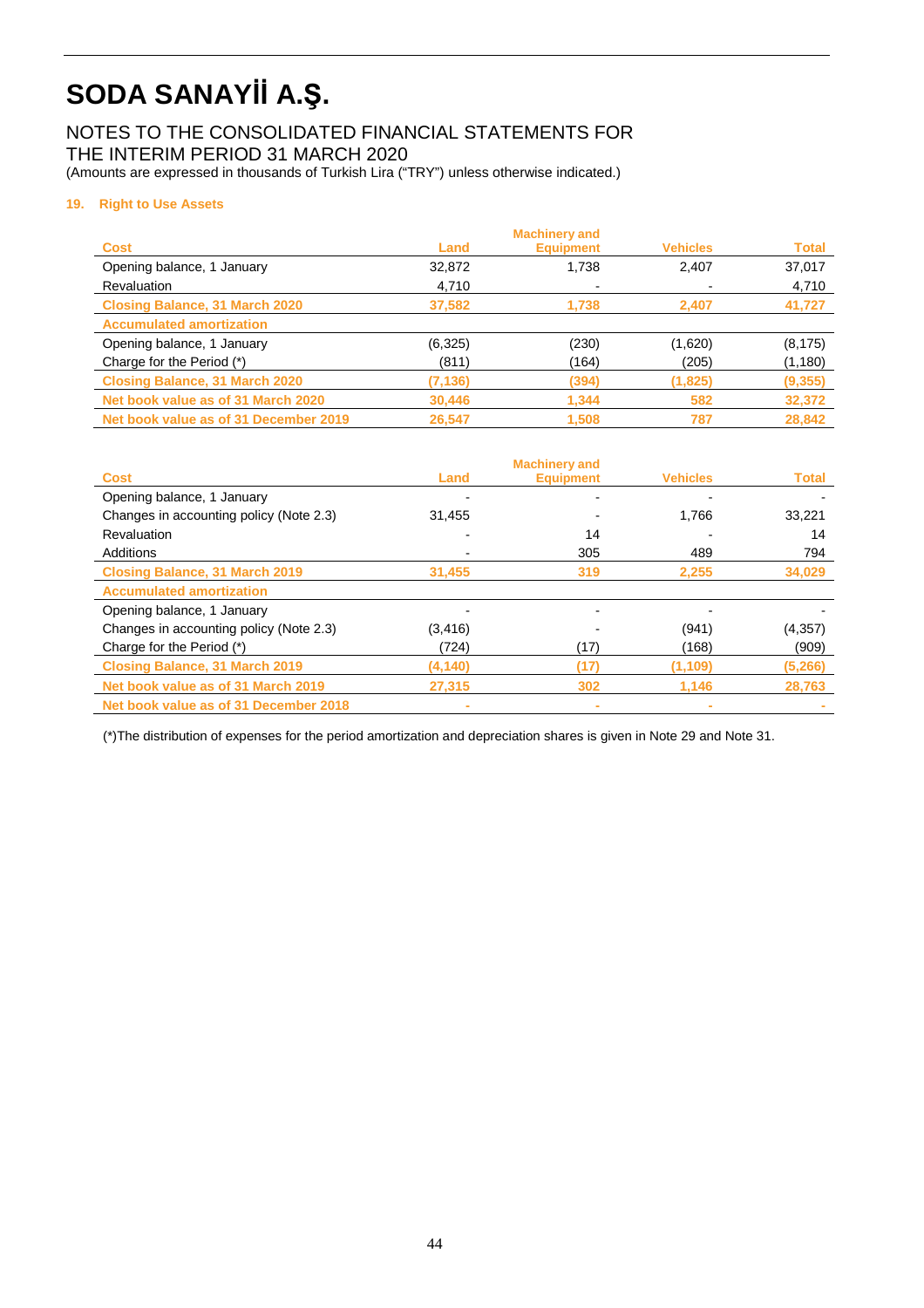### NOTES TO THE CONSOLIDATED FINANCIAL STATEMENTS FOR THE INTERIM PERIOD 31 MARCH 2020

(Amounts are expressed in thousands of Turkish Lira ("TRY") unless otherwise indicated.)

#### **19. Right to Use Assets**

|                                       |          | <b>Machinery and</b> |                 |              |
|---------------------------------------|----------|----------------------|-----------------|--------------|
| <b>Cost</b>                           | Land     | <b>Equipment</b>     | <b>Vehicles</b> | <b>Total</b> |
| Opening balance, 1 January            | 32,872   | 1,738                | 2.407           | 37,017       |
| Revaluation                           | 4,710    |                      |                 | 4,710        |
| <b>Closing Balance, 31 March 2020</b> | 37,582   | 1.738                | 2,407           | 41,727       |
| <b>Accumulated amortization</b>       |          |                      |                 |              |
| Opening balance, 1 January            | (6, 325) | (230)                | (1,620)         | (8, 175)     |
| Charge for the Period (*)             | (811)    | (164)                | (205)           | (1, 180)     |
| <b>Closing Balance, 31 March 2020</b> | (7, 136) | (394)                | (1,825)         | (9, 355)     |
| Net book value as of 31 March 2020    | 30,446   | 1,344                | 582             | 32,372       |
| Net book value as of 31 December 2019 | 26,547   | 1,508                | 787             | 28,842       |

|                                         |          | <b>Machinery and</b> |                 |              |
|-----------------------------------------|----------|----------------------|-----------------|--------------|
| <b>Cost</b>                             | Land     | <b>Equipment</b>     | <b>Vehicles</b> | <b>Total</b> |
| Opening balance, 1 January              |          |                      |                 |              |
| Changes in accounting policy (Note 2.3) | 31,455   |                      | 1,766           | 33,221       |
| Revaluation                             |          | 14                   |                 | 14           |
| Additions                               |          | 305                  | 489             | 794          |
| <b>Closing Balance, 31 March 2019</b>   | 31,455   | 319                  | 2,255           | 34,029       |
| <b>Accumulated amortization</b>         |          |                      |                 |              |
| Opening balance, 1 January              |          |                      |                 |              |
| Changes in accounting policy (Note 2.3) | (3, 416) |                      | (941)           | (4, 357)     |
| Charge for the Period (*)               | (724)    | (17)                 | (168)           | (909)        |
| <b>Closing Balance, 31 March 2019</b>   | (4, 140) | (17)                 | (1, 109)        | (5,266)      |
| Net book value as of 31 March 2019      | 27.315   | 302                  | 1.146           | 28,763       |
| Net book value as of 31 December 2018   |          | ٠                    |                 |              |

(\*)The distribution of expenses for the period amortization and depreciation shares is given in Note 29 and Note 31.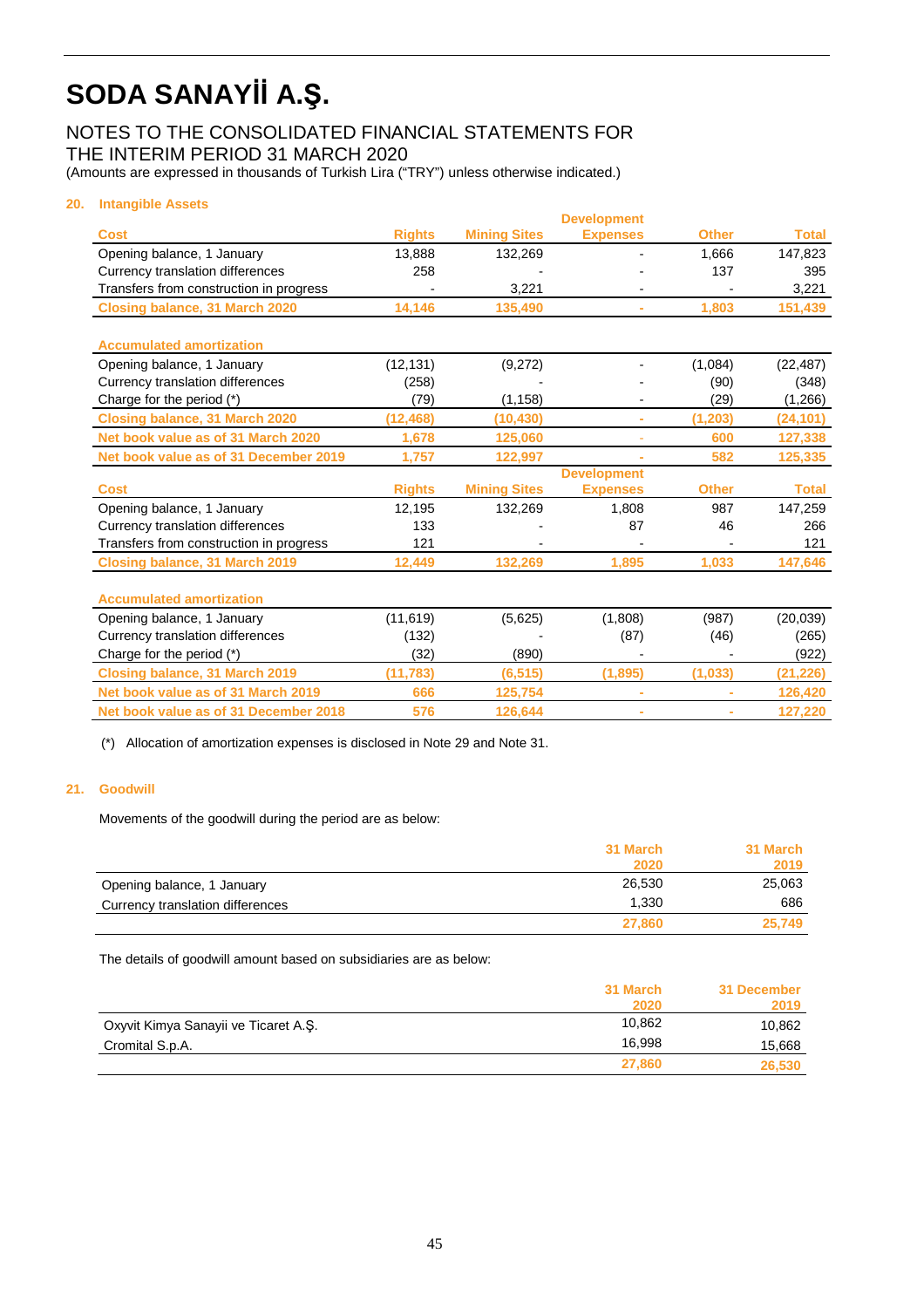### NOTES TO THE CONSOLIDATED FINANCIAL STATEMENTS FOR THE INTERIM PERIOD 31 MARCH 2020

(Amounts are expressed in thousands of Turkish Lira ("TRY") unless otherwise indicated.)

#### **20. Intangible Assets**

|               |                                     | <b>Development</b>             |                 |                               |
|---------------|-------------------------------------|--------------------------------|-----------------|-------------------------------|
| <b>Rights</b> | <b>Mining Sites</b>                 | <b>Expenses</b>                | <b>Other</b>    | <b>Total</b>                  |
| 13.888        | 132,269                             |                                | 1.666           | 147,823                       |
| 258           |                                     |                                | 137             | 395                           |
|               | 3.221                               |                                |                 | 3,221                         |
| 14,146        | 135,490                             | ÷.                             | 1,803           | 151,439                       |
|               |                                     |                                |                 |                               |
|               |                                     |                                |                 |                               |
| (12, 131)     | (9,272)                             |                                | (1,084)         | (22, 487)                     |
| (258)         |                                     |                                | (90)            | (348)                         |
| (79)          | (1, 158)                            |                                | (29)            | (1,266)                       |
| (12, 468)     | (10, 430)                           | ÷                              | (1, 203)        | (24, 101)                     |
| 1,678         | 125,060                             |                                | 600             | 127,338                       |
| 1,757         | 122,997                             | ÷.                             | 582             | 125,335                       |
|               |                                     | <b>Development</b>             |                 |                               |
|               |                                     | <b>Expenses</b>                |                 | <b>Total</b>                  |
| 12,195        | 132,269                             | 1,808                          | 987             | 147,259                       |
| 133           |                                     | 87                             | 46              | 266                           |
| 121           |                                     | $\overline{a}$                 |                 | 121                           |
| 12,449        | 132,269                             | 1,895                          | 1,033           | 147,646                       |
|               |                                     |                                |                 |                               |
|               |                                     |                                |                 | (20, 039)                     |
|               |                                     |                                |                 | (265)                         |
| (32)          | (890)                               |                                |                 | (922)                         |
| (11, 783)     | (6, 515)                            | (1,895)                        | (1,033)         | (21, 226)                     |
| 666           | 125,754                             | $\bar{a}$                      | ۰               | 126,420                       |
| 576           | 126,644                             | ÷                              |                 | 127,220                       |
|               | <b>Rights</b><br>(11, 619)<br>(132) | <b>Mining Sites</b><br>(5,625) | (1,808)<br>(87) | <b>Other</b><br>(987)<br>(46) |

(\*) Allocation of amortization expenses is disclosed in Note 29 and Note 31.

#### **21. Goodwill**

Movements of the goodwill during the period are as below:

|                                  | 31 March | 31 March |
|----------------------------------|----------|----------|
|                                  | 2020     | 2019     |
| Opening balance, 1 January       | 26,530   | 25,063   |
| Currency translation differences | 1.330    | 686      |
|                                  | 27,860   | 25,749   |

The details of goodwill amount based on subsidiaries are as below:

|                                      | 31 March | 31 December |
|--------------------------------------|----------|-------------|
|                                      | 2020     | 2019        |
| Oxyvit Kimya Sanayii ve Ticaret A.S. | 10.862   | 10,862      |
| Cromital S.p.A.                      | 16.998   | 15,668      |
|                                      | 27.860   | 26,530      |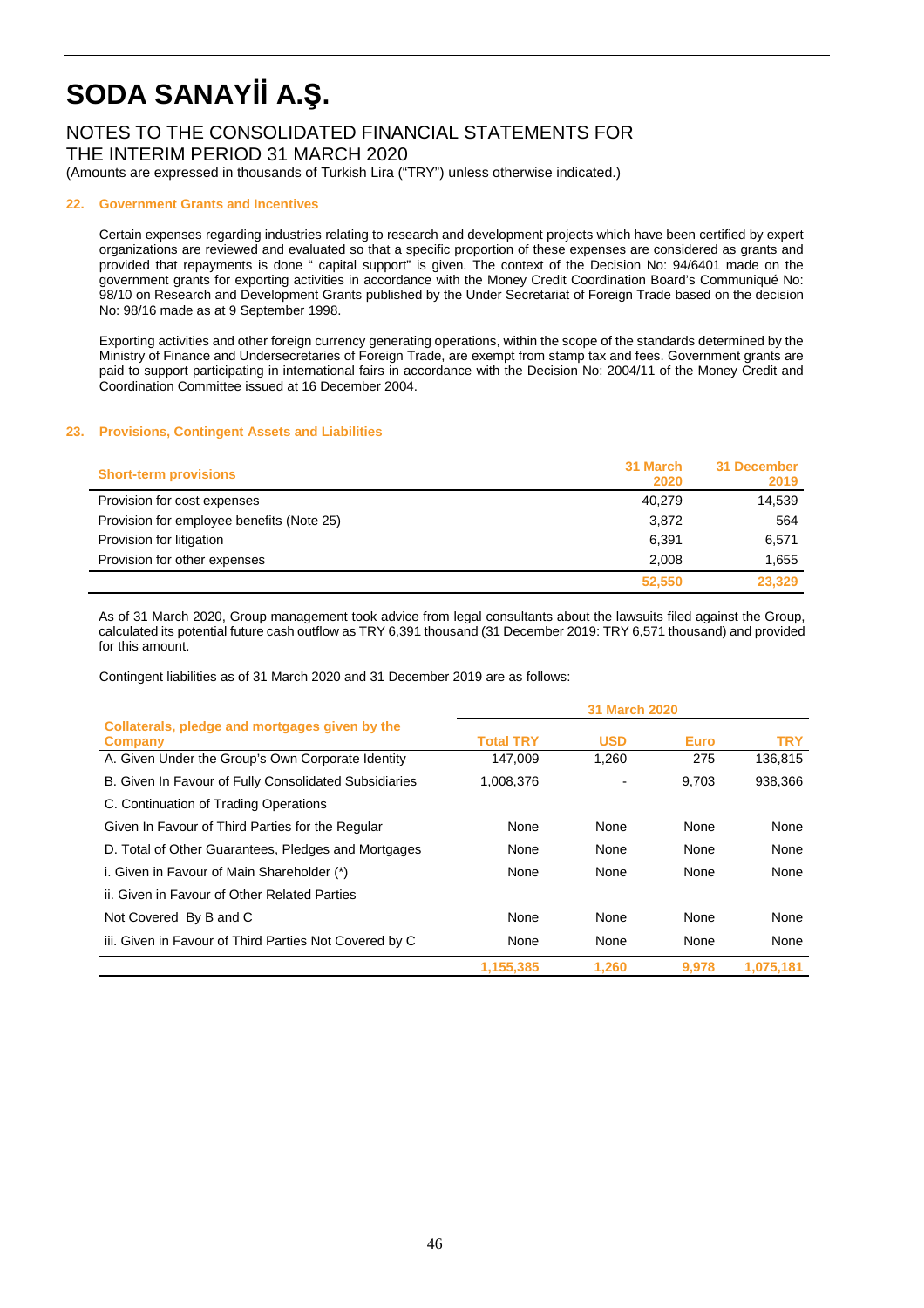### NOTES TO THE CONSOLIDATED FINANCIAL STATEMENTS FOR THE INTERIM PERIOD 31 MARCH 2020

(Amounts are expressed in thousands of Turkish Lira ("TRY") unless otherwise indicated.)

#### **22. Government Grants and Incentives**

Certain expenses regarding industries relating to research and development projects which have been certified by expert organizations are reviewed and evaluated so that a specific proportion of these expenses are considered as grants and provided that repayments is done " capital support" is given. The context of the Decision No: 94/6401 made on the government grants for exporting activities in accordance with the Money Credit Coordination Board's Communiqué No: 98/10 on Research and Development Grants published by the Under Secretariat of Foreign Trade based on the decision No: 98/16 made as at 9 September 1998.

Exporting activities and other foreign currency generating operations, within the scope of the standards determined by the Ministry of Finance and Undersecretaries of Foreign Trade, are exempt from stamp tax and fees. Government grants are paid to support participating in international fairs in accordance with the Decision No: 2004/11 of the Money Credit and Coordination Committee issued at 16 December 2004.

#### **23. Provisions, Contingent Assets and Liabilities**

| <b>Short-term provisions</b>              | 31 March<br>2020 | 31 December<br>2019 |
|-------------------------------------------|------------------|---------------------|
| Provision for cost expenses               | 40.279           | 14,539              |
| Provision for employee benefits (Note 25) | 3.872            | 564                 |
| Provision for litigation                  | 6,391            | 6,571               |
| Provision for other expenses              | 2.008            | 1.655               |
|                                           | 52,550           | 23.329              |

 As of 31 March 2020, Group management took advice from legal consultants about the lawsuits filed against the Group, calculated its potential future cash outflow as TRY 6,391 thousand (31 December 2019: TRY 6,571 thousand) and provided for this amount.

Contingent liabilities as of 31 March 2020 and 31 December 2019 are as follows:

|                                                           |                  | <b>31 March 2020</b> |             |            |
|-----------------------------------------------------------|------------------|----------------------|-------------|------------|
| Collaterals, pledge and mortgages given by the<br>Company | <b>Total TRY</b> | <b>USD</b>           | <b>Euro</b> | <b>TRY</b> |
| A. Given Under the Group's Own Corporate Identity         | 147,009          | 1,260                | 275         | 136,815    |
| B. Given In Favour of Fully Consolidated Subsidiaries     | 1,008,376        |                      | 9.703       | 938,366    |
| C. Continuation of Trading Operations                     |                  |                      |             |            |
| Given In Favour of Third Parties for the Regular          | None             | None                 | None        | None       |
| D. Total of Other Guarantees, Pledges and Mortgages       | None             | None                 | None        | None       |
| i. Given in Favour of Main Shareholder (*)                | None             | None                 | None        | None       |
| ii. Given in Favour of Other Related Parties              |                  |                      |             |            |
| Not Covered By B and C                                    | None             | None                 | None        | None       |
| iii. Given in Favour of Third Parties Not Covered by C    | None             | None                 | None        | None       |
|                                                           | 1,155,385        | 1.260                | 9,978       | 1,075,181  |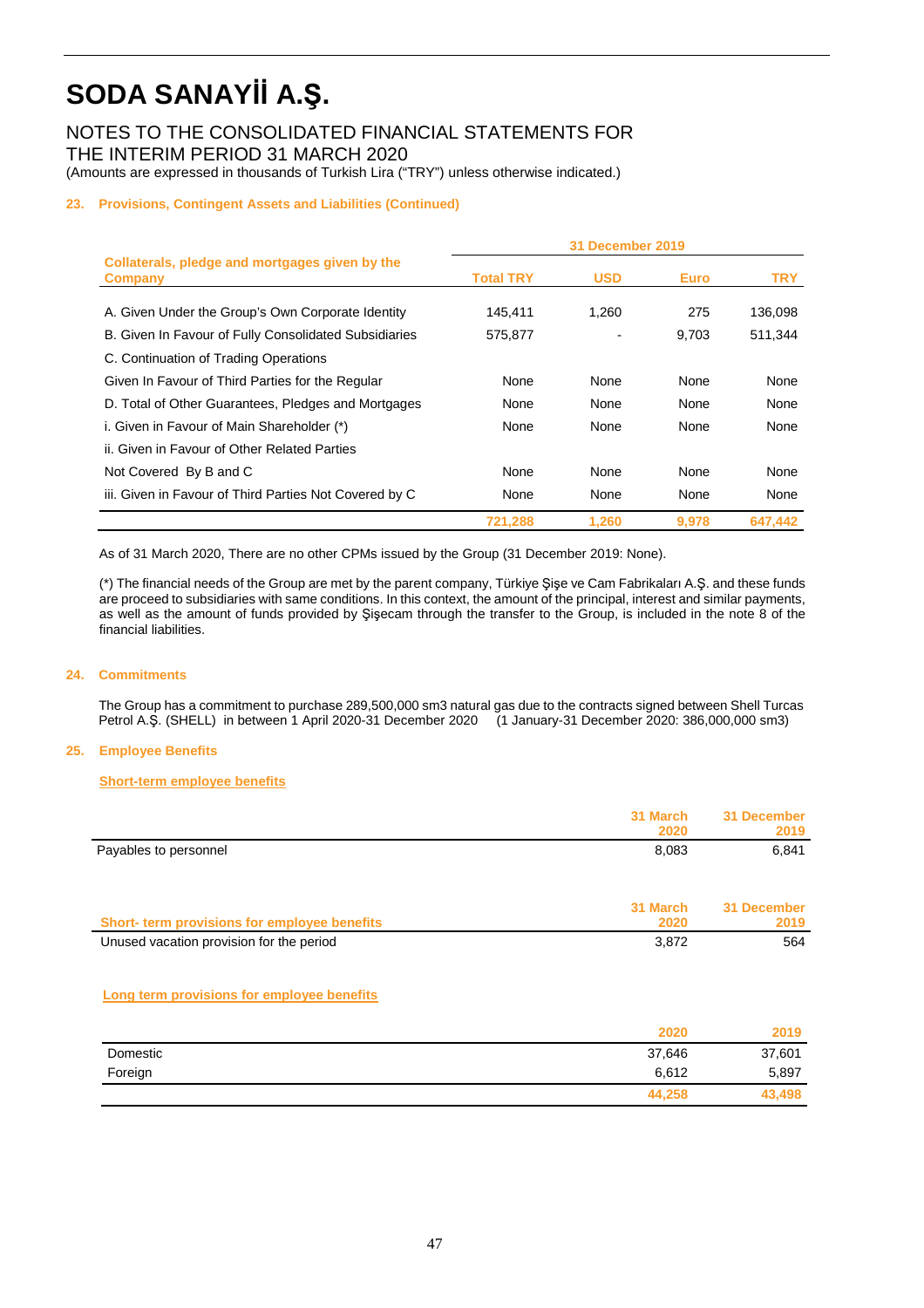NOTES TO THE CONSOLIDATED FINANCIAL STATEMENTS FOR THE INTERIM PERIOD 31 MARCH 2020

### (Amounts are expressed in thousands of Turkish Lira ("TRY") unless otherwise indicated.)

#### **23. Provisions, Contingent Assets and Liabilities (Continued)**

|                                                           | <b>31 December 2019</b> |            |             |            |
|-----------------------------------------------------------|-------------------------|------------|-------------|------------|
| Collaterals, pledge and mortgages given by the<br>Company | <b>Total TRY</b>        | <b>USD</b> | <b>Euro</b> | <b>TRY</b> |
| A. Given Under the Group's Own Corporate Identity         | 145.411                 | 1.260      | 275         | 136,098    |
| B. Given In Favour of Fully Consolidated Subsidiaries     | 575.877                 |            | 9,703       | 511.344    |
| C. Continuation of Trading Operations                     |                         |            |             |            |
| Given In Favour of Third Parties for the Regular          | None                    | None       | None        | None       |
| D. Total of Other Guarantees, Pledges and Mortgages       | None                    | None       | None        | None       |
| i. Given in Favour of Main Shareholder (*)                | None                    | None       | None        | None       |
| ii. Given in Favour of Other Related Parties              |                         |            |             |            |
| Not Covered By B and C                                    | None                    | None       | None        | None       |
| iii. Given in Favour of Third Parties Not Covered by C    | None                    | None       | None        | None       |
|                                                           | 721,288                 | 1,260      | 9,978       | 647.442    |

As of 31 March 2020, There are no other CPMs issued by the Group (31 December 2019: None).

 (\*) The financial needs of the Group are met by the parent company, Türkiye Şişe ve Cam Fabrikaları A.Ş. and these funds are proceed to subsidiaries with same conditions. In this context, the amount of the principal, interest and similar payments, as well as the amount of funds provided by Şişecam through the transfer to the Group, is included in the note 8 of the financial liabilities.

#### **24. Commitments**

The Group has a commitment to purchase 289,500,000 sm3 natural gas due to the contracts signed between Shell Turcas Petrol A.Ş. (SHELL) in between 1 April 2020-31 December 2020 (1 January-31 December 2020: 386,000,000 sm3)

#### **25. Employee Benefits**

#### **Short-term employee benefits**

|                                              | 31 March | 31 December |
|----------------------------------------------|----------|-------------|
|                                              | 2020     | 2019        |
| Payables to personnel                        | 8,083    | 6,841       |
|                                              |          |             |
|                                              | 31 March | 31 December |
| Short- term provisions for employee benefits | 2020     | 2019        |
| Unused vacation provision for the period     | 3,872    | 564         |

#### **Long term provisions for employee benefits**

|          | 2020   | 2019   |
|----------|--------|--------|
| Domestic | 37,646 | 37,601 |
| Foreign  | 6,612  | 5,897  |
|          | 44,258 | 43,498 |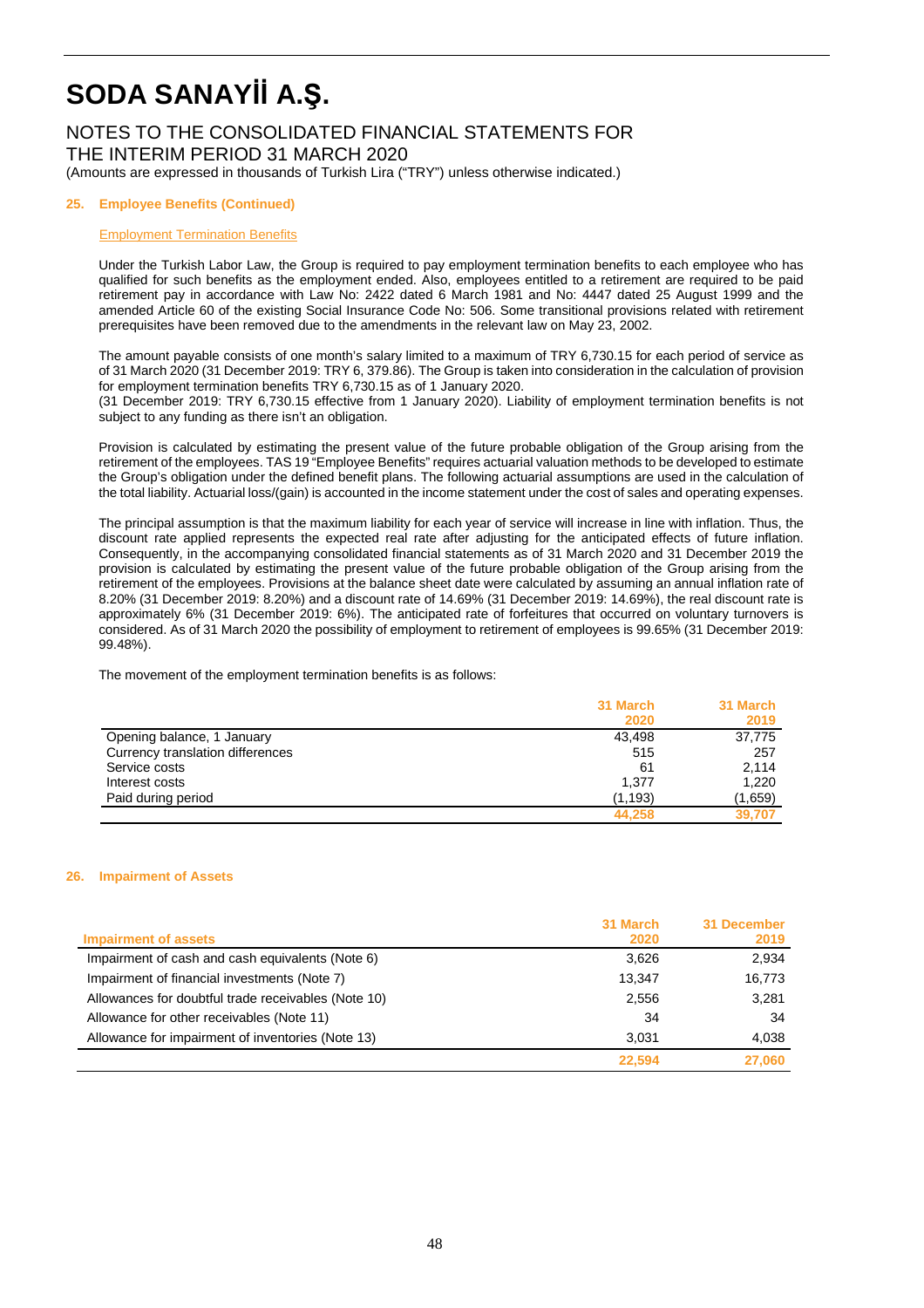### NOTES TO THE CONSOLIDATED FINANCIAL STATEMENTS FOR THE INTERIM PERIOD 31 MARCH 2020

(Amounts are expressed in thousands of Turkish Lira ("TRY") unless otherwise indicated.)

#### **25. Employee Benefits (Continued)**

#### Employment Termination Benefits

Under the Turkish Labor Law, the Group is required to pay employment termination benefits to each employee who has qualified for such benefits as the employment ended. Also, employees entitled to a retirement are required to be paid retirement pay in accordance with Law No: 2422 dated 6 March 1981 and No: 4447 dated 25 August 1999 and the amended Article 60 of the existing Social Insurance Code No: 506. Some transitional provisions related with retirement prerequisites have been removed due to the amendments in the relevant law on May 23, 2002.

The amount payable consists of one month's salary limited to a maximum of TRY 6,730.15 for each period of service as of 31 March 2020 (31 December 2019: TRY 6, 379.86). The Group is taken into consideration in the calculation of provision for employment termination benefits TRY 6,730.15 as of 1 January 2020.

(31 December 2019: TRY 6,730.15 effective from 1 January 2020). Liability of employment termination benefits is not subject to any funding as there isn't an obligation.

Provision is calculated by estimating the present value of the future probable obligation of the Group arising from the retirement of the employees. TAS 19 "Employee Benefits" requires actuarial valuation methods to be developed to estimate the Group's obligation under the defined benefit plans. The following actuarial assumptions are used in the calculation of the total liability. Actuarial loss/(gain) is accounted in the income statement under the cost of sales and operating expenses.

The principal assumption is that the maximum liability for each year of service will increase in line with inflation. Thus, the discount rate applied represents the expected real rate after adjusting for the anticipated effects of future inflation. Consequently, in the accompanying consolidated financial statements as of 31 March 2020 and 31 December 2019 the provision is calculated by estimating the present value of the future probable obligation of the Group arising from the retirement of the employees. Provisions at the balance sheet date were calculated by assuming an annual inflation rate of 8.20% (31 December 2019: 8.20%) and a discount rate of 14.69% (31 December 2019: 14.69%), the real discount rate is approximately 6% (31 December 2019: 6%). The anticipated rate of forfeitures that occurred on voluntary turnovers is considered. As of 31 March 2020 the possibility of employment to retirement of employees is 99.65% (31 December 2019: 99.48%).

The movement of the employment termination benefits is as follows:

|                                  | 31 March | 31 March |
|----------------------------------|----------|----------|
|                                  | 2020     | 2019     |
| Opening balance, 1 January       | 43.498   | 37,775   |
| Currency translation differences | 515      | 257      |
| Service costs                    | 61       | 2.114    |
| Interest costs                   | 1,377    | 1,220    |
| Paid during period               | (1, 193) | (1,659)  |
|                                  | 44.258   | 39.707   |

#### **26. Impairment of Assets**

|                                                     | 31 March | 31 December |
|-----------------------------------------------------|----------|-------------|
| <b>Impairment of assets</b>                         | 2020     | 2019        |
| Impairment of cash and cash equivalents (Note 6)    | 3.626    | 2,934       |
| Impairment of financial investments (Note 7)        | 13.347   | 16,773      |
| Allowances for doubtful trade receivables (Note 10) | 2,556    | 3,281       |
| Allowance for other receivables (Note 11)           | 34       | 34          |
| Allowance for impairment of inventories (Note 13)   | 3.031    | 4,038       |
|                                                     | 22,594   | 27,060      |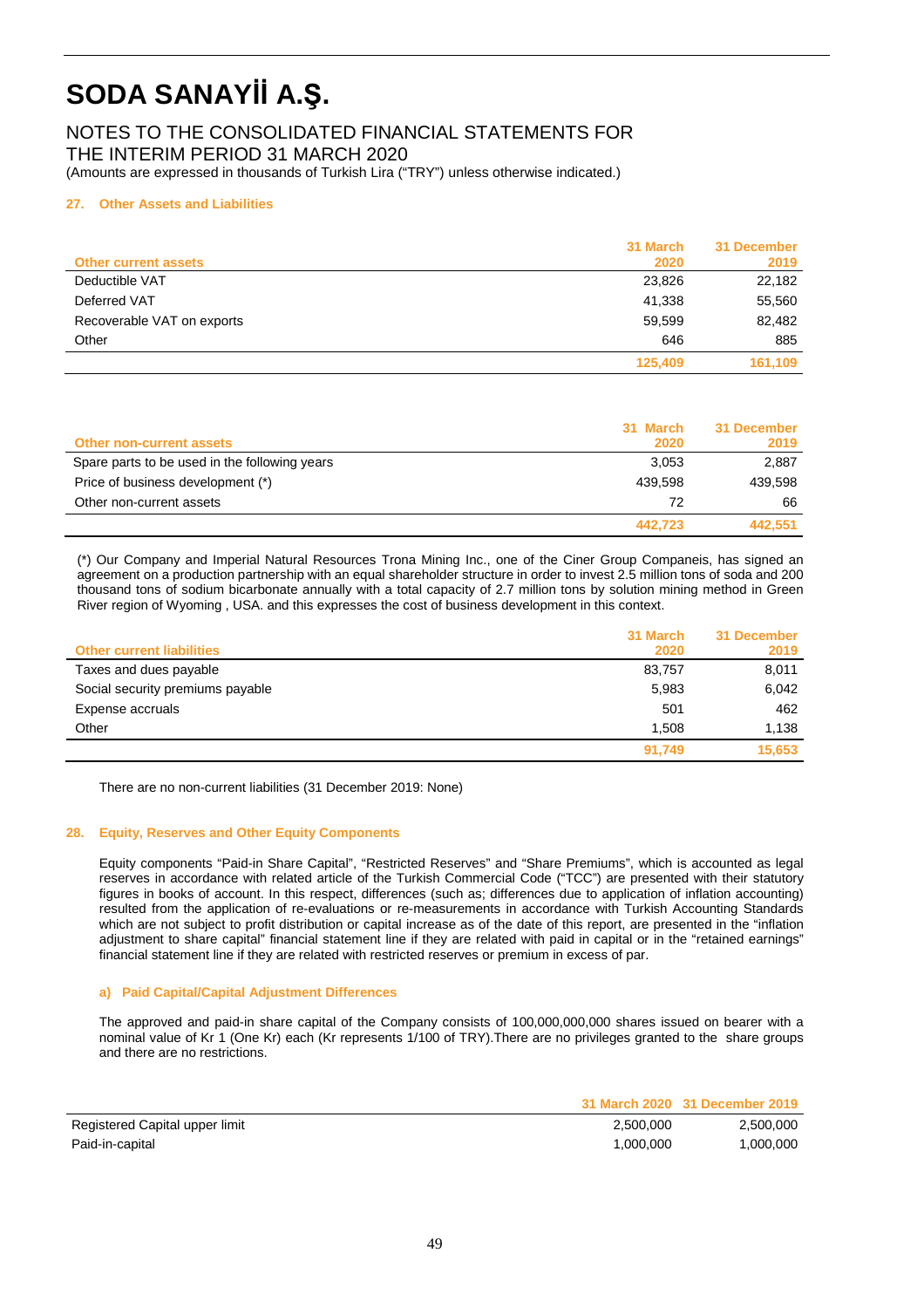### NOTES TO THE CONSOLIDATED FINANCIAL STATEMENTS FOR THE INTERIM PERIOD 31 MARCH 2020

(Amounts are expressed in thousands of Turkish Lira ("TRY") unless otherwise indicated.)

#### **27. Other Assets and Liabilities**

| <b>Other current assets</b> | 31 March<br>2020 | 31 December<br>2019 |
|-----------------------------|------------------|---------------------|
| Deductible VAT              | 23,826           | 22,182              |
| Deferred VAT                | 41,338           | 55,560              |
| Recoverable VAT on exports  | 59,599           | 82,482              |
| Other                       | 646              | 885                 |
|                             | 125,409          | 161,109             |

| <b>Other non-current assets</b>               | 31 March<br>2020 | 31 December<br>2019 |
|-----------------------------------------------|------------------|---------------------|
| Spare parts to be used in the following years | 3.053            | 2.887               |
| Price of business development (*)             | 439.598          | 439.598             |
| Other non-current assets                      | 72               | 66                  |
|                                               | 442.723          | 442.551             |

(\*) Our Company and Imperial Natural Resources Trona Mining Inc., one of the Ciner Group Companeis, has signed an agreement on a production partnership with an equal shareholder structure in order to invest 2.5 million tons of soda and 200 thousand tons of sodium bicarbonate annually with a total capacity of 2.7 million tons by solution mining method in Green River region of Wyoming , USA. and this expresses the cost of business development in this context.

| <b>Other current liabilities</b> | 31 March<br>2020 | 31 December<br>2019 |
|----------------------------------|------------------|---------------------|
| Taxes and dues payable           | 83,757           | 8,011               |
| Social security premiums payable | 5,983            | 6,042               |
| Expense accruals                 | 501              | 462                 |
| Other                            | 1.508            | 1.138               |
|                                  | 91.749           | 15,653              |

There are no non-current liabilities (31 December 2019: None)

#### **28. Equity, Reserves and Other Equity Components**

Equity components "Paid-in Share Capital", "Restricted Reserves" and "Share Premiums", which is accounted as legal reserves in accordance with related article of the Turkish Commercial Code ("TCC") are presented with their statutory figures in books of account. In this respect, differences (such as; differences due to application of inflation accounting) resulted from the application of re-evaluations or re-measurements in accordance with Turkish Accounting Standards which are not subject to profit distribution or capital increase as of the date of this report, are presented in the "inflation adjustment to share capital" financial statement line if they are related with paid in capital or in the "retained earnings" financial statement line if they are related with restricted reserves or premium in excess of par.

#### **a) Paid Capital/Capital Adjustment Differences**

The approved and paid-in share capital of the Company consists of 100,000,000,000 shares issued on bearer with a nominal value of Kr 1 (One Kr) each (Kr represents 1/100 of TRY).There are no privileges granted to the share groups and there are no restrictions.

|                                |           | 31 March 2020 31 December 2019 |
|--------------------------------|-----------|--------------------------------|
| Registered Capital upper limit | 2.500.000 | 2.500.000                      |
| Paid-in-capital                | 1.000.000 | 1.000.000                      |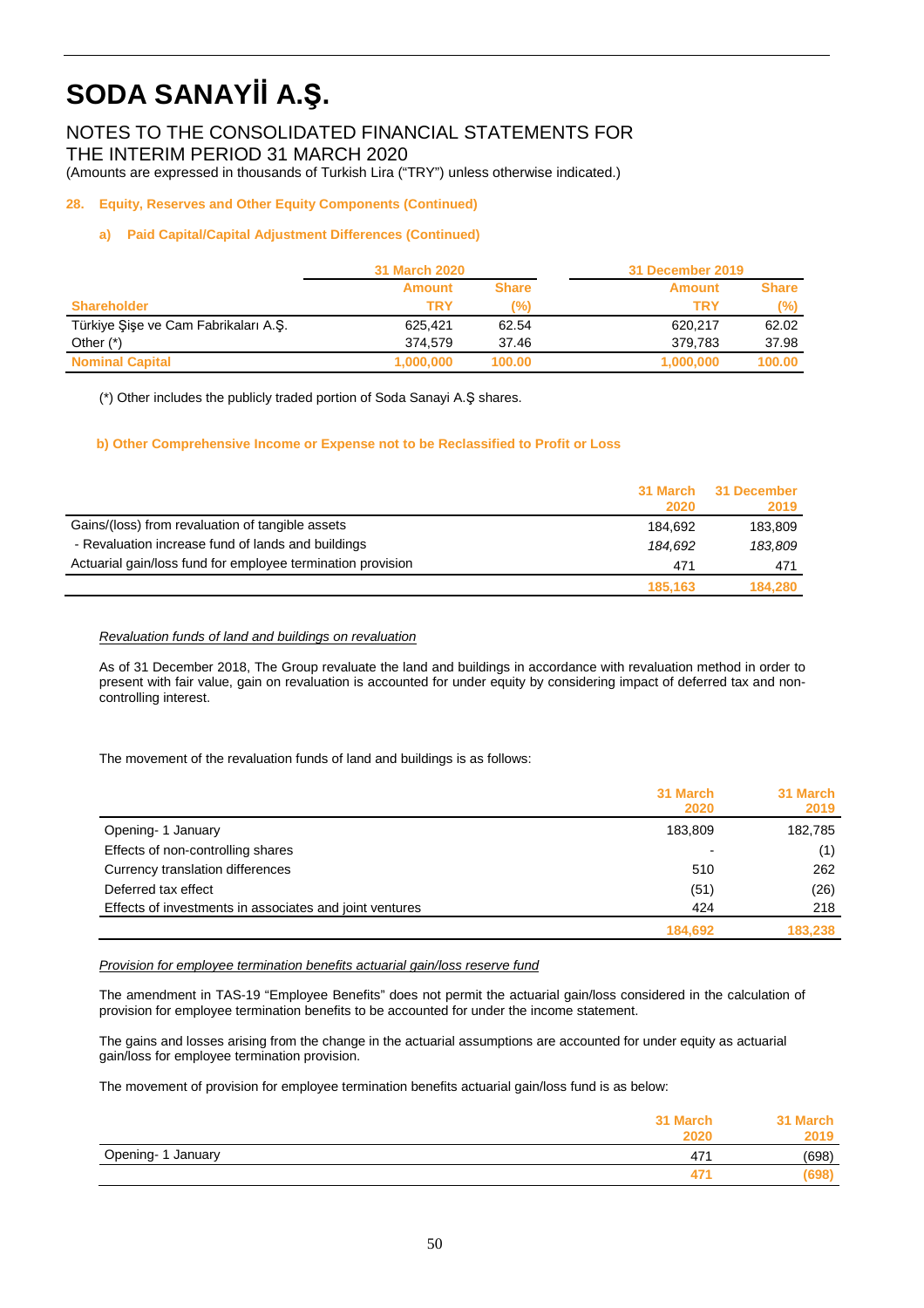NOTES TO THE CONSOLIDATED FINANCIAL STATEMENTS FOR THE INTERIM PERIOD 31 MARCH 2020

(Amounts are expressed in thousands of Turkish Lira ("TRY") unless otherwise indicated.)

#### **28. Equity, Reserves and Other Equity Components (Continued)**

#### **a) Paid Capital/Capital Adjustment Differences (Continued)**

|                                      | <b>31 March 2020</b> |              | <b>31 December 2019</b> |              |
|--------------------------------------|----------------------|--------------|-------------------------|--------------|
|                                      | <b>Amount</b>        | <b>Share</b> | <b>Amount</b>           | <b>Share</b> |
| <b>Shareholder</b>                   | TRY                  | (%)          | TRY                     | (%)          |
| Türkiye Şişe ve Cam Fabrikaları A.Ş. | 625.421              | 62.54        | 620.217                 | 62.02        |
| Other $(*)$                          | 374.579              | 37.46        | 379.783                 | 37.98        |
| <b>Nominal Capital</b>               | 1,000,000            | 100.00       | 1,000,000               | 100.00       |

(\*) Other includes the publicly traded portion of Soda Sanayi A.Ş shares.

#### **b) Other Comprehensive Income or Expense not to be Reclassified to Profit or Loss**

|                                                             | 2020    | 31 March 31 December<br>2019 |
|-------------------------------------------------------------|---------|------------------------------|
| Gains/(loss) from revaluation of tangible assets            | 184.692 | 183.809                      |
| - Revaluation increase fund of lands and buildings          | 184.692 | 183,809                      |
| Actuarial gain/loss fund for employee termination provision | 471     | 471                          |
|                                                             | 185.163 | 184.280                      |

#### Revaluation funds of land and buildings on revaluation

As of 31 December 2018, The Group revaluate the land and buildings in accordance with revaluation method in order to present with fair value, gain on revaluation is accounted for under equity by considering impact of deferred tax and noncontrolling interest.

The movement of the revaluation funds of land and buildings is as follows:

|                                                         | 31 March<br>2020 | 31 March<br>2019 |
|---------------------------------------------------------|------------------|------------------|
| Opening- 1 January                                      | 183,809          | 182,785          |
| Effects of non-controlling shares                       |                  | (1)              |
| Currency translation differences                        | 510              | 262              |
| Deferred tax effect                                     | (51)             | (26)             |
| Effects of investments in associates and joint ventures | 424              | 218              |
|                                                         | 184,692          | 183,238          |

#### Provision for employee termination benefits actuarial gain/loss reserve fund

The amendment in TAS-19 "Employee Benefits" does not permit the actuarial gain/loss considered in the calculation of provision for employee termination benefits to be accounted for under the income statement.

The gains and losses arising from the change in the actuarial assumptions are accounted for under equity as actuarial gain/loss for employee termination provision.

The movement of provision for employee termination benefits actuarial gain/loss fund is as below:

|                    | 31 March<br>2020 | 31 March<br>2019 |
|--------------------|------------------|------------------|
| Opening- 1 January | 47'              | (698)            |
|                    | 47 <sup>4</sup>  | (698)            |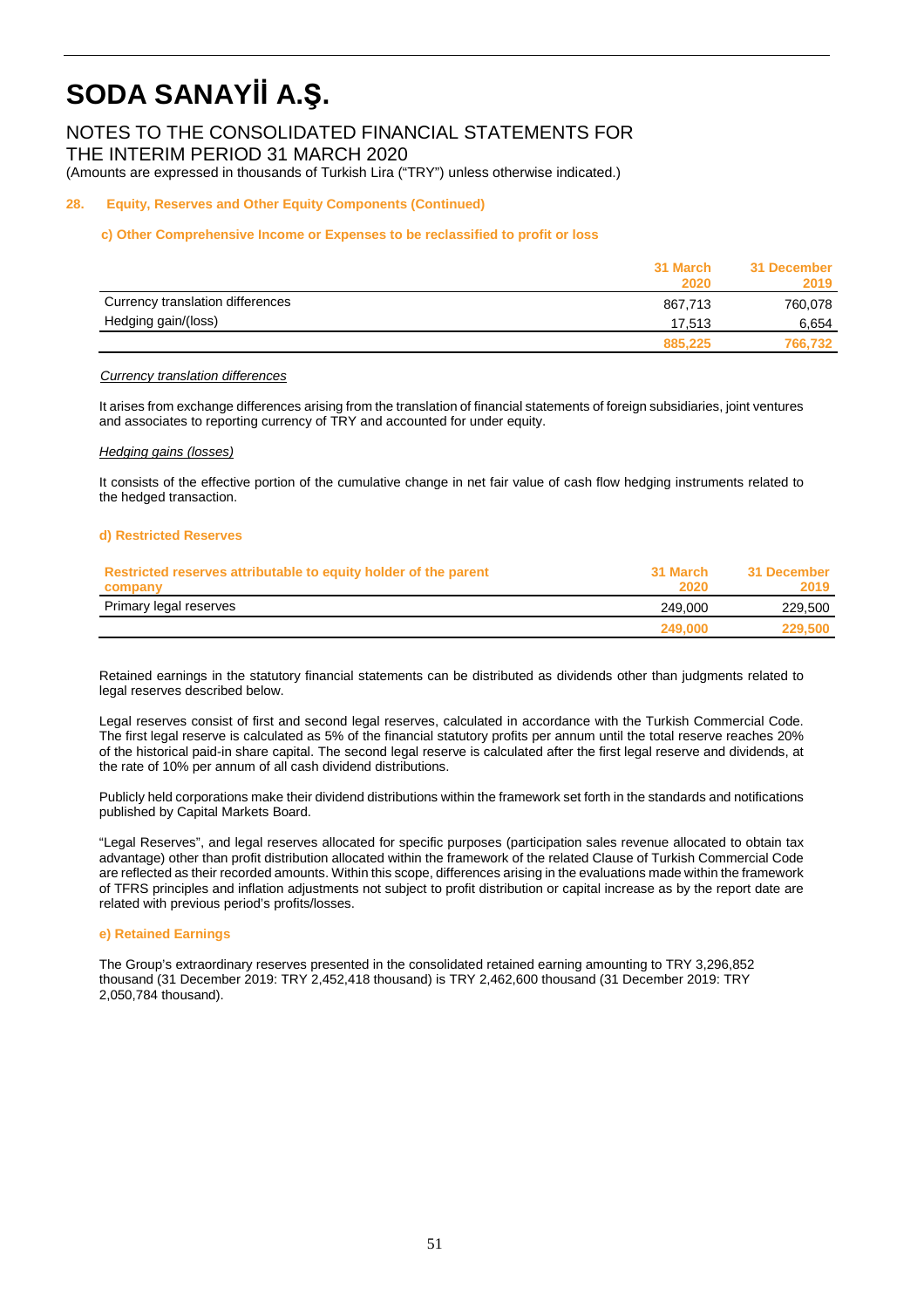NOTES TO THE CONSOLIDATED FINANCIAL STATEMENTS FOR THE INTERIM PERIOD 31 MARCH 2020

(Amounts are expressed in thousands of Turkish Lira ("TRY") unless otherwise indicated.)

#### **28. Equity, Reserves and Other Equity Components (Continued)**

#### **c) Other Comprehensive Income or Expenses to be reclassified to profit or loss**

|                                  | 31 March<br>2020 | 31 December<br>2019 |
|----------------------------------|------------------|---------------------|
| Currency translation differences | 867.713          | 760,078             |
| Hedging gain/(loss)              | 17.513           | 6,654               |
|                                  | 885,225          | 766,732             |

#### **Currency translation differences**

 It arises from exchange differences arising from the translation of financial statements of foreign subsidiaries, joint ventures and associates to reporting currency of TRY and accounted for under equity.

#### Hedging gains (losses)

It consists of the effective portion of the cumulative change in net fair value of cash flow hedging instruments related to the hedged transaction.

#### **d) Restricted Reserves**

| Restricted reserves attributable to equity holder of the parent | 31 March | 31 December |
|-----------------------------------------------------------------|----------|-------------|
| company                                                         | 2020     | 2019        |
| Primary legal reserves                                          | 249.000  | 229,500     |
|                                                                 | 249,000  | 229,500     |

Retained earnings in the statutory financial statements can be distributed as dividends other than judgments related to legal reserves described below.

Legal reserves consist of first and second legal reserves, calculated in accordance with the Turkish Commercial Code. The first legal reserve is calculated as 5% of the financial statutory profits per annum until the total reserve reaches 20% of the historical paid-in share capital. The second legal reserve is calculated after the first legal reserve and dividends, at the rate of 10% per annum of all cash dividend distributions.

Publicly held corporations make their dividend distributions within the framework set forth in the standards and notifications published by Capital Markets Board.

"Legal Reserves", and legal reserves allocated for specific purposes (participation sales revenue allocated to obtain tax advantage) other than profit distribution allocated within the framework of the related Clause of Turkish Commercial Code are reflected as their recorded amounts. Within this scope, differences arising in the evaluations made within the framework of TFRS principles and inflation adjustments not subject to profit distribution or capital increase as by the report date are related with previous period's profits/losses.

#### **e) Retained Earnings**

The Group's extraordinary reserves presented in the consolidated retained earning amounting to TRY 3,296,852 thousand (31 December 2019: TRY 2,452,418 thousand) is TRY 2,462,600 thousand (31 December 2019: TRY 2,050,784 thousand).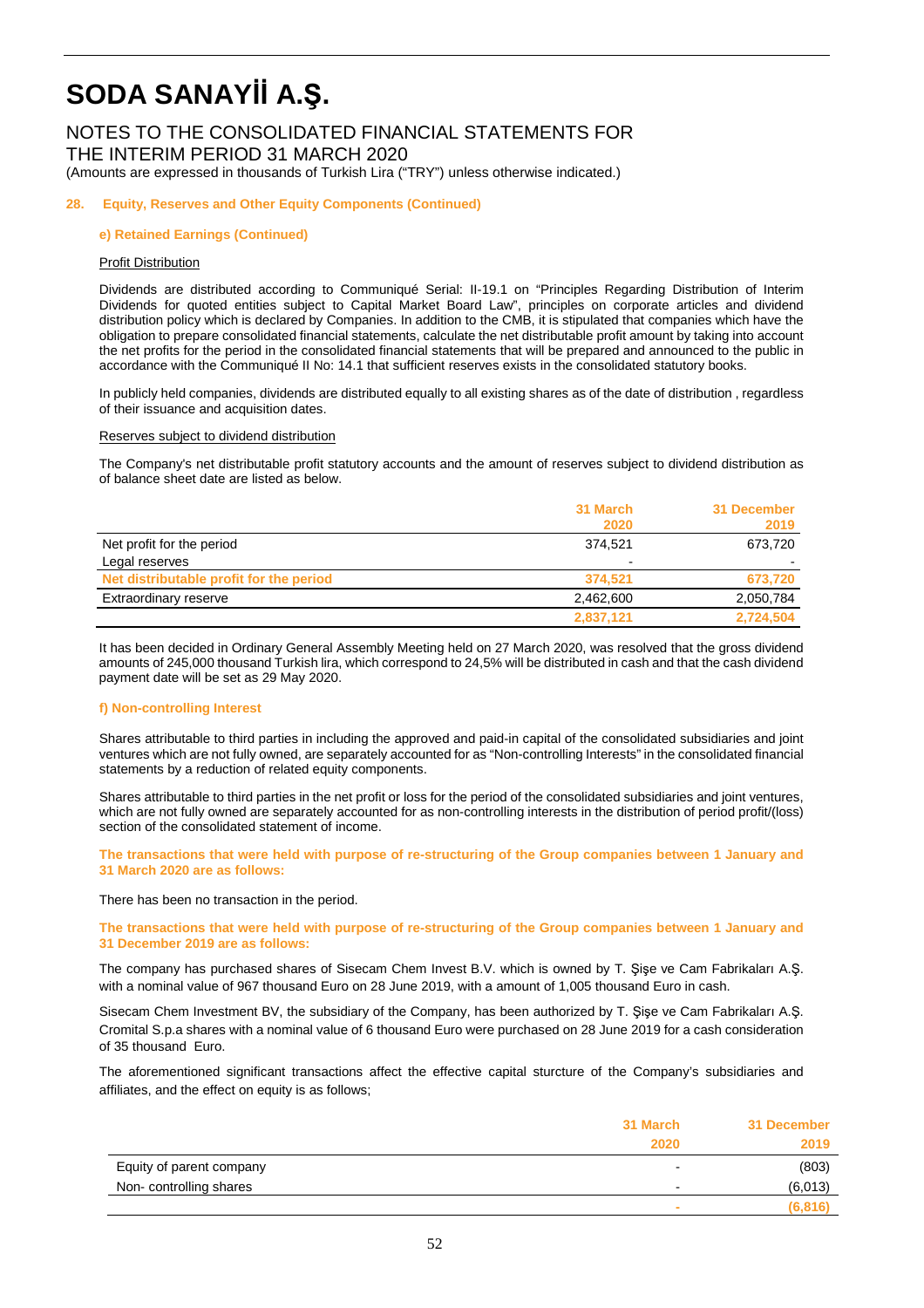### NOTES TO THE CONSOLIDATED FINANCIAL STATEMENTS FOR THE INTERIM PERIOD 31 MARCH 2020

(Amounts are expressed in thousands of Turkish Lira ("TRY") unless otherwise indicated.)

#### **28. Equity, Reserves and Other Equity Components (Continued)**

#### **e) Retained Earnings (Continued)**

#### Profit Distribution

Dividends are distributed according to Communiqué Serial: II-19.1 on "Principles Regarding Distribution of Interim Dividends for quoted entities subject to Capital Market Board Law", principles on corporate articles and dividend distribution policy which is declared by Companies. In addition to the CMB, it is stipulated that companies which have the obligation to prepare consolidated financial statements, calculate the net distributable profit amount by taking into account the net profits for the period in the consolidated financial statements that will be prepared and announced to the public in accordance with the Communiqué II No: 14.1 that sufficient reserves exists in the consolidated statutory books.

In publicly held companies, dividends are distributed equally to all existing shares as of the date of distribution , regardless of their issuance and acquisition dates.

#### Reserves subject to dividend distribution

The Company's net distributable profit statutory accounts and the amount of reserves subject to dividend distribution as of balance sheet date are listed as below.

|                                         | 31 March                 | 31 December |
|-----------------------------------------|--------------------------|-------------|
|                                         | 2020                     | 2019        |
| Net profit for the period               | 374.521                  | 673,720     |
| Legal reserves                          | $\overline{\phantom{0}}$ |             |
| Net distributable profit for the period | 374.521                  | 673,720     |
| Extraordinary reserve                   | 2,462,600                | 2,050,784   |
|                                         | 2,837,121                | 2,724,504   |

 It has been decided in Ordinary General Assembly Meeting held on 27 March 2020, was resolved that the gross dividend amounts of 245,000 thousand Turkish lira, which correspond to 24,5% will be distributed in cash and that the cash dividend payment date will be set as 29 May 2020.

#### **f) Non-controlling Interest**

Shares attributable to third parties in including the approved and paid-in capital of the consolidated subsidiaries and joint ventures which are not fully owned, are separately accounted for as "Non-controlling Interests" in the consolidated financial statements by a reduction of related equity components.

Shares attributable to third parties in the net profit or loss for the period of the consolidated subsidiaries and joint ventures, which are not fully owned are separately accounted for as non-controlling interests in the distribution of period profit/(loss) section of the consolidated statement of income.

**The transactions that were held with purpose of re-structuring of the Group companies between 1 January and 31 March 2020 are as follows:** 

There has been no transaction in the period.

#### **The transactions that were held with purpose of re-structuring of the Group companies between 1 January and 31 December 2019 are as follows:**

The company has purchased shares of Sisecam Chem Invest B.V. which is owned by T. Şişe ve Cam Fabrikaları A.Ş. with a nominal value of 967 thousand Euro on 28 June 2019, with a amount of 1,005 thousand Euro in cash.

Sisecam Chem Investment BV, the subsidiary of the Company, has been authorized by T. Şişe ve Cam Fabrikaları A.Ş. Cromital S.p.a shares with a nominal value of 6 thousand Euro were purchased on 28 June 2019 for a cash consideration of 35 thousand Euro.

The aforementioned significant transactions affect the effective capital sturcture of the Company's subsidiaries and affiliates, and the effect on equity is as follows;

|                          | 31 March<br>2020         | 31 December<br>2019 |
|--------------------------|--------------------------|---------------------|
|                          |                          |                     |
| Equity of parent company | $\overline{\phantom{a}}$ | (803)               |
| Non-controlling shares   | $\overline{\phantom{a}}$ | (6,013)             |
|                          | ×                        | (6, 816)            |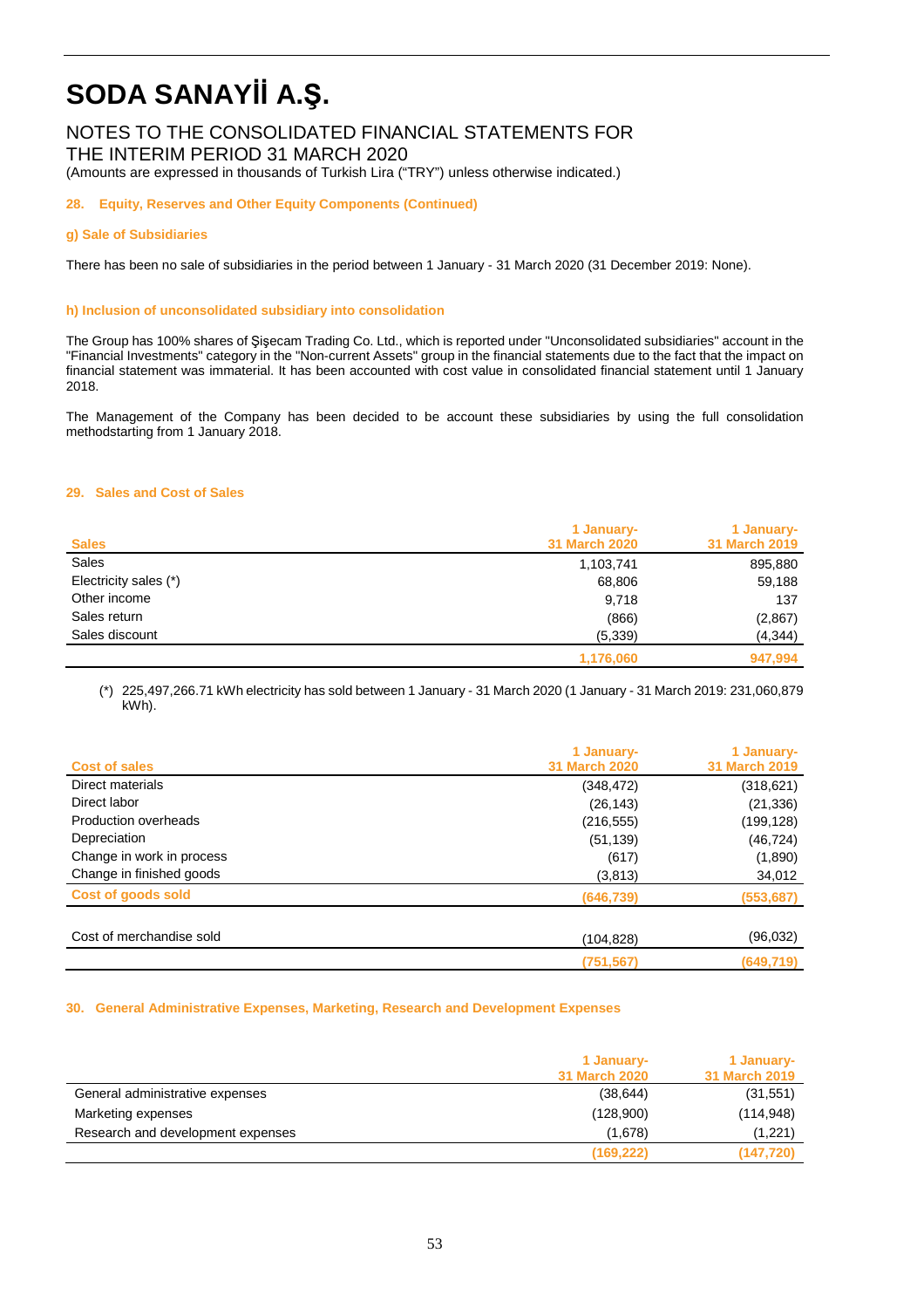### NOTES TO THE CONSOLIDATED FINANCIAL STATEMENTS FOR THE INTERIM PERIOD 31 MARCH 2020

(Amounts are expressed in thousands of Turkish Lira ("TRY") unless otherwise indicated.)

**28. Equity, Reserves and Other Equity Components (Continued)** 

#### **g) Sale of Subsidiaries**

There has been no sale of subsidiaries in the period between 1 January - 31 March 2020 (31 December 2019: None).

#### **h) Inclusion of unconsolidated subsidiary into consolidation**

The Group has 100% shares of Şişecam Trading Co. Ltd., which is reported under "Unconsolidated subsidiaries" account in the "Financial Investments" category in the "Non-current Assets" group in the financial statements due to the fact that the impact on financial statement was immaterial. It has been accounted with cost value in consolidated financial statement until 1 January 2018.

The Management of the Company has been decided to be account these subsidiaries by using the full consolidation methodstarting from 1 January 2018.

#### **29. Sales and Cost of Sales**

| <b>Sales</b>          | 1 January-<br><b>31 March 2020</b> | 1 January-<br>31 March 2019 |
|-----------------------|------------------------------------|-----------------------------|
| Sales                 | 1,103,741                          | 895,880                     |
| Electricity sales (*) | 68,806                             | 59,188                      |
| Other income          | 9,718                              | 137                         |
| Sales return          | (866)                              | (2, 867)                    |
| Sales discount        | (5,339)                            | (4, 344)                    |
|                       | 1,176,060                          | 947,994                     |

(\*) 225,497,266.71 kWh electricity has sold between 1 January - 31 March 2020 (1 January - 31 March 2019: 231,060,879 kWh).

|                           | 1 January-           | 1 January-    |
|---------------------------|----------------------|---------------|
| <b>Cost of sales</b>      | <b>31 March 2020</b> | 31 March 2019 |
| Direct materials          | (348,472)            | (318, 621)    |
| Direct labor              | (26, 143)            | (21, 336)     |
| Production overheads      | (216, 555)           | (199,128)     |
| Depreciation              | (51, 139)            | (46, 724)     |
| Change in work in process | (617)                | (1,890)       |
| Change in finished goods  | (3,813)              | 34,012        |
| Cost of goods sold        | (646,739)            | (553, 687)    |
| Cost of merchandise sold  | (104,828)            | (96,032)      |
|                           | (751, 567)           | (649, 719)    |

#### **30. General Administrative Expenses, Marketing, Research and Development Expenses**

|                                   | 1 January-    | 1 January-           |
|-----------------------------------|---------------|----------------------|
|                                   | 31 March 2020 | <b>31 March 2019</b> |
| General administrative expenses   | (38, 644)     | (31,551)             |
| Marketing expenses                | (128,900)     | (114, 948)           |
| Research and development expenses | (1,678)       | (1,221)              |
|                                   | (169, 222)    | (147, 720)           |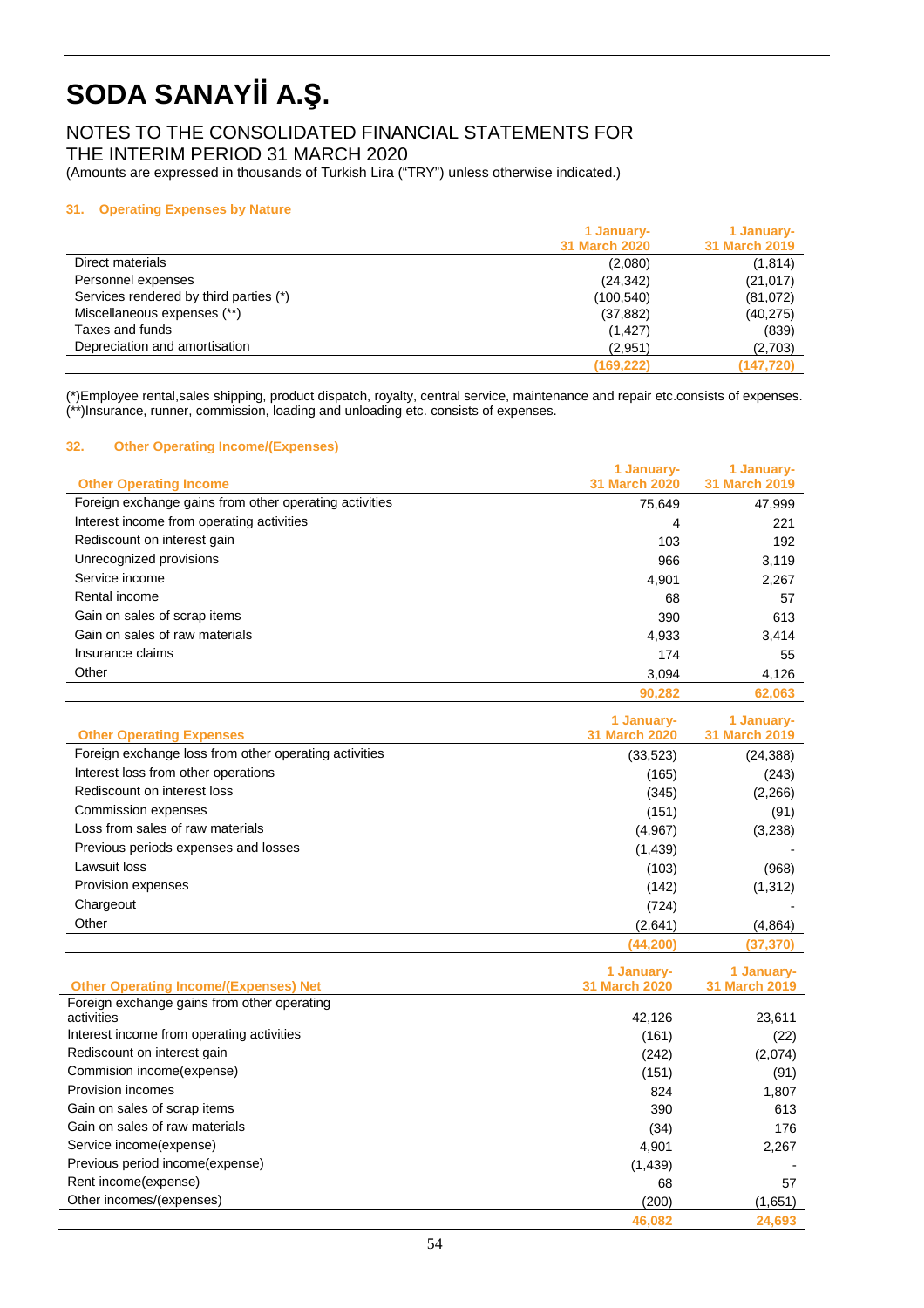### NOTES TO THE CONSOLIDATED FINANCIAL STATEMENTS FOR THE INTERIM PERIOD 31 MARCH 2020

(Amounts are expressed in thousands of Turkish Lira ("TRY") unless otherwise indicated.)

#### **31. Operating Expenses by Nature**

|                                        | 1 January-           | 1 January-           |
|----------------------------------------|----------------------|----------------------|
|                                        | <b>31 March 2020</b> | <b>31 March 2019</b> |
| Direct materials                       | (2,080)              | (1, 814)             |
| Personnel expenses                     | (24, 342)            | (21, 017)            |
| Services rendered by third parties (*) | (100,540)            | (81,072)             |
| Miscellaneous expenses (**)            | (37, 882)            | (40, 275)            |
| Taxes and funds                        | (1, 427)             | (839)                |
| Depreciation and amortisation          | (2.951)              | (2,703)              |
|                                        | (169, 222)           | (147, 720)           |

(\*)Employee rental,sales shipping, product dispatch, royalty, central service, maintenance and repair etc.consists of expenses. (\*\*)Insurance, runner, commission, loading and unloading etc. consists of expenses.

#### **32. Other Operating Income/(Expenses)**

|                                                        | 1 January-           | 1 January-           |
|--------------------------------------------------------|----------------------|----------------------|
| <b>Other Operating Income</b>                          | <b>31 March 2020</b> | <b>31 March 2019</b> |
| Foreign exchange gains from other operating activities | 75,649               | 47,999               |
| Interest income from operating activities              | 4                    | 221                  |
| Rediscount on interest gain                            | 103                  | 192                  |
| Unrecognized provisions                                | 966                  | 3,119                |
| Service income                                         | 4,901                | 2,267                |
| Rental income                                          | 68                   | 57                   |
| Gain on sales of scrap items                           | 390                  | 613                  |
| Gain on sales of raw materials                         | 4,933                | 3,414                |
| Insurance claims                                       | 174                  | 55                   |
| Other                                                  | 3.094                | 4,126                |
|                                                        | 90.282               | 62.063               |

| <b>Other Operating Expenses</b>                       | 1 January-<br><b>31 March 2020</b> | 1 January-<br><b>31 March 2019</b> |
|-------------------------------------------------------|------------------------------------|------------------------------------|
| Foreign exchange loss from other operating activities | (33, 523)                          | (24, 388)                          |
| Interest loss from other operations                   |                                    |                                    |
| Rediscount on interest loss                           | (165)                              | (243)                              |
|                                                       | (345)                              | (2,266)                            |
| <b>Commission expenses</b>                            | (151)                              | (91)                               |
| Loss from sales of raw materials                      | (4,967)                            | (3,238)                            |
| Previous periods expenses and losses                  | (1,439)                            |                                    |
| Lawsuit loss                                          | (103)                              | (968)                              |
| Provision expenses                                    | (142)                              | (1, 312)                           |
| Chargeout                                             | (724)                              |                                    |
| Other                                                 | (2,641)                            | (4,864)                            |
|                                                       | (44.200)                           | (37,370)                           |
|                                                       |                                    |                                    |
| <b>Other Operating Income/(Expenses) Net</b>          | 1 January-<br><b>31 March 2020</b> | 1 January-<br>31 March 2019        |
| Foreign exchange gains from other operating           |                                    |                                    |
| activities                                            | 42,126                             | 23,611                             |
| Interest income from operating activities             | (161)                              | (22)                               |
| Rediscount on interest gain                           | (242)                              | (2,074)                            |
| Commision income(expense)                             | (151)                              | (91)                               |
| Provision incomes                                     | 824                                | 1,807                              |
| Gain on sales of scrap items                          | 390                                | 613                                |
| Gain on sales of raw materials                        | (34)                               | 176                                |
| Service income(expense)                               | 4,901                              | 2,267                              |
| Previous period income(expense)                       | (1, 439)                           |                                    |
| Rent income(expense)                                  | 68                                 | 57                                 |

Other incomes/(expenses) (200) (1,651)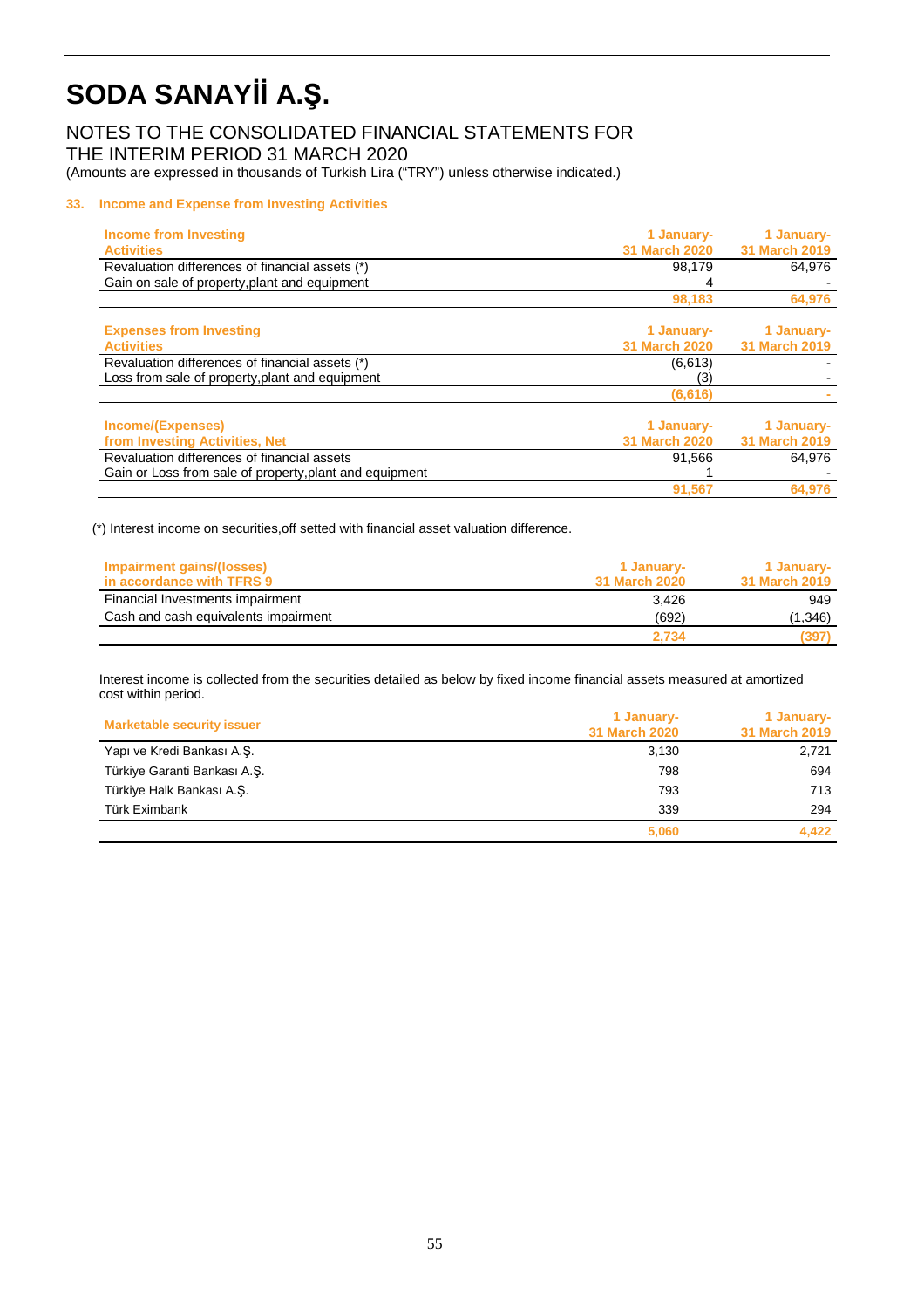### NOTES TO THE CONSOLIDATED FINANCIAL STATEMENTS FOR THE INTERIM PERIOD 31 MARCH 2020

(Amounts are expressed in thousands of Turkish Lira ("TRY") unless otherwise indicated.)

#### **33. Income and Expense from Investing Activities**

| Income from Investing                                   | 1 January-                         | 1 January-                         |
|---------------------------------------------------------|------------------------------------|------------------------------------|
| <b>Activities</b>                                       | <b>31 March 2020</b>               | <b>31 March 2019</b>               |
| Revaluation differences of financial assets (*)         | 98,179                             | 64,976                             |
| Gain on sale of property, plant and equipment           |                                    |                                    |
|                                                         | 98,183                             | 64,976                             |
| <b>Expenses from Investing</b>                          | 1 January-                         | 1 January-                         |
| <b>Activities</b>                                       | <b>31 March 2020</b>               | <b>31 March 2019</b>               |
| Revaluation differences of financial assets (*)         | (6, 613)                           |                                    |
| Loss from sale of property, plant and equipment         | (3)                                |                                    |
|                                                         | (6, 616)                           |                                    |
| Income/(Expenses)<br>from Investing Activities, Net     | 1 January-<br><b>31 March 2020</b> | 1 January-<br><b>31 March 2019</b> |
| Revaluation differences of financial assets             | 91.566                             | 64.976                             |
| Gain or Loss from sale of property, plant and equipment |                                    |                                    |
|                                                         | 91,567                             | 64,976                             |

(\*) Interest income on securities,off setted with financial asset valuation difference.

| Impairment gains/(losses)            | 1 January-    | 1 January-    |
|--------------------------------------|---------------|---------------|
| in accordance with TFRS 9            | 31 March 2020 | 31 March 2019 |
| Financial Investments impairment     | 3.426         | 949           |
| Cash and cash equivalents impairment | (692)         | (1,346)       |
|                                      | 2.734         | (397)         |

Interest income is collected from the securities detailed as below by fixed income financial assets measured at amortized cost within period.

| <b>Marketable security issuer</b> | 1 January-<br>31 March 2020 | 1 January-<br>31 March 2019 |
|-----------------------------------|-----------------------------|-----------------------------|
| Yapı ve Kredi Bankası A.Ş.        | 3,130                       | 2,721                       |
| Türkiye Garanti Bankası A.Ş.      | 798                         | 694                         |
| Türkiye Halk Bankası A.Ş.         | 793                         | 713                         |
| Türk Eximbank                     | 339                         | 294                         |
|                                   | 5,060                       | 4,422                       |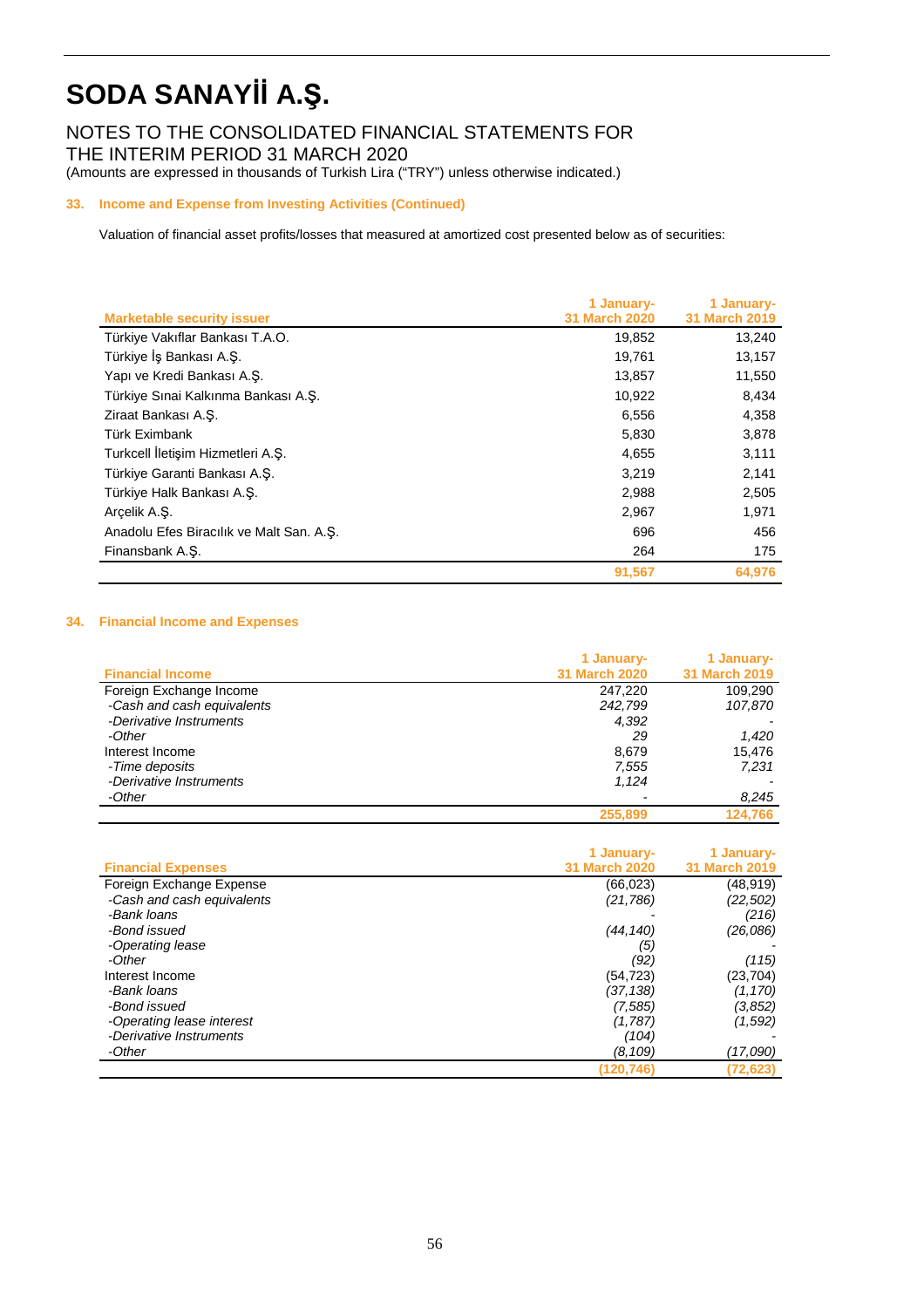NOTES TO THE CONSOLIDATED FINANCIAL STATEMENTS FOR THE INTERIM PERIOD 31 MARCH 2020

(Amounts are expressed in thousands of Turkish Lira ("TRY") unless otherwise indicated.)

#### **33. Income and Expense from Investing Activities (Continued)**

Valuation of financial asset profits/losses that measured at amortized cost presented below as of securities:

|                                          | 1 January-           | 1 January-    |
|------------------------------------------|----------------------|---------------|
| <b>Marketable security issuer</b>        | <b>31 March 2020</b> | 31 March 2019 |
| Türkiye Vakıflar Bankası T.A.O.          | 19,852               | 13,240        |
| Türkiye İş Bankası A.Ş.                  | 19,761               | 13,157        |
| Yapı ve Kredi Bankası A.S.               | 13,857               | 11,550        |
| Türkiye Sınai Kalkınma Bankası A.Ş.      | 10,922               | 8,434         |
| Ziraat Bankası A.S.                      | 6,556                | 4,358         |
| Türk Eximbank                            | 5,830                | 3,878         |
| Turkcell İletişim Hizmetleri A.Ş.        | 4,655                | 3,111         |
| Türkiye Garanti Bankası A.Ş.             | 3,219                | 2,141         |
| Türkiye Halk Bankası A.S.                | 2,988                | 2,505         |
| Arcelik A.S.                             | 2,967                | 1,971         |
| Anadolu Efes Biracılık ve Malt San. A.Ş. | 696                  | 456           |
| Finansbank A.S.                          | 264                  | 175           |
|                                          | 91,567               | 64,976        |

#### **34. Financial Income and Expenses**

| <b>Financial Income</b>    | 1 January-<br><b>31 March 2020</b> | 1 January-<br>31 March 2019 |
|----------------------------|------------------------------------|-----------------------------|
| Foreign Exchange Income    | 247.220                            | 109,290                     |
| -Cash and cash equivalents | 242,799                            | 107,870                     |
| -Derivative Instruments    | 4.392                              |                             |
| -Other                     | 29                                 | 1,420                       |
| Interest Income            | 8,679                              | 15,476                      |
| -Time deposits             | 7,555                              | 7.231                       |
| -Derivative Instruments    | 1.124                              |                             |
| -Other                     |                                    | 8,245                       |
|                            | 255,899                            | 124.766                     |

|                            | 1 January-           | 1 January-           |
|----------------------------|----------------------|----------------------|
| <b>Financial Expenses</b>  | <b>31 March 2020</b> | <b>31 March 2019</b> |
| Foreign Exchange Expense   | (66, 023)            | (48, 919)            |
| -Cash and cash equivalents | (21,786)             | (22, 502)            |
| -Bank Ioans                |                      | (216)                |
| -Bond issued               | (44, 140)            | (26,086)             |
| -Operating lease           | (5)                  |                      |
| -Other                     | (92)                 | (115)                |
| Interest Income            | (54, 723)            | (23, 704)            |
| -Bank Ioans                | (37,138)             | (1, 170)             |
| -Bond issued               | (7, 585)             | (3,852)              |
| -Operating lease interest  | (1,787)              | (1,592)              |
| -Derivative Instruments    | (104)                |                      |
| -Other                     | (8,109)              | (17,090)             |
|                            | (120.746)            | (72, 623)            |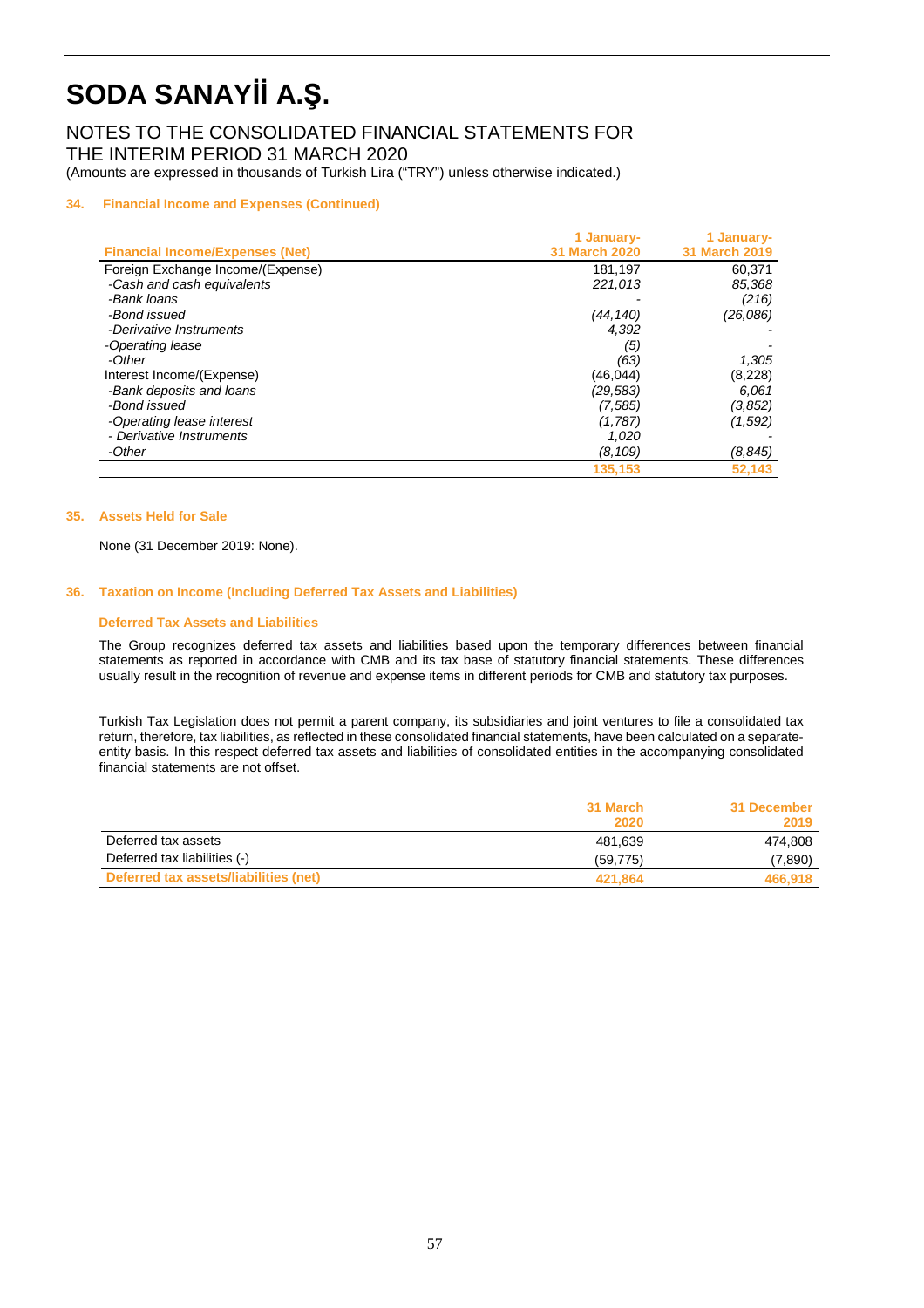### NOTES TO THE CONSOLIDATED FINANCIAL STATEMENTS FOR THE INTERIM PERIOD 31 MARCH 2020

(Amounts are expressed in thousands of Turkish Lira ("TRY") unless otherwise indicated.)

#### **34. Financial Income and Expenses (Continued)**

|                                        | 1 January-           | 1 January-           |
|----------------------------------------|----------------------|----------------------|
| <b>Financial Income/Expenses (Net)</b> | <b>31 March 2020</b> | <b>31 March 2019</b> |
| Foreign Exchange Income/(Expense)      | 181,197              | 60,371               |
| -Cash and cash equivalents             | 221,013              | 85,368               |
| -Bank loans                            |                      | (216)                |
| -Bond issued                           | (44,140)             | (26,086)             |
| -Derivative Instruments                | 4.392                |                      |
| -Operating lease                       | (5)                  |                      |
| -Other                                 | (63)                 | 1,305                |
| Interest Income/(Expense)              | (46,044)             | (8,228)              |
| -Bank deposits and loans               | (29, 583)            | 6.061                |
| -Bond issued                           | (7.585)              | (3,852)              |
| -Operating lease interest              | (1,787)              | (1,592)              |
| - Derivative Instruments               | 1,020                |                      |
| -Other                                 | (8, 109)             | (8, 845)             |
|                                        | 135,153              | 52,143               |

#### **35. Assets Held for Sale**

None (31 December 2019: None).

#### **36. Taxation on Income (Including Deferred Tax Assets and Liabilities)**

#### **Deferred Tax Assets and Liabilities**

The Group recognizes deferred tax assets and liabilities based upon the temporary differences between financial statements as reported in accordance with CMB and its tax base of statutory financial statements. These differences usually result in the recognition of revenue and expense items in different periods for CMB and statutory tax purposes.

Turkish Tax Legislation does not permit a parent company, its subsidiaries and joint ventures to file a consolidated tax return, therefore, tax liabilities, as reflected in these consolidated financial statements, have been calculated on a separateentity basis. In this respect deferred tax assets and liabilities of consolidated entities in the accompanying consolidated financial statements are not offset.

|                                       | 31 March<br>2020 | 31 December<br>2019 |
|---------------------------------------|------------------|---------------------|
| Deferred tax assets                   | 481.639          | 474.808             |
| Deferred tax liabilities (-)          | (59, 775)        | (7,890)             |
| Deferred tax assets/liabilities (net) | 421.864          | 466,918             |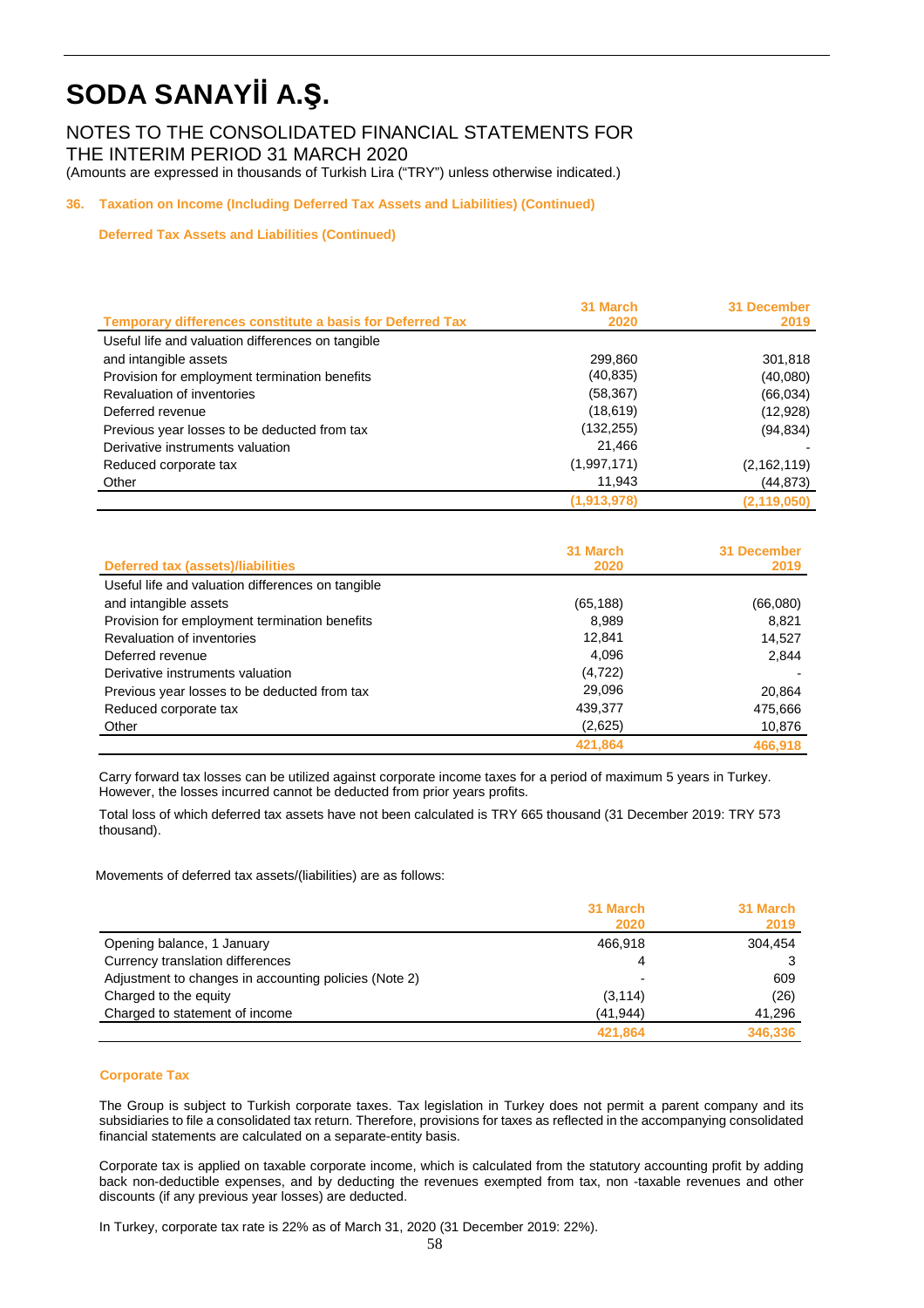NOTES TO THE CONSOLIDATED FINANCIAL STATEMENTS FOR THE INTERIM PERIOD 31 MARCH 2020 (Amounts are expressed in thousands of Turkish Lira ("TRY") unless otherwise indicated.)

### **36. Taxation on Income (Including Deferred Tax Assets and Liabilities) (Continued)**

**Deferred Tax Assets and Liabilities (Continued)**

|                                                                  | 31 March    | 31 December   |
|------------------------------------------------------------------|-------------|---------------|
| <b>Temporary differences constitute a basis for Deferred Tax</b> | 2020        | 2019          |
| Useful life and valuation differences on tangible                |             |               |
| and intangible assets                                            | 299,860     | 301,818       |
| Provision for employment termination benefits                    | (40, 835)   | (40,080)      |
| Revaluation of inventories                                       | (58, 367)   | (66, 034)     |
| Deferred revenue                                                 | (18, 619)   | (12, 928)     |
| Previous year losses to be deducted from tax                     | (132, 255)  | (94, 834)     |
| Derivative instruments valuation                                 | 21,466      |               |
| Reduced corporate tax                                            | (1,997,171) | (2, 162, 119) |
| Other                                                            | 11.943      | (44,873)      |
|                                                                  | (1,913,978) | (2, 119, 050) |

|                                                   | 31 March  | 31 December |
|---------------------------------------------------|-----------|-------------|
| <b>Deferred tax (assets)/liabilities</b>          | 2020      | 2019        |
| Useful life and valuation differences on tangible |           |             |
| and intangible assets                             | (65, 188) | (66,080)    |
| Provision for employment termination benefits     | 8.989     | 8.821       |
| Revaluation of inventories                        | 12,841    | 14,527      |
| Deferred revenue                                  | 4,096     | 2,844       |
| Derivative instruments valuation                  | (4, 722)  |             |
| Previous year losses to be deducted from tax      | 29,096    | 20,864      |
| Reduced corporate tax                             | 439,377   | 475,666     |
| Other                                             | (2,625)   | 10,876      |
|                                                   | 421,864   | 466.918     |

Carry forward tax losses can be utilized against corporate income taxes for a period of maximum 5 years in Turkey. However, the losses incurred cannot be deducted from prior years profits.

Total loss of which deferred tax assets have not been calculated is TRY 665 thousand (31 December 2019: TRY 573 thousand).

Movements of deferred tax assets/(liabilities) are as follows:

|                                                       | 31 March  | 31 March |
|-------------------------------------------------------|-----------|----------|
|                                                       | 2020      | 2019     |
| Opening balance, 1 January                            | 466.918   | 304,454  |
| Currency translation differences                      | 4         |          |
| Adjustment to changes in accounting policies (Note 2) |           | 609      |
| Charged to the equity                                 | (3, 114)  | (26)     |
| Charged to statement of income                        | (41, 944) | 41,296   |
|                                                       | 421.864   | 346,336  |

#### **Corporate Tax**

The Group is subject to Turkish corporate taxes. Tax legislation in Turkey does not permit a parent company and its subsidiaries to file a consolidated tax return. Therefore, provisions for taxes as reflected in the accompanying consolidated financial statements are calculated on a separate-entity basis.

Corporate tax is applied on taxable corporate income, which is calculated from the statutory accounting profit by adding back non-deductible expenses, and by deducting the revenues exempted from tax, non -taxable revenues and other discounts (if any previous year losses) are deducted.

In Turkey, corporate tax rate is 22% as of March 31, 2020 (31 December 2019: 22%).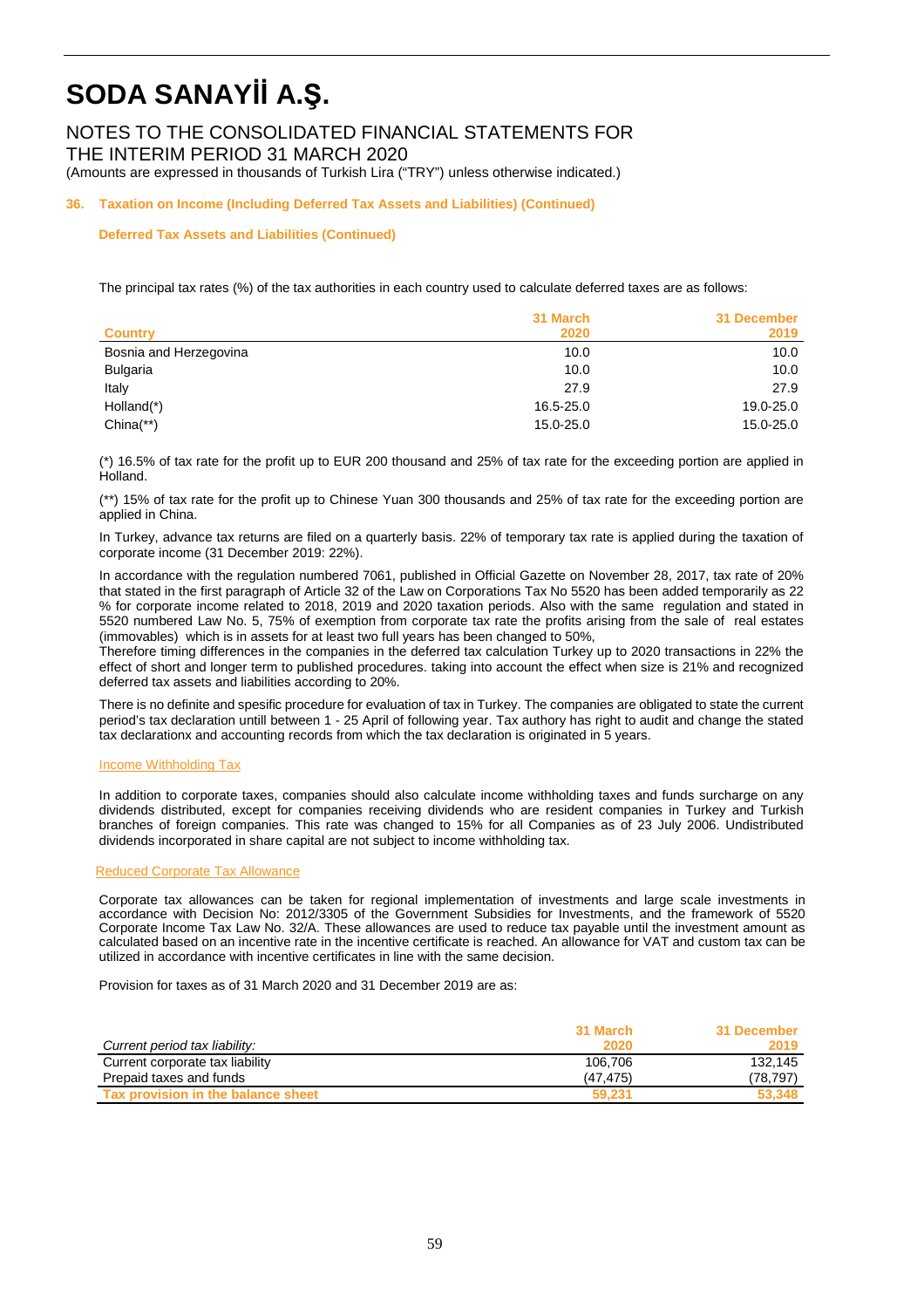NOTES TO THE CONSOLIDATED FINANCIAL STATEMENTS FOR THE INTERIM PERIOD 31 MARCH 2020

(Amounts are expressed in thousands of Turkish Lira ("TRY") unless otherwise indicated.)

**36. Taxation on Income (Including Deferred Tax Assets and Liabilities) (Continued)** 

#### **Deferred Tax Assets and Liabilities (Continued)**

The principal tax rates (%) of the tax authorities in each country used to calculate deferred taxes are as follows:

|                        | 31 March  | 31 December |
|------------------------|-----------|-------------|
| <b>Country</b>         | 2020      | 2019        |
| Bosnia and Herzegovina | 10.0      | 10.0        |
| <b>Bulgaria</b>        | 10.0      | 10.0        |
| Italy                  | 27.9      | 27.9        |
| Holland <sup>(*)</sup> | 16.5-25.0 | 19.0-25.0   |
| $China(**)$            | 15.0-25.0 | 15.0-25.0   |

(\*) 16.5% of tax rate for the profit up to EUR 200 thousand and 25% of tax rate for the exceeding portion are applied in Holland.

(\*\*) 15% of tax rate for the profit up to Chinese Yuan 300 thousands and 25% of tax rate for the exceeding portion are applied in China.

In Turkey, advance tax returns are filed on a quarterly basis. 22% of temporary tax rate is applied during the taxation of corporate income (31 December 2019: 22%).

In accordance with the regulation numbered 7061, published in Official Gazette on November 28, 2017, tax rate of 20% that stated in the first paragraph of Article 32 of the Law on Corporations Tax No 5520 has been added temporarily as 22 % for corporate income related to 2018, 2019 and 2020 taxation periods. Also with the same regulation and stated in 5520 numbered Law No. 5, 75% of exemption from corporate tax rate the profits arising from the sale of real estates (immovables) which is in assets for at least two full years has been changed to 50%,

Therefore timing differences in the companies in the deferred tax calculation Turkey up to 2020 transactions in 22% the effect of short and longer term to published procedures. taking into account the effect when size is 21% and recognized deferred tax assets and liabilities according to 20%.

There is no definite and spesific procedure for evaluation of tax in Turkey. The companies are obligated to state the current period's tax declaration untill between 1 - 25 April of following year. Tax authory has right to audit and change the stated tax declarationx and accounting records from which the tax declaration is originated in 5 years.

#### **Income Withholding Tax**

In addition to corporate taxes, companies should also calculate income withholding taxes and funds surcharge on any dividends distributed, except for companies receiving dividends who are resident companies in Turkey and Turkish branches of foreign companies. This rate was changed to 15% for all Companies as of 23 July 2006. Undistributed dividends incorporated in share capital are not subject to income withholding tax.

#### Reduced Corporate Tax Allowance

Corporate tax allowances can be taken for regional implementation of investments and large scale investments in accordance with Decision No: 2012/3305 of the Government Subsidies for Investments, and the framework of 5520 Corporate Income Tax Law No. 32/A. These allowances are used to reduce tax payable until the investment amount as calculated based on an incentive rate in the incentive certificate is reached. An allowance for VAT and custom tax can be utilized in accordance with incentive certificates in line with the same decision.

Provision for taxes as of 31 March 2020 and 31 December 2019 are as:

|                                    | 31 March  | 31 December |
|------------------------------------|-----------|-------------|
| Current period tax liability:      | 2020      | 2019        |
| Current corporate tax liability    | 106.706   | 132.145     |
| Prepaid taxes and funds            | (47, 475) | (78,797)    |
| Tax provision in the balance sheet | 59.231    | 53.348      |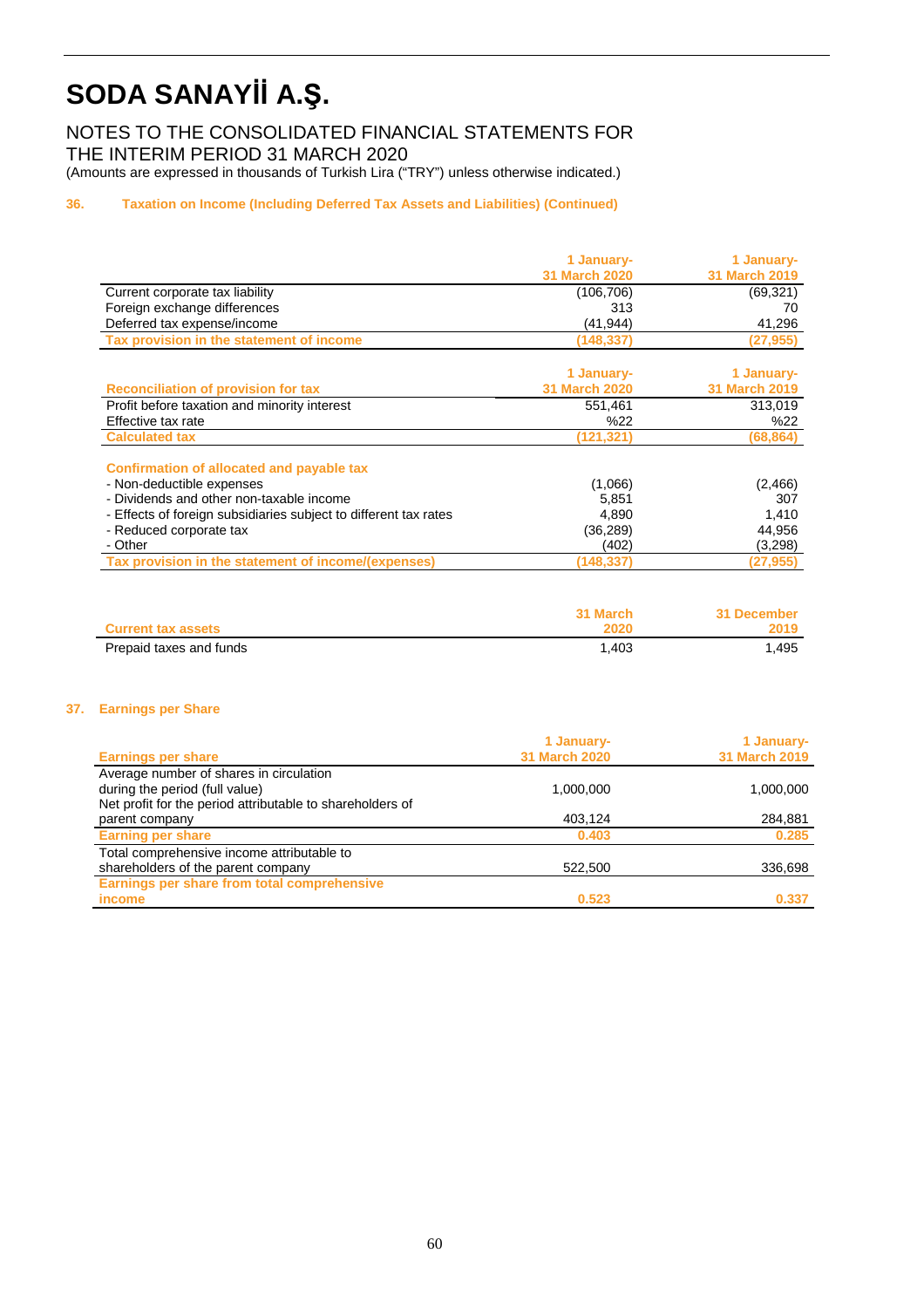NOTES TO THE CONSOLIDATED FINANCIAL STATEMENTS FOR THE INTERIM PERIOD 31 MARCH 2020 (Amounts are expressed in thousands of Turkish Lira ("TRY") unless otherwise indicated.)

#### 36. **36. Taxation on Income (Including Deferred Tax Assets and Liabilities) (Continued)**

|                                                                  | 1 January-           | 1 January-           |
|------------------------------------------------------------------|----------------------|----------------------|
|                                                                  | <b>31 March 2020</b> | <b>31 March 2019</b> |
| Current corporate tax liability                                  | (106, 706)           | (69, 321)            |
| Foreign exchange differences                                     | 313                  | 70                   |
| Deferred tax expense/income                                      | (41,944)             | 41,296               |
| Tax provision in the statement of income                         | (148, 337)           | (27, 955)            |
|                                                                  |                      |                      |
|                                                                  | 1 January-           | 1 January-           |
| <b>Reconciliation of provision for tax</b>                       | <b>31 March 2020</b> | <b>31 March 2019</b> |
| Profit before taxation and minority interest                     | 551,461              | 313,019              |
| Effective tax rate                                               | %22                  | %22                  |
| <b>Calculated tax</b>                                            | (121, 321)           | (68, 864)            |
| Confirmation of allocated and payable tax                        |                      |                      |
| - Non-deductible expenses                                        | (1,066)              | (2,466)              |
| - Dividends and other non-taxable income                         | 5,851                | 307                  |
| - Effects of foreign subsidiaries subject to different tax rates | 4,890                | 1,410                |
| - Reduced corporate tax                                          | (36,289)             | 44,956               |
| - Other                                                          | (402)                | (3,298)              |
| Tax provision in the statement of income/(expenses)              | (148,337)            | (27, 955)            |

|                           | 31 March | 31 December |
|---------------------------|----------|-------------|
| <b>Current tax assets</b> | 2020     | 2019        |
| Prepaid taxes and funds   | 1.403    | .495        |

#### **37. Earnings per Share**

|                                                           | 1 January-           | 1 January-           |
|-----------------------------------------------------------|----------------------|----------------------|
| <b>Earnings per share</b>                                 | <b>31 March 2020</b> | <b>31 March 2019</b> |
| Average number of shares in circulation                   |                      |                      |
| during the period (full value)                            | 1,000,000            | 1,000,000            |
| Net profit for the period attributable to shareholders of |                      |                      |
| parent company                                            | 403,124              | 284,881              |
| <b>Earning per share</b>                                  | 0.403                | 0.285                |
| Total comprehensive income attributable to                |                      |                      |
| shareholders of the parent company                        | 522,500              | 336,698              |
| Earnings per share from total comprehensive               |                      |                      |
| income                                                    | 0.523                | 0.337                |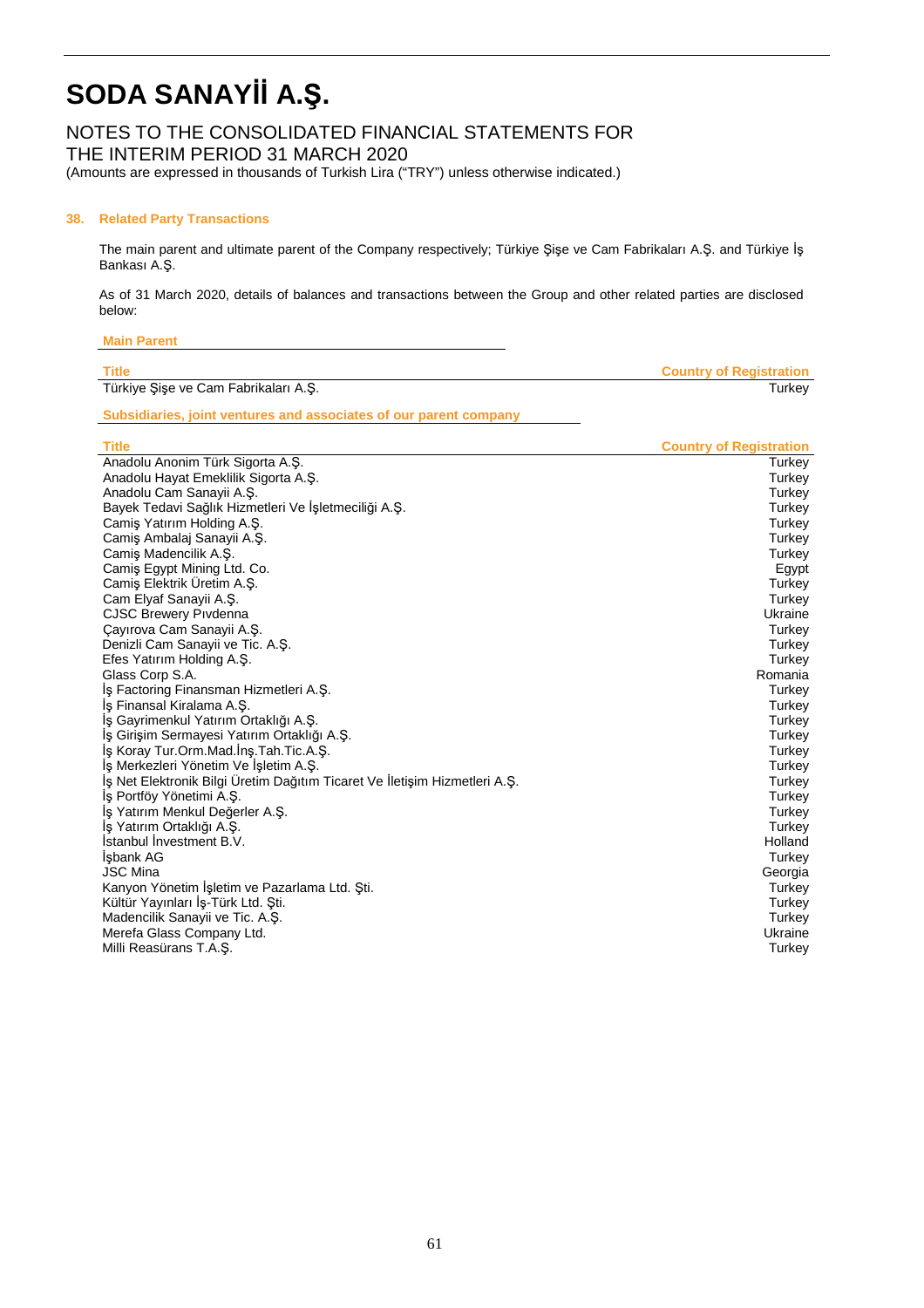### NOTES TO THE CONSOLIDATED FINANCIAL STATEMENTS FOR

THE INTERIM PERIOD 31 MARCH 2020

(Amounts are expressed in thousands of Turkish Lira ("TRY") unless otherwise indicated.)

#### **38. Related Party Transactions**

The main parent and ultimate parent of the Company respectively; Türkiye Şişe ve Cam Fabrikaları A.Ş. and Türkiye İş Bankası A.Ş.

As of 31 March 2020, details of balances and transactions between the Group and other related parties are disclosed below:

| Title                                | <b>Country of Registration</b> |
|--------------------------------------|--------------------------------|
| Türkiye Şişe ve Cam Fabrikaları A.Ş. | Turkev                         |

**Subsidiaries, joint ventures and associates of our parent company** 

| <b>Title</b>                                                               | <b>Country of Registration</b> |
|----------------------------------------------------------------------------|--------------------------------|
| Anadolu Anonim Türk Sigorta A.Ş.                                           | Turkey                         |
| Anadolu Hayat Emeklilik Sigorta A.S.                                       | Turkey                         |
| Anadolu Cam Sanayii A.Ş.                                                   | Turkey                         |
| Bayek Tedavi Sağlık Hizmetleri Ve İşletmeciliği A.Ş.                       | Turkey                         |
| Camis Yatırım Holding A.S.                                                 | Turkey                         |
| Camiş Ambalaj Sanayii A.Ş.                                                 | Turkey                         |
| Camis Madencilik A.S.                                                      | Turkey                         |
| Camis Egypt Mining Ltd. Co.                                                | Egypt                          |
| Camis Elektrik Üretim A.S.                                                 | Turkey                         |
| Cam Elyaf Sanayii A.Ş.                                                     | Turkey                         |
| <b>CJSC Brewery Pivdenna</b>                                               | Ukraine                        |
| Çayırova Cam Sanayii A.Ş.                                                  | Turkey                         |
| Denizli Cam Sanayii ve Tic. A.Ş.                                           | Turkey                         |
| Efes Yatırım Holding A.Ş.                                                  | Turkey                         |
| Glass Corp S.A.                                                            | Romania                        |
| Iş Factoring Finansman Hizmetleri A.Ş.                                     | Turkey                         |
| İş Finansal Kiralama A.Ş.                                                  | Turkey                         |
| İş Gayrimenkul Yatırım Ortaklığı A.Ş.                                      | Turkey                         |
| İş Girişim Sermayesi Yatırım Ortaklığı A.Ş.                                | Turkey                         |
| İş Koray Tur.Orm.Mad.İnş.Tah.Tic.A.Ş.                                      | Turkey                         |
| İş Merkezleri Yönetim Ve İşletim A.Ş.                                      | Turkey                         |
| İş Net Elektronik Bilgi Üretim Dağıtım Ticaret Ve İletişim Hizmetleri A.Ş. | Turkey                         |
| Iş Portföy Yönetimi A.Ş.                                                   | Turkey                         |
| İş Yatırım Menkul Değerler A.Ş.                                            | Turkey                         |
| İş Yatırım Ortaklığı A.Ş.                                                  | Turkey                         |
| <b>Istanbul Investment B.V.</b>                                            | Holland                        |
| İşbank AG                                                                  | Turkey                         |
| <b>JSC Mina</b>                                                            | Georgia                        |
| Kanyon Yönetim İşletim ve Pazarlama Ltd. Şti.                              | Turkey                         |
| Kültür Yayınları İş-Türk Ltd. Şti.                                         | Turkey                         |
| Madencilik Sanayii ve Tic. A.Ş.                                            | Turkey                         |
| Merefa Glass Company Ltd.                                                  | Ukraine                        |
| Milli Reasürans T.A.Ş.                                                     | Turkey                         |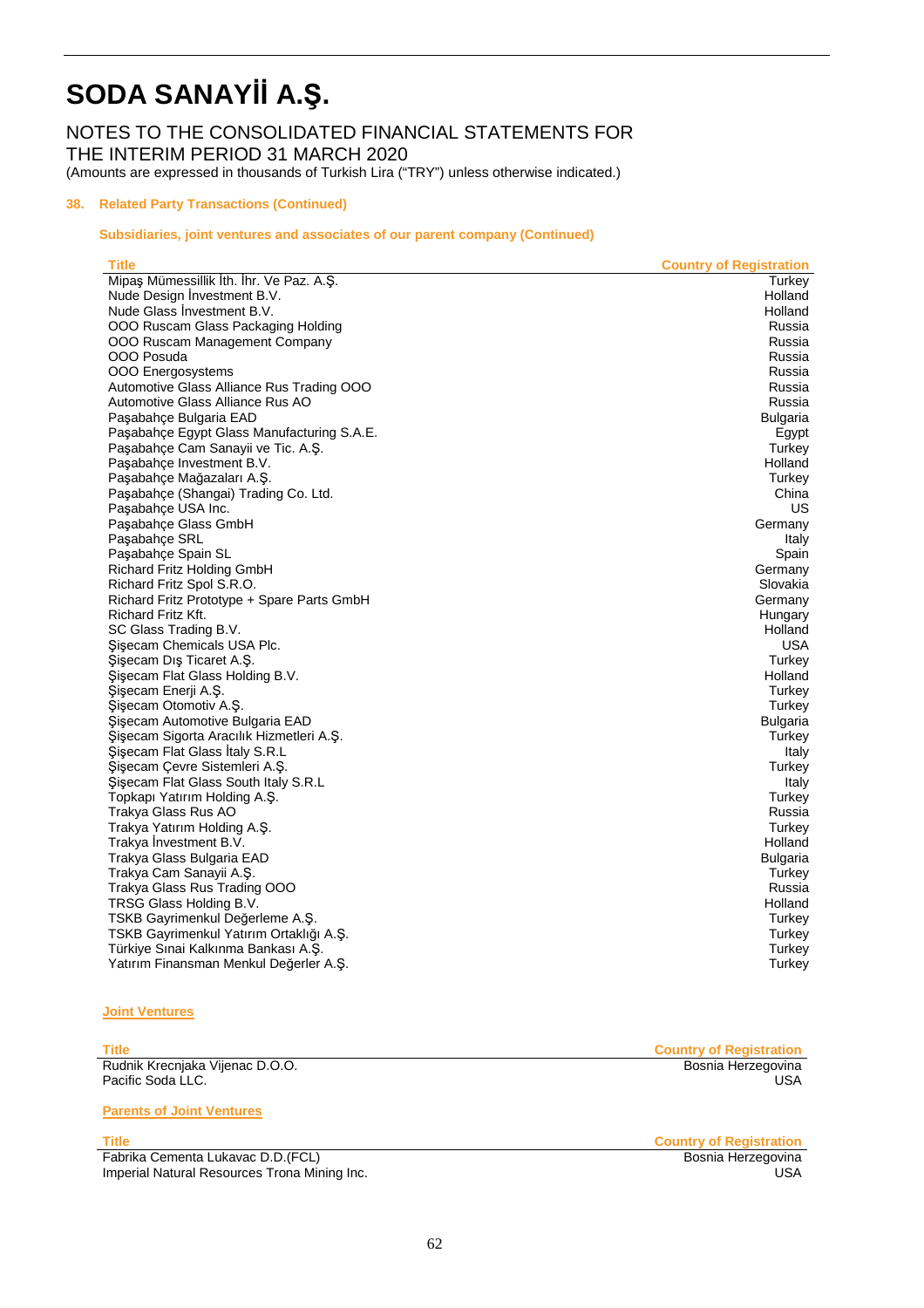NOTES TO THE CONSOLIDATED FINANCIAL STATEMENTS FOR THE INTERIM PERIOD 31 MARCH 2020

(Amounts are expressed in thousands of Turkish Lira ("TRY") unless otherwise indicated.)

#### **38. Related Party Transactions (Continued)**

#### **Subsidiaries, joint ventures and associates of our parent company (Continued)**

| <b>Title</b>                                               | <b>Country of Registration</b> |
|------------------------------------------------------------|--------------------------------|
| Mipaş Mümessillik İth. İhr. Ve Paz. A.Ş.                   | Turkey                         |
| Nude Design Investment B.V.                                | Holland                        |
| Nude Glass Investment B.V.                                 | Holland                        |
| OOO Ruscam Glass Packaging Holding                         | Russia                         |
| OOO Ruscam Management Company                              | Russia                         |
| OOO Posuda                                                 | Russia                         |
| <b>OOO</b> Energosystems                                   | Russia                         |
| Automotive Glass Alliance Rus Trading OOO                  | Russia                         |
| Automotive Glass Alliance Rus AO                           | Russia                         |
| Paşabahçe Bulgaria EAD                                     | Bulgaria                       |
| Paşabahçe Egypt Glass Manufacturing S.A.E.                 | Egypt                          |
| Paşabahçe Cam Sanayii ve Tic. A.Ş.                         | Turkey                         |
| Paşabahçe Investment B.V.                                  | Holland                        |
| Paşabahçe Mağazaları A.Ş.                                  | Turkey                         |
| Paşabahçe (Shangai) Trading Co. Ltd.                       | China                          |
| Paşabahçe USA Inc.                                         | US                             |
| Paşabahçe Glass GmbH                                       | Germany                        |
| Paşabahçe SRL                                              | Italy                          |
| Paşabahçe Spain SL                                         | Spain                          |
| Richard Fritz Holding GmbH                                 | Germany                        |
| Richard Fritz Spol S.R.O.                                  | Slovakia                       |
| Richard Fritz Prototype + Spare Parts GmbH                 | Germany                        |
| Richard Fritz Kft.                                         | Hungary                        |
| SC Glass Trading B.V.                                      | Holland                        |
| Sisecam Chemicals USA Plc.                                 | USA                            |
| Şişecam Dış Ticaret A.Ş.                                   | Turkey                         |
| Şişecam Flat Glass Holding B.V.                            | Holland                        |
| Şişecam Enerji A.Ş.                                        | Turkey                         |
| Şişecam Otomotiv A.Ş.                                      | Turkey                         |
| Şişecam Automotive Bulgaria EAD                            | Bulgaria                       |
| Şişecam Sigorta Aracılık Hizmetleri A.Ş.                   | Turkey                         |
| Sisecam Flat Glass Italy S.R.L                             | Italy                          |
| Şişecam Çevre Sistemleri A.Ş.                              | Turkey                         |
| Sisecam Flat Glass South Italy S.R.L                       | Italy                          |
| Topkapı Yatırım Holding A.Ş.                               | Turkey                         |
| Trakya Glass Rus AO<br>Trakya Yatırım Holding A.Ş.         | Russia                         |
| Trakya Investment B.V.                                     | Turkey<br>Holland              |
|                                                            |                                |
| Trakya Glass Bulgaria EAD                                  | Bulgaria                       |
| Trakya Cam Sanayii A.Ş.<br>Trakya Glass Rus Trading OOO    | Turkey<br>Russia               |
|                                                            | Holland                        |
| TRSG Glass Holding B.V.<br>TSKB Gayrimenkul Değerleme A.Ş. | Turkey                         |
| TSKB Gayrimenkul Yatırım Ortaklığı A.Ş.                    | Turkey                         |
| Türkiye Sınai Kalkınma Bankası A.Ş.                        |                                |
|                                                            | Turkey                         |
| Yatırım Finansman Menkul Değerler A.Ş.                     | Turkey                         |

#### **Joint Ventures**

Rudnik Krecnjaka Vijenac D.O.O. Bosnia Herzegovina Pacific Soda LLC.

**Parents of Joint Ventures** 

Title **Country of Registration**<br>
Fabrika Cementa Lukavac D.D.(FCL) **Country of Registration**<br>
Bosnia Herzegovina Fabrika Cementa Lukavac D.D.(FCL) **Imperial Natural Resources Trona Mining Inc.** USA **Intervention Contract Contract Contract Contract Contract Contract Contract Contract Contract Contract Contract Contract Contract Contract Contract Contract Contract Cont** 

Title **Country of Registration**<br>
Rudnik Krecnjaka Vijenac D.O.O. **Country of Registration**<br>
Bosnia Herzegovina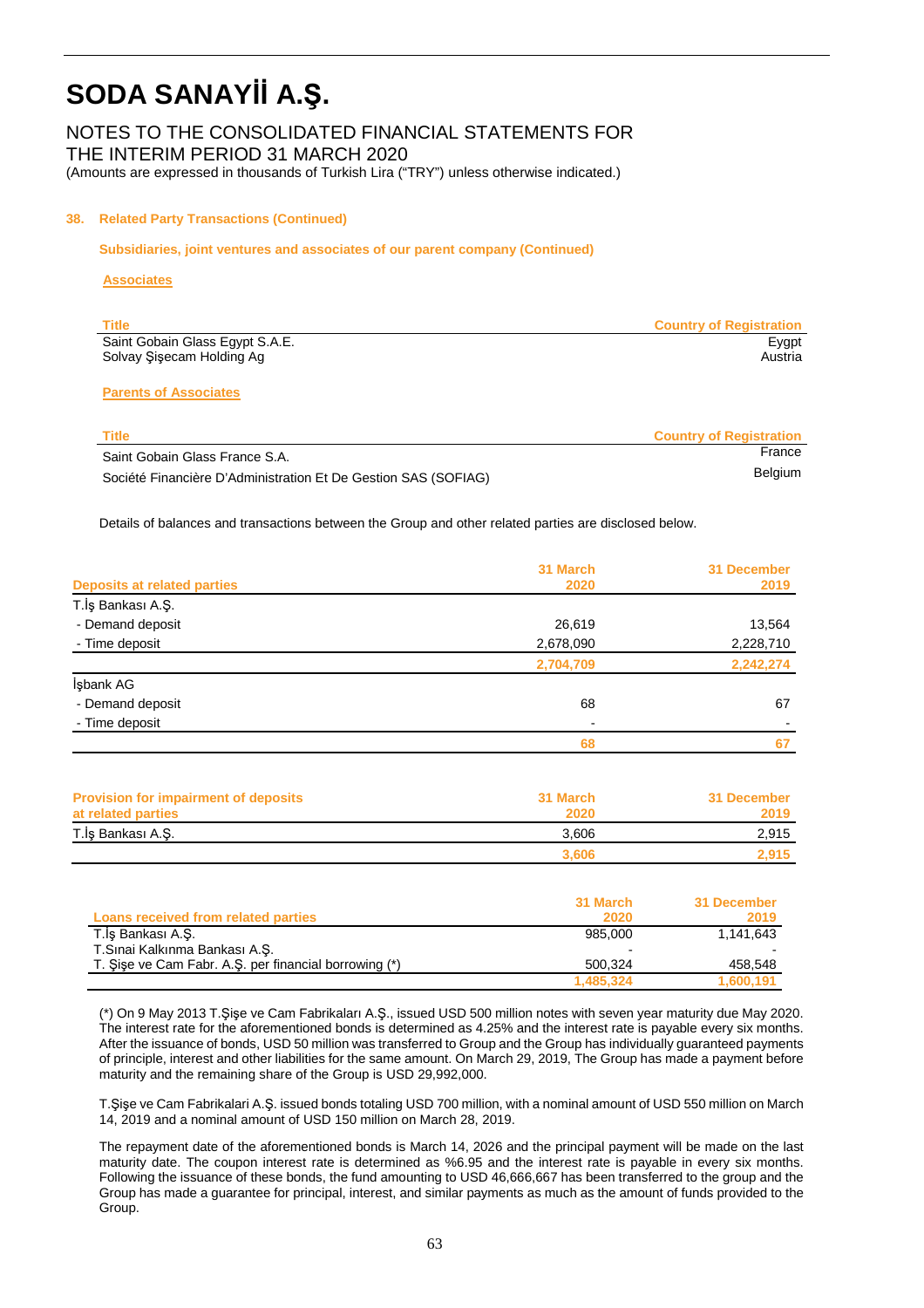### NOTES TO THE CONSOLIDATED FINANCIAL STATEMENTS FOR

THE INTERIM PERIOD 31 MARCH 2020

(Amounts are expressed in thousands of Turkish Lira ("TRY") unless otherwise indicated.)

#### **38. Related Party Transactions (Continued)**

 **Subsidiaries, joint ventures and associates of our parent company (Continued)** 

#### **Associates**

| Title                           | <b>Country of Registration</b> |
|---------------------------------|--------------------------------|
| Saint Gobain Glass Egypt S.A.E. | Eygpt                          |
| Solvay Şişecam Holding Ag       | Austria                        |

#### **Parents of Associates**

| Title                                                          | <b>Country of Registration</b> |
|----------------------------------------------------------------|--------------------------------|
| Saint Gobain Glass France S.A.                                 | France                         |
| Société Financière D'Administration Et De Gestion SAS (SOFIAG) | Belgium                        |

Details of balances and transactions between the Group and other related parties are disclosed below.

|                                    | 31 March  | <b>31 December</b> |
|------------------------------------|-----------|--------------------|
| <b>Deposits at related parties</b> | 2020      | 2019               |
| T.İş Bankası A.Ş.                  |           |                    |
| - Demand deposit                   | 26,619    | 13,564             |
| - Time deposit                     | 2,678,090 | 2,228,710          |
|                                    | 2,704,709 | 2,242,274          |
| İşbank AG                          |           |                    |
| - Demand deposit                   | 68        | 67                 |
| - Time deposit                     |           |                    |
|                                    | 68        |                    |
|                                    |           |                    |

| <b>Provision for impairment of deposits</b><br>at related parties | 31 March<br>2020 | 31 December<br>2019 |
|-------------------------------------------------------------------|------------------|---------------------|
| T.İş Bankası A.Ş.                                                 | 3.606            | 2,915               |
|                                                                   | 3.606            | 2.915               |

|                                                       | 31 March  | 31 December |
|-------------------------------------------------------|-----------|-------------|
| Loans received from related parties                   | 2020      | 2019        |
| T.İş Bankası A.Ş.                                     | 985.000   | 1.141.643   |
| T.Sinai Kalkınma Bankası A.S.                         |           |             |
| T. Sise ve Cam Fabr. A.S. per financial borrowing (*) | 500.324   | 458,548     |
|                                                       | 1.485.324 | 1,600,191   |

(\*) On 9 May 2013 T.Şişe ve Cam Fabrikaları A.Ş., issued USD 500 million notes with seven year maturity due May 2020. The interest rate for the aforementioned bonds is determined as 4.25% and the interest rate is payable every six months. After the issuance of bonds, USD 50 million was transferred to Group and the Group has individually guaranteed payments of principle, interest and other liabilities for the same amount. On March 29, 2019, The Group has made a payment before maturity and the remaining share of the Group is USD 29,992,000.

T.Şişe ve Cam Fabrikalari A.Ş. issued bonds totaling USD 700 million, with a nominal amount of USD 550 million on March 14, 2019 and a nominal amount of USD 150 million on March 28, 2019.

The repayment date of the aforementioned bonds is March 14, 2026 and the principal payment will be made on the last maturity date. The coupon interest rate is determined as %6.95 and the interest rate is payable in every six months. Following the issuance of these bonds, the fund amounting to USD 46,666,667 has been transferred to the group and the Group has made a guarantee for principal, interest, and similar payments as much as the amount of funds provided to the Group.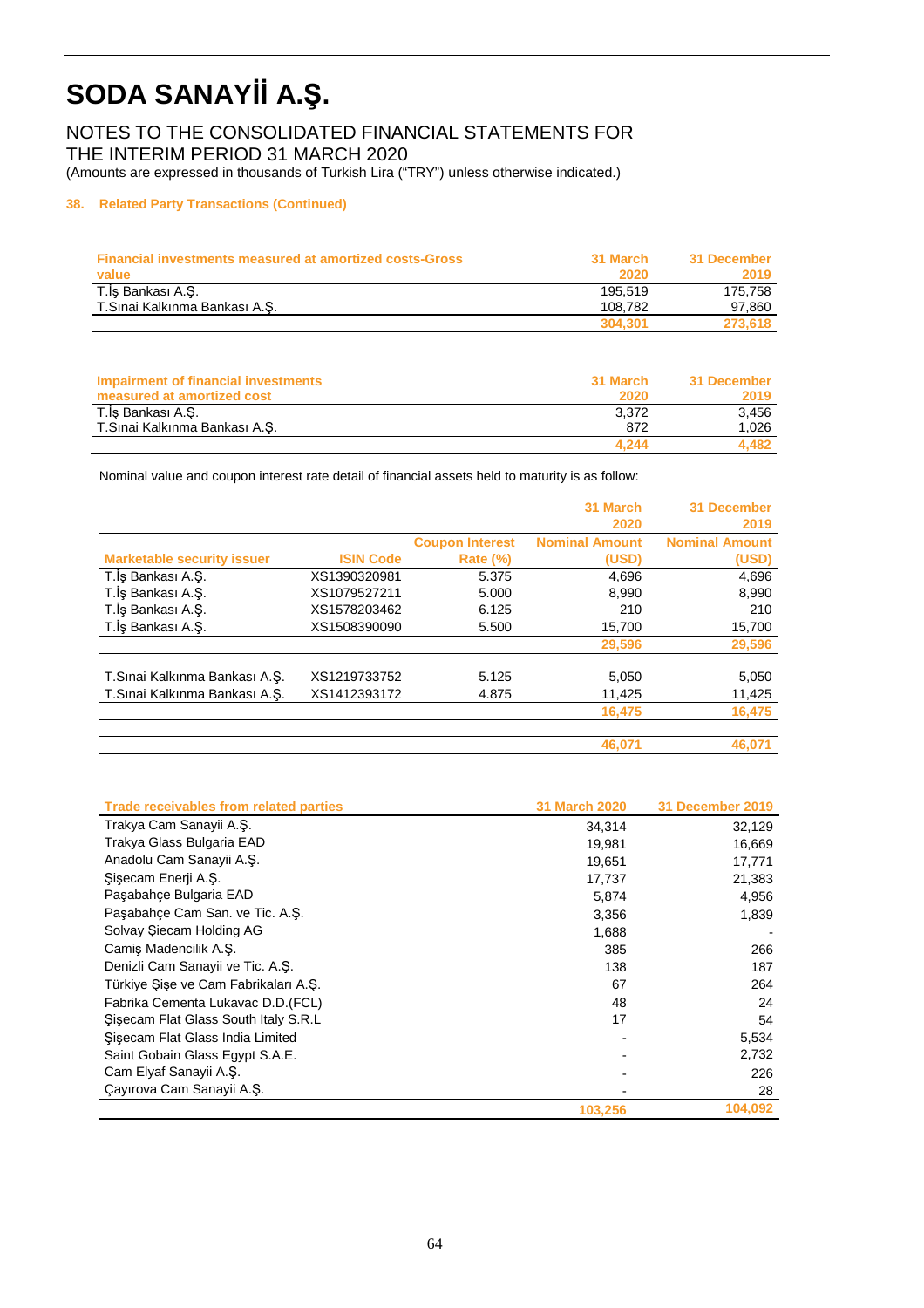### NOTES TO THE CONSOLIDATED FINANCIAL STATEMENTS FOR THE INTERIM PERIOD 31 MARCH 2020

(Amounts are expressed in thousands of Turkish Lira ("TRY") unless otherwise indicated.)

#### **38. Related Party Transactions (Continued)**

| <b>Financial investments measured at amortized costs-Gross</b><br>value | 31 March<br>2020 | 31 December<br>2019 |
|-------------------------------------------------------------------------|------------------|---------------------|
| T.İş Bankası A.Ş.                                                       | 195.519          | 175.758             |
| T.Sınai Kalkınma Bankası A.S.                                           | 108.782          | 97.860              |
|                                                                         | 304.301          | 273.618             |

| Impairment of financial investments<br>measured at amortized cost | 31 March<br>2020 | 31 December<br>2019 |
|-------------------------------------------------------------------|------------------|---------------------|
| T.İş Bankası A.S.                                                 | 3.372            | 3.456               |
| T.Sinai Kalkinma Bankasi A.S.                                     | 872              | 1.026               |
|                                                                   | 4.244            | 4.482               |

Nominal value and coupon interest rate detail of financial assets held to maturity is as follow:

|                                   |                  |                        | 31 March              | 31 December           |
|-----------------------------------|------------------|------------------------|-----------------------|-----------------------|
|                                   |                  |                        | 2020                  | 2019                  |
|                                   |                  | <b>Coupon Interest</b> | <b>Nominal Amount</b> | <b>Nominal Amount</b> |
| <b>Marketable security issuer</b> | <b>ISIN Code</b> | <b>Rate (%)</b>        | (USD)                 | (USD)                 |
| T.İş Bankası A.Ş.                 | XS1390320981     | 5.375                  | 4,696                 | 4,696                 |
| T.İş Bankası A.Ş.                 | XS1079527211     | 5.000                  | 8,990                 | 8,990                 |
| T.İş Bankası A.Ş.                 | XS1578203462     | 6.125                  | 210                   | 210                   |
| T.İş Bankası A.Ş.                 | XS1508390090     | 5.500                  | 15,700                | 15,700                |
|                                   |                  |                        | 29,596                | 29,596                |
| T.Sınai Kalkınma Bankası A.Ş.     | XS1219733752     | 5.125                  | 5,050                 | 5,050                 |
| T.Sinai Kalkinma Bankasi A.S.     | XS1412393172     | 4.875                  | 11,425                | 11,425                |
|                                   |                  |                        | 16,475                | 16,475                |
|                                   |                  |                        |                       |                       |
|                                   |                  |                        | 46,071                | 46.071                |

| Trade receivables from related parties | 31 March 2020 | 31 December 2019 |
|----------------------------------------|---------------|------------------|
| Trakya Cam Sanayii A.Ş.                | 34,314        | 32,129           |
| Trakya Glass Bulgaria EAD              | 19,981        | 16,669           |
| Anadolu Cam Sanayii A.Ş.               | 19,651        | 17,771           |
| Sisecam Enerji A.S.                    | 17,737        | 21,383           |
| Paşabahçe Bulgaria EAD                 | 5,874         | 4,956            |
| Paşabahçe Cam San. ve Tic. A.Ş.        | 3,356         | 1,839            |
| Solvay Siecam Holding AG               | 1,688         |                  |
| Camis Madencilik A.S.                  | 385           | 266              |
| Denizli Cam Sanayii ve Tic. A.Ş.       | 138           | 187              |
| Türkiye Sise ve Cam Fabrikaları A.S.   | 67            | 264              |
| Fabrika Cementa Lukavac D.D. (FCL)     | 48            | 24               |
| Sisecam Flat Glass South Italy S.R.L   | 17            | 54               |
| Sisecam Flat Glass India Limited       |               | 5,534            |
| Saint Gobain Glass Eqypt S.A.E.        |               | 2,732            |
| Cam Elyaf Sanayii A.Ş.                 |               | 226              |
| Çayırova Cam Sanayii A.Ş.              |               | 28               |
|                                        | 103,256       | 104,092          |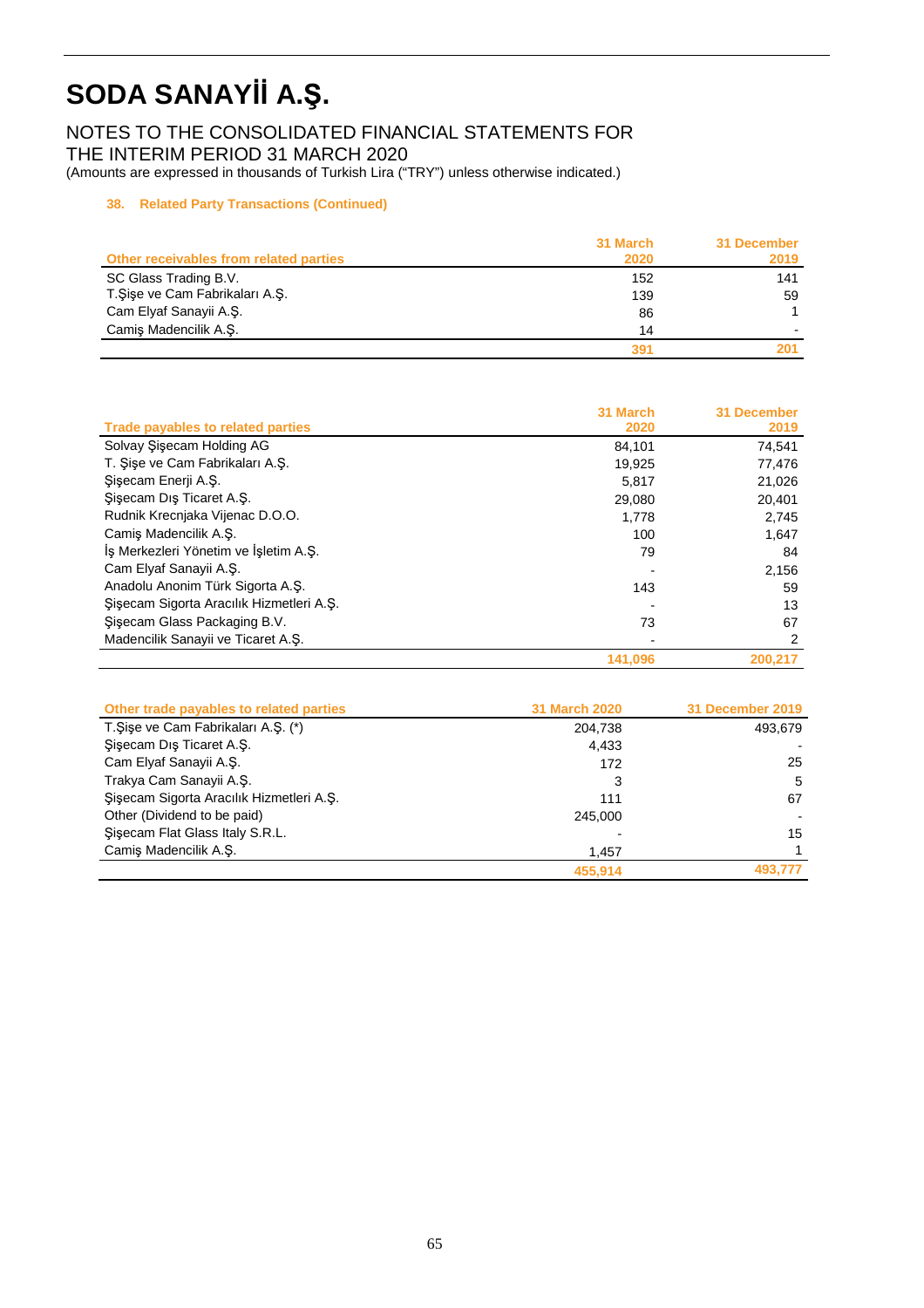### NOTES TO THE CONSOLIDATED FINANCIAL STATEMENTS FOR THE INTERIM PERIOD 31 MARCH 2020

(Amounts are expressed in thousands of Turkish Lira ("TRY") unless otherwise indicated.)

### **38. Related Party Transactions (Continued)**

|                                        | 31 March | 31 December |
|----------------------------------------|----------|-------------|
| Other receivables from related parties | 2020     | 2019        |
| SC Glass Trading B.V.                  | 152      | 141         |
| T.Şişe ve Cam Fabrikaları A.Ş.         | 139      | 59          |
| Cam Elyaf Sanayii A.Ş.                 | 86       |             |
| Camiş Madencilik A.Ş.                  | 14       |             |
|                                        | 391      | 201         |

|                                          | 31 March | 31 December |
|------------------------------------------|----------|-------------|
| Trade payables to related parties        | 2020     | 2019        |
| Solvay Sisecam Holding AG                | 84.101   | 74,541      |
| T. Sise ve Cam Fabrikaları A.S.          | 19,925   | 77,476      |
| Şişecam Enerji A.Ş.                      | 5.817    | 21,026      |
| Sisecam Dış Ticaret A.Ş.                 | 29,080   | 20,401      |
| Rudnik Krecnjaka Vijenac D.O.O.          | 1.778    | 2,745       |
| Camis Madencilik A.S.                    | 100      | 1,647       |
| İş Merkezleri Yönetim ve İşletim A.Ş.    | 79       | 84          |
| Cam Elyaf Sanayii A.S.                   |          | 2,156       |
| Anadolu Anonim Türk Sigorta A.S.         | 143      | 59          |
| Şişecam Sigorta Aracılık Hizmetleri A.Ş. |          | 13          |
| Sisecam Glass Packaging B.V.             | 73       | 67          |
| Madencilik Sanayii ve Ticaret A.S.       |          | 2           |
|                                          | 141.096  | 200.217     |

| Other trade payables to related parties  | <b>31 March 2020</b> | 31 December 2019 |
|------------------------------------------|----------------------|------------------|
| T. Sise ve Cam Fabrikaları A.S. (*)      | 204,738              | 493.679          |
| Şişecam Dış Ticaret A.Ş.                 | 4.433                |                  |
| Cam Elyaf Sanayii A.Ş.                   | 172                  | 25               |
| Trakya Cam Sanayii A.S.                  | 3                    | 5                |
| Sisecam Sigorta Aracılık Hizmetleri A.S. | 111                  | 67               |
| Other (Dividend to be paid)              | 245.000              |                  |
| Sisecam Flat Glass Italy S.R.L.          |                      | 15               |
| Camis Madencilik A.S.                    | 1,457                |                  |
|                                          | 455.914              | 493.777          |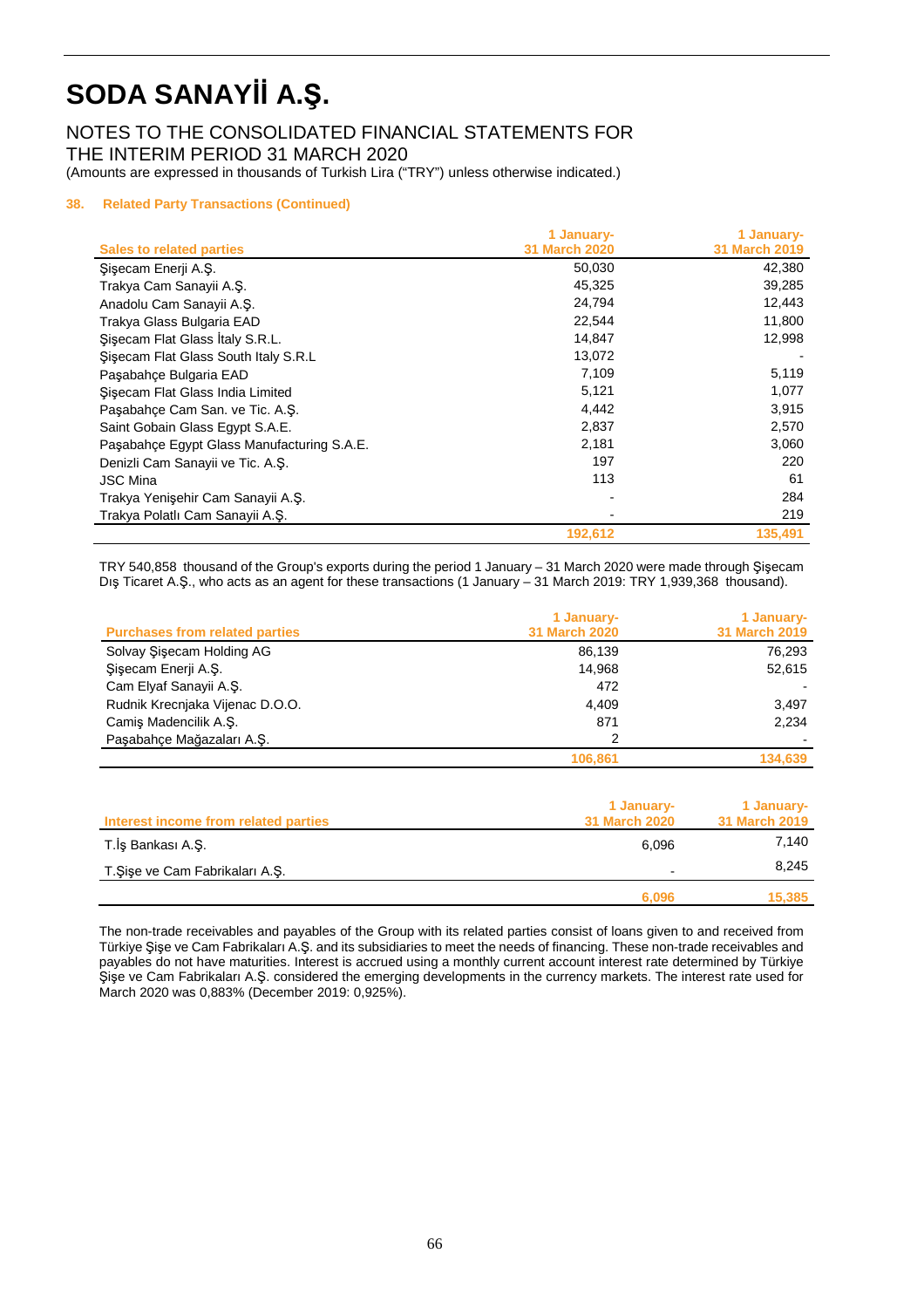### NOTES TO THE CONSOLIDATED FINANCIAL STATEMENTS FOR THE INTERIM PERIOD 31 MARCH 2020

(Amounts are expressed in thousands of Turkish Lira ("TRY") unless otherwise indicated.)

#### **38. Related Party Transactions (Continued)**

|                                            | 1 January-           | 1 January-           |
|--------------------------------------------|----------------------|----------------------|
| <b>Sales to related parties</b>            | <b>31 March 2020</b> | <b>31 March 2019</b> |
| Şişecam Enerji A.Ş.                        | 50,030               | 42,380               |
| Trakya Cam Sanayii A.S.                    | 45,325               | 39,285               |
| Anadolu Cam Sanayii A.S.                   | 24,794               | 12,443               |
| Trakya Glass Bulgaria EAD                  | 22,544               | 11,800               |
| Sisecam Flat Glass Italy S.R.L.            | 14,847               | 12,998               |
| Sisecam Flat Glass South Italy S.R.L       | 13,072               |                      |
| Paşabahçe Bulgaria EAD                     | 7,109                | 5,119                |
| Sisecam Flat Glass India Limited           | 5,121                | 1,077                |
| Paşabahçe Cam San. ve Tic. A.Ş.            | 4,442                | 3,915                |
| Saint Gobain Glass Egypt S.A.E.            | 2,837                | 2,570                |
| Paşabahçe Egypt Glass Manufacturing S.A.E. | 2,181                | 3,060                |
| Denizli Cam Sanayii ve Tic. A.Ş.           | 197                  | 220                  |
| <b>JSC Mina</b>                            | 113                  | 61                   |
| Trakya Yenişehir Cam Sanayii A.Ş.          |                      | 284                  |
| Trakya Polatlı Cam Sanayii A.S.            |                      | 219                  |
|                                            | 192,612              | 135,491              |

TRY 540,858 thousand of the Group's exports during the period 1 January – 31 March 2020 were made through Şişecam Dış Ticaret A.Ş., who acts as an agent for these transactions (1 January – 31 March 2019: TRY 1,939,368 thousand).

| <b>Purchases from related parties</b> | 1 January-<br><b>31 March 2020</b> | 1 January-<br><b>31 March 2019</b> |
|---------------------------------------|------------------------------------|------------------------------------|
| Solvay Sisecam Holding AG             | 86.139                             | 76.293                             |
| Şişecam Enerji A.Ş.                   | 14.968                             | 52,615                             |
| Cam Elyaf Sanayii A.S.                | 472                                |                                    |
| Rudnik Krecniaka Vijenac D.O.O.       | 4.409                              | 3,497                              |
| Camis Madencilik A.S.                 | 871                                | 2,234                              |
| Paşabahce Mağazaları A.S.             | 2                                  |                                    |
|                                       | 106.861                            | 134,639                            |

| Interest income from related parties | 1 January-<br><b>31 March 2020</b> | 1 January-<br>31 March 2019 |
|--------------------------------------|------------------------------------|-----------------------------|
| T.İş Bankası A.Ş.                    | 6.096                              | 7.140                       |
| T.Şişe ve Cam Fabrikaları A.Ş.       |                                    | 8.245                       |
|                                      | 6.096                              | 15.385                      |

The non-trade receivables and payables of the Group with its related parties consist of loans given to and received from Türkiye Şişe ve Cam Fabrikaları A.Ş. and its subsidiaries to meet the needs of financing. These non-trade receivables and payables do not have maturities. Interest is accrued using a monthly current account interest rate determined by Türkiye Şişe ve Cam Fabrikaları A.Ş. considered the emerging developments in the currency markets. The interest rate used for March 2020 was 0,883% (December 2019: 0,925%).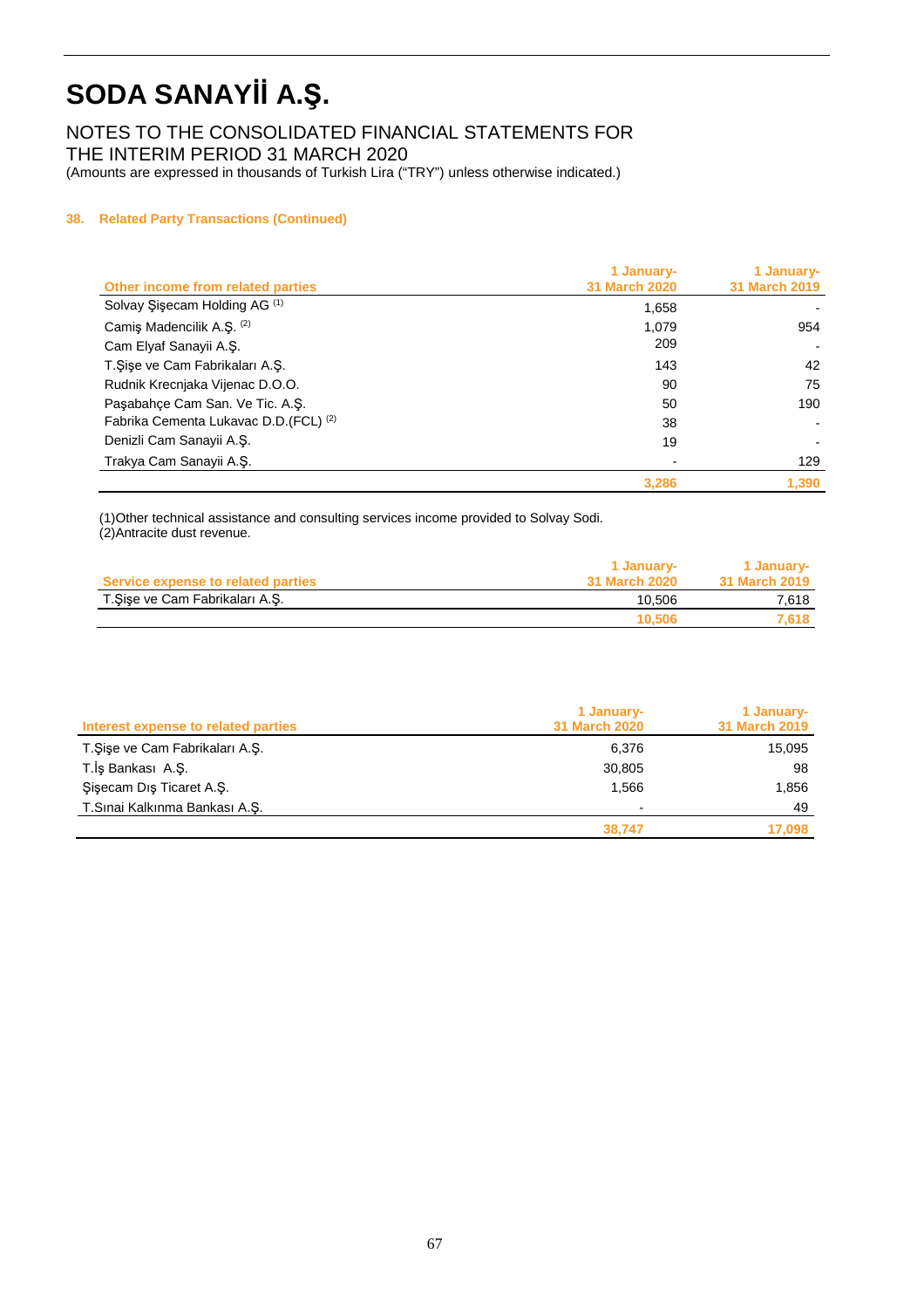NOTES TO THE CONSOLIDATED FINANCIAL STATEMENTS FOR THE INTERIM PERIOD 31 MARCH 2020

(Amounts are expressed in thousands of Turkish Lira ("TRY") unless otherwise indicated.)

#### **38. Related Party Transactions (Continued)**

|                                          | 1 January-           | 1 January-           |
|------------------------------------------|----------------------|----------------------|
| Other income from related parties        | <b>31 March 2020</b> | <b>31 March 2019</b> |
| Solvay Şişecam Holding AG <sup>(1)</sup> | 1,658                |                      |
| Camiş Madencilik A.Ş. (2)                | 1.079                | 954                  |
| Cam Elyaf Sanayii A.Ş.                   | 209                  |                      |
| T.Şişe ve Cam Fabrikaları A.Ş.           | 143                  | 42                   |
| Rudnik Krecnjaka Vijenac D.O.O.          | 90                   | 75                   |
| Pasabahce Cam San. Ve Tic. A.S.          | 50                   | 190                  |
| Fabrika Cementa Lukavac D.D. (FCL) (2)   | 38                   |                      |
| Denizli Cam Sanayii A.S.                 | 19                   |                      |
| Trakya Cam Sanayii A.Ş.                  |                      | 129                  |
|                                          | 3,286                | 1.390                |

(1)Other technical assistance and consulting services income provided to Solvay Sodi. (2)Antracite dust revenue.

| Service expense to related parties | 1 January-<br>31 March 2020 | 1 January-<br><b>31 March 2019</b> |
|------------------------------------|-----------------------------|------------------------------------|
| T. Şişe ve Cam Fabrikaları A. Ş.   | 10.506                      | 7.618                              |
|                                    | 10.506                      | 7.618                              |

| Interest expense to related parties | 1 January-<br>31 March 2020 | 1 January-<br><b>31 March 2019</b> |
|-------------------------------------|-----------------------------|------------------------------------|
| T. Şişe ve Cam Fabrikaları A.Ş.     | 6,376                       | 15,095                             |
| T.İş Bankası A.Ş.                   | 30,805                      | 98                                 |
| Sisecam Dis Ticaret A.S.            | 1.566                       | 1,856                              |
| T.Sinai Kalkınma Bankası A.S.       |                             | 49                                 |
|                                     | 38.747                      | 17.098                             |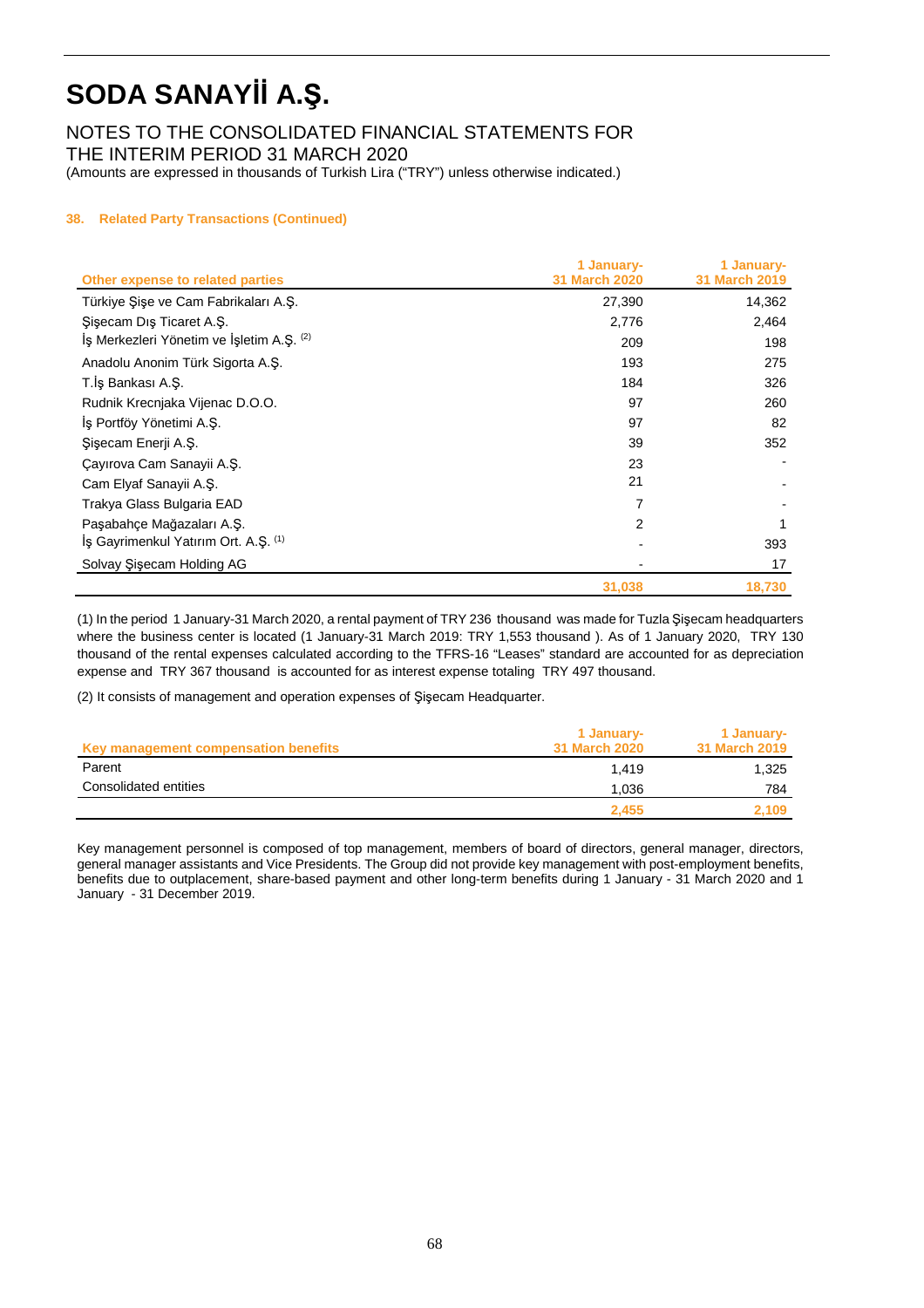NOTES TO THE CONSOLIDATED FINANCIAL STATEMENTS FOR THE INTERIM PERIOD 31 MARCH 2020

(Amounts are expressed in thousands of Turkish Lira ("TRY") unless otherwise indicated.)

#### **38. Related Party Transactions (Continued)**

| Other expense to related parties          | 1 January-<br><b>31 March 2020</b> | 1 January-<br>31 March 2019 |
|-------------------------------------------|------------------------------------|-----------------------------|
| Türkiye Şişe ve Cam Fabrikaları A.Ş.      | 27,390                             | 14,362                      |
| Sisecam Dis Ticaret A.S.                  | 2,776                              | 2,464                       |
| Is Merkezleri Yönetim ve İşletim A.Ş. (2) | 209                                | 198                         |
| Anadolu Anonim Türk Sigorta A.Ş.          | 193                                | 275                         |
| T.İş Bankası A.Ş.                         | 184                                | 326                         |
| Rudnik Krecnjaka Vijenac D.O.O.           | 97                                 | 260                         |
| Iş Portföy Yönetimi A.Ş.                  | 97                                 | 82                          |
| Şişecam Enerji A.Ş.                       | 39                                 | 352                         |
| Çayırova Cam Sanayii A.Ş.                 | 23                                 |                             |
| Cam Elyaf Sanayii A.Ş.                    | 21                                 |                             |
| Trakya Glass Bulgaria EAD                 | 7                                  |                             |
| Paşabahçe Mağazaları A.Ş.                 | $\overline{2}$                     |                             |
| Iş Gayrimenkul Yatırım Ort. A.Ş. (1)      |                                    | 393                         |
| Solvay Sisecam Holding AG                 |                                    | 17                          |
|                                           | 31,038                             | 18,730                      |

(1) In the period 1 January-31 March 2020, a rental payment of TRY 236 thousand was made for Tuzla Şişecam headquarters where the business center is located (1 January-31 March 2019: TRY 1,553 thousand ). As of 1 January 2020, TRY 130 thousand of the rental expenses calculated according to the TFRS-16 "Leases" standard are accounted for as depreciation expense and TRY 367 thousand is accounted for as interest expense totaling TRY 497 thousand.

(2) It consists of management and operation expenses of Şişecam Headquarter.

| Key management compensation benefits | 1 January-<br>31 March 2020 | 1 January-<br>31 March 2019 |
|--------------------------------------|-----------------------------|-----------------------------|
| Parent                               | 1.419                       | 1.325                       |
| Consolidated entities                | 1.036                       | 784                         |
|                                      | 2.455                       | 2,109                       |

Key management personnel is composed of top management, members of board of directors, general manager, directors, general manager assistants and Vice Presidents. The Group did not provide key management with post-employment benefits, benefits due to outplacement, share-based payment and other long-term benefits during 1 January - 31 March 2020 and 1 January - 31 December 2019.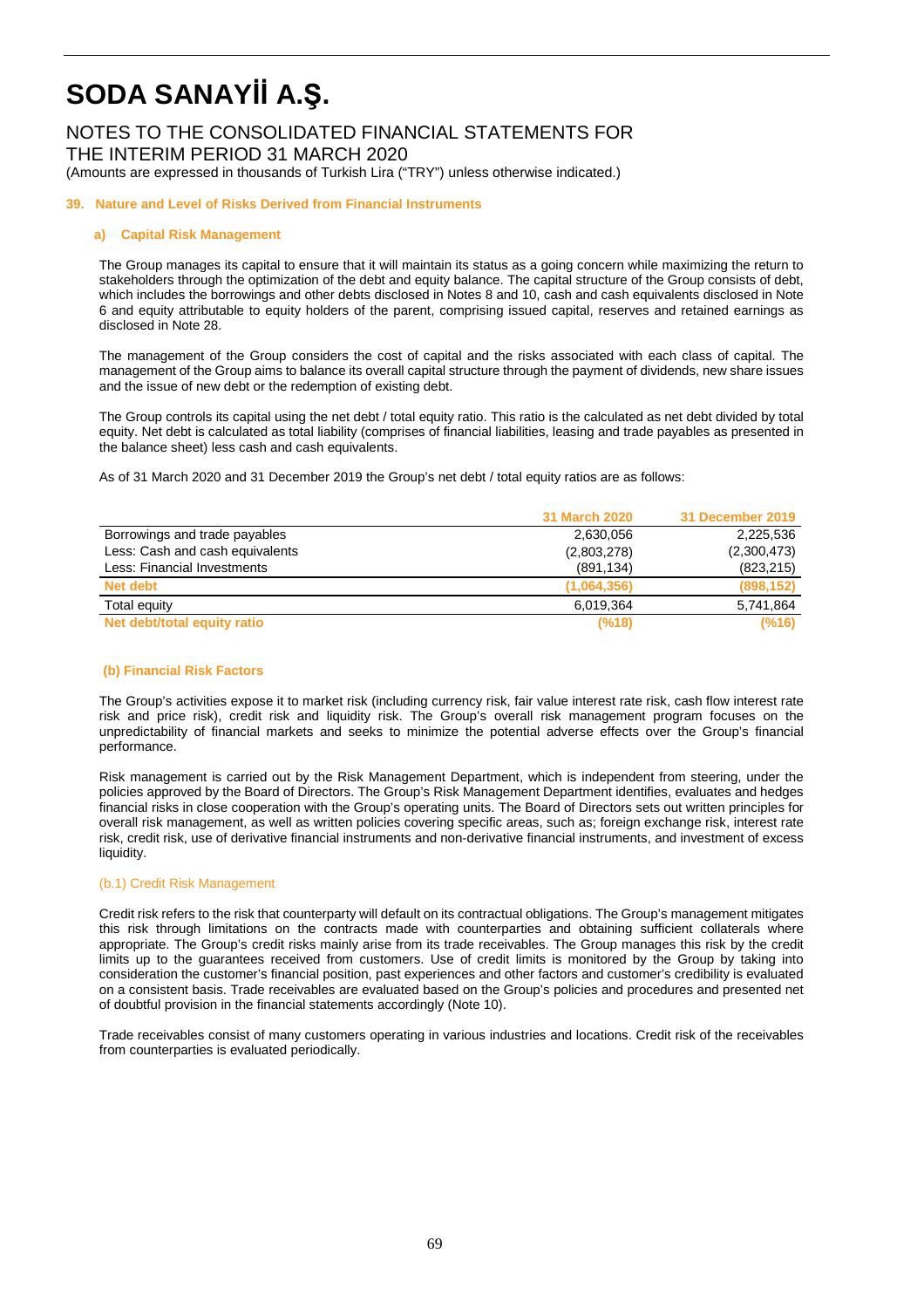### NOTES TO THE CONSOLIDATED FINANCIAL STATEMENTS FOR THE INTERIM PERIOD 31 MARCH 2020

(Amounts are expressed in thousands of Turkish Lira ("TRY") unless otherwise indicated.)

#### **39. Nature and Level of Risks Derived from Financial Instruments**

#### **a) Capital Risk Management**

The Group manages its capital to ensure that it will maintain its status as a going concern while maximizing the return to stakeholders through the optimization of the debt and equity balance. The capital structure of the Group consists of debt, which includes the borrowings and other debts disclosed in Notes 8 and 10, cash and cash equivalents disclosed in Note 6 and equity attributable to equity holders of the parent, comprising issued capital, reserves and retained earnings as disclosed in Note 28.

The management of the Group considers the cost of capital and the risks associated with each class of capital. The management of the Group aims to balance its overall capital structure through the payment of dividends, new share issues and the issue of new debt or the redemption of existing debt.

The Group controls its capital using the net debt / total equity ratio. This ratio is the calculated as net debt divided by total equity. Net debt is calculated as total liability (comprises of financial liabilities, leasing and trade payables as presented in the balance sheet) less cash and cash equivalents.

As of 31 March 2020 and 31 December 2019 the Group's net debt / total equity ratios are as follows:

|                                 | <b>31 March 2020</b> | 31 December 2019 |
|---------------------------------|----------------------|------------------|
| Borrowings and trade payables   | 2,630,056            | 2,225,536        |
| Less: Cash and cash equivalents | (2,803,278)          | (2,300,473)      |
| Less: Financial Investments     | (891, 134)           | (823, 215)       |
| Net debt                        | (1,064,356)          | (898, 152)       |
| Total equity                    | 6.019.364            | 5,741,864        |
| Net debt/total equity ratio     | (%18)                | (%16)            |

#### **(b) Financial Risk Factors**

The Group's activities expose it to market risk (including currency risk, fair value interest rate risk, cash flow interest rate risk and price risk), credit risk and liquidity risk. The Group's overall risk management program focuses on the unpredictability of financial markets and seeks to minimize the potential adverse effects over the Group's financial performance.

Risk management is carried out by the Risk Management Department, which is independent from steering, under the policies approved by the Board of Directors. The Group's Risk Management Department identifies, evaluates and hedges financial risks in close cooperation with the Group's operating units. The Board of Directors sets out written principles for overall risk management, as well as written policies covering specific areas, such as; foreign exchange risk, interest rate risk, credit risk, use of derivative financial instruments and non-derivative financial instruments, and investment of excess liquidity.

#### (b.1) Credit Risk Management

Credit risk refers to the risk that counterparty will default on its contractual obligations. The Group's management mitigates this risk through limitations on the contracts made with counterparties and obtaining sufficient collaterals where appropriate. The Group's credit risks mainly arise from its trade receivables. The Group manages this risk by the credit limits up to the guarantees received from customers. Use of credit limits is monitored by the Group by taking into consideration the customer's financial position, past experiences and other factors and customer's credibility is evaluated on a consistent basis. Trade receivables are evaluated based on the Group's policies and procedures and presented net of doubtful provision in the financial statements accordingly (Note 10).

Trade receivables consist of many customers operating in various industries and locations. Credit risk of the receivables from counterparties is evaluated periodically.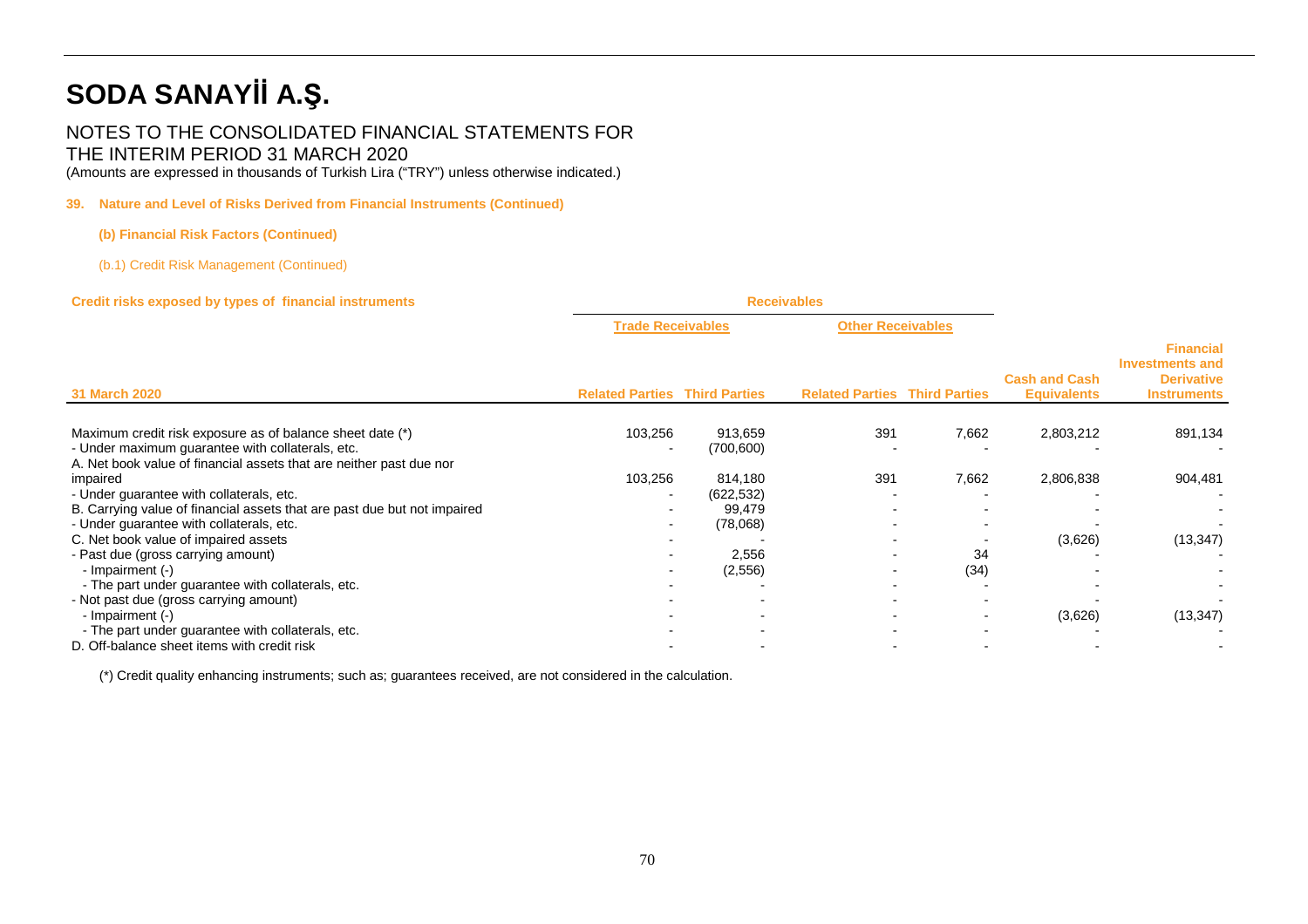### NOTES TO THE CONSOLIDATED FINANCIAL STATEMENTS FOR THE INTERIM PERIOD 31 MARCH 2020

(Amounts are expressed in thousands of Turkish Lira ("TRY") unless otherwise indicated.)

#### **39. Nature and Level of Risks Derived from Financial Instruments (Continued)**

#### **(b) Financial Risk Factors (Continued)**

(b.1) Credit Risk Management (Continued)

#### **Credit risks exposed by types of financial instruments Receivables**

| Credit HSKS exposed by types of initialitial instruments<br><b>31 March 2020</b>                                        | <b>NECEIVADIES</b>                   |            |                                      |                          |                                            |                                                                                       |
|-------------------------------------------------------------------------------------------------------------------------|--------------------------------------|------------|--------------------------------------|--------------------------|--------------------------------------------|---------------------------------------------------------------------------------------|
|                                                                                                                         | <b>Trade Receivables</b>             |            | <b>Other Receivables</b>             |                          |                                            |                                                                                       |
|                                                                                                                         | <b>Related Parties Third Parties</b> |            | <b>Related Parties Third Parties</b> |                          | <b>Cash and Cash</b><br><b>Equivalents</b> | <b>Financial</b><br><b>Investments and</b><br><b>Derivative</b><br><b>Instruments</b> |
| Maximum credit risk exposure as of balance sheet date (*)                                                               | 103,256                              | 913,659    | 391                                  | 7,662                    | 2,803,212                                  | 891,134                                                                               |
| - Under maximum guarantee with collaterals, etc.<br>A. Net book value of financial assets that are neither past due nor | $\overline{\phantom{0}}$             | (700, 600) |                                      |                          |                                            |                                                                                       |
| impaired                                                                                                                | 103,256                              | 814,180    | 391                                  | 7,662                    | 2,806,838                                  | 904,481                                                                               |
| - Under guarantee with collaterals, etc.                                                                                |                                      | (622, 532) |                                      |                          |                                            |                                                                                       |
| B. Carrying value of financial assets that are past due but not impaired                                                |                                      | 99,479     |                                      |                          |                                            |                                                                                       |
| - Under guarantee with collaterals, etc.                                                                                |                                      | (78,068)   |                                      |                          |                                            |                                                                                       |
| C. Net book value of impaired assets                                                                                    |                                      |            |                                      |                          | (3,626)                                    | (13, 347)                                                                             |
| - Past due (gross carrying amount)                                                                                      |                                      | 2,556      |                                      | 34                       |                                            |                                                                                       |
| - Impairment (-)                                                                                                        |                                      | (2, 556)   |                                      | (34)                     |                                            |                                                                                       |
| - The part under guarantee with collaterals, etc.                                                                       |                                      |            |                                      |                          |                                            |                                                                                       |
| - Not past due (gross carrying amount)                                                                                  |                                      |            | $\overline{\phantom{a}}$             |                          |                                            |                                                                                       |
| - Impairment (-)                                                                                                        |                                      |            | $\overline{\phantom{0}}$             | $\overline{\phantom{0}}$ | (3,626)                                    | (13, 347)                                                                             |
| - The part under guarantee with collaterals, etc.                                                                       |                                      |            |                                      |                          |                                            |                                                                                       |
| D. Off-balance sheet items with credit risk                                                                             |                                      |            |                                      |                          |                                            |                                                                                       |
|                                                                                                                         |                                      |            |                                      |                          |                                            |                                                                                       |

(\*) Credit quality enhancing instruments; such as; guarantees received, are not considered in the calculation.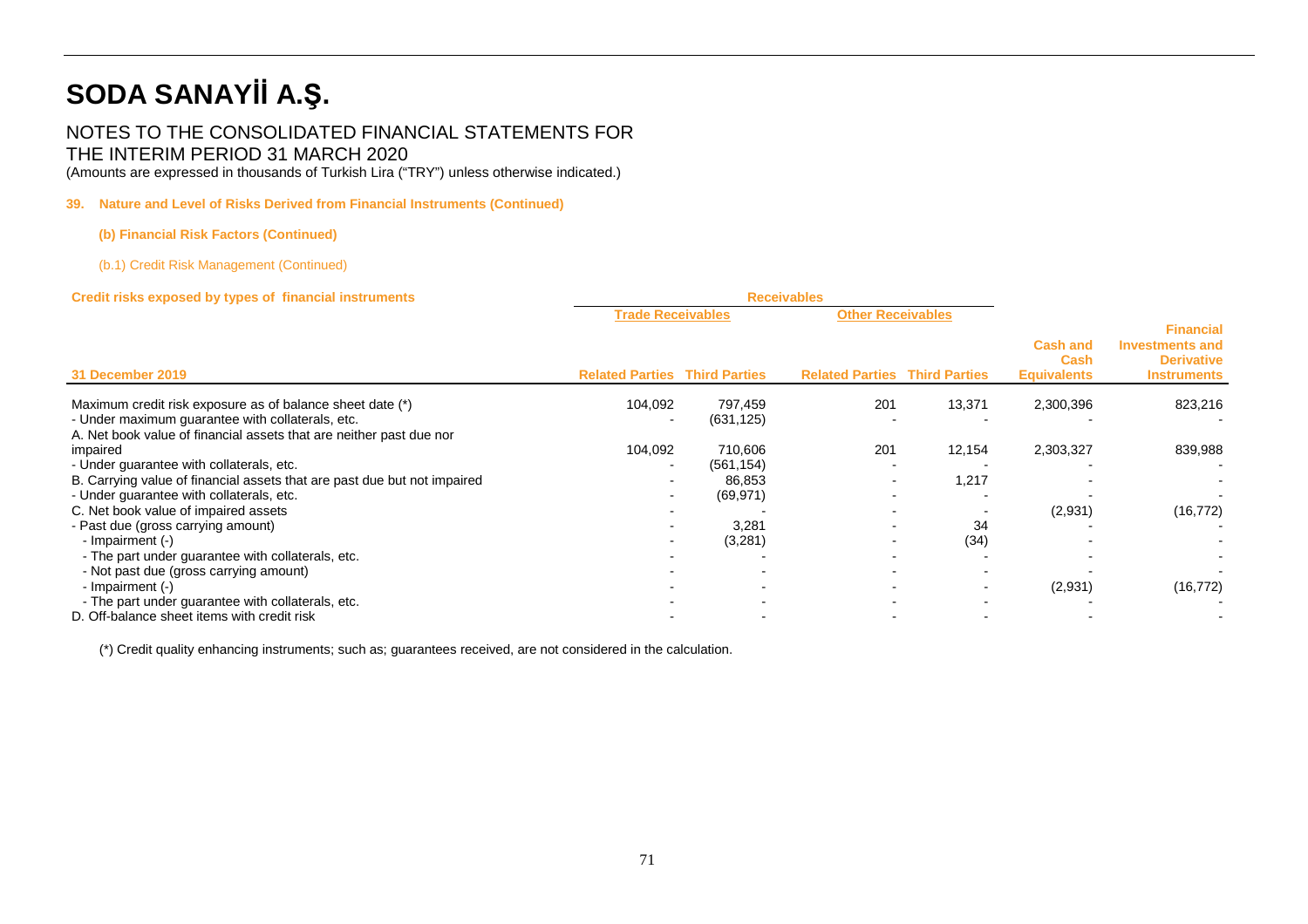## NOTES TO THE CONSOLIDATED FINANCIAL STATEMENTS FOR THE INTERIM PERIOD 31 MARCH 2020

(Amounts are expressed in thousands of Turkish Lira ("TRY") unless otherwise indicated.)

## **39. Nature and Level of Risks Derived from Financial Instruments (Continued)**

## **(b) Financial Risk Factors (Continued)**

(b.1) Credit Risk Management (Continued)

| Credit risks exposed by types of financial instruments                   | <b>Receivables</b>       |                      |                                      |        |                                               |                                                                                       |
|--------------------------------------------------------------------------|--------------------------|----------------------|--------------------------------------|--------|-----------------------------------------------|---------------------------------------------------------------------------------------|
|                                                                          | <b>Trade Receivables</b> |                      | <b>Other Receivables</b>             |        |                                               |                                                                                       |
| 31 December 2019                                                         | <b>Related Parties</b>   | <b>Third Parties</b> | <b>Related Parties Third Parties</b> |        | <b>Cash and</b><br>Cash<br><b>Equivalents</b> | <b>Financial</b><br><b>Investments and</b><br><b>Derivative</b><br><b>Instruments</b> |
| Maximum credit risk exposure as of balance sheet date (*)                | 104,092                  | 797,459              | 201                                  | 13,371 | 2,300,396                                     | 823,216                                                                               |
| - Under maximum guarantee with collaterals, etc.                         |                          | (631, 125)           |                                      |        |                                               |                                                                                       |
| A. Net book value of financial assets that are neither past due nor      |                          |                      |                                      |        |                                               |                                                                                       |
| impaired                                                                 | 104,092                  | 710,606              | 201                                  | 12,154 | 2,303,327                                     | 839,988                                                                               |
| - Under guarantee with collaterals, etc.                                 | ۰.                       | (561, 154)           |                                      |        |                                               |                                                                                       |
| B. Carrying value of financial assets that are past due but not impaired |                          | 86,853               |                                      | 1,217  |                                               |                                                                                       |
| - Under guarantee with collaterals, etc.                                 |                          | (69, 971)            |                                      |        |                                               |                                                                                       |
| C. Net book value of impaired assets                                     |                          |                      |                                      |        | (2,931)                                       | (16, 772)                                                                             |
| - Past due (gross carrying amount)                                       |                          | 3,281                |                                      | 34     |                                               |                                                                                       |
| - Impairment (-)                                                         |                          | (3,281)              |                                      | (34)   |                                               |                                                                                       |
| - The part under guarantee with collaterals, etc.                        |                          |                      |                                      |        |                                               |                                                                                       |
| - Not past due (gross carrying amount)                                   |                          |                      |                                      |        |                                               |                                                                                       |
| - Impairment (-)                                                         |                          |                      |                                      |        | (2,931)                                       | (16, 772)                                                                             |
| - The part under guarantee with collaterals, etc.                        |                          |                      |                                      |        |                                               |                                                                                       |
| D. Off-balance sheet items with credit risk                              |                          |                      |                                      |        |                                               |                                                                                       |

(\*) Credit quality enhancing instruments; such as; guarantees received, are not considered in the calculation.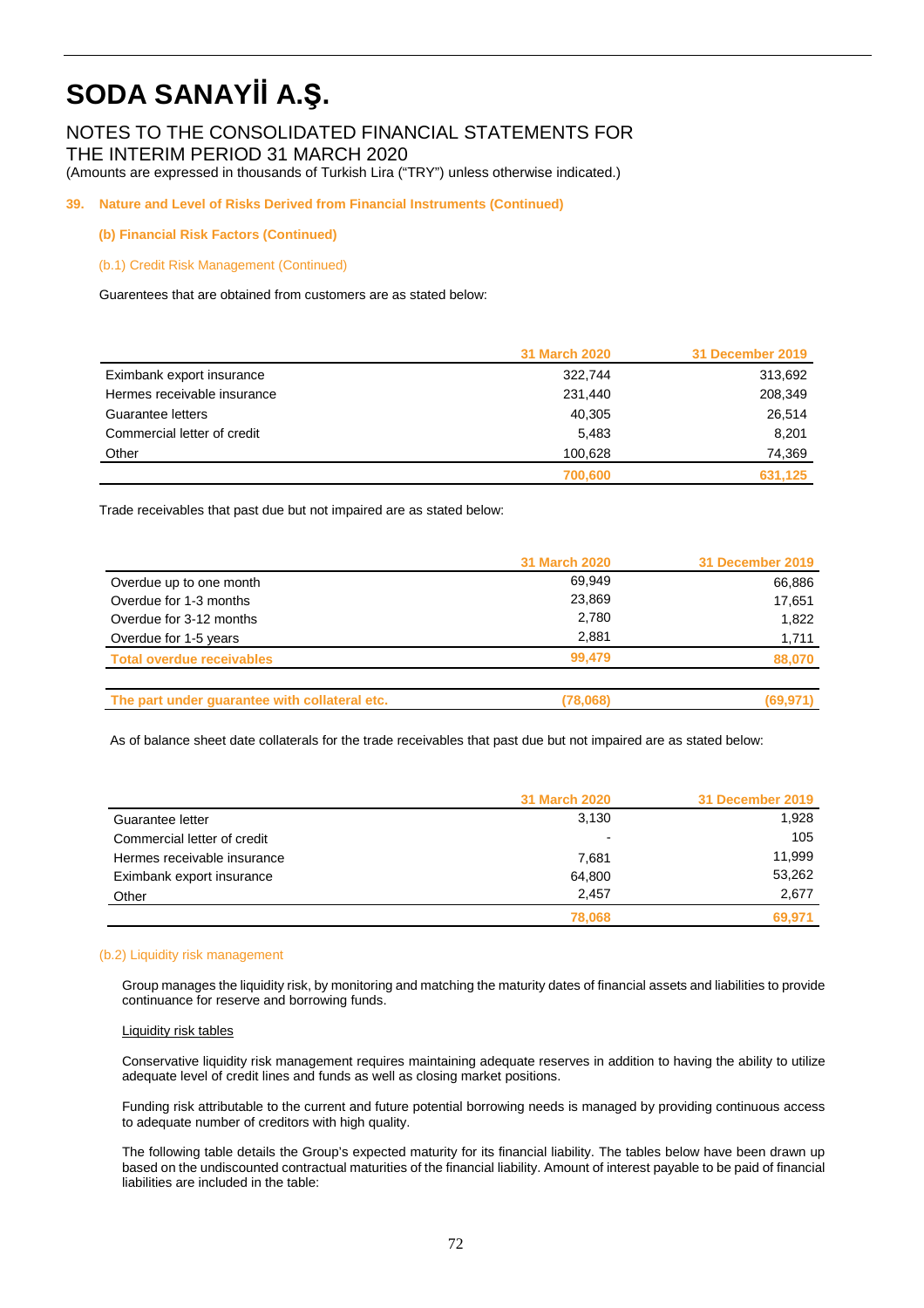## NOTES TO THE CONSOLIDATED FINANCIAL STATEMENTS FOR THE INTERIM PERIOD 31 MARCH 2020

(Amounts are expressed in thousands of Turkish Lira ("TRY") unless otherwise indicated.)

### **39. Nature and Level of Risks Derived from Financial Instruments (Continued)**

#### **(b) Financial Risk Factors (Continued)**

#### (b.1) Credit Risk Management (Continued)

Guarentees that are obtained from customers are as stated below:

|                             | <b>31 March 2020</b> | 31 December 2019 |
|-----------------------------|----------------------|------------------|
| Eximbank export insurance   | 322,744              | 313,692          |
| Hermes receivable insurance | 231,440              | 208,349          |
| Guarantee letters           | 40.305               | 26.514           |
| Commercial letter of credit | 5.483                | 8,201            |
| Other                       | 100.628              | 74,369           |
|                             | 700,600              | 631.125          |

Trade receivables that past due but not impaired are as stated below:

|                                               | <b>31 March 2020</b> | 31 December 2019 |
|-----------------------------------------------|----------------------|------------------|
| Overdue up to one month                       | 69.949               | 66,886           |
| Overdue for 1-3 months                        | 23,869               | 17.651           |
| Overdue for 3-12 months                       | 2,780                | 1.822            |
| Overdue for 1-5 years                         | 2.881                | 1,711            |
| <b>Total overdue receivables</b>              | 99.479               | 88,070           |
| The part under guarantee with collateral etc. | (78,068)             | (69, 971)        |

As of balance sheet date collaterals for the trade receivables that past due but not impaired are as stated below:

|                             | <b>31 March 2020</b> | 31 December 2019 |
|-----------------------------|----------------------|------------------|
| Guarantee letter            | 3,130                | 1,928            |
| Commercial letter of credit | ٠                    | 105              |
| Hermes receivable insurance | 7,681                | 11.999           |
| Eximbank export insurance   | 64.800               | 53,262           |
| Other                       | 2.457                | 2,677            |
|                             | 78,068               | 69.971           |

#### (b.2) Liquidity risk management

Group manages the liquidity risk, by monitoring and matching the maturity dates of financial assets and liabilities to provide continuance for reserve and borrowing funds.

#### Liquidity risk tables

Conservative liquidity risk management requires maintaining adequate reserves in addition to having the ability to utilize adequate level of credit lines and funds as well as closing market positions.

Funding risk attributable to the current and future potential borrowing needs is managed by providing continuous access to adequate number of creditors with high quality.

The following table details the Group's expected maturity for its financial liability. The tables below have been drawn up based on the undiscounted contractual maturities of the financial liability. Amount of interest payable to be paid of financial liabilities are included in the table: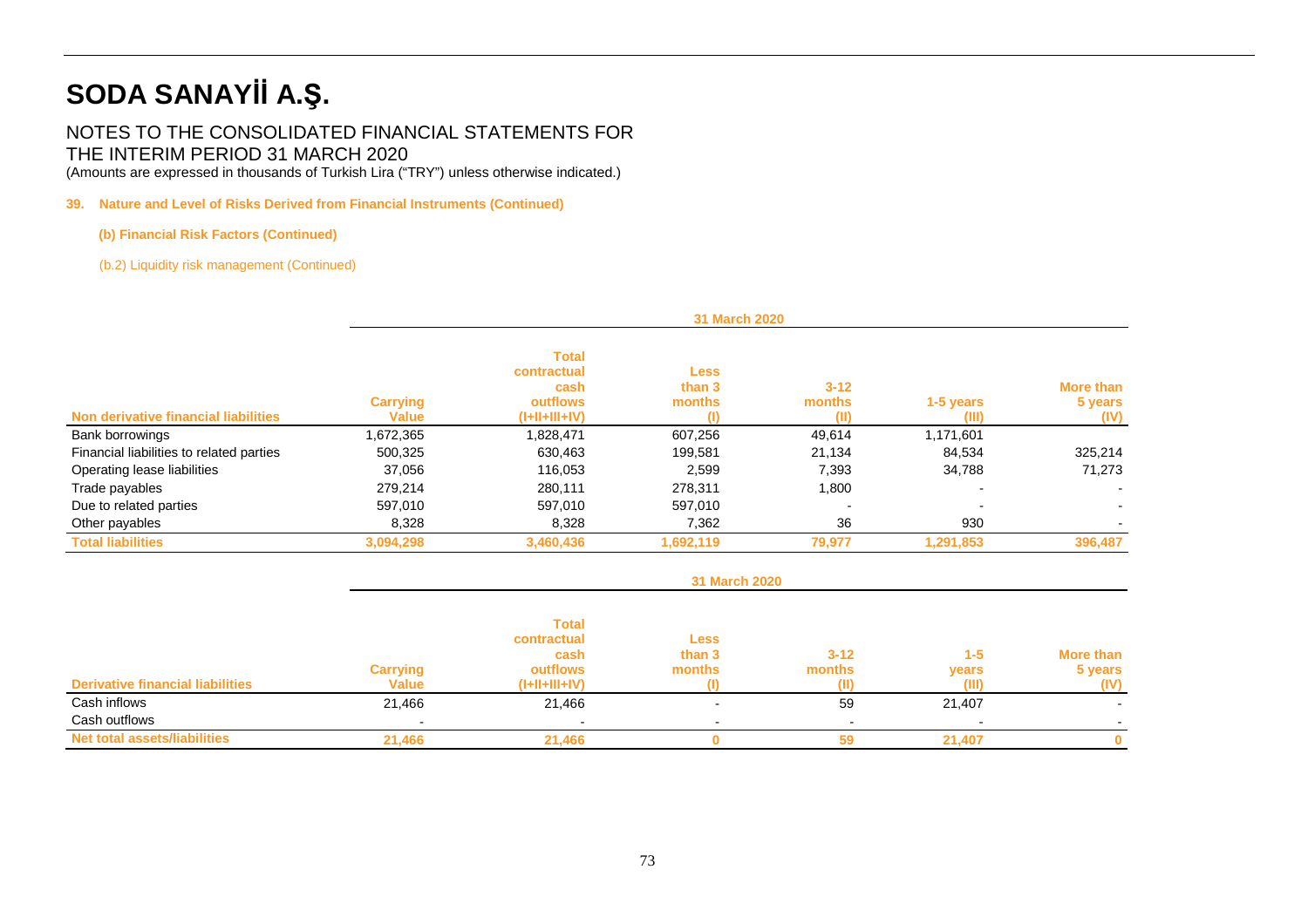## NOTES TO THE CONSOLIDATED FINANCIAL STATEMENTS FOR THE INTERIM PERIOD 31 MARCH 2020

(Amounts are expressed in thousands of Turkish Lira ("TRY") unless otherwise indicated.)

## **39. Nature and Level of Risks Derived from Financial Instruments (Continued)**

## **(b) Financial Risk Factors (Continued)**

(b.2) Liquidity risk management (Continued)

|                                          |                                 | <b>31 March 2020</b>                                               |                                 |                            |                    |                                     |  |  |
|------------------------------------------|---------------------------------|--------------------------------------------------------------------|---------------------------------|----------------------------|--------------------|-------------------------------------|--|--|
| Non derivative financial liabilities     | <b>Carrying</b><br><b>Value</b> | <b>Total</b><br>contractual<br>cash<br>outflows<br>$(I+II+III+IV)$ | <b>Less</b><br>than 3<br>months | $3 - 12$<br>months<br>(II) | 1-5 years<br>(III) | <b>More than</b><br>5 years<br>(IV) |  |  |
| Bank borrowings                          | 1,672,365                       | 1,828,471                                                          | 607,256                         | 49,614                     | 1,171,601          |                                     |  |  |
| Financial liabilities to related parties | 500,325                         | 630,463                                                            | 199.581                         | 21,134                     | 84,534             | 325,214                             |  |  |
| Operating lease liabilities              | 37,056                          | 116,053                                                            | 2,599                           | 7,393                      | 34,788             | 71,273                              |  |  |
| Trade payables                           | 279,214                         | 280,111                                                            | 278,311                         | 1,800                      |                    |                                     |  |  |
| Due to related parties                   | 597,010                         | 597,010                                                            | 597,010                         | $\overline{\phantom{0}}$   |                    |                                     |  |  |
| Other payables                           | 8,328                           | 8,328                                                              | 7,362                           | 36                         | 930                |                                     |  |  |
| <b>Total liabilities</b>                 | 3,094,298                       | 3,460,436                                                          | 1,692,119                       | 79,977                     | 1,291,853          | 396,487                             |  |  |

|                                         | 31 March 2020                   |                                                                    |                                 |                    |                           |                                     |
|-----------------------------------------|---------------------------------|--------------------------------------------------------------------|---------------------------------|--------------------|---------------------------|-------------------------------------|
| <b>Derivative financial liabilities</b> | <b>Carrying</b><br><b>Value</b> | <b>Total</b><br>contractual<br>cash<br>outflows<br>$(I+II+III+IV)$ | <b>Less</b><br>than 3<br>months | $3 - 12$<br>months | $1 - 5$<br>years<br>(III) | <b>More than</b><br>5 years<br>(IV) |
| Cash inflows<br>Cash outflows           | 21,466                          | 21,466                                                             |                                 | 59                 | 21,407                    |                                     |
| <b>Net total assets/liabilities</b>     | 21,466                          | 21.466                                                             |                                 | 59                 | 21.407                    | o                                   |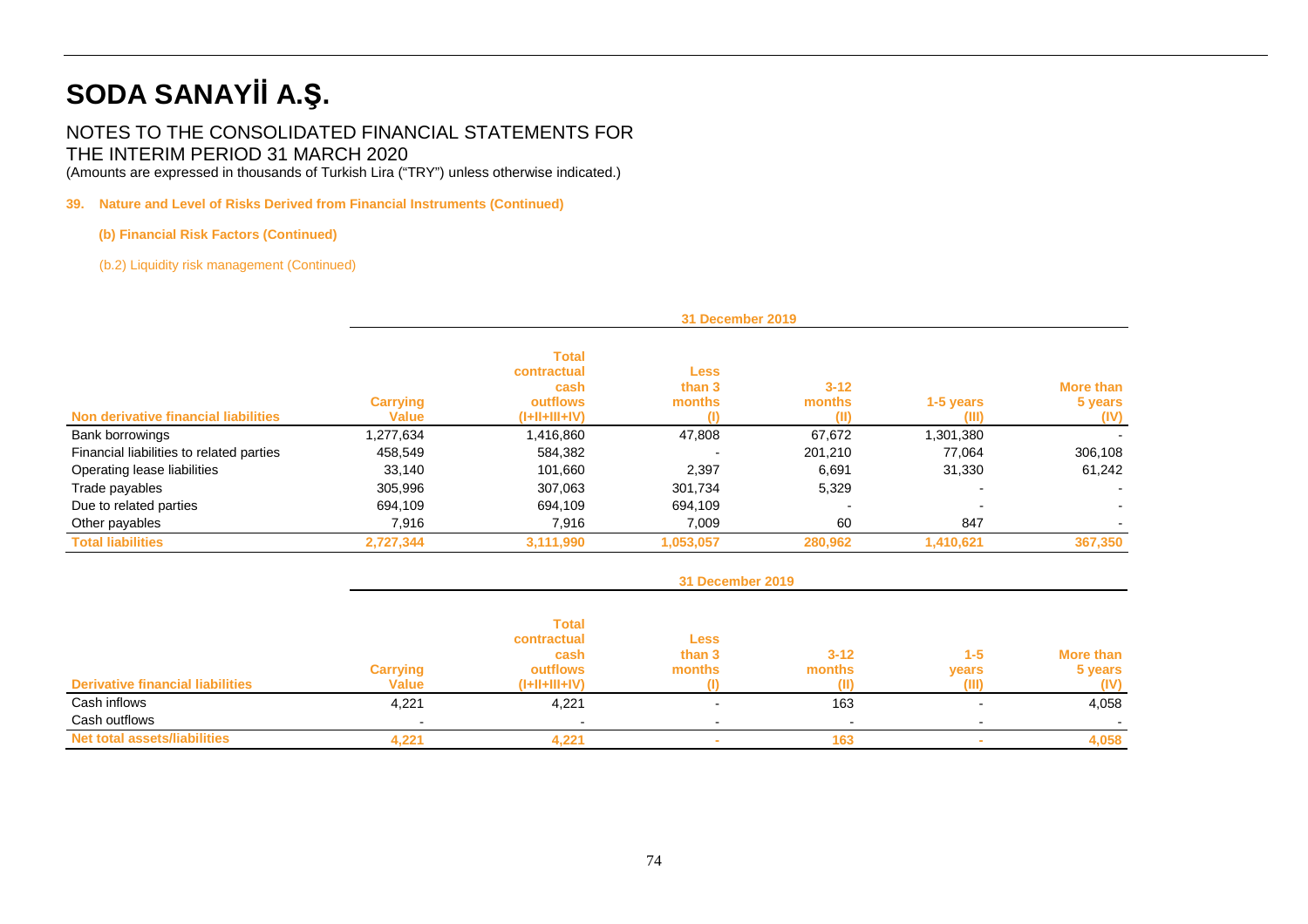## NOTES TO THE CONSOLIDATED FINANCIAL STATEMENTS FOR THE INTERIM PERIOD 31 MARCH 2020

(Amounts are expressed in thousands of Turkish Lira ("TRY") unless otherwise indicated.)

## **39. Nature and Level of Risks Derived from Financial Instruments (Continued)**

## **(b) Financial Risk Factors (Continued)**

(b.2) Liquidity risk management (Continued)

|                                          |                                 | 31 December 2019                                                   |                          |                            |                    |                              |  |  |
|------------------------------------------|---------------------------------|--------------------------------------------------------------------|--------------------------|----------------------------|--------------------|------------------------------|--|--|
| Non derivative financial liabilities     | <b>Carrying</b><br><b>Value</b> | <b>Total</b><br>contractual<br>cash<br>outflows<br>$(I+II+III+IV)$ | Less<br>than 3<br>months | $3 - 12$<br>months<br>(II) | 1-5 years<br>(III) | More than<br>5 years<br>(IV) |  |  |
| <b>Bank borrowings</b>                   | 1,277,634                       | 1,416,860                                                          | 47,808                   | 67,672                     | 1,301,380          |                              |  |  |
| Financial liabilities to related parties | 458,549                         | 584,382                                                            |                          | 201.210                    | 77.064             | 306,108                      |  |  |
| Operating lease liabilities              | 33,140                          | 101,660                                                            | 2,397                    | 6,691                      | 31,330             | 61,242                       |  |  |
| Trade payables                           | 305,996                         | 307,063                                                            | 301,734                  | 5,329                      |                    |                              |  |  |
| Due to related parties                   | 694,109                         | 694.109                                                            | 694.109                  |                            |                    |                              |  |  |
| Other payables                           | 7,916                           | 7,916                                                              | 7,009                    | 60                         | 847                |                              |  |  |
| <b>Total liabilities</b>                 | 2,727,344                       | 3,111,990                                                          | 1,053,057                | 280,962                    | 1,410,621          | 367,350                      |  |  |

|                                         | <b>31 December 2019</b>         |                                                                    |                                 |                    |                           |                              |
|-----------------------------------------|---------------------------------|--------------------------------------------------------------------|---------------------------------|--------------------|---------------------------|------------------------------|
| <b>Derivative financial liabilities</b> | <b>Carrying</b><br><b>Value</b> | <b>Total</b><br>contractual<br>cash<br>outflows<br>$(I+II+III+IV)$ | <b>Less</b><br>than 3<br>months | $3 - 12$<br>months | $1 - 5$<br>years<br>(III) | More than<br>5 years<br>(IV) |
| Cash inflows<br>Cash outflows           | 4,221                           | 4,221                                                              |                                 | 163                |                           | 4,058                        |
| <b>Net total assets/liabilities</b>     | 4,221                           | 4.221                                                              |                                 | 163                |                           | 4,058                        |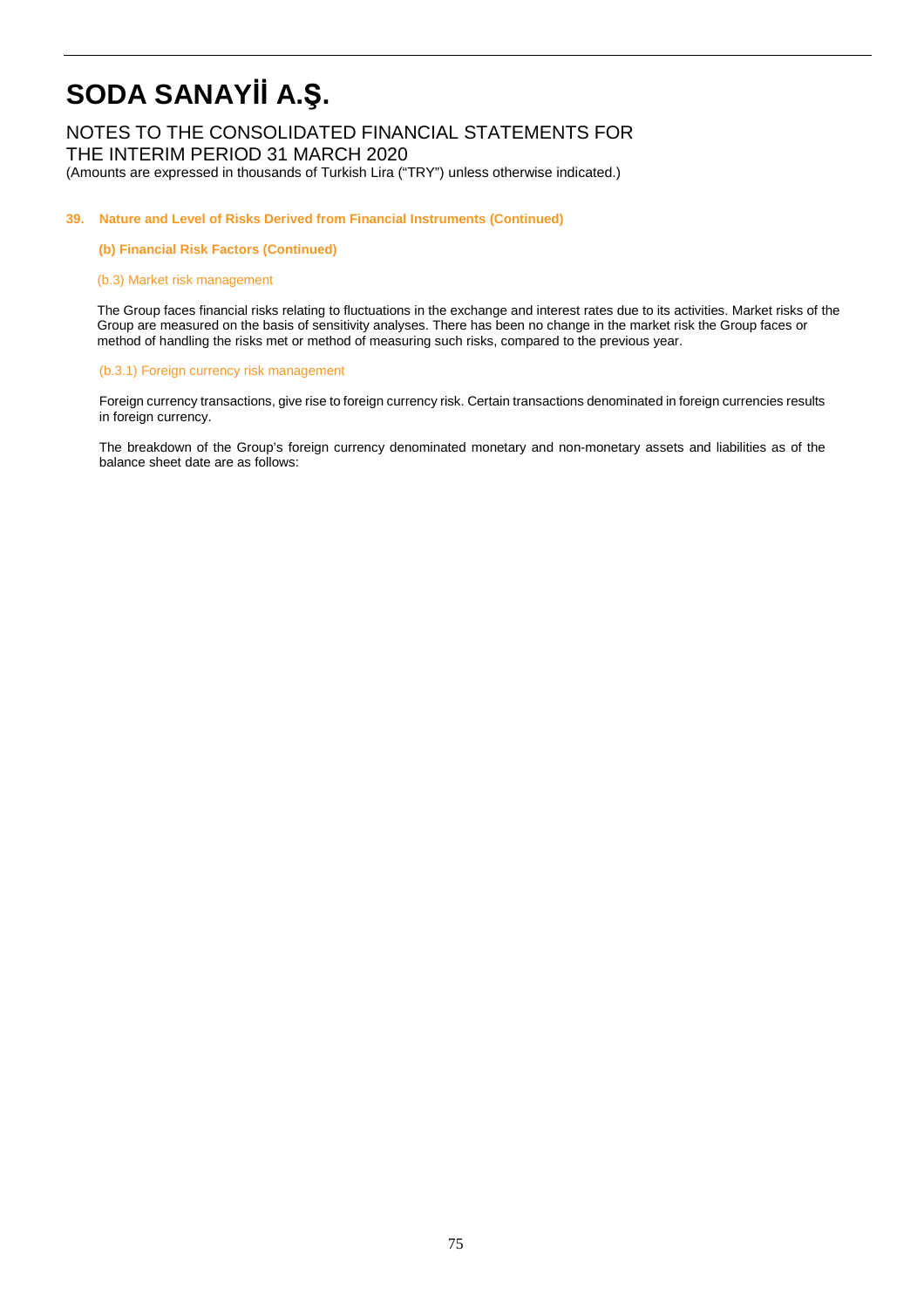## NOTES TO THE CONSOLIDATED FINANCIAL STATEMENTS FOR THE INTERIM PERIOD 31 MARCH 2020

(Amounts are expressed in thousands of Turkish Lira ("TRY") unless otherwise indicated.)

#### **39. Nature and Level of Risks Derived from Financial Instruments (Continued)**

**(b) Financial Risk Factors (Continued)** 

## (b.3) Market risk management

The Group faces financial risks relating to fluctuations in the exchange and interest rates due to its activities. Market risks of the Group are measured on the basis of sensitivity analyses. There has been no change in the market risk the Group faces or method of handling the risks met or method of measuring such risks, compared to the previous year.

## (b.3.1) Foreign currency risk management

 Foreign currency transactions, give rise to foreign currency risk. Certain transactions denominated in foreign currencies results in foreign currency.

The breakdown of the Group's foreign currency denominated monetary and non-monetary assets and liabilities as of the balance sheet date are as follows: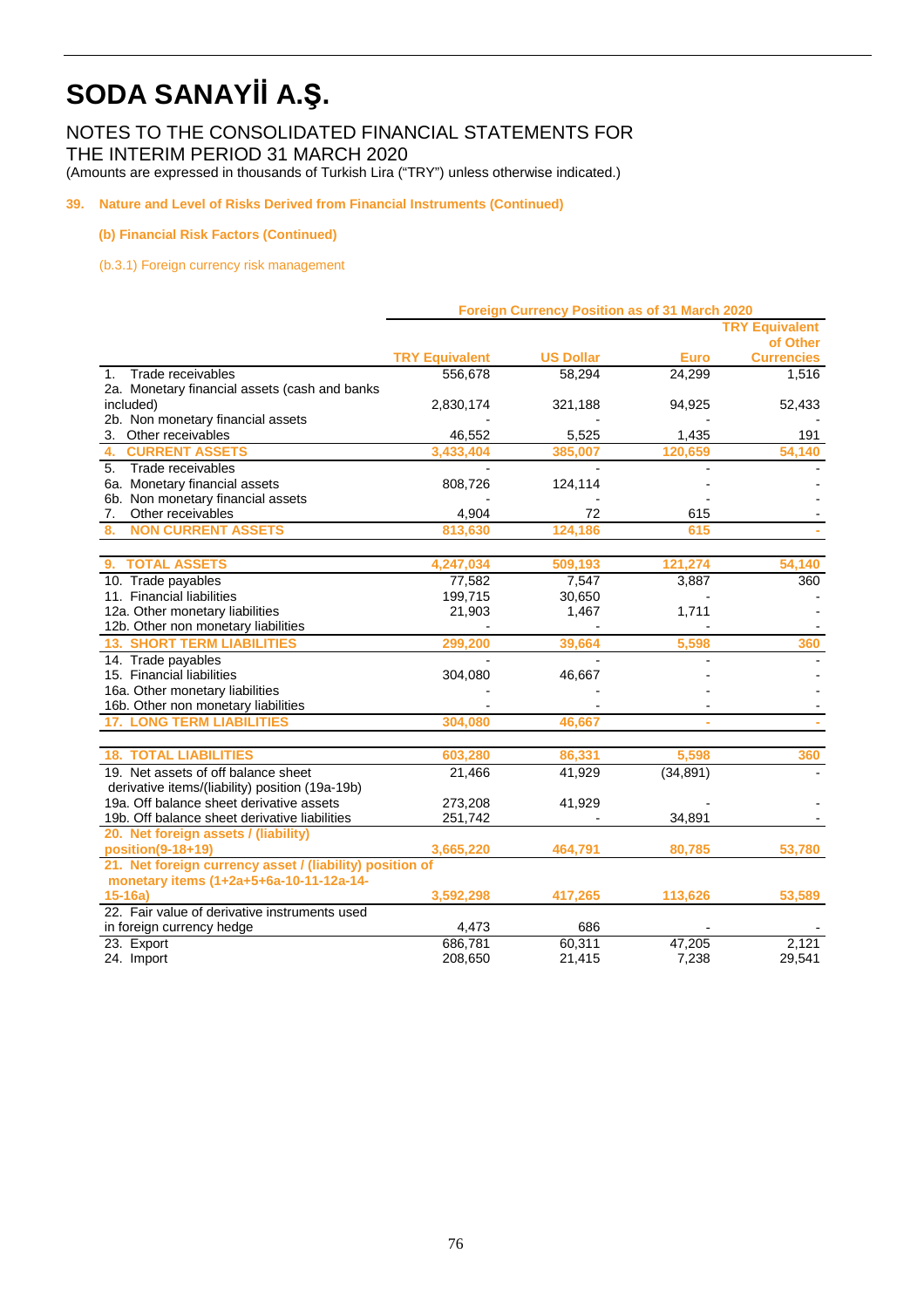NOTES TO THE CONSOLIDATED FINANCIAL STATEMENTS FOR THE INTERIM PERIOD 31 MARCH 2020

(Amounts are expressed in thousands of Turkish Lira ("TRY") unless otherwise indicated.)

**39. Nature and Level of Risks Derived from Financial Instruments (Continued)** 

## **(b) Financial Risk Factors (Continued)**

(b.3.1) Foreign currency risk management

|                                                          | Foreign Currency Position as of 31 March 2020 |                          |             |                       |  |
|----------------------------------------------------------|-----------------------------------------------|--------------------------|-------------|-----------------------|--|
|                                                          |                                               |                          |             | <b>TRY Equivalent</b> |  |
|                                                          |                                               |                          |             | of Other              |  |
|                                                          | <b>TRY Equivalent</b>                         | <b>US Dollar</b>         | <b>Euro</b> | <b>Currencies</b>     |  |
| Trade receivables<br>$1_{-}$                             | 556,678                                       | 58,294                   | 24,299      | 1,516                 |  |
| 2a. Monetary financial assets (cash and banks            |                                               |                          |             |                       |  |
| included)<br>2b. Non monetary financial assets           | 2,830,174                                     | 321,188                  | 94,925      | 52,433                |  |
|                                                          | 46,552                                        | 5,525                    | 1,435       |                       |  |
| 3. Other receivables<br><b>CURRENT ASSETS</b><br>4.      | 3,433,404                                     | 385.007                  | 120,659     | 191                   |  |
| 5 <sub>1</sub>                                           |                                               |                          |             | 54,140                |  |
| Trade receivables                                        |                                               | $\blacksquare$           |             |                       |  |
| 6a. Monetary financial assets                            | 808,726                                       | 124,114                  |             |                       |  |
| 6b. Non monetary financial assets                        |                                               |                          |             |                       |  |
| Other receivables<br>7.                                  | 4,904                                         | 72                       | 615         |                       |  |
| <b>NON CURRENT ASSETS</b><br>8.                          | 813,630                                       | 124.186                  | 615         |                       |  |
| <b>TOTAL ASSETS</b><br>9.                                | 4,247,034                                     | 509,193                  | 121,274     | 54.140                |  |
| 10. Trade payables                                       | 77,582                                        | 7,547                    | 3,887       | 360                   |  |
| 11. Financial liabilities                                | 199,715                                       | 30,650                   |             |                       |  |
| 12a. Other monetary liabilities                          | 21,903                                        | 1,467                    | 1,711       |                       |  |
| 12b. Other non monetary liabilities                      |                                               |                          |             |                       |  |
| <b>13. SHORT TERM LIABILITIES</b>                        | 299,200                                       | 39,664                   | 5,598       | 360                   |  |
| 14. Trade payables                                       |                                               | $\overline{\phantom{a}}$ |             |                       |  |
| 15. Financial liabilities                                | 304,080                                       | 46,667                   |             |                       |  |
| 16a. Other monetary liabilities                          |                                               |                          |             |                       |  |
| 16b. Other non monetary liabilities                      |                                               |                          |             |                       |  |
| <b>17. LONG TERM LIABILITIES</b>                         | 304,080                                       | 46,667                   |             |                       |  |
| <b>18. TOTAL LIABILITIES</b>                             | 603.280                                       | 86.331                   | 5.598       | 360                   |  |
| 19. Net assets of off balance sheet                      | 21,466                                        | 41,929                   | (34, 891)   |                       |  |
| derivative items/(liability) position (19a-19b)          |                                               |                          |             |                       |  |
| 19a. Off balance sheet derivative assets                 | 273,208                                       | 41,929                   |             |                       |  |
| 19b. Off balance sheet derivative liabilities            | 251,742                                       |                          | 34,891      |                       |  |
| 20. Net foreign assets / (liability)                     |                                               |                          |             |                       |  |
| position(9-18+19)                                        | 3,665,220                                     | 464,791                  | 80,785      | 53,780                |  |
| 21. Net foreign currency asset / (liability) position of |                                               |                          |             |                       |  |
| monetary items (1+2a+5+6a-10-11-12a-14-                  |                                               |                          |             |                       |  |
| $15-16a$                                                 | 3,592,298                                     | 417,265                  | 113,626     | 53,589                |  |
| 22. Fair value of derivative instruments used            |                                               |                          |             |                       |  |
| in foreign currency hedge                                | 4,473                                         | 686                      |             |                       |  |
| 23. Export                                               | 686,781                                       | 60,311                   | 47,205      | 2,121                 |  |
| 24. Import                                               | 208,650                                       | 21,415                   | 7,238       | 29,541                |  |
|                                                          |                                               |                          |             |                       |  |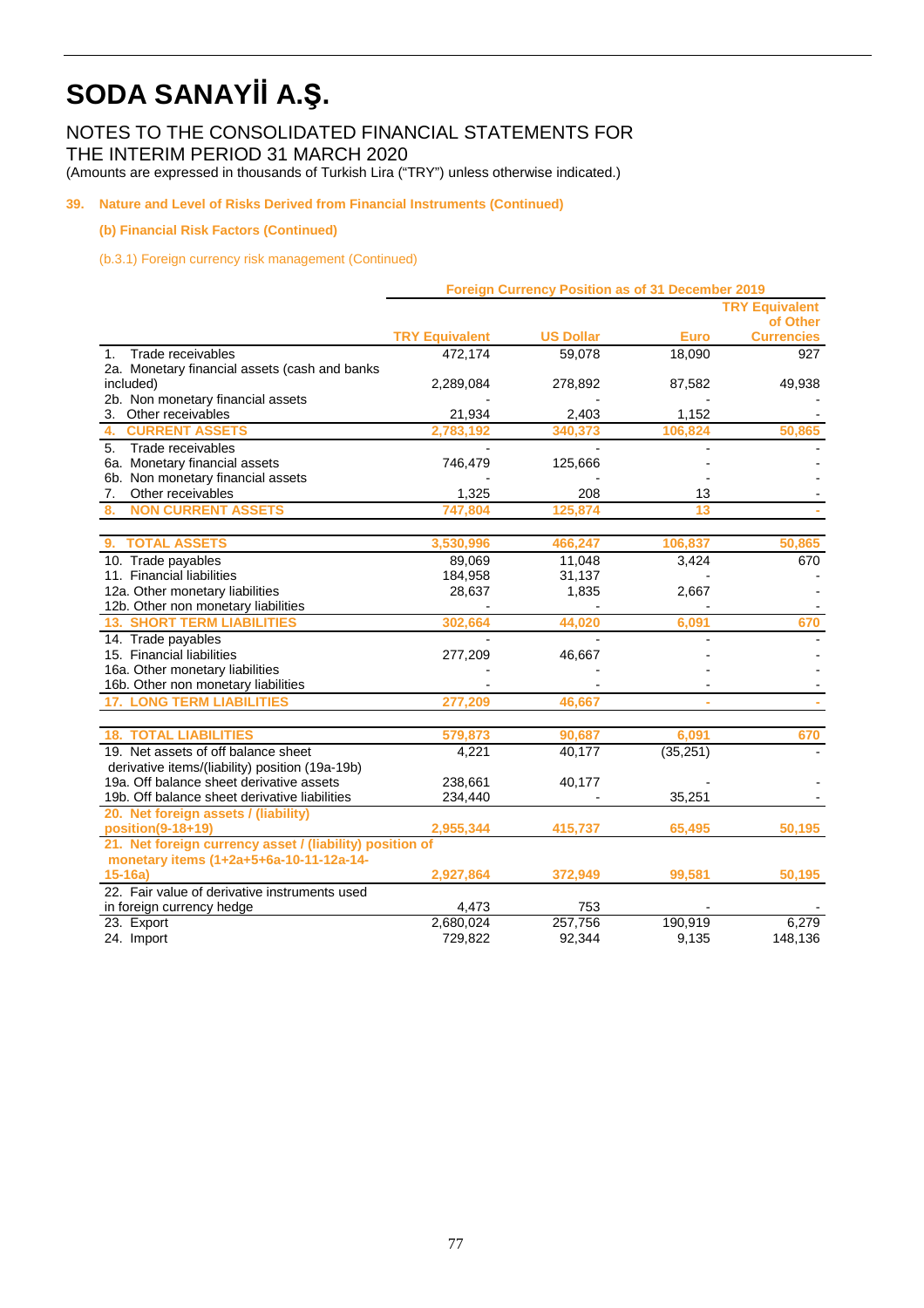NOTES TO THE CONSOLIDATED FINANCIAL STATEMENTS FOR THE INTERIM PERIOD 31 MARCH 2020

(Amounts are expressed in thousands of Turkish Lira ("TRY") unless otherwise indicated.)

## **39. Nature and Level of Risks Derived from Financial Instruments (Continued)**

## **(b) Financial Risk Factors (Continued)**

(b.3.1) Foreign currency risk management (Continued)

|                                                          | <b>Foreign Currency Position as of 31 December 2019</b> |                  |             |                       |  |
|----------------------------------------------------------|---------------------------------------------------------|------------------|-------------|-----------------------|--|
|                                                          |                                                         |                  |             | <b>TRY Equivalent</b> |  |
|                                                          |                                                         |                  |             | of Other              |  |
|                                                          | <b>TRY Equivalent</b>                                   | <b>US Dollar</b> | <b>Euro</b> | <b>Currencies</b>     |  |
| Trade receivables<br>$\mathbf{1}$ .                      | 472,174                                                 | 59,078           | 18,090      | 927                   |  |
| 2a. Monetary financial assets (cash and banks            |                                                         |                  |             |                       |  |
| included)                                                | 2,289,084                                               | 278,892          | 87,582      | 49,938                |  |
| 2b. Non monetary financial assets                        |                                                         |                  |             |                       |  |
| 3. Other receivables                                     | 21,934                                                  | 2,403            | 1,152       |                       |  |
| <b>CURRENT ASSETS</b><br>4.                              | 2.783.192                                               | 340.373          | 106.824     | 50.865                |  |
| 5.<br>Trade receivables                                  |                                                         |                  |             |                       |  |
| 6a. Monetary financial assets                            | 746,479                                                 | 125,666          |             |                       |  |
| 6b. Non monetary financial assets                        |                                                         |                  |             |                       |  |
| Other receivables<br>7.                                  | 1,325                                                   | 208              | 13          |                       |  |
| <b>NON CURRENT ASSETS</b><br>8.                          | 747,804                                                 | 125,874          | 13          |                       |  |
|                                                          |                                                         |                  |             |                       |  |
| <b>TOTAL ASSETS</b><br>9.                                | 3.530.996                                               | 466.247          | 106,837     | 50.865                |  |
| 10. Trade payables                                       | 89,069                                                  | 11,048           | 3,424       | 670                   |  |
| 11. Financial liabilities                                | 184,958                                                 | 31,137           |             |                       |  |
| 12a. Other monetary liabilities                          | 28,637                                                  | 1,835            | 2,667       |                       |  |
| 12b. Other non monetary liabilities                      |                                                         |                  |             |                       |  |
| <b>13. SHORT TERM LIABILITIES</b>                        | 302,664                                                 | 44,020           | 6,091       | 670                   |  |
| 14. Trade payables                                       |                                                         |                  |             |                       |  |
| 15. Financial liabilities                                | 277,209                                                 | 46,667           |             |                       |  |
| 16a. Other monetary liabilities                          |                                                         |                  |             |                       |  |
| 16b. Other non monetary liabilities                      |                                                         |                  |             |                       |  |
| <b>17. LONG TERM LIABILITIES</b>                         | 277,209                                                 | 46,667           |             |                       |  |
|                                                          |                                                         |                  |             |                       |  |
| <b>18. TOTAL LIABILITIES</b>                             | 579,873                                                 | 90,687           | 6,091       | 670                   |  |
| 19. Net assets of off balance sheet                      | 4,221                                                   | 40,177           | (35, 251)   |                       |  |
| derivative items/(liability) position (19a-19b)          |                                                         |                  |             |                       |  |
| 19a. Off balance sheet derivative assets                 | 238,661                                                 | 40,177           |             |                       |  |
| 19b. Off balance sheet derivative liabilities            | 234,440                                                 |                  | 35,251      |                       |  |
| 20. Net foreign assets / (liability)                     |                                                         |                  |             |                       |  |
| position(9-18+19)                                        | 2,955,344                                               | 415,737          | 65,495      | 50,195                |  |
| 21. Net foreign currency asset / (liability) position of |                                                         |                  |             |                       |  |
| monetary items (1+2a+5+6a-10-11-12a-14-                  |                                                         |                  |             |                       |  |
| $15-16a$                                                 | 2,927,864                                               | 372,949          | 99,581      | 50,195                |  |
| 22. Fair value of derivative instruments used            |                                                         |                  |             |                       |  |
| in foreign currency hedge                                | 4,473                                                   | 753              |             |                       |  |
| 23. Export                                               | 2,680,024                                               | 257,756          | 190,919     | 6,279                 |  |
| 24. Import                                               | 729,822                                                 | 92,344           | 9,135       | 148,136               |  |
|                                                          |                                                         |                  |             |                       |  |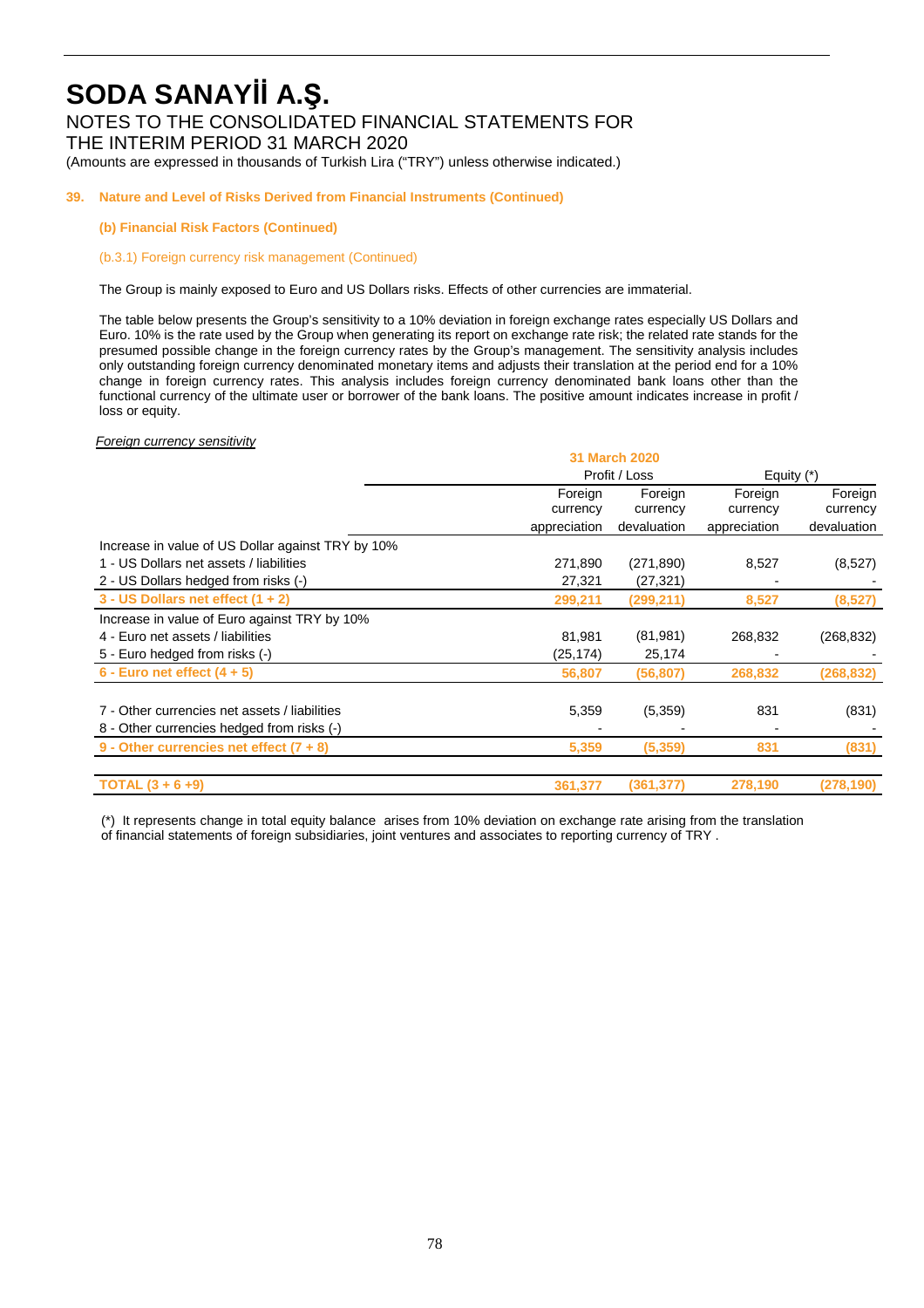## NOTES TO THE CONSOLIDATED FINANCIAL STATEMENTS FOR

THE INTERIM PERIOD 31 MARCH 2020

(Amounts are expressed in thousands of Turkish Lira ("TRY") unless otherwise indicated.)

## **39. Nature and Level of Risks Derived from Financial Instruments (Continued)**

### **(b) Financial Risk Factors (Continued)**

(b.3.1) Foreign currency risk management (Continued)

The Group is mainly exposed to Euro and US Dollars risks. Effects of other currencies are immaterial.

The table below presents the Group's sensitivity to a 10% deviation in foreign exchange rates especially US Dollars and Euro. 10% is the rate used by the Group when generating its report on exchange rate risk; the related rate stands for the presumed possible change in the foreign currency rates by the Group's management. The sensitivity analysis includes only outstanding foreign currency denominated monetary items and adjusts their translation at the period end for a 10% change in foreign currency rates. This analysis includes foreign currency denominated bank loans other than the functional currency of the ultimate user or borrower of the bank loans. The positive amount indicates increase in profit / loss or equity.

Foreign currency sensitivity

|                                                   | <b>31 March 2020</b> |               |              |             |
|---------------------------------------------------|----------------------|---------------|--------------|-------------|
|                                                   |                      | Profit / Loss | Equity $(*)$ |             |
|                                                   | Foreign<br>Foreign   |               | Foreign      | Foreign     |
|                                                   | currency             | currency      | currency     | currency    |
|                                                   | appreciation         | devaluation   | appreciation | devaluation |
| Increase in value of US Dollar against TRY by 10% |                      |               |              |             |
| 1 - US Dollars net assets / liabilities           | 271,890              | (271, 890)    | 8,527        | (8,527)     |
| 2 - US Dollars hedged from risks (-)              | 27,321               | (27, 321)     |              |             |
| 3 - US Dollars net effect $(1 + 2)$               | 299,211              | (299, 211)    | 8,527        | (8, 527)    |
| Increase in value of Euro against TRY by 10%      |                      |               |              |             |
| 4 - Euro net assets / liabilities                 | 81,981               | (81, 981)     | 268,832      | (268, 832)  |
| 5 - Euro hedged from risks (-)                    | (25,174)             | 25,174        |              |             |
| $6$ - Euro net effect $(4 + 5)$                   | 56,807               | (56,807)      | 268,832      | (268, 832)  |
|                                                   |                      |               |              |             |
| 7 - Other currencies net assets / liabilities     | 5,359                | (5,359)       | 831          | (831)       |
| 8 - Other currencies hedged from risks (-)        |                      |               |              |             |
| 9 - Other currencies net effect $(7 + 8)$         | 5,359                | (5,359)       | 831          | (831)       |
| <b>TOTAL</b> $(3 + 6 + 9)$                        | 361,377              | (361, 377)    | 278,190      | (278, 190)  |

(\*) It represents change in total equity balance arises from 10% deviation on exchange rate arising from the translation of financial statements of foreign subsidiaries, joint ventures and associates to reporting currency of TRY .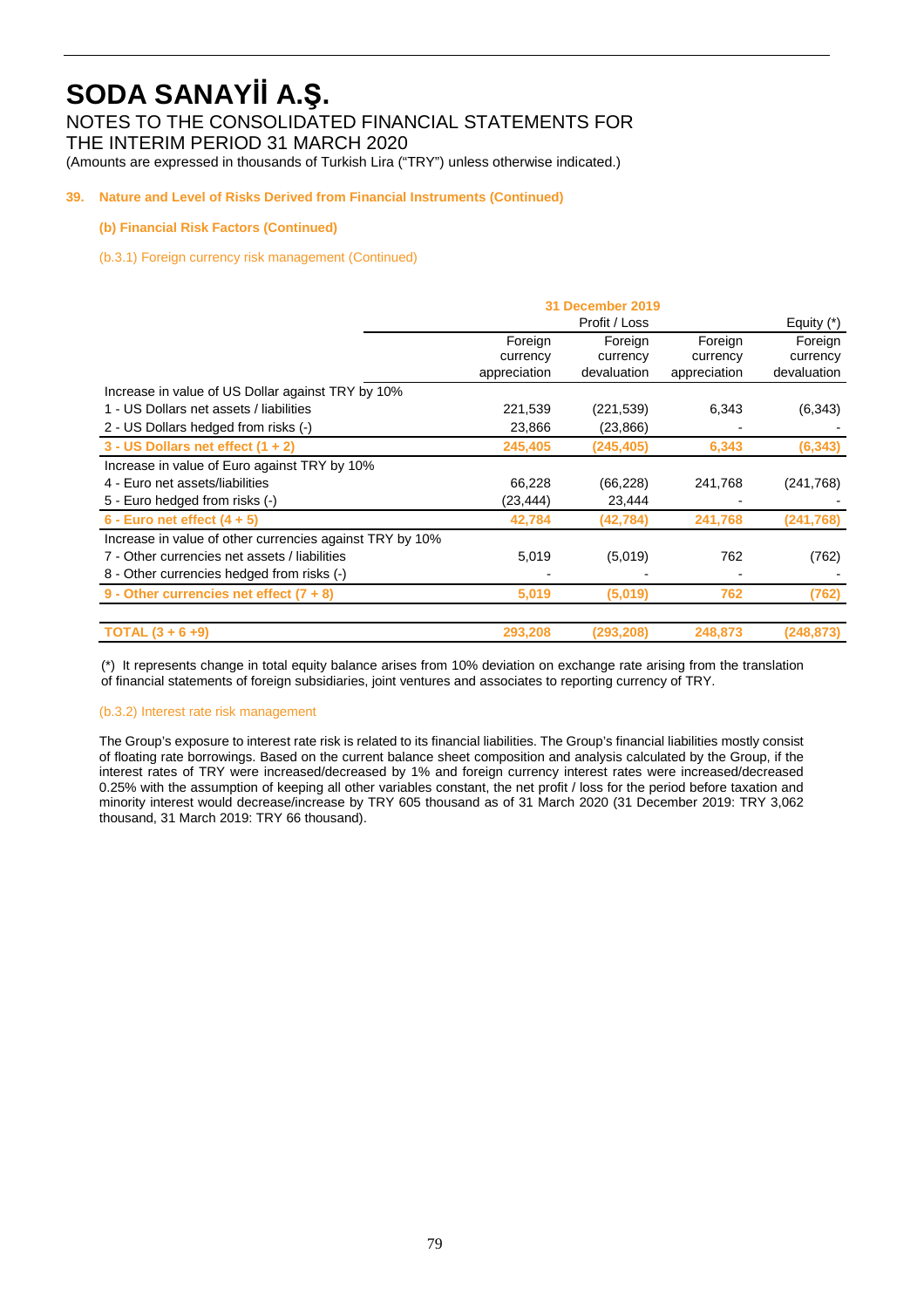NOTES TO THE CONSOLIDATED FINANCIAL STATEMENTS FOR

THE INTERIM PERIOD 31 MARCH 2020

(Amounts are expressed in thousands of Turkish Lira ("TRY") unless otherwise indicated.)

## **39. Nature and Level of Risks Derived from Financial Instruments (Continued)**

## **(b) Financial Risk Factors (Continued)**

(b.3.1) Foreign currency risk management (Continued)

|                                                          | 31 December 2019 |             |              |             |
|----------------------------------------------------------|------------------|-------------|--------------|-------------|
|                                                          |                  |             | Equity $(*)$ |             |
|                                                          | Foreign          | Foreign     | Foreign      |             |
|                                                          | currency         | currency    | currency     | currency    |
|                                                          | appreciation     | devaluation | appreciation | devaluation |
| Increase in value of US Dollar against TRY by 10%        |                  |             |              |             |
| 1 - US Dollars net assets / liabilities                  | 221,539          | (221, 539)  | 6,343        | (6, 343)    |
| 2 - US Dollars hedged from risks (-)                     | 23,866           | (23, 866)   |              |             |
| $3 - US Dollars$ net effect $(1 + 2)$                    | 245,405          | (245, 405)  | 6,343        | (6, 343)    |
| Increase in value of Euro against TRY by 10%             |                  |             |              |             |
| 4 - Euro net assets/liabilities                          | 66,228           | (66, 228)   | 241,768      | (241, 768)  |
| 5 - Euro hedged from risks (-)                           | (23,444)         | 23,444      |              |             |
| 6 - Euro net effect $(4 + 5)$                            | 42,784           | (42, 784)   | 241,768      | (241,768)   |
| Increase in value of other currencies against TRY by 10% |                  |             |              |             |
| 7 - Other currencies net assets / liabilities            | 5,019            | (5,019)     | 762          | (762)       |
| 8 - Other currencies hedged from risks (-)               |                  |             |              |             |
| 9 - Other currencies net effect $(7 + 8)$                | 5,019            | (5,019)     | 762          | (762)       |
| <b>TOTAL</b> $(3 + 6 + 9)$                               | 293,208          | (293, 208)  | 248,873      | (248,873)   |

(\*) It represents change in total equity balance arises from 10% deviation on exchange rate arising from the translation of financial statements of foreign subsidiaries, joint ventures and associates to reporting currency of TRY.

## (b.3.2) Interest rate risk management

The Group's exposure to interest rate risk is related to its financial liabilities. The Group's financial liabilities mostly consist of floating rate borrowings. Based on the current balance sheet composition and analysis calculated by the Group, if the interest rates of TRY were increased/decreased by 1% and foreign currency interest rates were increased/decreased 0.25% with the assumption of keeping all other variables constant, the net profit / loss for the period before taxation and minority interest would decrease/increase by TRY 605 thousand as of 31 March 2020 (31 December 2019: TRY 3,062 thousand, 31 March 2019: TRY 66 thousand).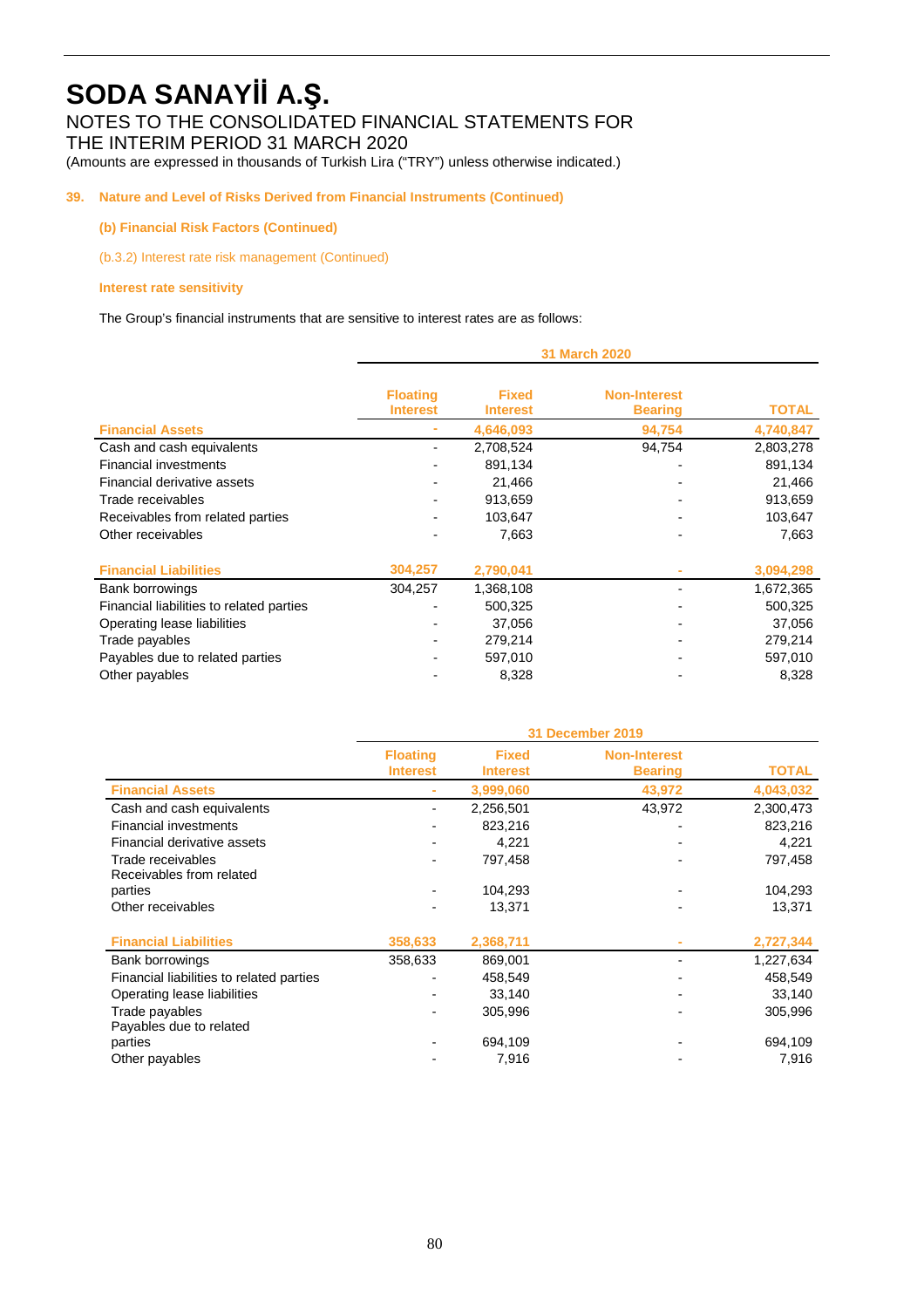## NOTES TO THE CONSOLIDATED FINANCIAL STATEMENTS FOR

THE INTERIM PERIOD 31 MARCH 2020

(Amounts are expressed in thousands of Turkish Lira ("TRY") unless otherwise indicated.)

## **39. Nature and Level of Risks Derived from Financial Instruments (Continued)**

## **(b) Financial Risk Factors (Continued)**

(b.3.2) Interest rate risk management (Continued)

## **Interest rate sensitivity**

The Group's financial instruments that are sensitive to interest rates are as follows:

|                                          | 31 March 2020                      |                                 |                                       |              |
|------------------------------------------|------------------------------------|---------------------------------|---------------------------------------|--------------|
|                                          | <b>Floating</b><br><b>Interest</b> | <b>Fixed</b><br><b>Interest</b> | <b>Non-Interest</b><br><b>Bearing</b> | <b>TOTAL</b> |
| <b>Financial Assets</b>                  |                                    | 4,646,093                       | 94,754                                | 4,740,847    |
| Cash and cash equivalents                |                                    | 2,708,524                       | 94,754                                | 2,803,278    |
| <b>Financial investments</b>             |                                    | 891,134                         |                                       | 891,134      |
| Financial derivative assets              |                                    | 21,466                          |                                       | 21,466       |
| Trade receivables                        |                                    | 913,659                         |                                       | 913,659      |
| Receivables from related parties         |                                    | 103,647                         |                                       | 103,647      |
| Other receivables                        |                                    | 7,663                           |                                       | 7,663        |
|                                          |                                    |                                 |                                       |              |
| <b>Financial Liabilities</b>             | 304,257                            | 2,790,041                       |                                       | 3,094,298    |
| Bank borrowings                          | 304,257                            | 1,368,108                       |                                       | 1,672,365    |
| Financial liabilities to related parties |                                    | 500,325                         |                                       | 500,325      |
| Operating lease liabilities              |                                    | 37,056                          |                                       | 37,056       |
| Trade payables                           |                                    | 279,214                         |                                       | 279,214      |
| Payables due to related parties          |                                    | 597,010                         |                                       | 597,010      |
| Other payables                           |                                    | 8,328                           |                                       | 8,328        |

|                                               | 31 December 2019                   |                                 |                                       |              |
|-----------------------------------------------|------------------------------------|---------------------------------|---------------------------------------|--------------|
|                                               | <b>Floating</b><br><b>Interest</b> | <b>Fixed</b><br><b>Interest</b> | <b>Non-Interest</b><br><b>Bearing</b> | <b>TOTAL</b> |
| <b>Financial Assets</b>                       |                                    | 3,999,060                       | 43,972                                | 4,043,032    |
| Cash and cash equivalents                     |                                    | 2,256,501                       | 43,972                                | 2,300,473    |
| <b>Financial investments</b>                  |                                    | 823,216                         |                                       | 823,216      |
| Financial derivative assets                   |                                    | 4,221                           |                                       | 4,221        |
| Trade receivables<br>Receivables from related |                                    | 797,458                         |                                       | 797,458      |
| parties                                       |                                    | 104,293                         |                                       | 104,293      |
| Other receivables                             |                                    | 13,371                          |                                       | 13,371       |
| <b>Financial Liabilities</b>                  | 358,633                            | 2,368,711                       |                                       | 2,727,344    |
| Bank borrowings                               | 358,633                            | 869,001                         |                                       | 1,227,634    |
| Financial liabilities to related parties      |                                    | 458,549                         |                                       | 458,549      |
| Operating lease liabilities                   |                                    | 33,140                          |                                       | 33,140       |
| Trade payables<br>Payables due to related     |                                    | 305,996                         |                                       | 305,996      |
| parties                                       |                                    | 694,109                         |                                       | 694,109      |
| Other payables                                |                                    | 7,916                           |                                       | 7,916        |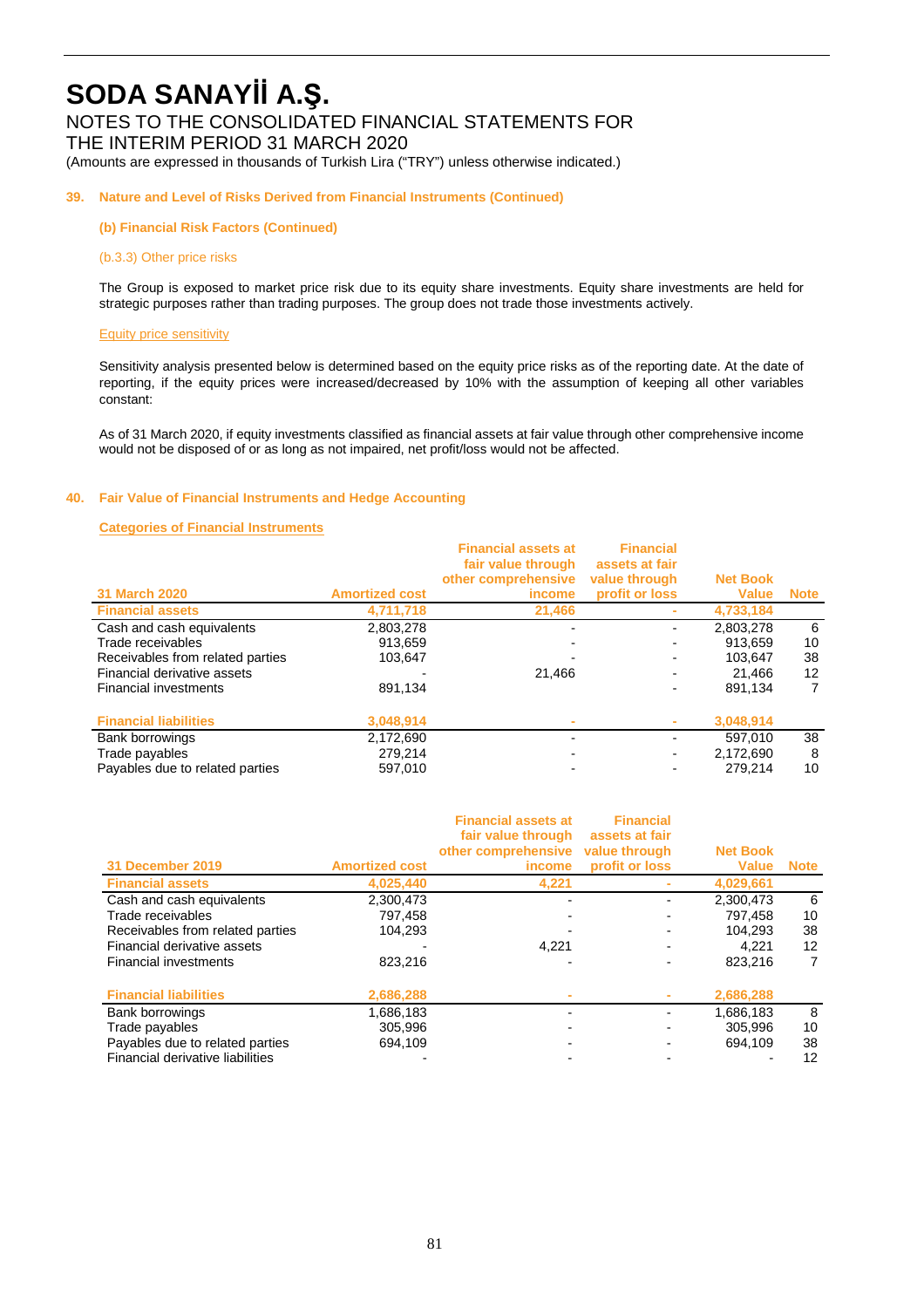## NOTES TO THE CONSOLIDATED FINANCIAL STATEMENTS FOR

THE INTERIM PERIOD 31 MARCH 2020

(Amounts are expressed in thousands of Turkish Lira ("TRY") unless otherwise indicated.)

## **39. Nature and Level of Risks Derived from Financial Instruments (Continued)**

**(b) Financial Risk Factors (Continued)** 

#### (b.3.3) Other price risks

The Group is exposed to market price risk due to its equity share investments. Equity share investments are held for strategic purposes rather than trading purposes. The group does not trade those investments actively.

#### Equity price sensitivity

Sensitivity analysis presented below is determined based on the equity price risks as of the reporting date. At the date of reporting, if the equity prices were increased/decreased by 10% with the assumption of keeping all other variables constant:

As of 31 March 2020, if equity investments classified as financial assets at fair value through other comprehensive income would not be disposed of or as long as not impaired, net profit/loss would not be affected.

### **40. Fair Value of Financial Instruments and Hedge Accounting**

### **Categories of Financial Instruments**

|                                  |                       | <b>Financial assets at</b><br>fair value through<br>other comprehensive | <b>Financial</b><br>assets at fair<br>value through | <b>Net Book</b> |             |
|----------------------------------|-----------------------|-------------------------------------------------------------------------|-----------------------------------------------------|-----------------|-------------|
| 31 March 2020                    | <b>Amortized cost</b> | <i>income</i>                                                           | profit or loss                                      | <b>Value</b>    | <b>Note</b> |
| <b>Financial assets</b>          | 4,711,718             | 21,466                                                                  |                                                     | 4,733,184       |             |
| Cash and cash equivalents        | 2,803,278             |                                                                         |                                                     | 2,803,278       | 6           |
| Trade receivables                | 913.659               |                                                                         |                                                     | 913.659         | 10          |
| Receivables from related parties | 103.647               |                                                                         |                                                     | 103.647         | 38          |
| Financial derivative assets      |                       | 21.466                                                                  |                                                     | 21.466          | 12          |
| <b>Financial investments</b>     | 891.134               |                                                                         |                                                     | 891.134         | 7           |
| <b>Financial liabilities</b>     | 3,048,914             |                                                                         | ٠                                                   | 3,048,914       |             |
| Bank borrowings                  | 2,172,690             |                                                                         |                                                     | 597.010         | 38          |
| Trade payables                   | 279.214               |                                                                         | ٠                                                   | 2.172.690       | 8           |
| Payables due to related parties  | 597,010               |                                                                         |                                                     | 279.214         | 10          |

| 31 December 2019                 | <b>Amortized cost</b> | <b>Financial assets at</b><br>fair value through<br>other comprehensive<br>income | <b>Financial</b><br>assets at fair<br>value through<br>profit or loss | <b>Net Book</b><br><b>Value</b> | <b>Note</b> |
|----------------------------------|-----------------------|-----------------------------------------------------------------------------------|-----------------------------------------------------------------------|---------------------------------|-------------|
| <b>Financial assets</b>          | 4.025.440             | 4,221                                                                             |                                                                       | 4,029,661                       |             |
| Cash and cash equivalents        | 2,300,473             |                                                                                   |                                                                       | 2.300.473                       | 6           |
| Trade receivables                | 797.458               |                                                                                   |                                                                       | 797,458                         | 10          |
| Receivables from related parties | 104.293               |                                                                                   |                                                                       | 104.293                         | 38          |
| Financial derivative assets      |                       | 4,221                                                                             |                                                                       | 4.221                           | 12          |
| <b>Financial investments</b>     | 823,216               |                                                                                   |                                                                       | 823.216                         | 7           |
| <b>Financial liabilities</b>     | 2,686,288             |                                                                                   |                                                                       | 2,686,288                       |             |
| Bank borrowings                  | 1,686,183             |                                                                                   |                                                                       | 1,686,183                       | 8           |
| Trade payables                   | 305,996               |                                                                                   |                                                                       | 305.996                         | 10          |
| Payables due to related parties  | 694.109               |                                                                                   |                                                                       | 694.109                         | 38          |
| Financial derivative liabilities |                       |                                                                                   |                                                                       |                                 | 12          |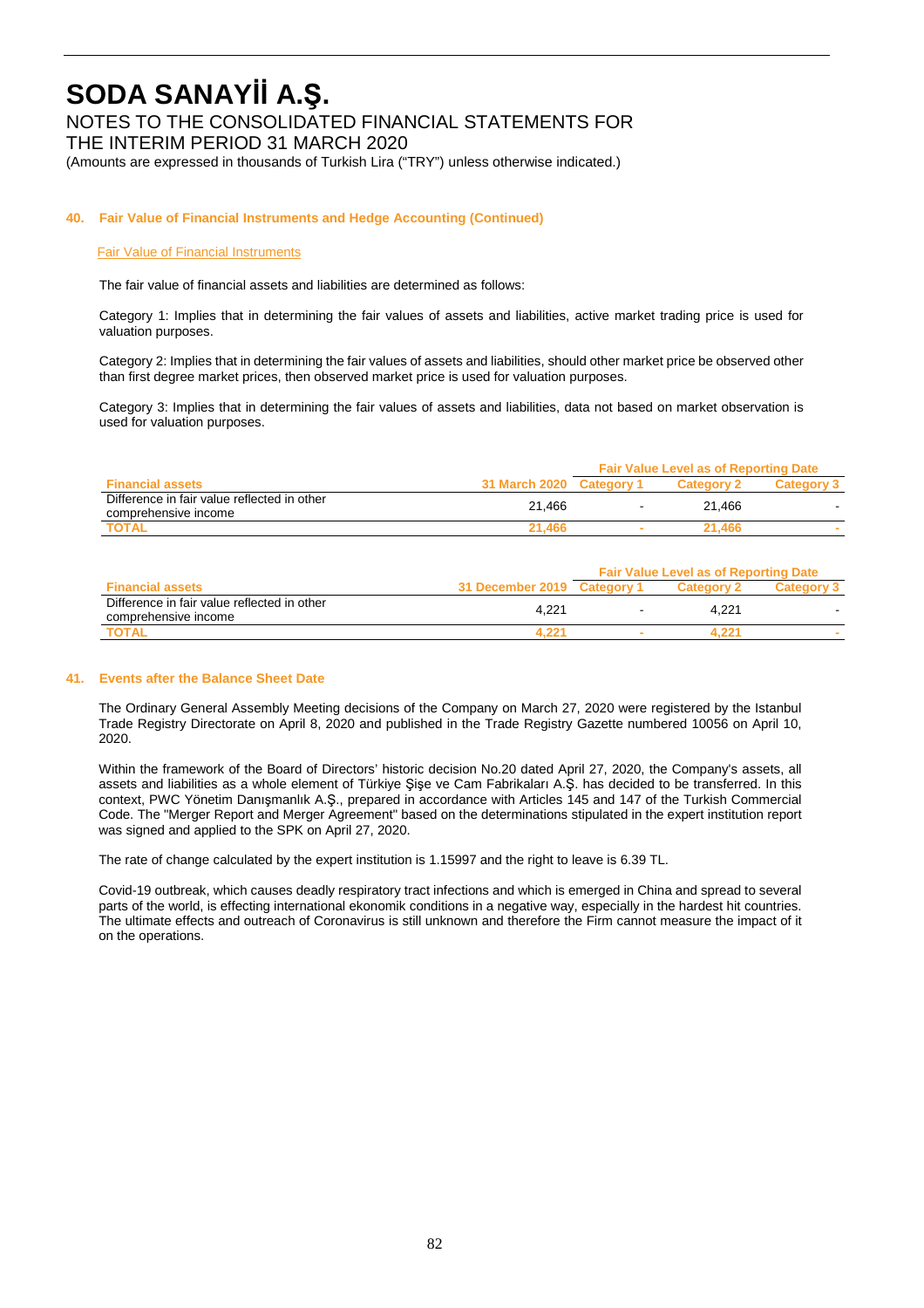NOTES TO THE CONSOLIDATED FINANCIAL STATEMENTS FOR

THE INTERIM PERIOD 31 MARCH 2020

(Amounts are expressed in thousands of Turkish Lira ("TRY") unless otherwise indicated.)

## **40. Fair Value of Financial Instruments and Hedge Accounting (Continued)**

### Fair Value of Financial Instruments

The fair value of financial assets and liabilities are determined as follows:

Category 1: Implies that in determining the fair values of assets and liabilities, active market trading price is used for valuation purposes.

Category 2: Implies that in determining the fair values of assets and liabilities, should other market price be observed other than first degree market prices, then observed market price is used for valuation purposes.

Category 3: Implies that in determining the fair values of assets and liabilities, data not based on market observation is used for valuation purposes.

|                                                                     |                      | <b>Fair Value Level as of Reporting Date</b> |        |  |
|---------------------------------------------------------------------|----------------------|----------------------------------------------|--------|--|
| <b>Financial assets</b>                                             | <b>31 March 2020</b> | <b>Category</b>                              |        |  |
| Difference in fair value reflected in other<br>comprehensive income | 21.466               | $\,$ $\,$                                    | 21.466 |  |
| <b>TOTAL</b>                                                        | 21.466               | ۰                                            | 21.466 |  |

|                                                                     |                             | <b>Fair Value Level as of Reporting Date</b> |            |  |
|---------------------------------------------------------------------|-----------------------------|----------------------------------------------|------------|--|
| <b>Financial assets</b>                                             | 31 December 2019 Category 1 |                                              | Category 2 |  |
| Difference in fair value reflected in other<br>comprehensive income | 4.221                       | $\overline{\phantom{a}}$                     | 4.221      |  |
| <b>TOTAL</b>                                                        |                             |                                              |            |  |

#### **41. Events after the Balance Sheet Date**

The Ordinary General Assembly Meeting decisions of the Company on March 27, 2020 were registered by the Istanbul Trade Registry Directorate on April 8, 2020 and published in the Trade Registry Gazette numbered 10056 on April 10, 2020.

Within the framework of the Board of Directors' historic decision No.20 dated April 27, 2020, the Company's assets, all assets and liabilities as a whole element of Türkiye Şişe ve Cam Fabrikaları A.Ş. has decided to be transferred. In this context, PWC Yönetim Danışmanlık A.Ş., prepared in accordance with Articles 145 and 147 of the Turkish Commercial Code. The "Merger Report and Merger Agreement" based on the determinations stipulated in the expert institution report was signed and applied to the SPK on April 27, 2020.

The rate of change calculated by the expert institution is 1.15997 and the right to leave is 6.39 TL.

Covid-19 outbreak, which causes deadly respiratory tract infections and which is emerged in China and spread to several parts of the world, is effecting international ekonomik conditions in a negative way, especially in the hardest hit countries. The ultimate effects and outreach of Coronavirus is still unknown and therefore the Firm cannot measure the impact of it on the operations.